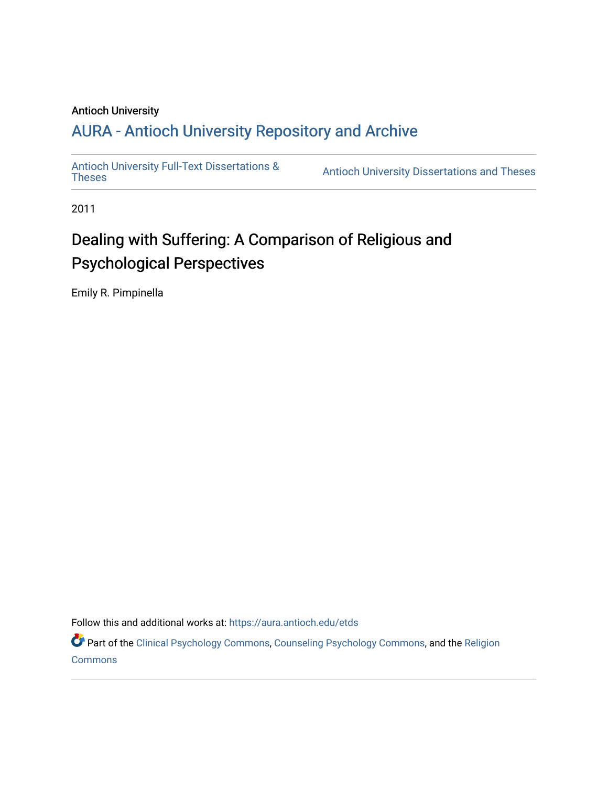## Antioch University

## A[URA - Antioch University Reposit](https://aura.antioch.edu/)ory and Archive

[Antioch University Full-Text Dissertations &](https://aura.antioch.edu/etds)

Antioch University Dissertations and Theses

2011

# Dealing with Suffering: A Comparison of Religious and Psychological Perspectives

Emily R. Pimpinella

Follow this and additional works at: [https://aura.antioch.edu/etds](https://aura.antioch.edu/etds?utm_source=aura.antioch.edu%2Fetds%2F860&utm_medium=PDF&utm_campaign=PDFCoverPages)

Part of the [Clinical Psychology Commons,](https://network.bepress.com/hgg/discipline/406?utm_source=aura.antioch.edu%2Fetds%2F860&utm_medium=PDF&utm_campaign=PDFCoverPages) [Counseling Psychology Commons](https://network.bepress.com/hgg/discipline/1044?utm_source=aura.antioch.edu%2Fetds%2F860&utm_medium=PDF&utm_campaign=PDFCoverPages), and the [Religion](https://network.bepress.com/hgg/discipline/538?utm_source=aura.antioch.edu%2Fetds%2F860&utm_medium=PDF&utm_campaign=PDFCoverPages)  **[Commons](https://network.bepress.com/hgg/discipline/538?utm_source=aura.antioch.edu%2Fetds%2F860&utm_medium=PDF&utm_campaign=PDFCoverPages)**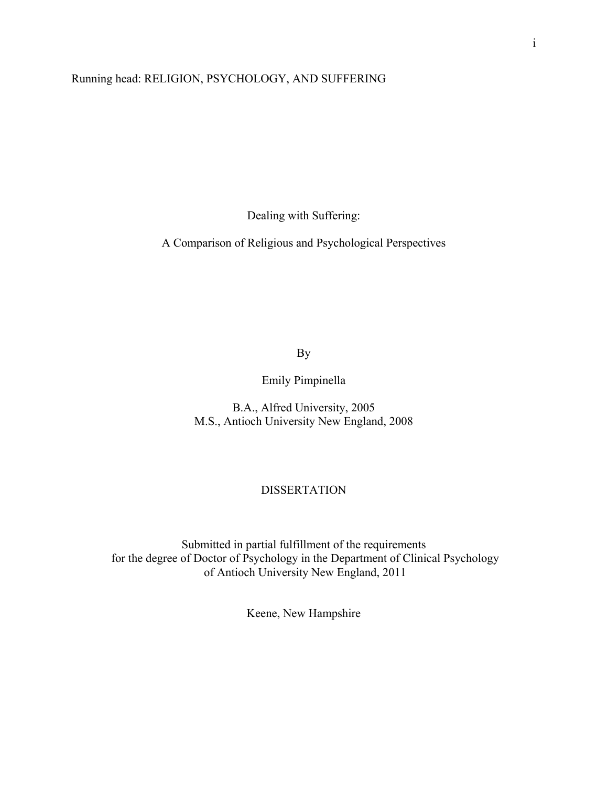## Running head: RELIGION, PSYCHOLOGY, AND SUFFERING

Dealing with Suffering:

A Comparison of Religious and Psychological Perspectives

By

Emily Pimpinella

B.A., Alfred University, 2005 M.S., Antioch University New England, 2008

#### DISSERTATION

Submitted in partial fulfillment of the requirements for the degree of Doctor of Psychology in the Department of Clinical Psychology of Antioch University New England, 2011

Keene, New Hampshire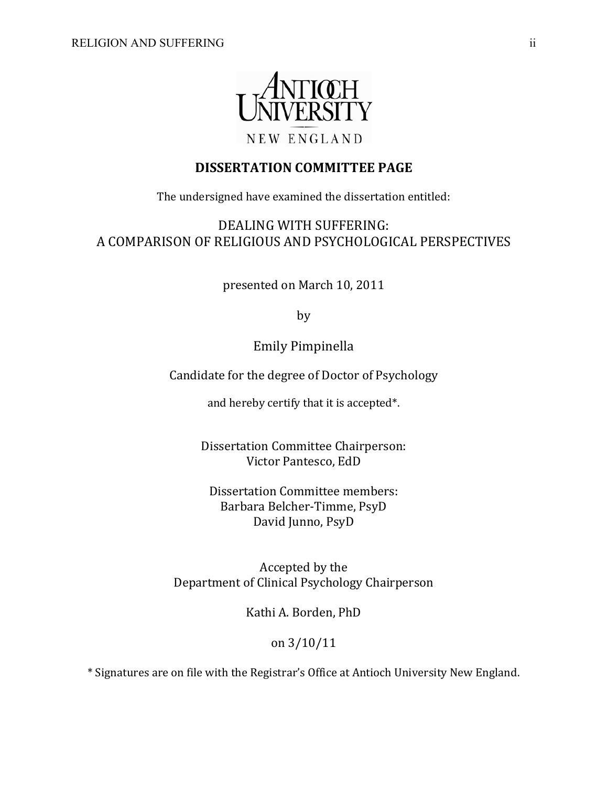

## **DISSERTATION COMMITTEE PAGE**

The undersigned have examined the dissertation entitled:

DEALING WITH SUFFERING: A COMPARISON OF RELIGIOUS AND PSYCHOLOGICAL PERSPECTIVES

presented on March 10, 2011

by

Emily Pimpinella

Candidate for the degree of Doctor of Psychology

and hereby certify that it is accepted\*.

Dissertation Committee Chairperson: Victor Pantesco, EdD

Dissertation Committee members: Barbara Belcher-Timme, PsyD David Junno, PsyD

Accepted by the Department of Clinical Psychology Chairperson

Kathi A. Borden, PhD

## on 3/10/11

\* Signatures are on file with the Registrar's Office at Antioch University New England.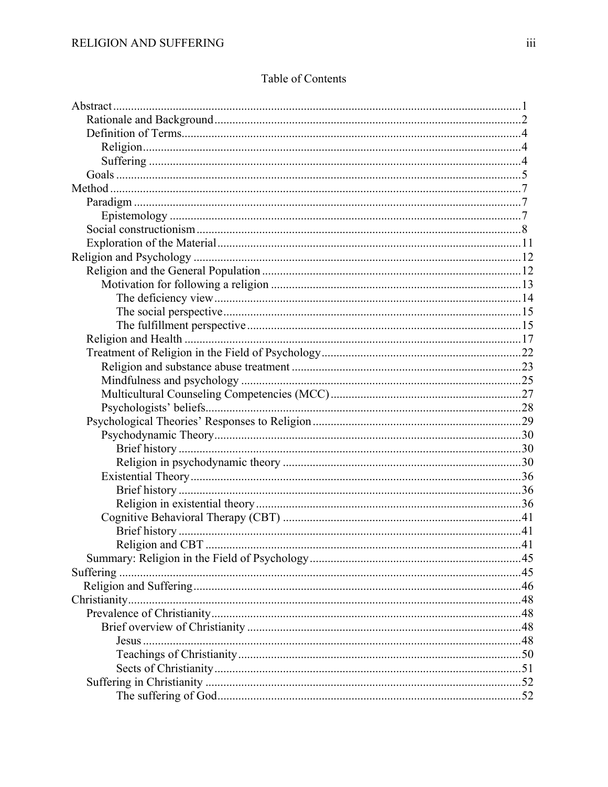|  |  | Table of Contents |
|--|--|-------------------|
|--|--|-------------------|

| Religion and CBT. |  |
|-------------------|--|
|                   |  |
|                   |  |
|                   |  |
|                   |  |
|                   |  |
|                   |  |
|                   |  |
|                   |  |
|                   |  |
|                   |  |
|                   |  |
|                   |  |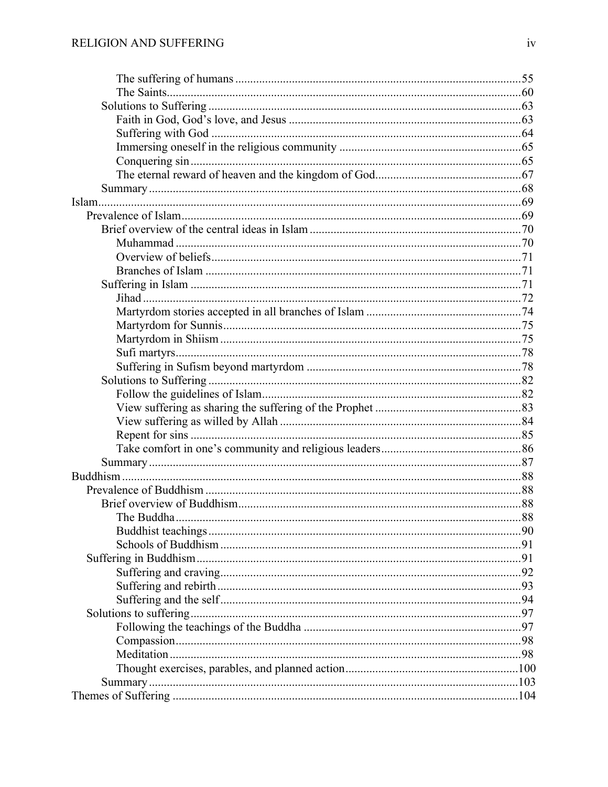| The Buddha | 88 |
|------------|----|
|            |    |
|            |    |
|            |    |
|            |    |
|            |    |
|            |    |
|            |    |
|            |    |
|            |    |
|            |    |
|            |    |
|            |    |
|            |    |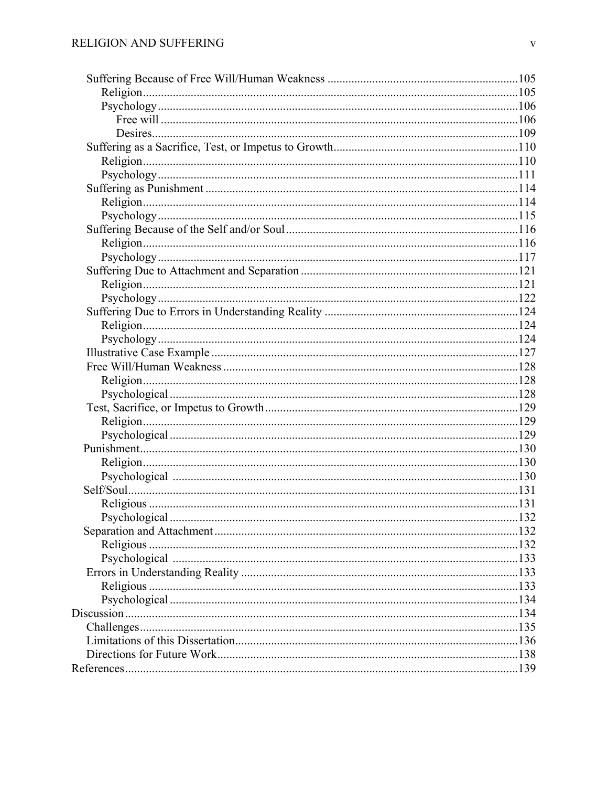| .132 |
|------|
|      |
|      |
|      |
|      |
|      |
|      |
|      |
|      |
|      |
|      |
|      |
|      |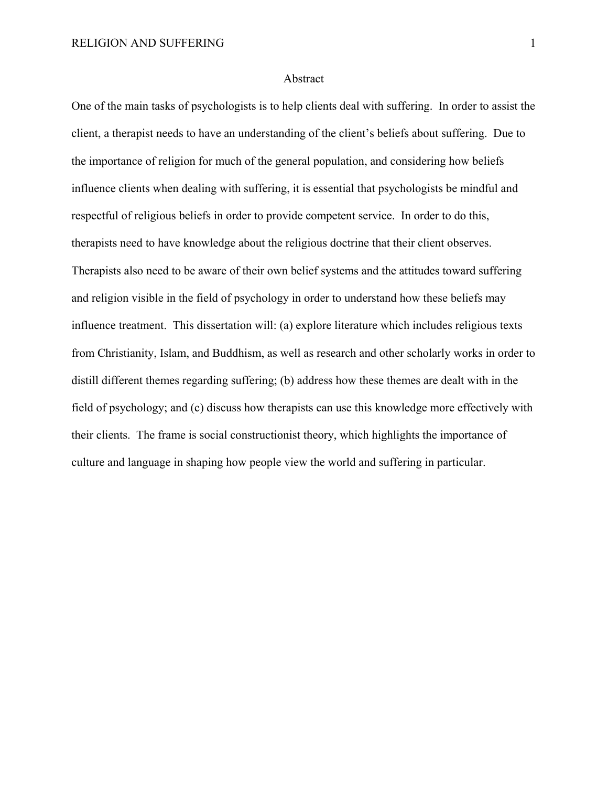#### Abstract

One of the main tasks of psychologists is to help clients deal with suffering. In order to assist the client, a therapist needs to have an understanding of the client's beliefs about suffering. Due to the importance of religion for much of the general population, and considering how beliefs influence clients when dealing with suffering, it is essential that psychologists be mindful and respectful of religious beliefs in order to provide competent service. In order to do this, therapists need to have knowledge about the religious doctrine that their client observes. Therapists also need to be aware of their own belief systems and the attitudes toward suffering and religion visible in the field of psychology in order to understand how these beliefs may influence treatment. This dissertation will: (a) explore literature which includes religious texts from Christianity, Islam, and Buddhism, as well as research and other scholarly works in order to distill different themes regarding suffering; (b) address how these themes are dealt with in the field of psychology; and (c) discuss how therapists can use this knowledge more effectively with their clients. The frame is social constructionist theory, which highlights the importance of culture and language in shaping how people view the world and suffering in particular.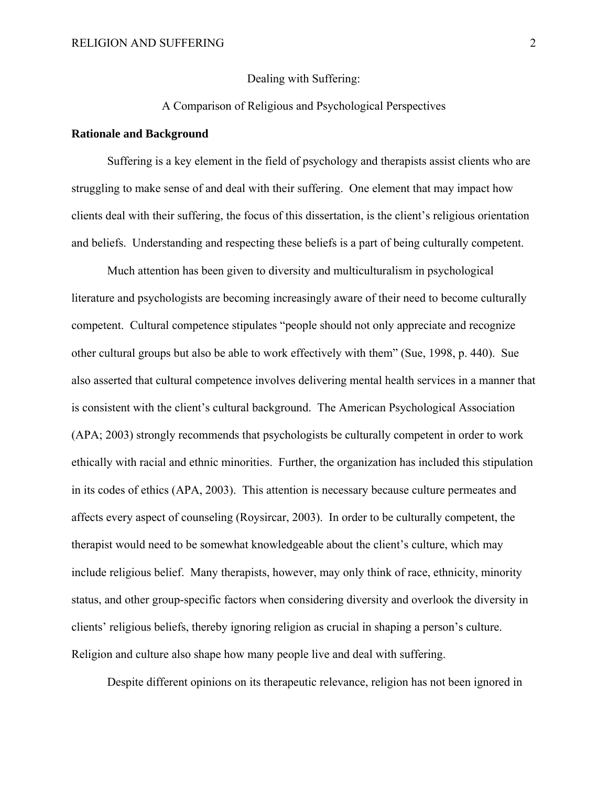Dealing with Suffering:

### A Comparison of Religious and Psychological Perspectives

#### **Rationale and Background**

Suffering is a key element in the field of psychology and therapists assist clients who are struggling to make sense of and deal with their suffering. One element that may impact how clients deal with their suffering, the focus of this dissertation, is the client's religious orientation and beliefs. Understanding and respecting these beliefs is a part of being culturally competent.

Much attention has been given to diversity and multiculturalism in psychological literature and psychologists are becoming increasingly aware of their need to become culturally competent. Cultural competence stipulates "people should not only appreciate and recognize other cultural groups but also be able to work effectively with them" (Sue, 1998, p. 440). Sue also asserted that cultural competence involves delivering mental health services in a manner that is consistent with the client's cultural background. The American Psychological Association (APA; 2003) strongly recommends that psychologists be culturally competent in order to work ethically with racial and ethnic minorities. Further, the organization has included this stipulation in its codes of ethics (APA, 2003). This attention is necessary because culture permeates and affects every aspect of counseling (Roysircar, 2003). In order to be culturally competent, the therapist would need to be somewhat knowledgeable about the client's culture, which may include religious belief. Many therapists, however, may only think of race, ethnicity, minority status, and other group-specific factors when considering diversity and overlook the diversity in clients' religious beliefs, thereby ignoring religion as crucial in shaping a person's culture. Religion and culture also shape how many people live and deal with suffering.

Despite different opinions on its therapeutic relevance, religion has not been ignored in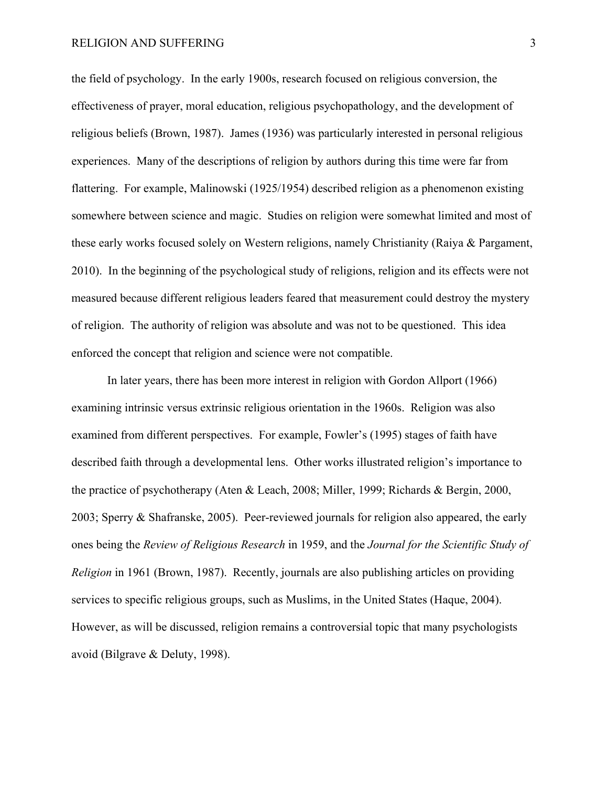the field of psychology. In the early 1900s, research focused on religious conversion, the effectiveness of prayer, moral education, religious psychopathology, and the development of religious beliefs (Brown, 1987). James (1936) was particularly interested in personal religious experiences. Many of the descriptions of religion by authors during this time were far from flattering. For example, Malinowski (1925/1954) described religion as a phenomenon existing somewhere between science and magic. Studies on religion were somewhat limited and most of these early works focused solely on Western religions, namely Christianity (Raiya & Pargament, 2010). In the beginning of the psychological study of religions, religion and its effects were not measured because different religious leaders feared that measurement could destroy the mystery of religion. The authority of religion was absolute and was not to be questioned. This idea enforced the concept that religion and science were not compatible.

In later years, there has been more interest in religion with Gordon Allport (1966) examining intrinsic versus extrinsic religious orientation in the 1960s. Religion was also examined from different perspectives. For example, Fowler's (1995) stages of faith have described faith through a developmental lens. Other works illustrated religion's importance to the practice of psychotherapy (Aten & Leach, 2008; Miller, 1999; Richards & Bergin, 2000, 2003; Sperry & Shafranske, 2005). Peer-reviewed journals for religion also appeared, the early ones being the *Review of Religious Research* in 1959, and the *Journal for the Scientific Study of Religion* in 1961 (Brown, 1987). Recently, journals are also publishing articles on providing services to specific religious groups, such as Muslims, in the United States (Haque, 2004). However, as will be discussed, religion remains a controversial topic that many psychologists avoid (Bilgrave & Deluty, 1998).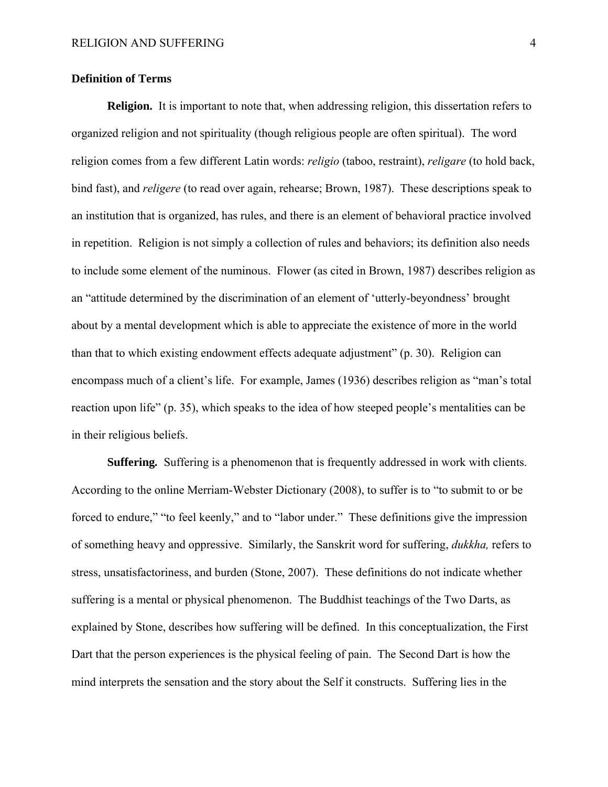#### **Definition of Terms**

**Religion.**It is important to note that, when addressing religion, this dissertation refers to organized religion and not spirituality (though religious people are often spiritual). The word religion comes from a few different Latin words: *religio* (taboo, restraint), *religare* (to hold back, bind fast), and *religere* (to read over again, rehearse; Brown, 1987). These descriptions speak to an institution that is organized, has rules, and there is an element of behavioral practice involved in repetition. Religion is not simply a collection of rules and behaviors; its definition also needs to include some element of the numinous. Flower (as cited in Brown, 1987) describes religion as an "attitude determined by the discrimination of an element of 'utterly-beyondness' brought about by a mental development which is able to appreciate the existence of more in the world than that to which existing endowment effects adequate adjustment" (p. 30). Religion can encompass much of a client's life. For example, James (1936) describes religion as "man's total reaction upon life" (p. 35), which speaks to the idea of how steeped people's mentalities can be in their religious beliefs.

**Suffering***.* Suffering is a phenomenon that is frequently addressed in work with clients. According to the online Merriam-Webster Dictionary (2008), to suffer is to "to submit to or be forced to endure," "to feel keenly," and to "labor under." These definitions give the impression of something heavy and oppressive. Similarly, the Sanskrit word for suffering, *dukkha,* refers to stress, unsatisfactoriness, and burden (Stone, 2007). These definitions do not indicate whether suffering is a mental or physical phenomenon. The Buddhist teachings of the Two Darts, as explained by Stone, describes how suffering will be defined. In this conceptualization, the First Dart that the person experiences is the physical feeling of pain. The Second Dart is how the mind interprets the sensation and the story about the Self it constructs. Suffering lies in the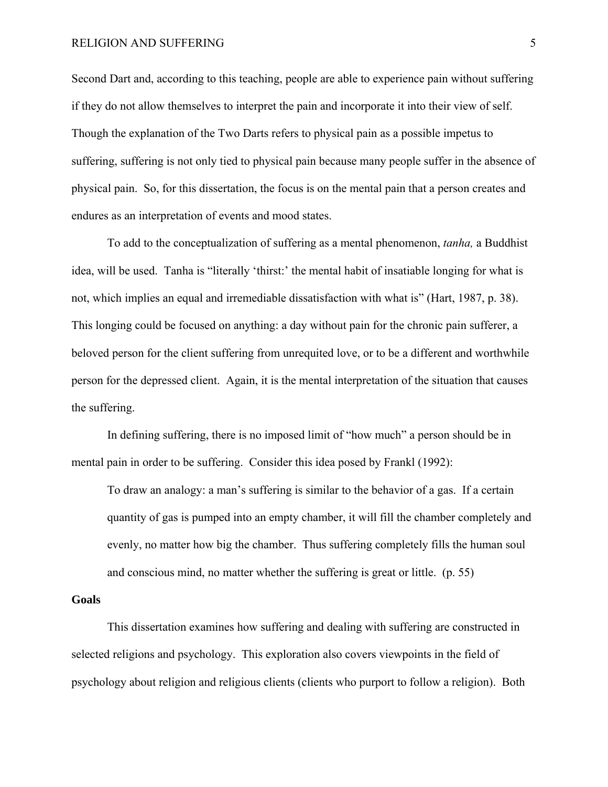Second Dart and, according to this teaching, people are able to experience pain without suffering if they do not allow themselves to interpret the pain and incorporate it into their view of self. Though the explanation of the Two Darts refers to physical pain as a possible impetus to suffering, suffering is not only tied to physical pain because many people suffer in the absence of physical pain. So, for this dissertation, the focus is on the mental pain that a person creates and endures as an interpretation of events and mood states.

To add to the conceptualization of suffering as a mental phenomenon, *tanha,* a Buddhist idea, will be used. Tanha is "literally 'thirst:' the mental habit of insatiable longing for what is not, which implies an equal and irremediable dissatisfaction with what is" (Hart, 1987, p. 38). This longing could be focused on anything: a day without pain for the chronic pain sufferer, a beloved person for the client suffering from unrequited love, or to be a different and worthwhile person for the depressed client. Again, it is the mental interpretation of the situation that causes the suffering.

In defining suffering, there is no imposed limit of "how much" a person should be in mental pain in order to be suffering. Consider this idea posed by Frankl (1992):

To draw an analogy: a man's suffering is similar to the behavior of a gas. If a certain quantity of gas is pumped into an empty chamber, it will fill the chamber completely and evenly, no matter how big the chamber. Thus suffering completely fills the human soul and conscious mind, no matter whether the suffering is great or little. (p. 55)

#### **Goals**

This dissertation examines how suffering and dealing with suffering are constructed in selected religions and psychology. This exploration also covers viewpoints in the field of psychology about religion and religious clients (clients who purport to follow a religion). Both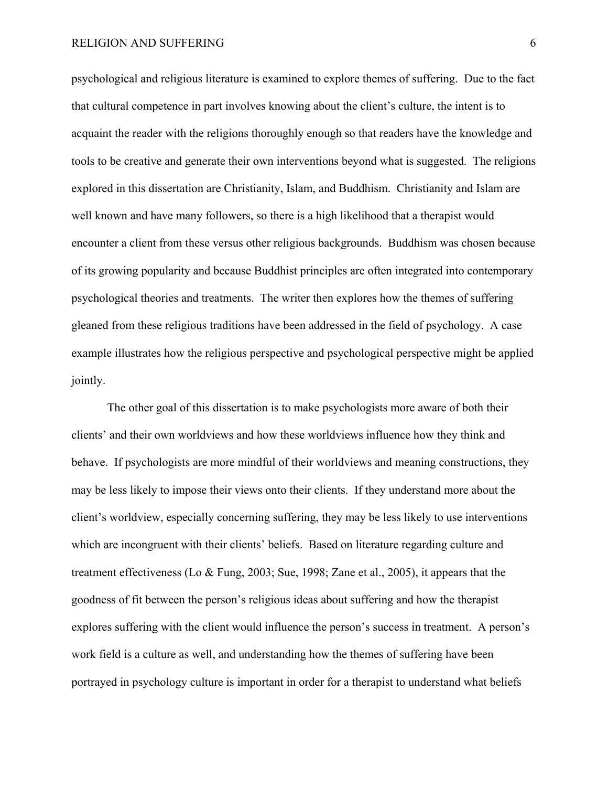psychological and religious literature is examined to explore themes of suffering. Due to the fact that cultural competence in part involves knowing about the client's culture, the intent is to acquaint the reader with the religions thoroughly enough so that readers have the knowledge and tools to be creative and generate their own interventions beyond what is suggested. The religions explored in this dissertation are Christianity, Islam, and Buddhism. Christianity and Islam are well known and have many followers, so there is a high likelihood that a therapist would encounter a client from these versus other religious backgrounds. Buddhism was chosen because of its growing popularity and because Buddhist principles are often integrated into contemporary psychological theories and treatments. The writer then explores how the themes of suffering gleaned from these religious traditions have been addressed in the field of psychology. A case example illustrates how the religious perspective and psychological perspective might be applied jointly.

The other goal of this dissertation is to make psychologists more aware of both their clients' and their own worldviews and how these worldviews influence how they think and behave. If psychologists are more mindful of their worldviews and meaning constructions, they may be less likely to impose their views onto their clients. If they understand more about the client's worldview, especially concerning suffering, they may be less likely to use interventions which are incongruent with their clients' beliefs. Based on literature regarding culture and treatment effectiveness (Lo & Fung, 2003; Sue, 1998; Zane et al., 2005), it appears that the goodness of fit between the person's religious ideas about suffering and how the therapist explores suffering with the client would influence the person's success in treatment. A person's work field is a culture as well, and understanding how the themes of suffering have been portrayed in psychology culture is important in order for a therapist to understand what beliefs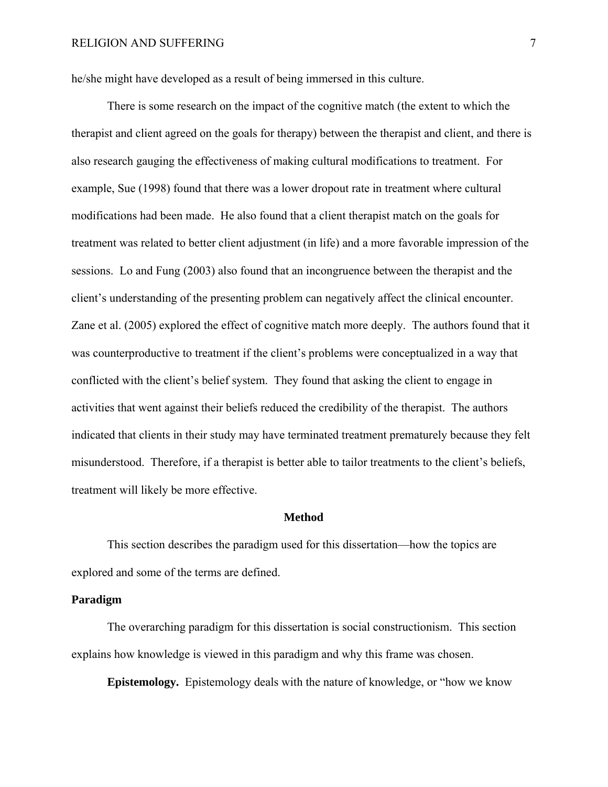he/she might have developed as a result of being immersed in this culture.

There is some research on the impact of the cognitive match (the extent to which the therapist and client agreed on the goals for therapy) between the therapist and client, and there is also research gauging the effectiveness of making cultural modifications to treatment. For example, Sue (1998) found that there was a lower dropout rate in treatment where cultural modifications had been made. He also found that a client therapist match on the goals for treatment was related to better client adjustment (in life) and a more favorable impression of the sessions. Lo and Fung (2003) also found that an incongruence between the therapist and the client's understanding of the presenting problem can negatively affect the clinical encounter. Zane et al. (2005) explored the effect of cognitive match more deeply. The authors found that it was counterproductive to treatment if the client's problems were conceptualized in a way that conflicted with the client's belief system. They found that asking the client to engage in activities that went against their beliefs reduced the credibility of the therapist. The authors indicated that clients in their study may have terminated treatment prematurely because they felt misunderstood. Therefore, if a therapist is better able to tailor treatments to the client's beliefs, treatment will likely be more effective.

#### **Method**

This section describes the paradigm used for this dissertation—how the topics are explored and some of the terms are defined.

#### **Paradigm**

The overarching paradigm for this dissertation is social constructionism. This section explains how knowledge is viewed in this paradigm and why this frame was chosen.

**Epistemology.** Epistemology deals with the nature of knowledge, or "how we know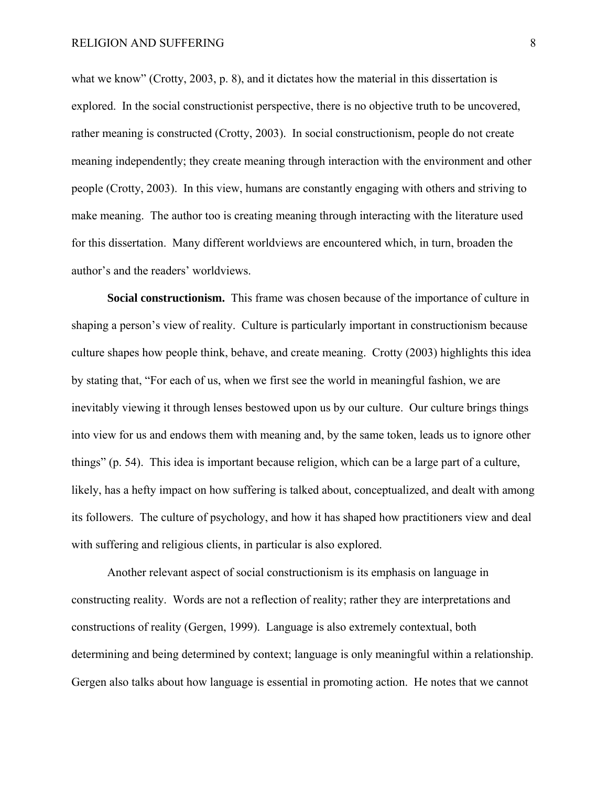what we know" (Crotty, 2003, p. 8), and it dictates how the material in this dissertation is explored. In the social constructionist perspective, there is no objective truth to be uncovered, rather meaning is constructed (Crotty, 2003). In social constructionism, people do not create meaning independently; they create meaning through interaction with the environment and other people (Crotty, 2003). In this view, humans are constantly engaging with others and striving to make meaning. The author too is creating meaning through interacting with the literature used for this dissertation. Many different worldviews are encountered which, in turn, broaden the author's and the readers' worldviews.

**Social constructionism.** This frame was chosen because of the importance of culture in shaping a person's view of reality. Culture is particularly important in constructionism because culture shapes how people think, behave, and create meaning. Crotty (2003) highlights this idea by stating that, "For each of us, when we first see the world in meaningful fashion, we are inevitably viewing it through lenses bestowed upon us by our culture. Our culture brings things into view for us and endows them with meaning and, by the same token, leads us to ignore other things" (p. 54). This idea is important because religion, which can be a large part of a culture, likely, has a hefty impact on how suffering is talked about, conceptualized, and dealt with among its followers. The culture of psychology, and how it has shaped how practitioners view and deal with suffering and religious clients, in particular is also explored.

Another relevant aspect of social constructionism is its emphasis on language in constructing reality. Words are not a reflection of reality; rather they are interpretations and constructions of reality (Gergen, 1999). Language is also extremely contextual, both determining and being determined by context; language is only meaningful within a relationship. Gergen also talks about how language is essential in promoting action. He notes that we cannot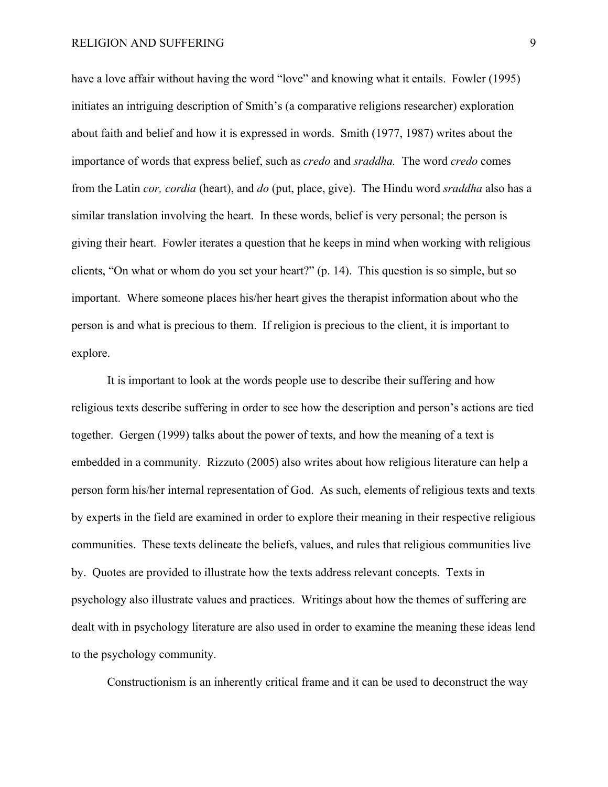have a love affair without having the word "love" and knowing what it entails. Fowler (1995) initiates an intriguing description of Smith's (a comparative religions researcher) exploration about faith and belief and how it is expressed in words. Smith (1977, 1987) writes about the importance of words that express belief, such as *credo* and *sraddha.* The word *credo* comes from the Latin *cor, cordia* (heart), and *do* (put, place, give). The Hindu word *sraddha* also has a similar translation involving the heart. In these words, belief is very personal; the person is giving their heart. Fowler iterates a question that he keeps in mind when working with religious clients, "On what or whom do you set your heart?" (p. 14). This question is so simple, but so important. Where someone places his/her heart gives the therapist information about who the person is and what is precious to them. If religion is precious to the client, it is important to explore.

It is important to look at the words people use to describe their suffering and how religious texts describe suffering in order to see how the description and person's actions are tied together. Gergen (1999) talks about the power of texts, and how the meaning of a text is embedded in a community. Rizzuto (2005) also writes about how religious literature can help a person form his/her internal representation of God. As such, elements of religious texts and texts by experts in the field are examined in order to explore their meaning in their respective religious communities. These texts delineate the beliefs, values, and rules that religious communities live by. Quotes are provided to illustrate how the texts address relevant concepts. Texts in psychology also illustrate values and practices. Writings about how the themes of suffering are dealt with in psychology literature are also used in order to examine the meaning these ideas lend to the psychology community.

Constructionism is an inherently critical frame and it can be used to deconstruct the way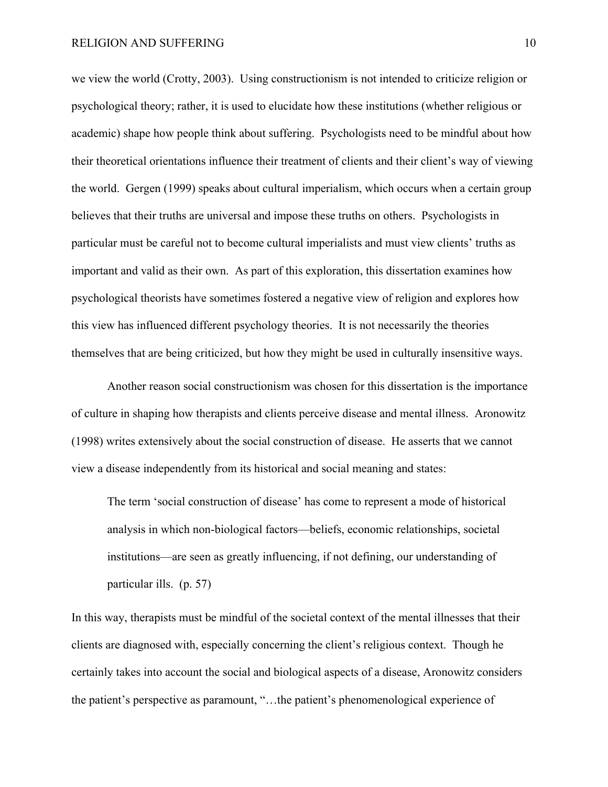we view the world (Crotty, 2003). Using constructionism is not intended to criticize religion or psychological theory; rather, it is used to elucidate how these institutions (whether religious or academic) shape how people think about suffering. Psychologists need to be mindful about how their theoretical orientations influence their treatment of clients and their client's way of viewing the world. Gergen (1999) speaks about cultural imperialism, which occurs when a certain group believes that their truths are universal and impose these truths on others. Psychologists in particular must be careful not to become cultural imperialists and must view clients' truths as important and valid as their own. As part of this exploration, this dissertation examines how psychological theorists have sometimes fostered a negative view of religion and explores how this view has influenced different psychology theories. It is not necessarily the theories themselves that are being criticized, but how they might be used in culturally insensitive ways.

Another reason social constructionism was chosen for this dissertation is the importance of culture in shaping how therapists and clients perceive disease and mental illness. Aronowitz (1998) writes extensively about the social construction of disease. He asserts that we cannot view a disease independently from its historical and social meaning and states:

The term 'social construction of disease' has come to represent a mode of historical analysis in which non-biological factors—beliefs, economic relationships, societal institutions—are seen as greatly influencing, if not defining, our understanding of particular ills. (p. 57)

In this way, therapists must be mindful of the societal context of the mental illnesses that their clients are diagnosed with, especially concerning the client's religious context. Though he certainly takes into account the social and biological aspects of a disease, Aronowitz considers the patient's perspective as paramount, "…the patient's phenomenological experience of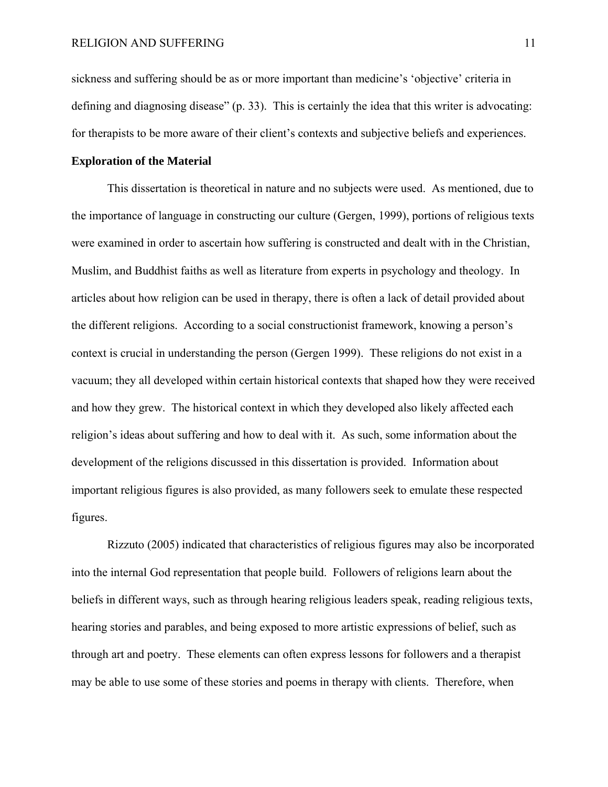sickness and suffering should be as or more important than medicine's 'objective' criteria in defining and diagnosing disease" (p. 33). This is certainly the idea that this writer is advocating: for therapists to be more aware of their client's contexts and subjective beliefs and experiences.

#### **Exploration of the Material**

 This dissertation is theoretical in nature and no subjects were used. As mentioned, due to the importance of language in constructing our culture (Gergen, 1999), portions of religious texts were examined in order to ascertain how suffering is constructed and dealt with in the Christian, Muslim, and Buddhist faiths as well as literature from experts in psychology and theology. In articles about how religion can be used in therapy, there is often a lack of detail provided about the different religions. According to a social constructionist framework, knowing a person's context is crucial in understanding the person (Gergen 1999). These religions do not exist in a vacuum; they all developed within certain historical contexts that shaped how they were received and how they grew. The historical context in which they developed also likely affected each religion's ideas about suffering and how to deal with it. As such, some information about the development of the religions discussed in this dissertation is provided. Information about important religious figures is also provided, as many followers seek to emulate these respected figures.

 Rizzuto (2005) indicated that characteristics of religious figures may also be incorporated into the internal God representation that people build. Followers of religions learn about the beliefs in different ways, such as through hearing religious leaders speak, reading religious texts, hearing stories and parables, and being exposed to more artistic expressions of belief, such as through art and poetry. These elements can often express lessons for followers and a therapist may be able to use some of these stories and poems in therapy with clients. Therefore, when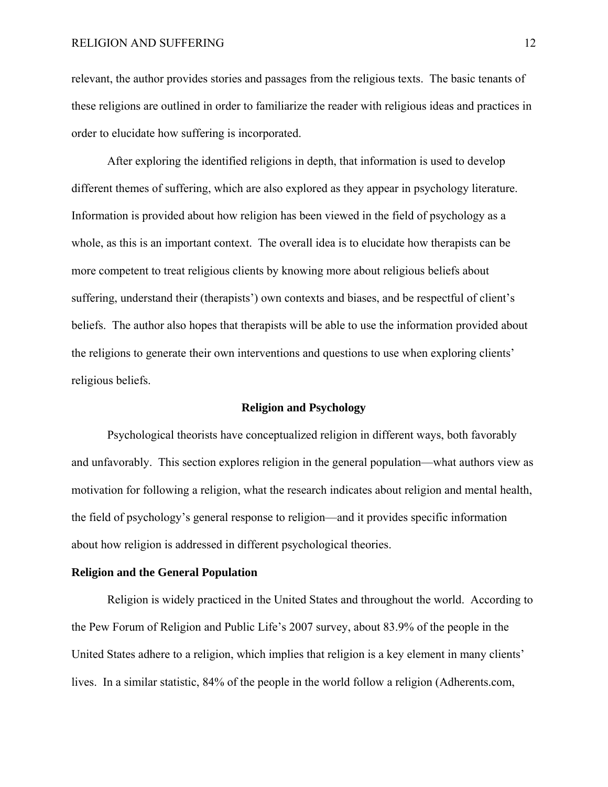relevant, the author provides stories and passages from the religious texts. The basic tenants of these religions are outlined in order to familiarize the reader with religious ideas and practices in order to elucidate how suffering is incorporated.

After exploring the identified religions in depth, that information is used to develop different themes of suffering, which are also explored as they appear in psychology literature. Information is provided about how religion has been viewed in the field of psychology as a whole, as this is an important context. The overall idea is to elucidate how therapists can be more competent to treat religious clients by knowing more about religious beliefs about suffering, understand their (therapists') own contexts and biases, and be respectful of client's beliefs. The author also hopes that therapists will be able to use the information provided about the religions to generate their own interventions and questions to use when exploring clients' religious beliefs.

#### **Religion and Psychology**

 Psychological theorists have conceptualized religion in different ways, both favorably and unfavorably. This section explores religion in the general population—what authors view as motivation for following a religion, what the research indicates about religion and mental health, the field of psychology's general response to religion—and it provides specific information about how religion is addressed in different psychological theories.

#### **Religion and the General Population**

Religion is widely practiced in the United States and throughout the world. According to the Pew Forum of Religion and Public Life's 2007 survey, about 83.9% of the people in the United States adhere to a religion, which implies that religion is a key element in many clients' lives. In a similar statistic, 84% of the people in the world follow a religion (Adherents.com,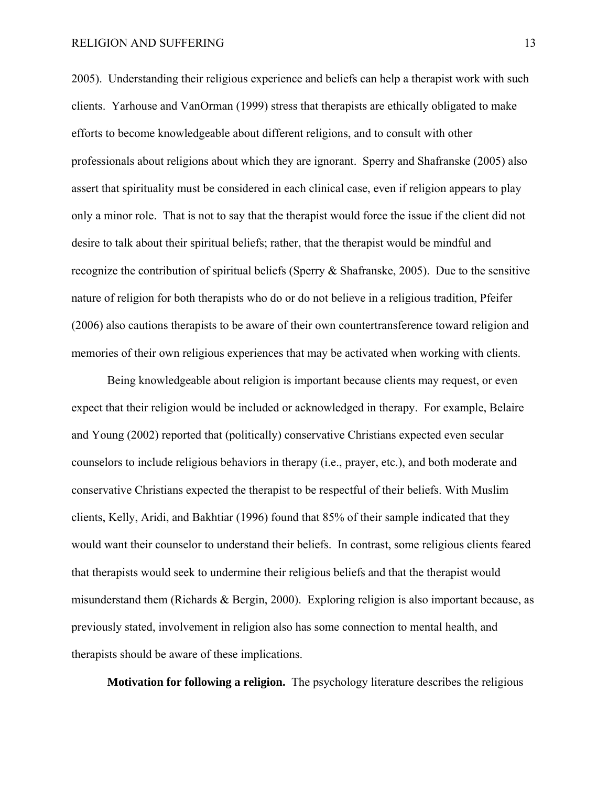2005). Understanding their religious experience and beliefs can help a therapist work with such clients. Yarhouse and VanOrman (1999) stress that therapists are ethically obligated to make efforts to become knowledgeable about different religions, and to consult with other professionals about religions about which they are ignorant. Sperry and Shafranske (2005) also assert that spirituality must be considered in each clinical case, even if religion appears to play only a minor role. That is not to say that the therapist would force the issue if the client did not desire to talk about their spiritual beliefs; rather, that the therapist would be mindful and recognize the contribution of spiritual beliefs (Sperry & Shafranske, 2005). Due to the sensitive nature of religion for both therapists who do or do not believe in a religious tradition, Pfeifer (2006) also cautions therapists to be aware of their own countertransference toward religion and memories of their own religious experiences that may be activated when working with clients.

Being knowledgeable about religion is important because clients may request, or even expect that their religion would be included or acknowledged in therapy. For example, Belaire and Young (2002) reported that (politically) conservative Christians expected even secular counselors to include religious behaviors in therapy (i.e., prayer, etc.), and both moderate and conservative Christians expected the therapist to be respectful of their beliefs. With Muslim clients, Kelly, Aridi, and Bakhtiar (1996) found that 85% of their sample indicated that they would want their counselor to understand their beliefs. In contrast, some religious clients feared that therapists would seek to undermine their religious beliefs and that the therapist would misunderstand them (Richards & Bergin, 2000). Exploring religion is also important because, as previously stated, involvement in religion also has some connection to mental health, and therapists should be aware of these implications.

 **Motivation for following a religion.** The psychology literature describes the religious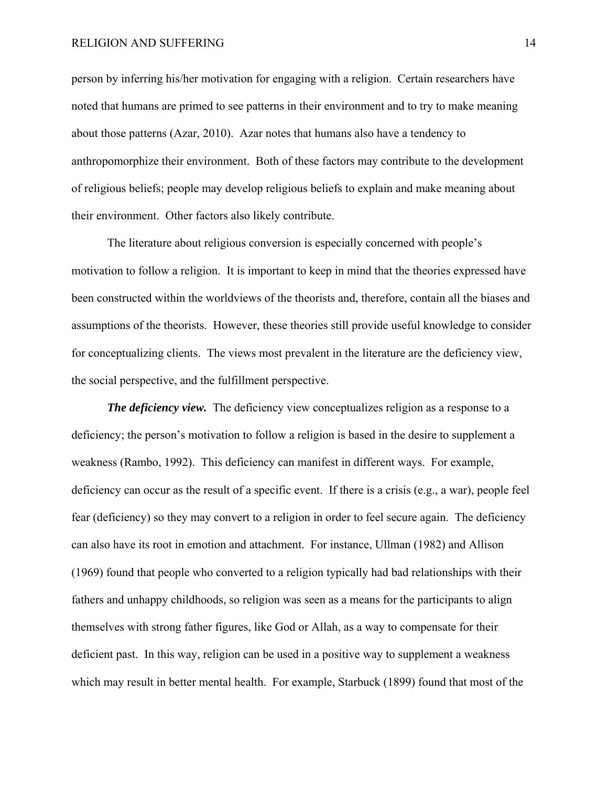person by inferring his/her motivation for engaging with a religion. Certain researchers have noted that humans are primed to see patterns in their environment and to try to make meaning about those patterns (Azar, 2010). Azar notes that humans also have a tendency to anthropomorphize their environment. Both of these factors may contribute to the development of religious beliefs; people may develop religious beliefs to explain and make meaning about their environment. Other factors also likely contribute.

The literature about religious conversion is especially concerned with people's motivation to follow a religion. It is important to keep in mind that the theories expressed have been constructed within the worldviews of the theorists and, therefore, contain all the biases and assumptions of the theorists. However, these theories still provide useful knowledge to consider for conceptualizing clients. The views most prevalent in the literature are the deficiency view, the social perspective, and the fulfillment perspective.

*The deficiency view.* The deficiency view conceptualizes religion as a response to a deficiency; the person's motivation to follow a religion is based in the desire to supplement a weakness (Rambo, 1992). This deficiency can manifest in different ways. For example, deficiency can occur as the result of a specific event. If there is a crisis (e.g., a war), people feel fear (deficiency) so they may convert to a religion in order to feel secure again. The deficiency can also have its root in emotion and attachment. For instance, Ullman (1982) and Allison (1969) found that people who converted to a religion typically had bad relationships with their fathers and unhappy childhoods, so religion was seen as a means for the participants to align themselves with strong father figures, like God or Allah, as a way to compensate for their deficient past. In this way, religion can be used in a positive way to supplement a weakness which may result in better mental health. For example, Starbuck (1899) found that most of the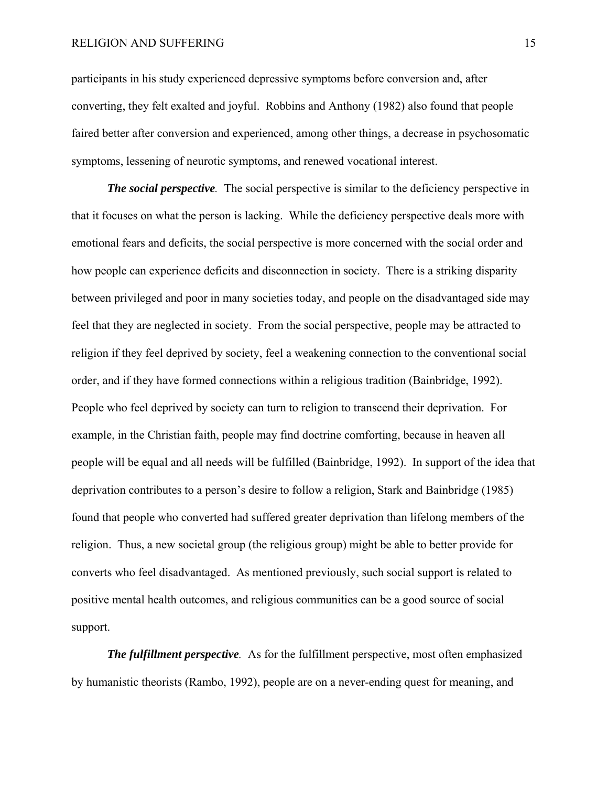participants in his study experienced depressive symptoms before conversion and, after converting, they felt exalted and joyful. Robbins and Anthony (1982) also found that people faired better after conversion and experienced, among other things, a decrease in psychosomatic symptoms, lessening of neurotic symptoms, and renewed vocational interest.

*The social perspective.* The social perspective is similar to the deficiency perspective in that it focuses on what the person is lacking. While the deficiency perspective deals more with emotional fears and deficits, the social perspective is more concerned with the social order and how people can experience deficits and disconnection in society. There is a striking disparity between privileged and poor in many societies today, and people on the disadvantaged side may feel that they are neglected in society. From the social perspective, people may be attracted to religion if they feel deprived by society, feel a weakening connection to the conventional social order, and if they have formed connections within a religious tradition (Bainbridge, 1992). People who feel deprived by society can turn to religion to transcend their deprivation. For example, in the Christian faith, people may find doctrine comforting, because in heaven all people will be equal and all needs will be fulfilled (Bainbridge, 1992). In support of the idea that deprivation contributes to a person's desire to follow a religion, Stark and Bainbridge (1985) found that people who converted had suffered greater deprivation than lifelong members of the religion. Thus, a new societal group (the religious group) might be able to better provide for converts who feel disadvantaged. As mentioned previously, such social support is related to positive mental health outcomes, and religious communities can be a good source of social support.

*The fulfillment perspective.* As for the fulfillment perspective, most often emphasized by humanistic theorists (Rambo, 1992), people are on a never-ending quest for meaning, and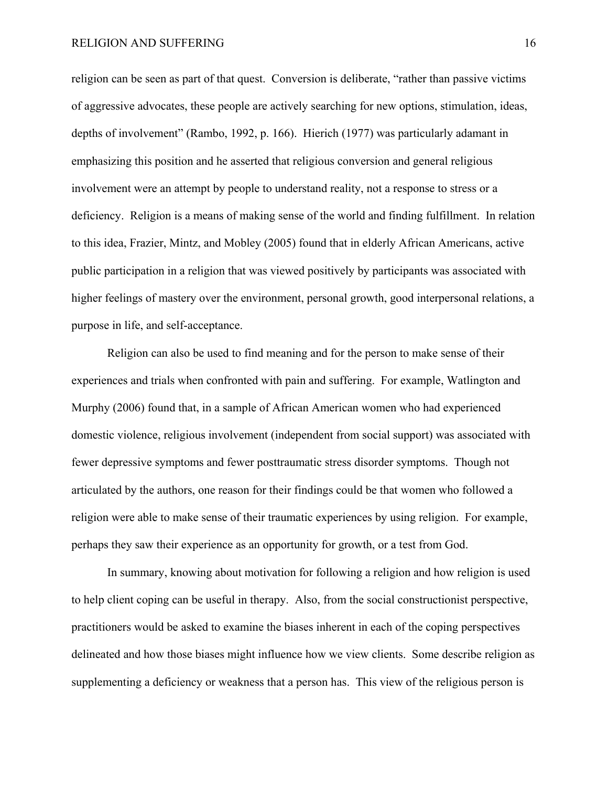religion can be seen as part of that quest. Conversion is deliberate, "rather than passive victims of aggressive advocates, these people are actively searching for new options, stimulation, ideas, depths of involvement" (Rambo, 1992, p. 166). Hierich (1977) was particularly adamant in emphasizing this position and he asserted that religious conversion and general religious involvement were an attempt by people to understand reality, not a response to stress or a deficiency. Religion is a means of making sense of the world and finding fulfillment. In relation to this idea, Frazier, Mintz, and Mobley (2005) found that in elderly African Americans, active public participation in a religion that was viewed positively by participants was associated with higher feelings of mastery over the environment, personal growth, good interpersonal relations, a purpose in life, and self-acceptance.

Religion can also be used to find meaning and for the person to make sense of their experiences and trials when confronted with pain and suffering. For example, Watlington and Murphy (2006) found that, in a sample of African American women who had experienced domestic violence, religious involvement (independent from social support) was associated with fewer depressive symptoms and fewer posttraumatic stress disorder symptoms. Though not articulated by the authors, one reason for their findings could be that women who followed a religion were able to make sense of their traumatic experiences by using religion. For example, perhaps they saw their experience as an opportunity for growth, or a test from God.

In summary, knowing about motivation for following a religion and how religion is used to help client coping can be useful in therapy. Also, from the social constructionist perspective, practitioners would be asked to examine the biases inherent in each of the coping perspectives delineated and how those biases might influence how we view clients. Some describe religion as supplementing a deficiency or weakness that a person has. This view of the religious person is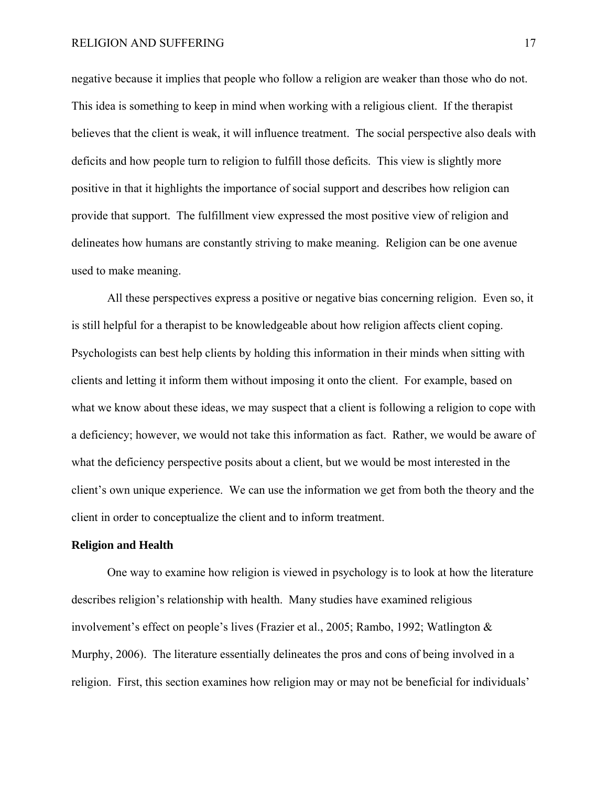negative because it implies that people who follow a religion are weaker than those who do not. This idea is something to keep in mind when working with a religious client. If the therapist believes that the client is weak, it will influence treatment. The social perspective also deals with deficits and how people turn to religion to fulfill those deficits. This view is slightly more positive in that it highlights the importance of social support and describes how religion can provide that support. The fulfillment view expressed the most positive view of religion and delineates how humans are constantly striving to make meaning. Religion can be one avenue used to make meaning.

All these perspectives express a positive or negative bias concerning religion. Even so, it is still helpful for a therapist to be knowledgeable about how religion affects client coping. Psychologists can best help clients by holding this information in their minds when sitting with clients and letting it inform them without imposing it onto the client. For example, based on what we know about these ideas, we may suspect that a client is following a religion to cope with a deficiency; however, we would not take this information as fact. Rather, we would be aware of what the deficiency perspective posits about a client, but we would be most interested in the client's own unique experience. We can use the information we get from both the theory and the client in order to conceptualize the client and to inform treatment.

#### **Religion and Health**

One way to examine how religion is viewed in psychology is to look at how the literature describes religion's relationship with health. Many studies have examined religious involvement's effect on people's lives (Frazier et al., 2005; Rambo, 1992; Watlington & Murphy, 2006). The literature essentially delineates the pros and cons of being involved in a religion. First, this section examines how religion may or may not be beneficial for individuals'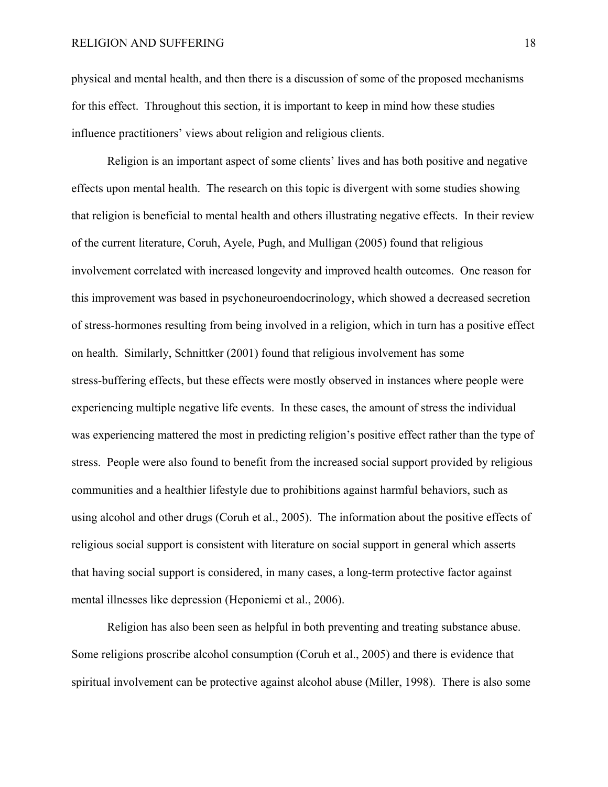physical and mental health, and then there is a discussion of some of the proposed mechanisms for this effect. Throughout this section, it is important to keep in mind how these studies influence practitioners' views about religion and religious clients.

Religion is an important aspect of some clients' lives and has both positive and negative effects upon mental health. The research on this topic is divergent with some studies showing that religion is beneficial to mental health and others illustrating negative effects. In their review of the current literature, Coruh, Ayele, Pugh, and Mulligan (2005) found that religious involvement correlated with increased longevity and improved health outcomes. One reason for this improvement was based in psychoneuroendocrinology, which showed a decreased secretion of stress-hormones resulting from being involved in a religion, which in turn has a positive effect on health. Similarly, Schnittker (2001) found that religious involvement has some stress-buffering effects, but these effects were mostly observed in instances where people were experiencing multiple negative life events. In these cases, the amount of stress the individual was experiencing mattered the most in predicting religion's positive effect rather than the type of stress. People were also found to benefit from the increased social support provided by religious communities and a healthier lifestyle due to prohibitions against harmful behaviors, such as using alcohol and other drugs (Coruh et al., 2005). The information about the positive effects of religious social support is consistent with literature on social support in general which asserts that having social support is considered, in many cases, a long-term protective factor against mental illnesses like depression (Heponiemi et al., 2006).

Religion has also been seen as helpful in both preventing and treating substance abuse. Some religions proscribe alcohol consumption (Coruh et al., 2005) and there is evidence that spiritual involvement can be protective against alcohol abuse (Miller, 1998). There is also some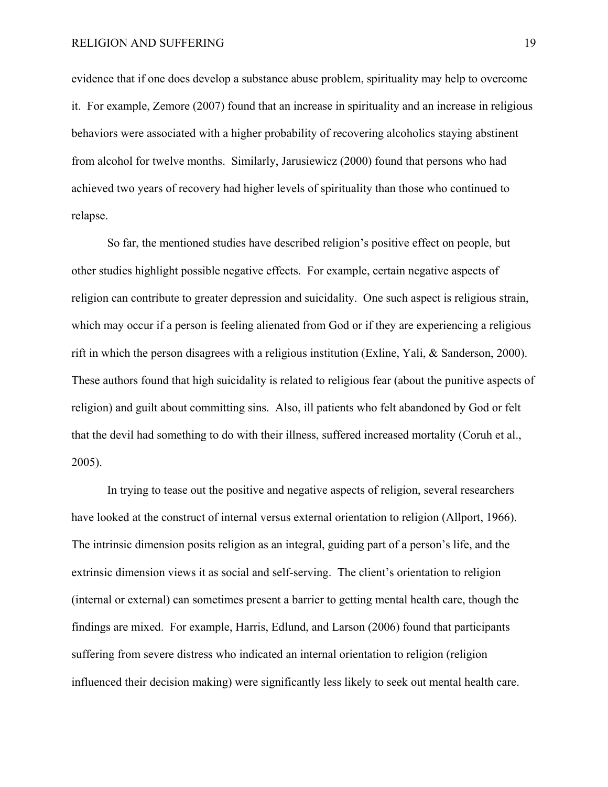evidence that if one does develop a substance abuse problem, spirituality may help to overcome it. For example, Zemore (2007) found that an increase in spirituality and an increase in religious behaviors were associated with a higher probability of recovering alcoholics staying abstinent from alcohol for twelve months. Similarly, Jarusiewicz (2000) found that persons who had achieved two years of recovery had higher levels of spirituality than those who continued to relapse.

So far, the mentioned studies have described religion's positive effect on people, but other studies highlight possible negative effects. For example, certain negative aspects of religion can contribute to greater depression and suicidality. One such aspect is religious strain, which may occur if a person is feeling alienated from God or if they are experiencing a religious rift in which the person disagrees with a religious institution (Exline, Yali, & Sanderson, 2000). These authors found that high suicidality is related to religious fear (about the punitive aspects of religion) and guilt about committing sins. Also, ill patients who felt abandoned by God or felt that the devil had something to do with their illness, suffered increased mortality (Coruh et al., 2005).

In trying to tease out the positive and negative aspects of religion, several researchers have looked at the construct of internal versus external orientation to religion (Allport, 1966). The intrinsic dimension posits religion as an integral, guiding part of a person's life, and the extrinsic dimension views it as social and self-serving. The client's orientation to religion (internal or external) can sometimes present a barrier to getting mental health care, though the findings are mixed. For example, Harris, Edlund, and Larson (2006) found that participants suffering from severe distress who indicated an internal orientation to religion (religion influenced their decision making) were significantly less likely to seek out mental health care.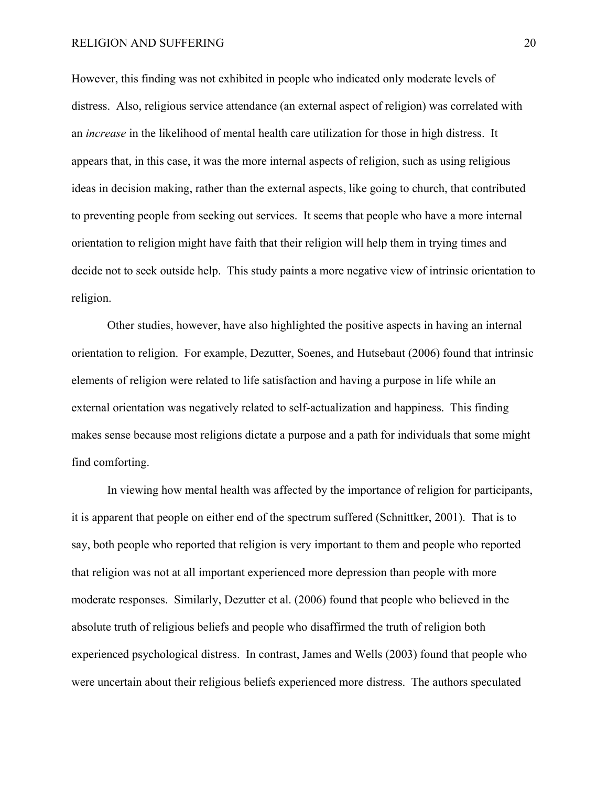However, this finding was not exhibited in people who indicated only moderate levels of distress. Also, religious service attendance (an external aspect of religion) was correlated with an *increase* in the likelihood of mental health care utilization for those in high distress. It appears that, in this case, it was the more internal aspects of religion, such as using religious ideas in decision making, rather than the external aspects, like going to church, that contributed to preventing people from seeking out services. It seems that people who have a more internal orientation to religion might have faith that their religion will help them in trying times and decide not to seek outside help. This study paints a more negative view of intrinsic orientation to religion.

Other studies, however, have also highlighted the positive aspects in having an internal orientation to religion. For example, Dezutter, Soenes, and Hutsebaut (2006) found that intrinsic elements of religion were related to life satisfaction and having a purpose in life while an external orientation was negatively related to self-actualization and happiness. This finding makes sense because most religions dictate a purpose and a path for individuals that some might find comforting.

In viewing how mental health was affected by the importance of religion for participants, it is apparent that people on either end of the spectrum suffered (Schnittker, 2001). That is to say, both people who reported that religion is very important to them and people who reported that religion was not at all important experienced more depression than people with more moderate responses. Similarly, Dezutter et al. (2006) found that people who believed in the absolute truth of religious beliefs and people who disaffirmed the truth of religion both experienced psychological distress. In contrast, James and Wells (2003) found that people who were uncertain about their religious beliefs experienced more distress. The authors speculated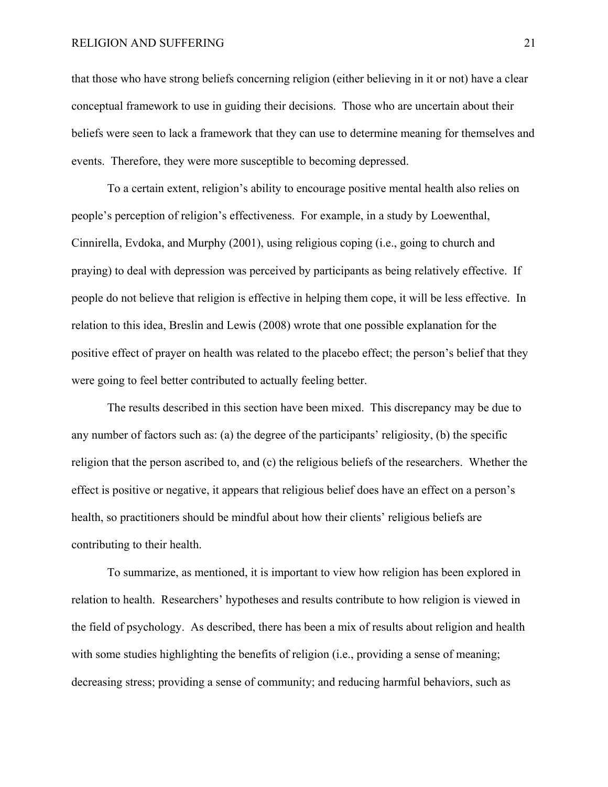that those who have strong beliefs concerning religion (either believing in it or not) have a clear conceptual framework to use in guiding their decisions. Those who are uncertain about their beliefs were seen to lack a framework that they can use to determine meaning for themselves and events. Therefore, they were more susceptible to becoming depressed.

To a certain extent, religion's ability to encourage positive mental health also relies on people's perception of religion's effectiveness. For example, in a study by Loewenthal, Cinnirella, Evdoka, and Murphy (2001), using religious coping (i.e., going to church and praying) to deal with depression was perceived by participants as being relatively effective. If people do not believe that religion is effective in helping them cope, it will be less effective. In relation to this idea, Breslin and Lewis (2008) wrote that one possible explanation for the positive effect of prayer on health was related to the placebo effect; the person's belief that they were going to feel better contributed to actually feeling better.

The results described in this section have been mixed. This discrepancy may be due to any number of factors such as: (a) the degree of the participants' religiosity, (b) the specific religion that the person ascribed to, and (c) the religious beliefs of the researchers. Whether the effect is positive or negative, it appears that religious belief does have an effect on a person's health, so practitioners should be mindful about how their clients' religious beliefs are contributing to their health.

To summarize, as mentioned, it is important to view how religion has been explored in relation to health. Researchers' hypotheses and results contribute to how religion is viewed in the field of psychology. As described, there has been a mix of results about religion and health with some studies highlighting the benefits of religion (i.e., providing a sense of meaning; decreasing stress; providing a sense of community; and reducing harmful behaviors, such as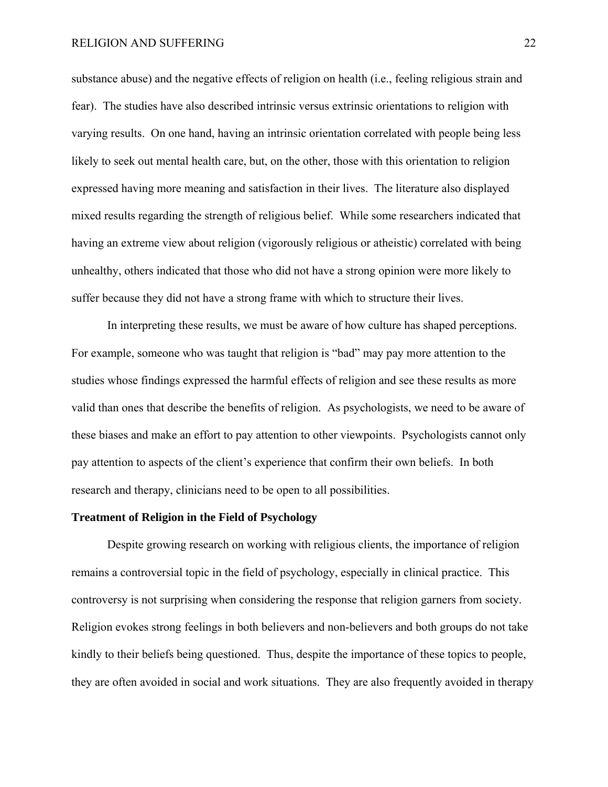substance abuse) and the negative effects of religion on health (i.e., feeling religious strain and fear). The studies have also described intrinsic versus extrinsic orientations to religion with varying results. On one hand, having an intrinsic orientation correlated with people being less likely to seek out mental health care, but, on the other, those with this orientation to religion expressed having more meaning and satisfaction in their lives. The literature also displayed mixed results regarding the strength of religious belief. While some researchers indicated that having an extreme view about religion (vigorously religious or atheistic) correlated with being unhealthy, others indicated that those who did not have a strong opinion were more likely to suffer because they did not have a strong frame with which to structure their lives.

 In interpreting these results, we must be aware of how culture has shaped perceptions. For example, someone who was taught that religion is "bad" may pay more attention to the studies whose findings expressed the harmful effects of religion and see these results as more valid than ones that describe the benefits of religion. As psychologists, we need to be aware of these biases and make an effort to pay attention to other viewpoints. Psychologists cannot only pay attention to aspects of the client's experience that confirm their own beliefs. In both research and therapy, clinicians need to be open to all possibilities.

#### **Treatment of Religion in the Field of Psychology**

Despite growing research on working with religious clients, the importance of religion remains a controversial topic in the field of psychology, especially in clinical practice. This controversy is not surprising when considering the response that religion garners from society. Religion evokes strong feelings in both believers and non-believers and both groups do not take kindly to their beliefs being questioned. Thus, despite the importance of these topics to people, they are often avoided in social and work situations. They are also frequently avoided in therapy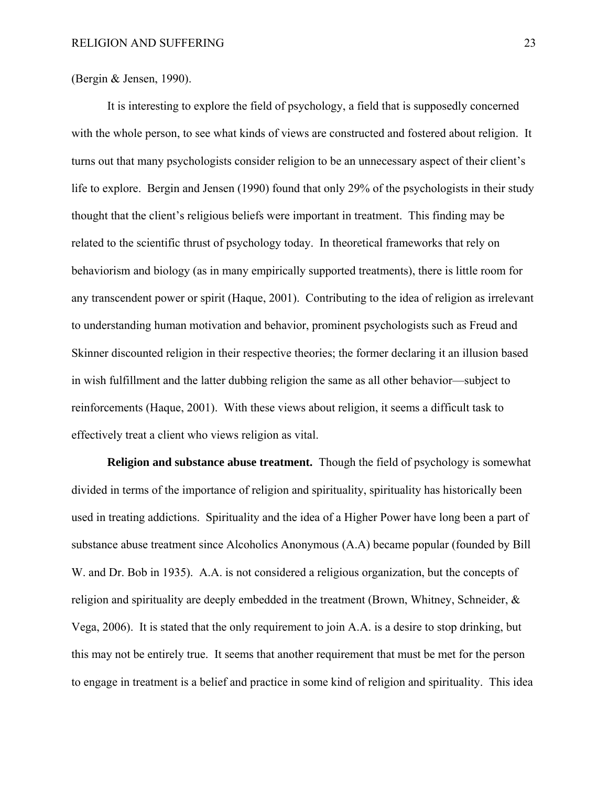(Bergin & Jensen, 1990).

It is interesting to explore the field of psychology, a field that is supposedly concerned with the whole person, to see what kinds of views are constructed and fostered about religion. It turns out that many psychologists consider religion to be an unnecessary aspect of their client's life to explore. Bergin and Jensen (1990) found that only 29% of the psychologists in their study thought that the client's religious beliefs were important in treatment. This finding may be related to the scientific thrust of psychology today. In theoretical frameworks that rely on behaviorism and biology (as in many empirically supported treatments), there is little room for any transcendent power or spirit (Haque, 2001). Contributing to the idea of religion as irrelevant to understanding human motivation and behavior, prominent psychologists such as Freud and Skinner discounted religion in their respective theories; the former declaring it an illusion based in wish fulfillment and the latter dubbing religion the same as all other behavior—subject to reinforcements (Haque, 2001). With these views about religion, it seems a difficult task to effectively treat a client who views religion as vital.

 **Religion and substance abuse treatment.** Though the field of psychology is somewhat divided in terms of the importance of religion and spirituality, spirituality has historically been used in treating addictions. Spirituality and the idea of a Higher Power have long been a part of substance abuse treatment since Alcoholics Anonymous (A.A) became popular (founded by Bill W. and Dr. Bob in 1935). A.A. is not considered a religious organization, but the concepts of religion and spirituality are deeply embedded in the treatment (Brown, Whitney, Schneider, & Vega, 2006). It is stated that the only requirement to join A.A. is a desire to stop drinking, but this may not be entirely true. It seems that another requirement that must be met for the person to engage in treatment is a belief and practice in some kind of religion and spirituality. This idea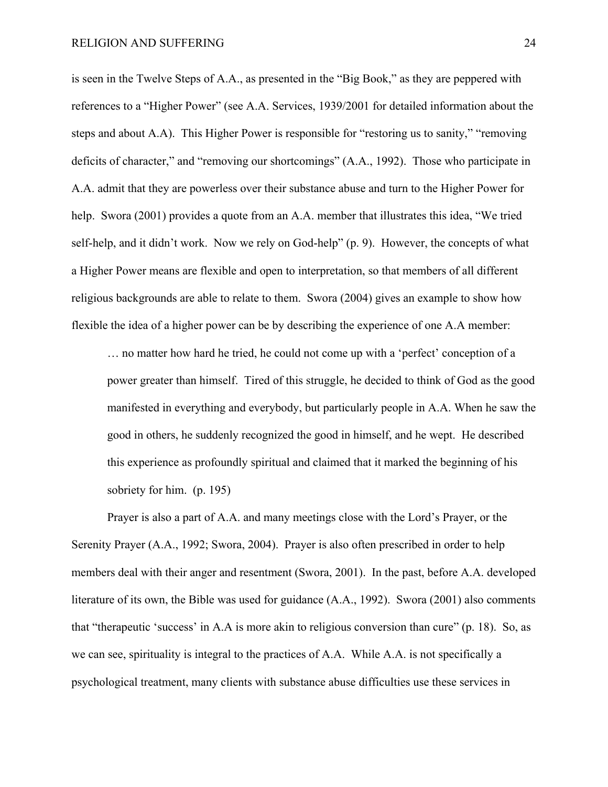is seen in the Twelve Steps of A.A., as presented in the "Big Book," as they are peppered with references to a "Higher Power" (see A.A. Services, 1939/2001 for detailed information about the steps and about A.A). This Higher Power is responsible for "restoring us to sanity," "removing deficits of character," and "removing our shortcomings" (A.A., 1992). Those who participate in A.A. admit that they are powerless over their substance abuse and turn to the Higher Power for help. Swora (2001) provides a quote from an A.A. member that illustrates this idea, "We tried self-help, and it didn't work. Now we rely on God-help" (p. 9). However, the concepts of what a Higher Power means are flexible and open to interpretation, so that members of all different religious backgrounds are able to relate to them. Swora (2004) gives an example to show how flexible the idea of a higher power can be by describing the experience of one A.A member:

… no matter how hard he tried, he could not come up with a 'perfect' conception of a power greater than himself. Tired of this struggle, he decided to think of God as the good manifested in everything and everybody, but particularly people in A.A. When he saw the good in others, he suddenly recognized the good in himself, and he wept. He described this experience as profoundly spiritual and claimed that it marked the beginning of his sobriety for him. (p. 195)

Prayer is also a part of A.A. and many meetings close with the Lord's Prayer, or the Serenity Prayer (A.A., 1992; Swora, 2004). Prayer is also often prescribed in order to help members deal with their anger and resentment (Swora, 2001). In the past, before A.A. developed literature of its own, the Bible was used for guidance (A.A., 1992). Swora (2001) also comments that "therapeutic 'success' in A.A is more akin to religious conversion than cure" (p. 18). So, as we can see, spirituality is integral to the practices of A.A. While A.A. is not specifically a psychological treatment, many clients with substance abuse difficulties use these services in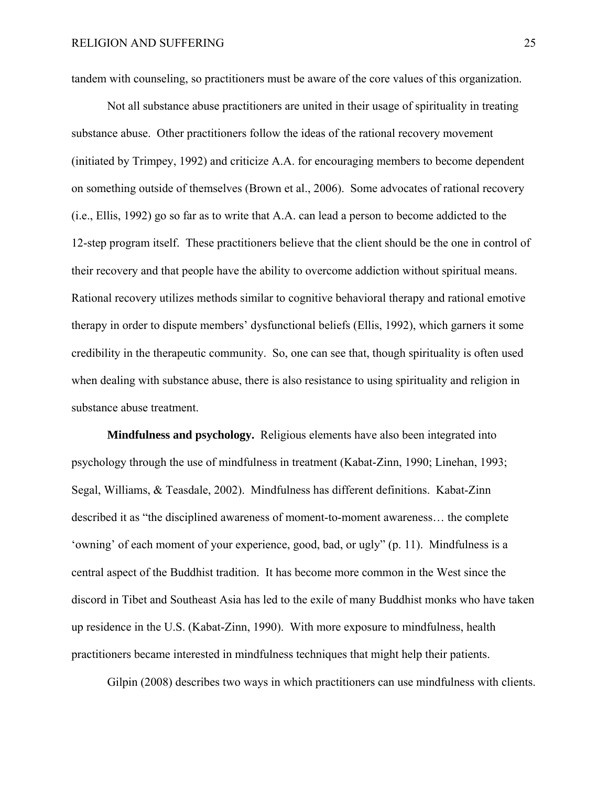tandem with counseling, so practitioners must be aware of the core values of this organization.

Not all substance abuse practitioners are united in their usage of spirituality in treating substance abuse. Other practitioners follow the ideas of the rational recovery movement (initiated by Trimpey, 1992) and criticize A.A. for encouraging members to become dependent on something outside of themselves (Brown et al., 2006). Some advocates of rational recovery (i.e., Ellis, 1992) go so far as to write that A.A. can lead a person to become addicted to the 12-step program itself. These practitioners believe that the client should be the one in control of their recovery and that people have the ability to overcome addiction without spiritual means. Rational recovery utilizes methods similar to cognitive behavioral therapy and rational emotive therapy in order to dispute members' dysfunctional beliefs (Ellis, 1992), which garners it some credibility in the therapeutic community. So, one can see that, though spirituality is often used when dealing with substance abuse, there is also resistance to using spirituality and religion in substance abuse treatment.

 **Mindfulness and psychology.** Religious elements have also been integrated into psychology through the use of mindfulness in treatment (Kabat-Zinn, 1990; Linehan, 1993; Segal, Williams, & Teasdale, 2002). Mindfulness has different definitions. Kabat-Zinn described it as "the disciplined awareness of moment-to-moment awareness… the complete 'owning' of each moment of your experience, good, bad, or ugly" (p. 11). Mindfulness is a central aspect of the Buddhist tradition. It has become more common in the West since the discord in Tibet and Southeast Asia has led to the exile of many Buddhist monks who have taken up residence in the U.S. (Kabat-Zinn, 1990). With more exposure to mindfulness, health practitioners became interested in mindfulness techniques that might help their patients.

Gilpin (2008) describes two ways in which practitioners can use mindfulness with clients.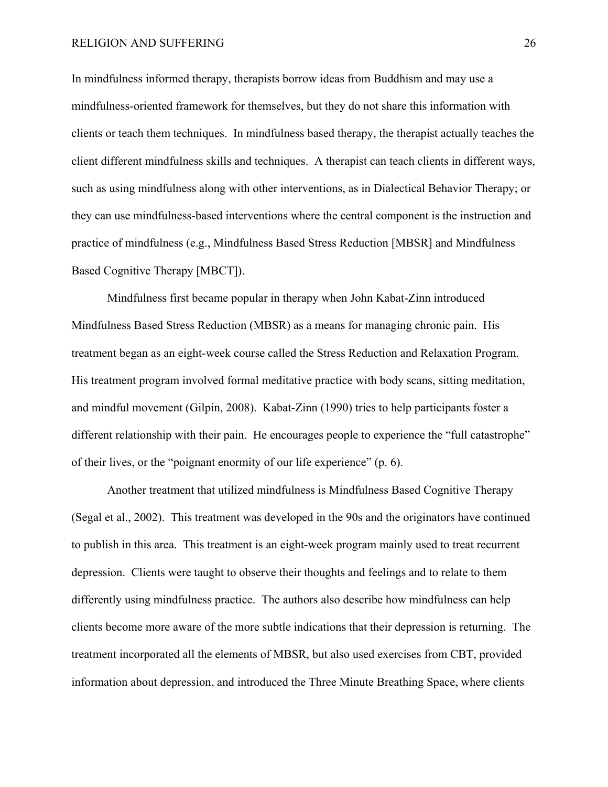In mindfulness informed therapy, therapists borrow ideas from Buddhism and may use a mindfulness-oriented framework for themselves, but they do not share this information with clients or teach them techniques. In mindfulness based therapy, the therapist actually teaches the client different mindfulness skills and techniques. A therapist can teach clients in different ways, such as using mindfulness along with other interventions, as in Dialectical Behavior Therapy; or they can use mindfulness-based interventions where the central component is the instruction and practice of mindfulness (e.g., Mindfulness Based Stress Reduction [MBSR] and Mindfulness Based Cognitive Therapy [MBCT]).

 Mindfulness first became popular in therapy when John Kabat-Zinn introduced Mindfulness Based Stress Reduction (MBSR) as a means for managing chronic pain. His treatment began as an eight-week course called the Stress Reduction and Relaxation Program. His treatment program involved formal meditative practice with body scans, sitting meditation, and mindful movement (Gilpin, 2008). Kabat-Zinn (1990) tries to help participants foster a different relationship with their pain. He encourages people to experience the "full catastrophe" of their lives, or the "poignant enormity of our life experience" (p. 6).

 Another treatment that utilized mindfulness is Mindfulness Based Cognitive Therapy (Segal et al., 2002). This treatment was developed in the 90s and the originators have continued to publish in this area. This treatment is an eight-week program mainly used to treat recurrent depression. Clients were taught to observe their thoughts and feelings and to relate to them differently using mindfulness practice. The authors also describe how mindfulness can help clients become more aware of the more subtle indications that their depression is returning. The treatment incorporated all the elements of MBSR, but also used exercises from CBT, provided information about depression, and introduced the Three Minute Breathing Space, where clients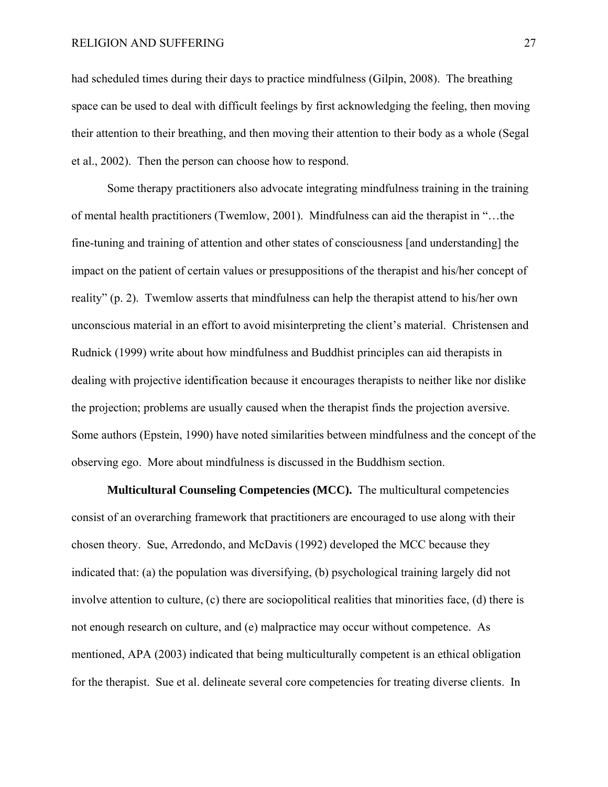had scheduled times during their days to practice mindfulness (Gilpin, 2008). The breathing space can be used to deal with difficult feelings by first acknowledging the feeling, then moving their attention to their breathing, and then moving their attention to their body as a whole (Segal et al., 2002). Then the person can choose how to respond.

Some therapy practitioners also advocate integrating mindfulness training in the training of mental health practitioners (Twemlow, 2001). Mindfulness can aid the therapist in "…the fine-tuning and training of attention and other states of consciousness [and understanding] the impact on the patient of certain values or presuppositions of the therapist and his/her concept of reality" (p. 2). Twemlow asserts that mindfulness can help the therapist attend to his/her own unconscious material in an effort to avoid misinterpreting the client's material. Christensen and Rudnick (1999) write about how mindfulness and Buddhist principles can aid therapists in dealing with projective identification because it encourages therapists to neither like nor dislike the projection; problems are usually caused when the therapist finds the projection aversive. Some authors (Epstein, 1990) have noted similarities between mindfulness and the concept of the observing ego. More about mindfulness is discussed in the Buddhism section.

 **Multicultural Counseling Competencies (MCC).** The multicultural competencies consist of an overarching framework that practitioners are encouraged to use along with their chosen theory. Sue, Arredondo, and McDavis (1992) developed the MCC because they indicated that: (a) the population was diversifying, (b) psychological training largely did not involve attention to culture, (c) there are sociopolitical realities that minorities face, (d) there is not enough research on culture, and (e) malpractice may occur without competence. As mentioned, APA (2003) indicated that being multiculturally competent is an ethical obligation for the therapist. Sue et al. delineate several core competencies for treating diverse clients. In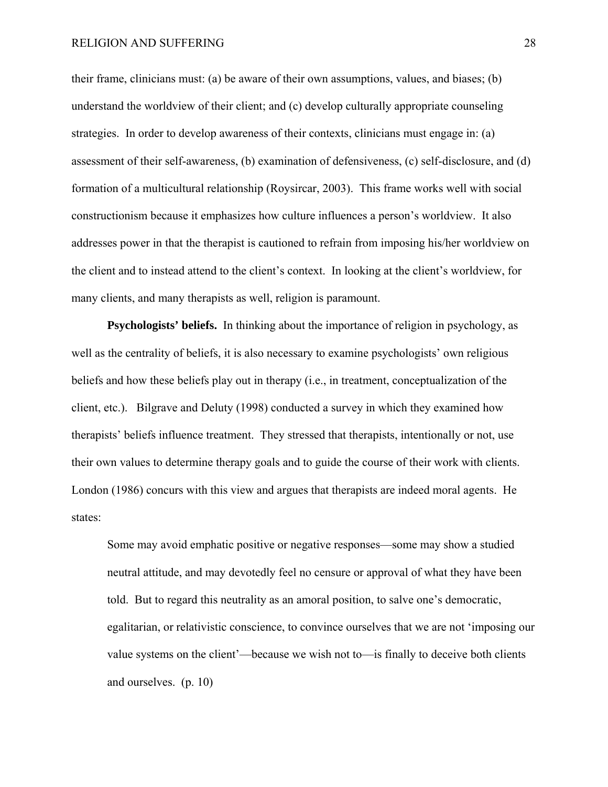their frame, clinicians must: (a) be aware of their own assumptions, values, and biases; (b) understand the worldview of their client; and (c) develop culturally appropriate counseling strategies. In order to develop awareness of their contexts, clinicians must engage in: (a) assessment of their self-awareness, (b) examination of defensiveness, (c) self-disclosure, and (d) formation of a multicultural relationship (Roysircar, 2003). This frame works well with social constructionism because it emphasizes how culture influences a person's worldview. It also addresses power in that the therapist is cautioned to refrain from imposing his/her worldview on the client and to instead attend to the client's context. In looking at the client's worldview, for many clients, and many therapists as well, religion is paramount.

**Psychologists' beliefs.** In thinking about the importance of religion in psychology, as well as the centrality of beliefs, it is also necessary to examine psychologists' own religious beliefs and how these beliefs play out in therapy (i.e., in treatment, conceptualization of the client, etc.). Bilgrave and Deluty (1998) conducted a survey in which they examined how therapists' beliefs influence treatment. They stressed that therapists, intentionally or not, use their own values to determine therapy goals and to guide the course of their work with clients. London (1986) concurs with this view and argues that therapists are indeed moral agents. He states:

Some may avoid emphatic positive or negative responses—some may show a studied neutral attitude, and may devotedly feel no censure or approval of what they have been told. But to regard this neutrality as an amoral position, to salve one's democratic, egalitarian, or relativistic conscience, to convince ourselves that we are not 'imposing our value systems on the client'—because we wish not to—is finally to deceive both clients and ourselves. (p. 10)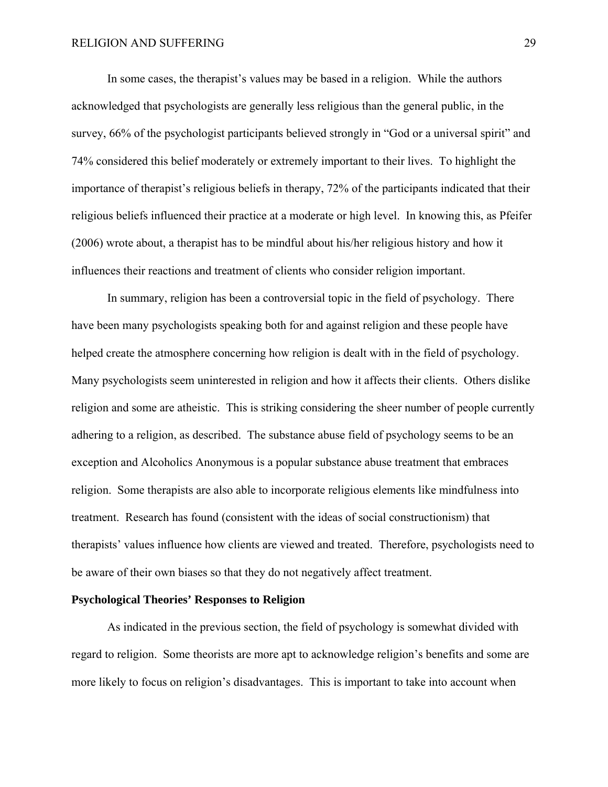In some cases, the therapist's values may be based in a religion. While the authors acknowledged that psychologists are generally less religious than the general public, in the survey, 66% of the psychologist participants believed strongly in "God or a universal spirit" and 74% considered this belief moderately or extremely important to their lives. To highlight the importance of therapist's religious beliefs in therapy, 72% of the participants indicated that their religious beliefs influenced their practice at a moderate or high level. In knowing this, as Pfeifer (2006) wrote about, a therapist has to be mindful about his/her religious history and how it influences their reactions and treatment of clients who consider religion important.

In summary, religion has been a controversial topic in the field of psychology. There have been many psychologists speaking both for and against religion and these people have helped create the atmosphere concerning how religion is dealt with in the field of psychology. Many psychologists seem uninterested in religion and how it affects their clients. Others dislike religion and some are atheistic. This is striking considering the sheer number of people currently adhering to a religion, as described. The substance abuse field of psychology seems to be an exception and Alcoholics Anonymous is a popular substance abuse treatment that embraces religion. Some therapists are also able to incorporate religious elements like mindfulness into treatment. Research has found (consistent with the ideas of social constructionism) that therapists' values influence how clients are viewed and treated. Therefore, psychologists need to be aware of their own biases so that they do not negatively affect treatment.

#### **Psychological Theories' Responses to Religion**

As indicated in the previous section, the field of psychology is somewhat divided with regard to religion. Some theorists are more apt to acknowledge religion's benefits and some are more likely to focus on religion's disadvantages. This is important to take into account when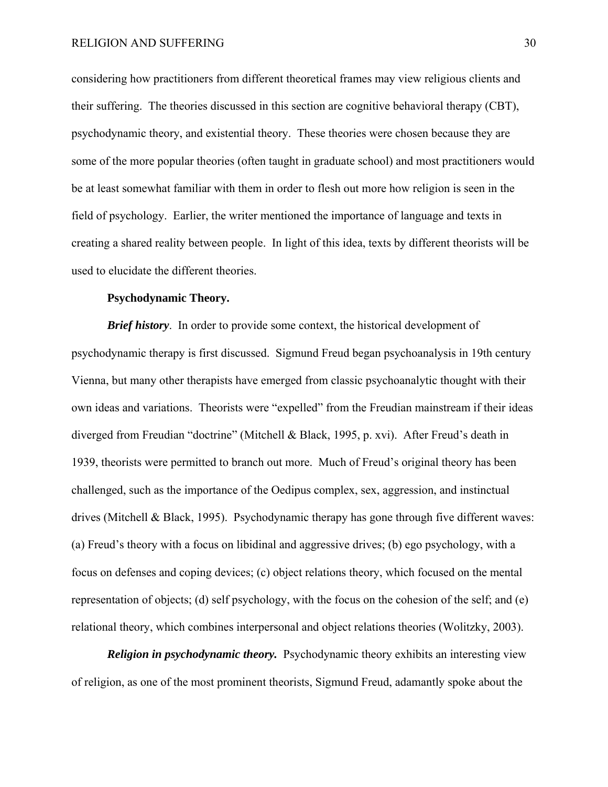considering how practitioners from different theoretical frames may view religious clients and their suffering. The theories discussed in this section are cognitive behavioral therapy (CBT), psychodynamic theory, and existential theory. These theories were chosen because they are some of the more popular theories (often taught in graduate school) and most practitioners would be at least somewhat familiar with them in order to flesh out more how religion is seen in the field of psychology. Earlier, the writer mentioned the importance of language and texts in creating a shared reality between people. In light of this idea, texts by different theorists will be used to elucidate the different theories.

#### **Psychodynamic Theory.**

*Brief history*. In order to provide some context, the historical development of psychodynamic therapy is first discussed. Sigmund Freud began psychoanalysis in 19th century Vienna, but many other therapists have emerged from classic psychoanalytic thought with their own ideas and variations. Theorists were "expelled" from the Freudian mainstream if their ideas diverged from Freudian "doctrine" (Mitchell & Black, 1995, p. xvi). After Freud's death in 1939, theorists were permitted to branch out more. Much of Freud's original theory has been challenged, such as the importance of the Oedipus complex, sex, aggression, and instinctual drives (Mitchell & Black, 1995). Psychodynamic therapy has gone through five different waves: (a) Freud's theory with a focus on libidinal and aggressive drives; (b) ego psychology, with a focus on defenses and coping devices; (c) object relations theory, which focused on the mental representation of objects; (d) self psychology, with the focus on the cohesion of the self; and (e) relational theory, which combines interpersonal and object relations theories (Wolitzky, 2003).

*Religion in psychodynamic theory.* Psychodynamic theory exhibits an interesting view of religion, as one of the most prominent theorists, Sigmund Freud, adamantly spoke about the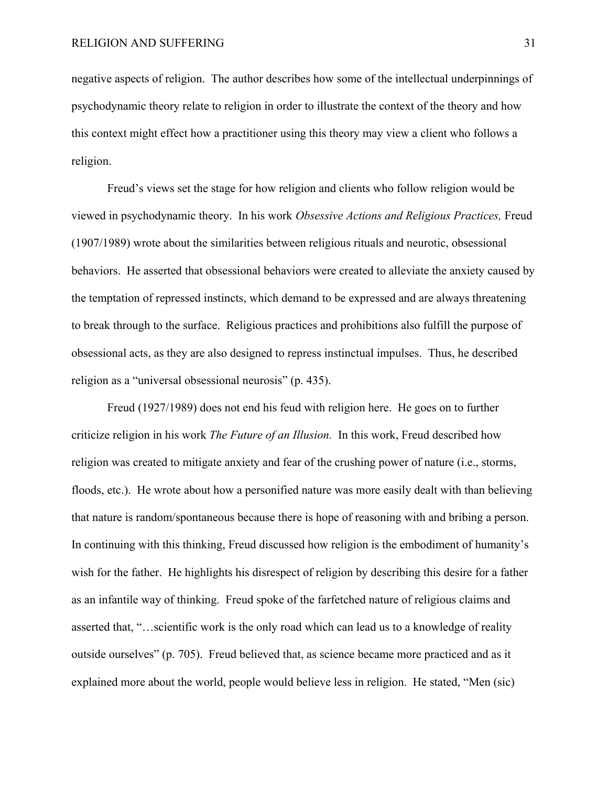negative aspects of religion. The author describes how some of the intellectual underpinnings of psychodynamic theory relate to religion in order to illustrate the context of the theory and how this context might effect how a practitioner using this theory may view a client who follows a religion.

Freud's views set the stage for how religion and clients who follow religion would be viewed in psychodynamic theory. In his work *Obsessive Actions and Religious Practices,* Freud (1907/1989) wrote about the similarities between religious rituals and neurotic, obsessional behaviors. He asserted that obsessional behaviors were created to alleviate the anxiety caused by the temptation of repressed instincts, which demand to be expressed and are always threatening to break through to the surface. Religious practices and prohibitions also fulfill the purpose of obsessional acts, as they are also designed to repress instinctual impulses. Thus, he described religion as a "universal obsessional neurosis" (p. 435).

Freud (1927/1989) does not end his feud with religion here. He goes on to further criticize religion in his work *The Future of an Illusion.* In this work, Freud described how religion was created to mitigate anxiety and fear of the crushing power of nature (i.e., storms, floods, etc.). He wrote about how a personified nature was more easily dealt with than believing that nature is random/spontaneous because there is hope of reasoning with and bribing a person. In continuing with this thinking, Freud discussed how religion is the embodiment of humanity's wish for the father. He highlights his disrespect of religion by describing this desire for a father as an infantile way of thinking. Freud spoke of the farfetched nature of religious claims and asserted that, "…scientific work is the only road which can lead us to a knowledge of reality outside ourselves" (p. 705). Freud believed that, as science became more practiced and as it explained more about the world, people would believe less in religion. He stated, "Men (sic)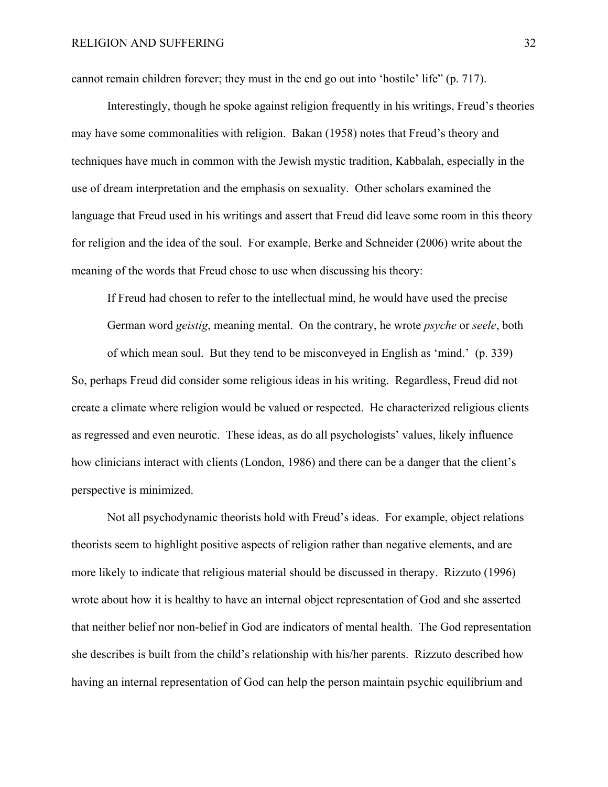cannot remain children forever; they must in the end go out into 'hostile' life" (p. 717).

Interestingly, though he spoke against religion frequently in his writings, Freud's theories may have some commonalities with religion. Bakan (1958) notes that Freud's theory and techniques have much in common with the Jewish mystic tradition, Kabbalah, especially in the use of dream interpretation and the emphasis on sexuality. Other scholars examined the language that Freud used in his writings and assert that Freud did leave some room in this theory for religion and the idea of the soul. For example, Berke and Schneider (2006) write about the meaning of the words that Freud chose to use when discussing his theory:

If Freud had chosen to refer to the intellectual mind, he would have used the precise German word *geistig*, meaning mental. On the contrary, he wrote *psyche* or *seele*, both of which mean soul. But they tend to be misconveyed in English as 'mind.' (p. 339) So, perhaps Freud did consider some religious ideas in his writing. Regardless, Freud did not create a climate where religion would be valued or respected. He characterized religious clients as regressed and even neurotic. These ideas, as do all psychologists' values, likely influence how clinicians interact with clients (London, 1986) and there can be a danger that the client's perspective is minimized.

 Not all psychodynamic theorists hold with Freud's ideas. For example, object relations theorists seem to highlight positive aspects of religion rather than negative elements, and are more likely to indicate that religious material should be discussed in therapy. Rizzuto (1996) wrote about how it is healthy to have an internal object representation of God and she asserted that neither belief nor non-belief in God are indicators of mental health. The God representation she describes is built from the child's relationship with his/her parents. Rizzuto described how having an internal representation of God can help the person maintain psychic equilibrium and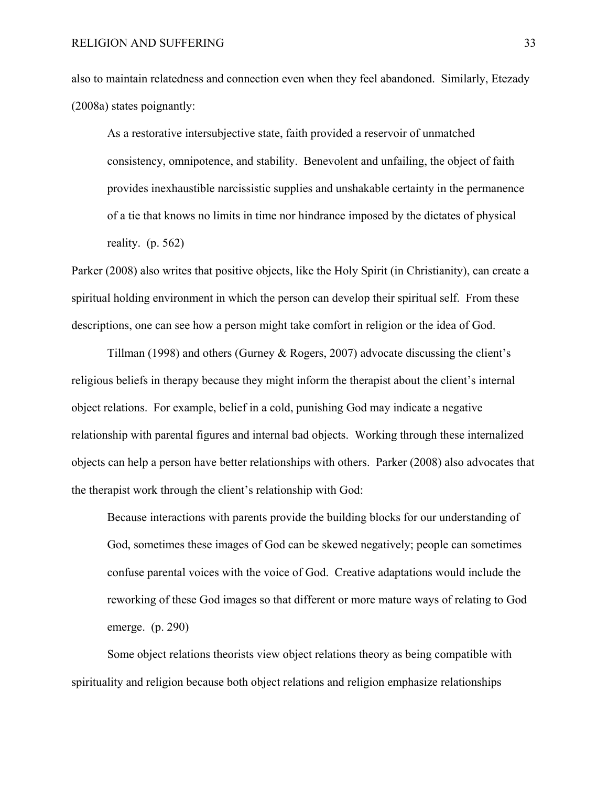also to maintain relatedness and connection even when they feel abandoned. Similarly, Etezady (2008a) states poignantly:

As a restorative intersubjective state, faith provided a reservoir of unmatched consistency, omnipotence, and stability. Benevolent and unfailing, the object of faith provides inexhaustible narcissistic supplies and unshakable certainty in the permanence of a tie that knows no limits in time nor hindrance imposed by the dictates of physical reality. (p. 562)

Parker (2008) also writes that positive objects, like the Holy Spirit (in Christianity), can create a spiritual holding environment in which the person can develop their spiritual self. From these descriptions, one can see how a person might take comfort in religion or the idea of God.

Tillman (1998) and others (Gurney & Rogers, 2007) advocate discussing the client's religious beliefs in therapy because they might inform the therapist about the client's internal object relations. For example, belief in a cold, punishing God may indicate a negative relationship with parental figures and internal bad objects. Working through these internalized objects can help a person have better relationships with others. Parker (2008) also advocates that the therapist work through the client's relationship with God:

Because interactions with parents provide the building blocks for our understanding of God, sometimes these images of God can be skewed negatively; people can sometimes confuse parental voices with the voice of God. Creative adaptations would include the reworking of these God images so that different or more mature ways of relating to God emerge. (p. 290)

Some object relations theorists view object relations theory as being compatible with spirituality and religion because both object relations and religion emphasize relationships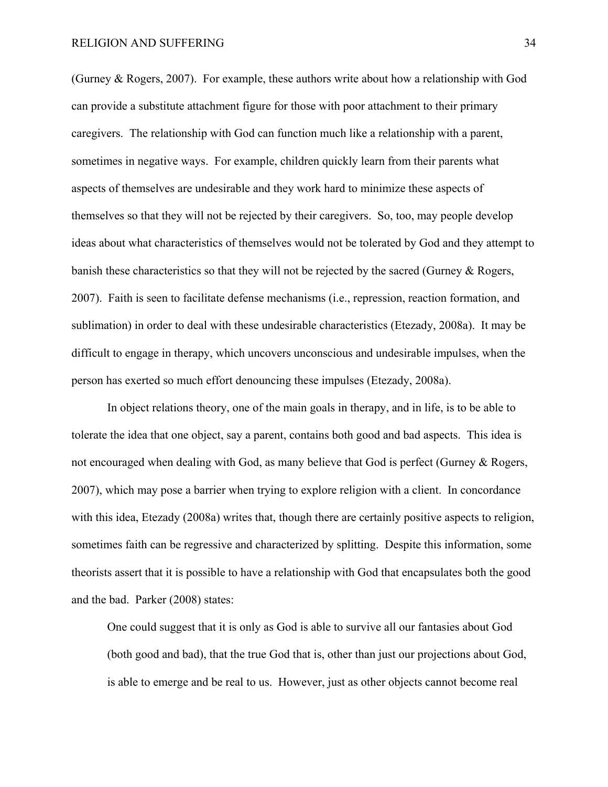(Gurney & Rogers, 2007). For example, these authors write about how a relationship with God can provide a substitute attachment figure for those with poor attachment to their primary caregivers. The relationship with God can function much like a relationship with a parent, sometimes in negative ways. For example, children quickly learn from their parents what aspects of themselves are undesirable and they work hard to minimize these aspects of themselves so that they will not be rejected by their caregivers. So, too, may people develop ideas about what characteristics of themselves would not be tolerated by God and they attempt to banish these characteristics so that they will not be rejected by the sacred (Gurney & Rogers, 2007). Faith is seen to facilitate defense mechanisms (i.e., repression, reaction formation, and sublimation) in order to deal with these undesirable characteristics (Etezady, 2008a). It may be difficult to engage in therapy, which uncovers unconscious and undesirable impulses, when the person has exerted so much effort denouncing these impulses (Etezady, 2008a).

In object relations theory, one of the main goals in therapy, and in life, is to be able to tolerate the idea that one object, say a parent, contains both good and bad aspects. This idea is not encouraged when dealing with God, as many believe that God is perfect (Gurney & Rogers, 2007), which may pose a barrier when trying to explore religion with a client. In concordance with this idea, Etezady (2008a) writes that, though there are certainly positive aspects to religion, sometimes faith can be regressive and characterized by splitting. Despite this information, some theorists assert that it is possible to have a relationship with God that encapsulates both the good and the bad. Parker (2008) states:

One could suggest that it is only as God is able to survive all our fantasies about God (both good and bad), that the true God that is, other than just our projections about God, is able to emerge and be real to us. However, just as other objects cannot become real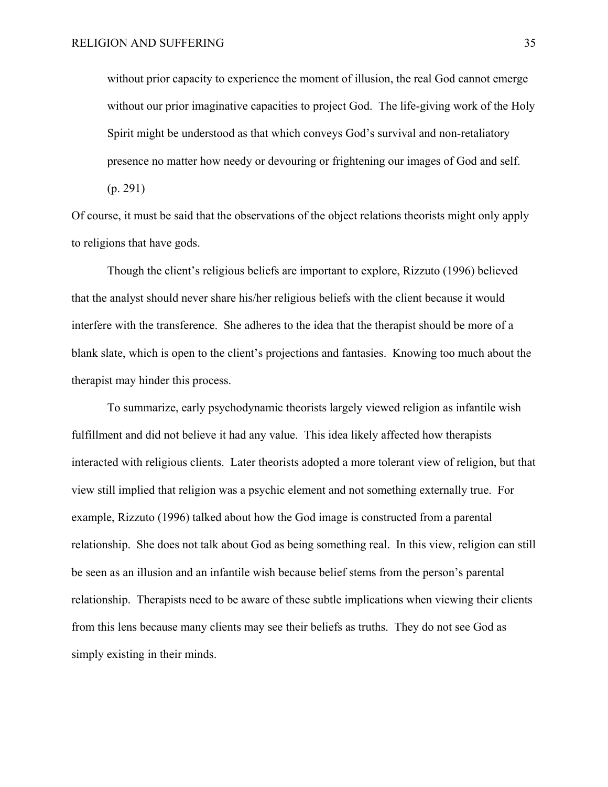without prior capacity to experience the moment of illusion, the real God cannot emerge without our prior imaginative capacities to project God. The life-giving work of the Holy Spirit might be understood as that which conveys God's survival and non-retaliatory presence no matter how needy or devouring or frightening our images of God and self.

(p. 291)

Of course, it must be said that the observations of the object relations theorists might only apply to religions that have gods.

Though the client's religious beliefs are important to explore, Rizzuto (1996) believed that the analyst should never share his/her religious beliefs with the client because it would interfere with the transference. She adheres to the idea that the therapist should be more of a blank slate, which is open to the client's projections and fantasies. Knowing too much about the therapist may hinder this process.

To summarize, early psychodynamic theorists largely viewed religion as infantile wish fulfillment and did not believe it had any value. This idea likely affected how therapists interacted with religious clients. Later theorists adopted a more tolerant view of religion, but that view still implied that religion was a psychic element and not something externally true. For example, Rizzuto (1996) talked about how the God image is constructed from a parental relationship. She does not talk about God as being something real. In this view, religion can still be seen as an illusion and an infantile wish because belief stems from the person's parental relationship. Therapists need to be aware of these subtle implications when viewing their clients from this lens because many clients may see their beliefs as truths. They do not see God as simply existing in their minds.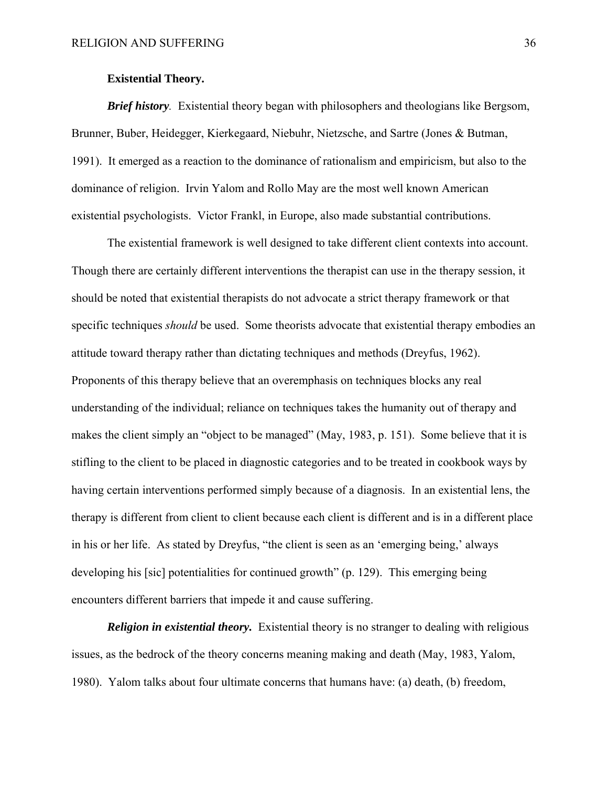## **Existential Theory.**

*Brief history.* Existential theory began with philosophers and theologians like Bergsom, Brunner, Buber, Heidegger, Kierkegaard, Niebuhr, Nietzsche, and Sartre (Jones & Butman, 1991). It emerged as a reaction to the dominance of rationalism and empiricism, but also to the dominance of religion. Irvin Yalom and Rollo May are the most well known American existential psychologists. Victor Frankl, in Europe, also made substantial contributions.

The existential framework is well designed to take different client contexts into account. Though there are certainly different interventions the therapist can use in the therapy session, it should be noted that existential therapists do not advocate a strict therapy framework or that specific techniques *should* be used. Some theorists advocate that existential therapy embodies an attitude toward therapy rather than dictating techniques and methods (Dreyfus, 1962). Proponents of this therapy believe that an overemphasis on techniques blocks any real understanding of the individual; reliance on techniques takes the humanity out of therapy and makes the client simply an "object to be managed" (May, 1983, p. 151). Some believe that it is stifling to the client to be placed in diagnostic categories and to be treated in cookbook ways by having certain interventions performed simply because of a diagnosis. In an existential lens, the therapy is different from client to client because each client is different and is in a different place in his or her life. As stated by Dreyfus, "the client is seen as an 'emerging being,' always developing his [sic] potentialities for continued growth" (p. 129). This emerging being encounters different barriers that impede it and cause suffering.

*Religion in existential theory.* Existential theory is no stranger to dealing with religious issues, as the bedrock of the theory concerns meaning making and death (May, 1983, Yalom, 1980). Yalom talks about four ultimate concerns that humans have: (a) death, (b) freedom,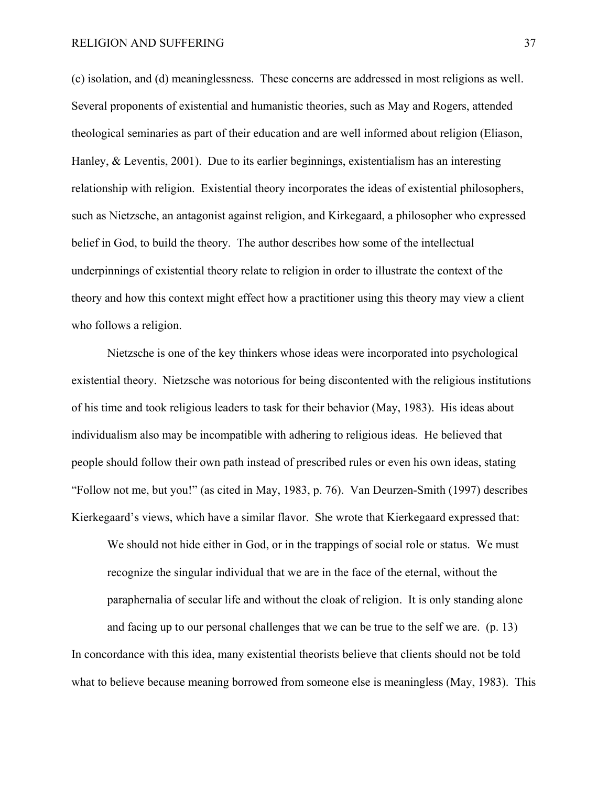(c) isolation, and (d) meaninglessness. These concerns are addressed in most religions as well. Several proponents of existential and humanistic theories, such as May and Rogers, attended theological seminaries as part of their education and are well informed about religion (Eliason, Hanley, & Leventis, 2001). Due to its earlier beginnings, existentialism has an interesting relationship with religion. Existential theory incorporates the ideas of existential philosophers, such as Nietzsche, an antagonist against religion, and Kirkegaard, a philosopher who expressed belief in God, to build the theory. The author describes how some of the intellectual underpinnings of existential theory relate to religion in order to illustrate the context of the theory and how this context might effect how a practitioner using this theory may view a client who follows a religion.

Nietzsche is one of the key thinkers whose ideas were incorporated into psychological existential theory. Nietzsche was notorious for being discontented with the religious institutions of his time and took religious leaders to task for their behavior (May, 1983). His ideas about individualism also may be incompatible with adhering to religious ideas. He believed that people should follow their own path instead of prescribed rules or even his own ideas, stating "Follow not me, but you!" (as cited in May, 1983, p. 76). Van Deurzen-Smith (1997) describes Kierkegaard's views, which have a similar flavor. She wrote that Kierkegaard expressed that:

We should not hide either in God, or in the trappings of social role or status. We must recognize the singular individual that we are in the face of the eternal, without the paraphernalia of secular life and without the cloak of religion. It is only standing alone

and facing up to our personal challenges that we can be true to the self we are. (p. 13) In concordance with this idea, many existential theorists believe that clients should not be told what to believe because meaning borrowed from someone else is meaningless (May, 1983). This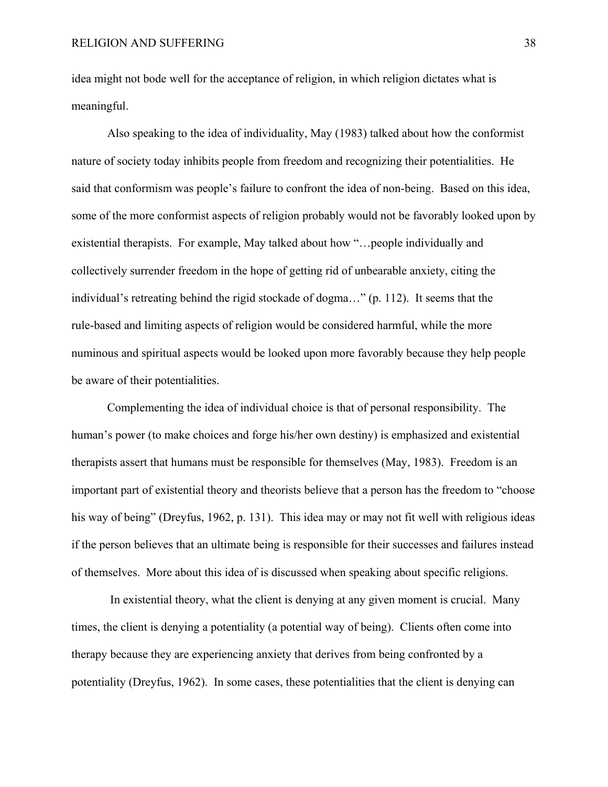idea might not bode well for the acceptance of religion, in which religion dictates what is meaningful.

Also speaking to the idea of individuality, May (1983) talked about how the conformist nature of society today inhibits people from freedom and recognizing their potentialities. He said that conformism was people's failure to confront the idea of non-being. Based on this idea, some of the more conformist aspects of religion probably would not be favorably looked upon by existential therapists. For example, May talked about how "…people individually and collectively surrender freedom in the hope of getting rid of unbearable anxiety, citing the individual's retreating behind the rigid stockade of dogma…" (p. 112). It seems that the rule-based and limiting aspects of religion would be considered harmful, while the more numinous and spiritual aspects would be looked upon more favorably because they help people be aware of their potentialities.

Complementing the idea of individual choice is that of personal responsibility. The human's power (to make choices and forge his/her own destiny) is emphasized and existential therapists assert that humans must be responsible for themselves (May, 1983). Freedom is an important part of existential theory and theorists believe that a person has the freedom to "choose his way of being" (Dreyfus, 1962, p. 131). This idea may or may not fit well with religious ideas if the person believes that an ultimate being is responsible for their successes and failures instead of themselves. More about this idea of is discussed when speaking about specific religions.

 In existential theory, what the client is denying at any given moment is crucial. Many times, the client is denying a potentiality (a potential way of being). Clients often come into therapy because they are experiencing anxiety that derives from being confronted by a potentiality (Dreyfus, 1962). In some cases, these potentialities that the client is denying can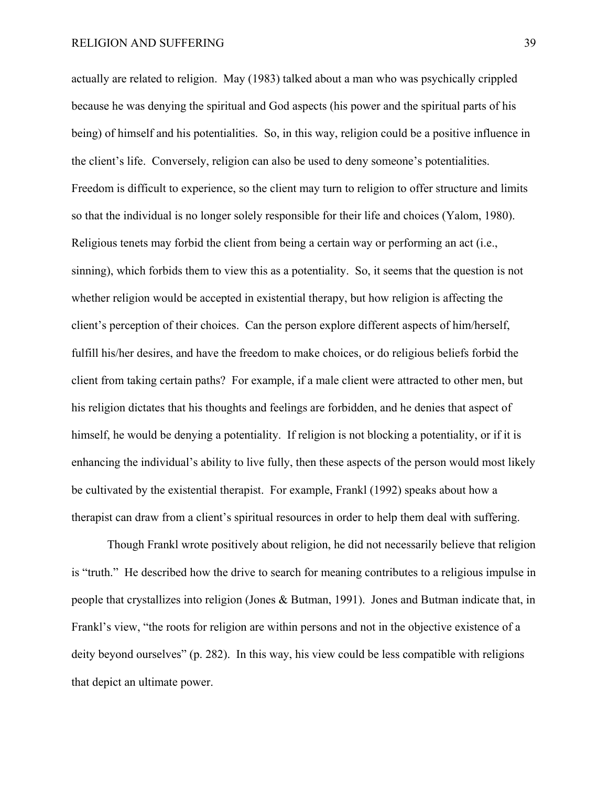actually are related to religion. May (1983) talked about a man who was psychically crippled because he was denying the spiritual and God aspects (his power and the spiritual parts of his being) of himself and his potentialities. So, in this way, religion could be a positive influence in the client's life. Conversely, religion can also be used to deny someone's potentialities. Freedom is difficult to experience, so the client may turn to religion to offer structure and limits so that the individual is no longer solely responsible for their life and choices (Yalom, 1980). Religious tenets may forbid the client from being a certain way or performing an act (i.e., sinning), which forbids them to view this as a potentiality. So, it seems that the question is not whether religion would be accepted in existential therapy, but how religion is affecting the client's perception of their choices. Can the person explore different aspects of him/herself, fulfill his/her desires, and have the freedom to make choices, or do religious beliefs forbid the client from taking certain paths? For example, if a male client were attracted to other men, but his religion dictates that his thoughts and feelings are forbidden, and he denies that aspect of himself, he would be denying a potentiality. If religion is not blocking a potentiality, or if it is enhancing the individual's ability to live fully, then these aspects of the person would most likely be cultivated by the existential therapist. For example, Frankl (1992) speaks about how a therapist can draw from a client's spiritual resources in order to help them deal with suffering.

Though Frankl wrote positively about religion, he did not necessarily believe that religion is "truth." He described how the drive to search for meaning contributes to a religious impulse in people that crystallizes into religion (Jones & Butman, 1991). Jones and Butman indicate that, in Frankl's view, "the roots for religion are within persons and not in the objective existence of a deity beyond ourselves" (p. 282). In this way, his view could be less compatible with religions that depict an ultimate power.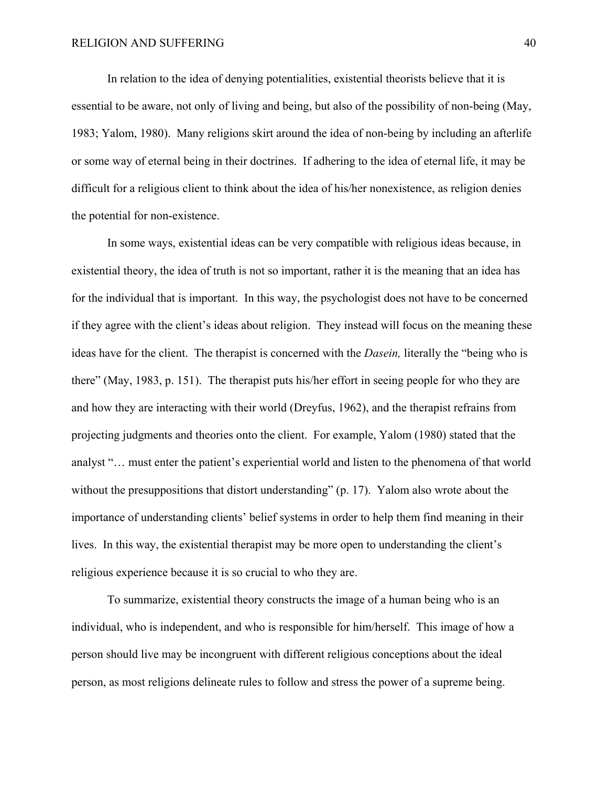In relation to the idea of denying potentialities, existential theorists believe that it is essential to be aware, not only of living and being, but also of the possibility of non-being (May, 1983; Yalom, 1980). Many religions skirt around the idea of non-being by including an afterlife or some way of eternal being in their doctrines. If adhering to the idea of eternal life, it may be difficult for a religious client to think about the idea of his/her nonexistence, as religion denies the potential for non-existence.

In some ways, existential ideas can be very compatible with religious ideas because, in existential theory, the idea of truth is not so important, rather it is the meaning that an idea has for the individual that is important. In this way, the psychologist does not have to be concerned if they agree with the client's ideas about religion. They instead will focus on the meaning these ideas have for the client. The therapist is concerned with the *Dasein,* literally the "being who is there" (May, 1983, p. 151). The therapist puts his/her effort in seeing people for who they are and how they are interacting with their world (Dreyfus, 1962), and the therapist refrains from projecting judgments and theories onto the client. For example, Yalom (1980) stated that the analyst "… must enter the patient's experiential world and listen to the phenomena of that world without the presuppositions that distort understanding" (p. 17). Yalom also wrote about the importance of understanding clients' belief systems in order to help them find meaning in their lives. In this way, the existential therapist may be more open to understanding the client's religious experience because it is so crucial to who they are.

 To summarize, existential theory constructs the image of a human being who is an individual, who is independent, and who is responsible for him/herself. This image of how a person should live may be incongruent with different religious conceptions about the ideal person, as most religions delineate rules to follow and stress the power of a supreme being.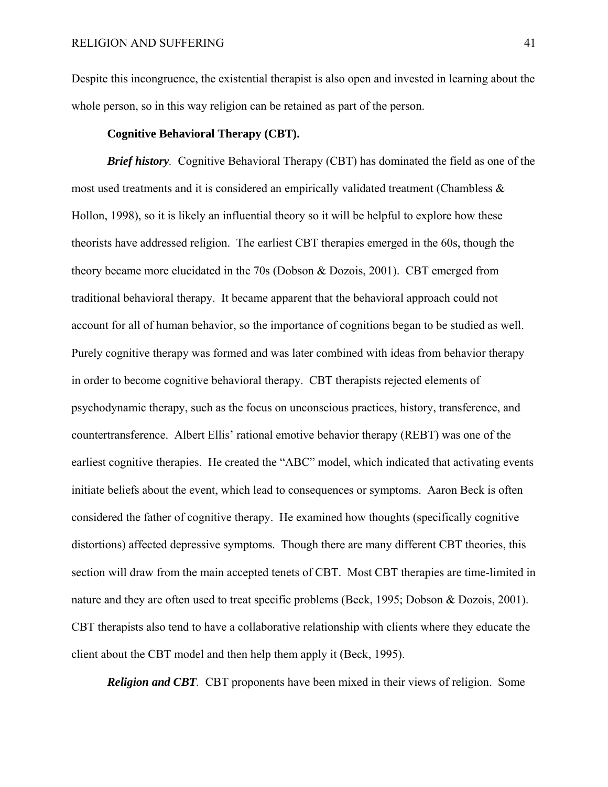Despite this incongruence, the existential therapist is also open and invested in learning about the whole person, so in this way religion can be retained as part of the person.

## **Cognitive Behavioral Therapy (CBT).**

*Brief history.* Cognitive Behavioral Therapy (CBT) has dominated the field as one of the most used treatments and it is considered an empirically validated treatment (Chambless & Hollon, 1998), so it is likely an influential theory so it will be helpful to explore how these theorists have addressed religion. The earliest CBT therapies emerged in the 60s, though the theory became more elucidated in the 70s (Dobson & Dozois, 2001). CBT emerged from traditional behavioral therapy. It became apparent that the behavioral approach could not account for all of human behavior, so the importance of cognitions began to be studied as well. Purely cognitive therapy was formed and was later combined with ideas from behavior therapy in order to become cognitive behavioral therapy. CBT therapists rejected elements of psychodynamic therapy, such as the focus on unconscious practices, history, transference, and countertransference. Albert Ellis' rational emotive behavior therapy (REBT) was one of the earliest cognitive therapies. He created the "ABC" model, which indicated that activating events initiate beliefs about the event, which lead to consequences or symptoms. Aaron Beck is often considered the father of cognitive therapy. He examined how thoughts (specifically cognitive distortions) affected depressive symptoms. Though there are many different CBT theories, this section will draw from the main accepted tenets of CBT. Most CBT therapies are time-limited in nature and they are often used to treat specific problems (Beck, 1995; Dobson & Dozois, 2001). CBT therapists also tend to have a collaborative relationship with clients where they educate the client about the CBT model and then help them apply it (Beck, 1995).

*Religion and CBT.* CBT proponents have been mixed in their views of religion. Some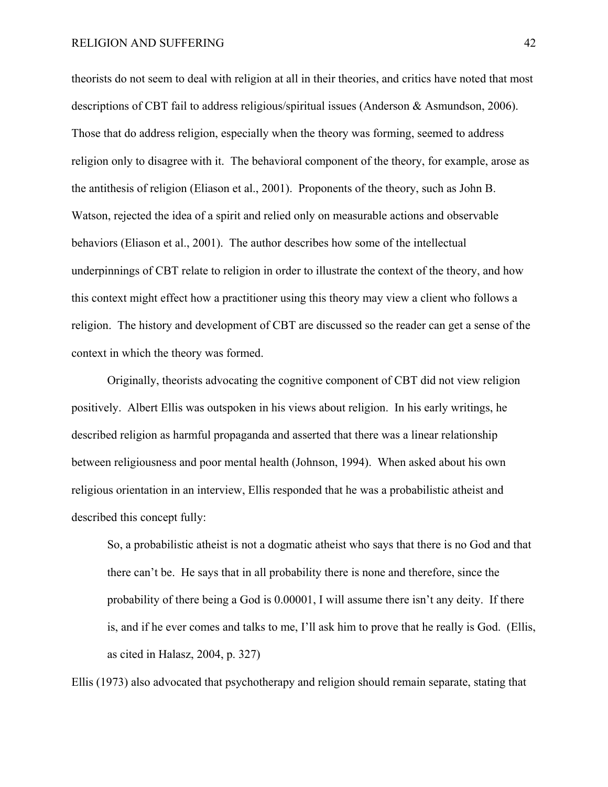theorists do not seem to deal with religion at all in their theories, and critics have noted that most descriptions of CBT fail to address religious/spiritual issues (Anderson & Asmundson, 2006). Those that do address religion, especially when the theory was forming, seemed to address religion only to disagree with it. The behavioral component of the theory, for example, arose as the antithesis of religion (Eliason et al., 2001). Proponents of the theory, such as John B. Watson, rejected the idea of a spirit and relied only on measurable actions and observable behaviors (Eliason et al., 2001). The author describes how some of the intellectual underpinnings of CBT relate to religion in order to illustrate the context of the theory, and how this context might effect how a practitioner using this theory may view a client who follows a religion. The history and development of CBT are discussed so the reader can get a sense of the context in which the theory was formed.

Originally, theorists advocating the cognitive component of CBT did not view religion positively. Albert Ellis was outspoken in his views about religion. In his early writings, he described religion as harmful propaganda and asserted that there was a linear relationship between religiousness and poor mental health (Johnson, 1994). When asked about his own religious orientation in an interview, Ellis responded that he was a probabilistic atheist and described this concept fully:

So, a probabilistic atheist is not a dogmatic atheist who says that there is no God and that there can't be. He says that in all probability there is none and therefore, since the probability of there being a God is 0.00001, I will assume there isn't any deity. If there is, and if he ever comes and talks to me, I'll ask him to prove that he really is God. (Ellis, as cited in Halasz, 2004, p. 327)

Ellis (1973) also advocated that psychotherapy and religion should remain separate, stating that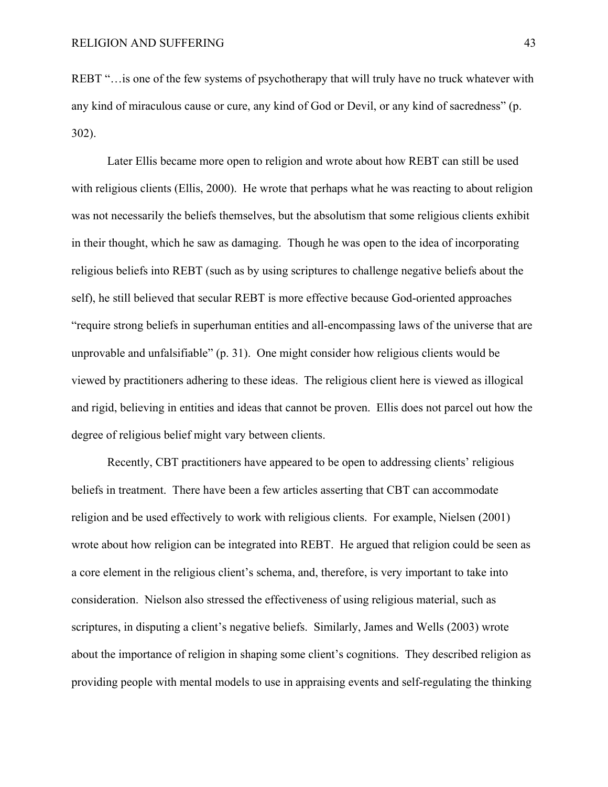REBT "... is one of the few systems of psychotherapy that will truly have no truck whatever with any kind of miraculous cause or cure, any kind of God or Devil, or any kind of sacredness" (p. 302).

Later Ellis became more open to religion and wrote about how REBT can still be used with religious clients (Ellis, 2000). He wrote that perhaps what he was reacting to about religion was not necessarily the beliefs themselves, but the absolutism that some religious clients exhibit in their thought, which he saw as damaging. Though he was open to the idea of incorporating religious beliefs into REBT (such as by using scriptures to challenge negative beliefs about the self), he still believed that secular REBT is more effective because God-oriented approaches "require strong beliefs in superhuman entities and all-encompassing laws of the universe that are unprovable and unfalsifiable" (p. 31). One might consider how religious clients would be viewed by practitioners adhering to these ideas. The religious client here is viewed as illogical and rigid, believing in entities and ideas that cannot be proven. Ellis does not parcel out how the degree of religious belief might vary between clients.

Recently, CBT practitioners have appeared to be open to addressing clients' religious beliefs in treatment. There have been a few articles asserting that CBT can accommodate religion and be used effectively to work with religious clients. For example, Nielsen (2001) wrote about how religion can be integrated into REBT. He argued that religion could be seen as a core element in the religious client's schema, and, therefore, is very important to take into consideration. Nielson also stressed the effectiveness of using religious material, such as scriptures, in disputing a client's negative beliefs. Similarly, James and Wells (2003) wrote about the importance of religion in shaping some client's cognitions. They described religion as providing people with mental models to use in appraising events and self-regulating the thinking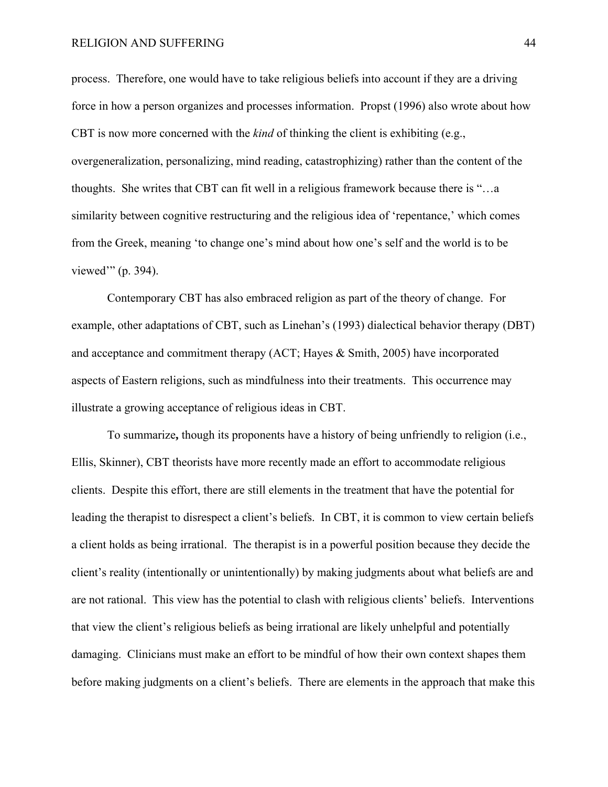process. Therefore, one would have to take religious beliefs into account if they are a driving force in how a person organizes and processes information. Propst (1996) also wrote about how CBT is now more concerned with the *kind* of thinking the client is exhibiting (e.g., overgeneralization, personalizing, mind reading, catastrophizing) rather than the content of the thoughts. She writes that CBT can fit well in a religious framework because there is "…a similarity between cognitive restructuring and the religious idea of 'repentance,' which comes from the Greek, meaning 'to change one's mind about how one's self and the world is to be viewed'" (p. 394).

 Contemporary CBT has also embraced religion as part of the theory of change. For example, other adaptations of CBT, such as Linehan's (1993) dialectical behavior therapy (DBT) and acceptance and commitment therapy (ACT; Hayes & Smith, 2005) have incorporated aspects of Eastern religions, such as mindfulness into their treatments. This occurrence may illustrate a growing acceptance of religious ideas in CBT.

 To summarize**,** though its proponents have a history of being unfriendly to religion (i.e., Ellis, Skinner), CBT theorists have more recently made an effort to accommodate religious clients. Despite this effort, there are still elements in the treatment that have the potential for leading the therapist to disrespect a client's beliefs. In CBT, it is common to view certain beliefs a client holds as being irrational. The therapist is in a powerful position because they decide the client's reality (intentionally or unintentionally) by making judgments about what beliefs are and are not rational. This view has the potential to clash with religious clients' beliefs. Interventions that view the client's religious beliefs as being irrational are likely unhelpful and potentially damaging. Clinicians must make an effort to be mindful of how their own context shapes them before making judgments on a client's beliefs. There are elements in the approach that make this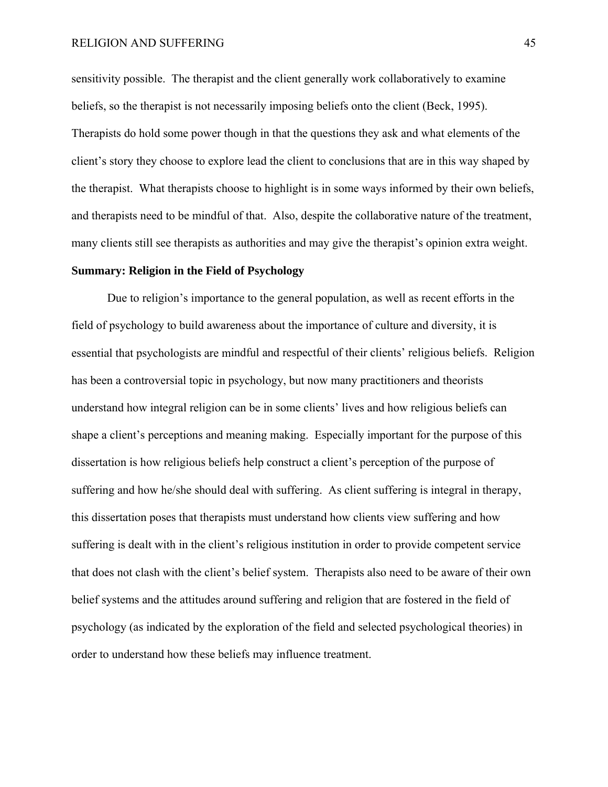sensitivity possible. The therapist and the client generally work collaboratively to examine beliefs, so the therapist is not necessarily imposing beliefs onto the client (Beck, 1995). Therapists do hold some power though in that the questions they ask and what elements of the client's story they choose to explore lead the client to conclusions that are in this way shaped by the therapist. What therapists choose to highlight is in some ways informed by their own beliefs, and therapists need to be mindful of that. Also, despite the collaborative nature of the treatment, many clients still see therapists as authorities and may give the therapist's opinion extra weight.

# **Summary: Religion in the Field of Psychology**

Due to religion's importance to the general population, as well as recent efforts in the field of psychology to build awareness about the importance of culture and diversity, it is essential that psychologists are mindful and respectful of their clients' religious beliefs. Religion has been a controversial topic in psychology, but now many practitioners and theorists understand how integral religion can be in some clients' lives and how religious beliefs can shape a client's perceptions and meaning making. Especially important for the purpose of this dissertation is how religious beliefs help construct a client's perception of the purpose of suffering and how he/she should deal with suffering. As client suffering is integral in therapy, this dissertation poses that therapists must understand how clients view suffering and how suffering is dealt with in the client's religious institution in order to provide competent service that does not clash with the client's belief system. Therapists also need to be aware of their own belief systems and the attitudes around suffering and religion that are fostered in the field of psychology (as indicated by the exploration of the field and selected psychological theories) in order to understand how these beliefs may influence treatment.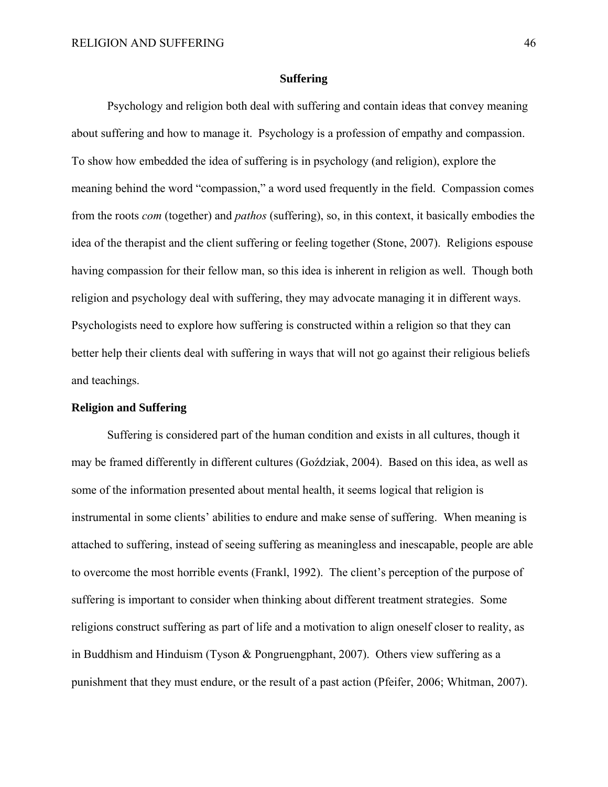## **Suffering**

Psychology and religion both deal with suffering and contain ideas that convey meaning about suffering and how to manage it. Psychology is a profession of empathy and compassion. To show how embedded the idea of suffering is in psychology (and religion), explore the meaning behind the word "compassion," a word used frequently in the field. Compassion comes from the roots *com* (together) and *pathos* (suffering), so, in this context, it basically embodies the idea of the therapist and the client suffering or feeling together (Stone, 2007). Religions espouse having compassion for their fellow man, so this idea is inherent in religion as well. Though both religion and psychology deal with suffering, they may advocate managing it in different ways. Psychologists need to explore how suffering is constructed within a religion so that they can better help their clients deal with suffering in ways that will not go against their religious beliefs and teachings.

#### **Religion and Suffering**

Suffering is considered part of the human condition and exists in all cultures, though it may be framed differently in different cultures (Goździak, 2004). Based on this idea, as well as some of the information presented about mental health, it seems logical that religion is instrumental in some clients' abilities to endure and make sense of suffering. When meaning is attached to suffering, instead of seeing suffering as meaningless and inescapable, people are able to overcome the most horrible events (Frankl, 1992). The client's perception of the purpose of suffering is important to consider when thinking about different treatment strategies. Some religions construct suffering as part of life and a motivation to align oneself closer to reality, as in Buddhism and Hinduism (Tyson & Pongruengphant, 2007). Others view suffering as a punishment that they must endure, or the result of a past action (Pfeifer, 2006; Whitman, 2007).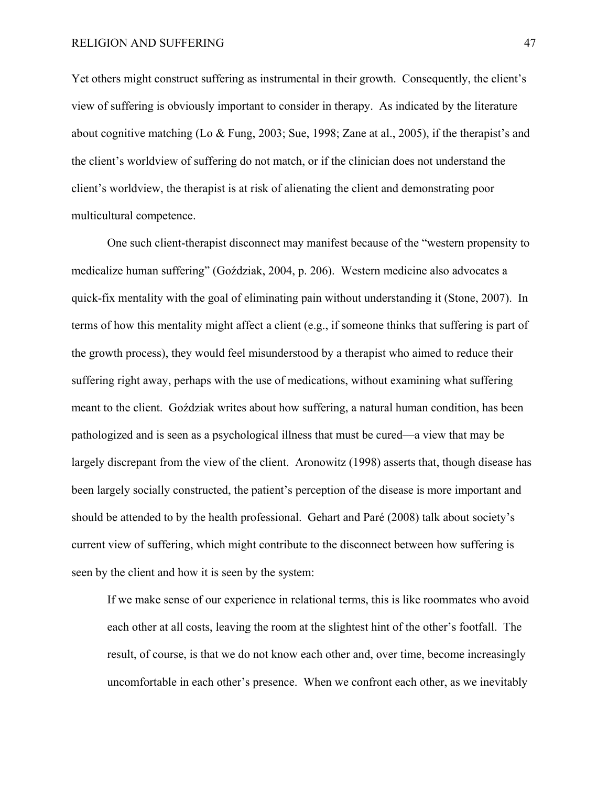Yet others might construct suffering as instrumental in their growth. Consequently, the client's view of suffering is obviously important to consider in therapy. As indicated by the literature about cognitive matching (Lo & Fung, 2003; Sue, 1998; Zane at al., 2005), if the therapist's and the client's worldview of suffering do not match, or if the clinician does not understand the client's worldview, the therapist is at risk of alienating the client and demonstrating poor multicultural competence.

One such client-therapist disconnect may manifest because of the "western propensity to medicalize human suffering" (Goździak, 2004, p. 206). Western medicine also advocates a quick-fix mentality with the goal of eliminating pain without understanding it (Stone, 2007). In terms of how this mentality might affect a client (e.g., if someone thinks that suffering is part of the growth process), they would feel misunderstood by a therapist who aimed to reduce their suffering right away, perhaps with the use of medications, without examining what suffering meant to the client. Goździak writes about how suffering, a natural human condition, has been pathologized and is seen as a psychological illness that must be cured—a view that may be largely discrepant from the view of the client. Aronowitz (1998) asserts that, though disease has been largely socially constructed, the patient's perception of the disease is more important and should be attended to by the health professional. Gehart and Paré (2008) talk about society's current view of suffering, which might contribute to the disconnect between how suffering is seen by the client and how it is seen by the system:

If we make sense of our experience in relational terms, this is like roommates who avoid each other at all costs, leaving the room at the slightest hint of the other's footfall. The result, of course, is that we do not know each other and, over time, become increasingly uncomfortable in each other's presence. When we confront each other, as we inevitably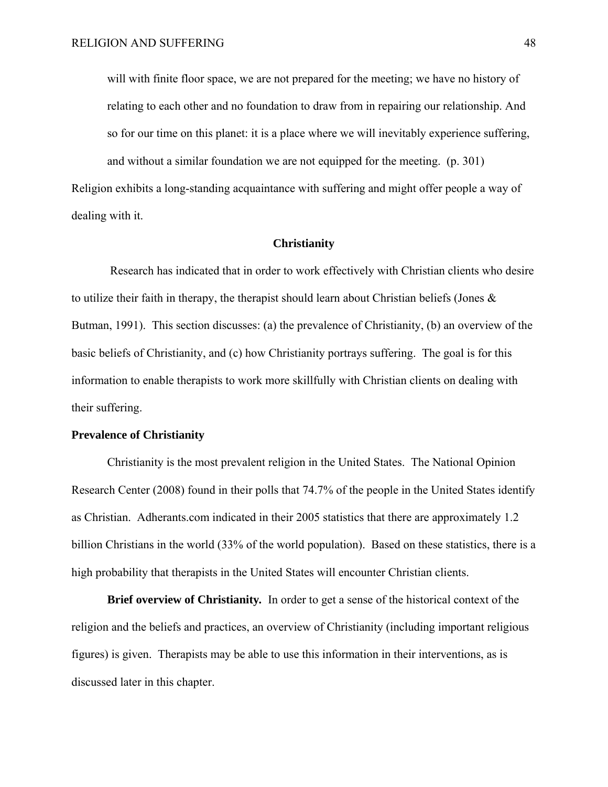will with finite floor space, we are not prepared for the meeting; we have no history of relating to each other and no foundation to draw from in repairing our relationship. And so for our time on this planet: it is a place where we will inevitably experience suffering, and without a similar foundation we are not equipped for the meeting. (p. 301) Religion exhibits a long-standing acquaintance with suffering and might offer people a way of dealing with it.

#### **Christianity**

Research has indicated that in order to work effectively with Christian clients who desire to utilize their faith in therapy, the therapist should learn about Christian beliefs (Jones & Butman, 1991). This section discusses: (a) the prevalence of Christianity, (b) an overview of the basic beliefs of Christianity, and (c) how Christianity portrays suffering. The goal is for this information to enable therapists to work more skillfully with Christian clients on dealing with their suffering.

## **Prevalence of Christianity**

Christianity is the most prevalent religion in the United States. The National Opinion Research Center (2008) found in their polls that 74.7% of the people in the United States identify as Christian. Adherants.com indicated in their 2005 statistics that there are approximately 1.2 billion Christians in the world (33% of the world population). Based on these statistics, there is a high probability that therapists in the United States will encounter Christian clients.

**Brief overview of Christianity***.* In order to get a sense of the historical context of the religion and the beliefs and practices, an overview of Christianity (including important religious figures) is given. Therapists may be able to use this information in their interventions, as is discussed later in this chapter.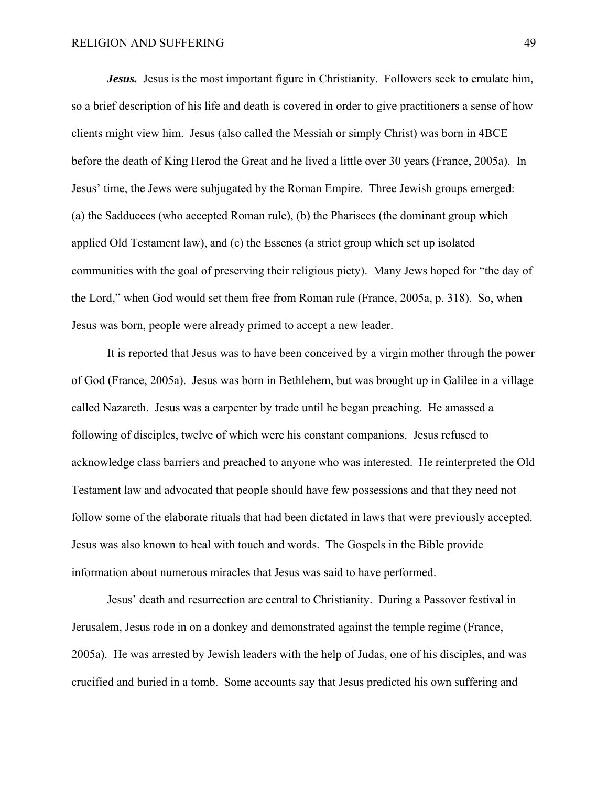*Jesus.* Jesus is the most important figure in Christianity. Followers seek to emulate him, so a brief description of his life and death is covered in order to give practitioners a sense of how clients might view him. Jesus (also called the Messiah or simply Christ) was born in 4BCE before the death of King Herod the Great and he lived a little over 30 years (France, 2005a). In Jesus' time, the Jews were subjugated by the Roman Empire. Three Jewish groups emerged: (a) the Sadducees (who accepted Roman rule), (b) the Pharisees (the dominant group which applied Old Testament law), and (c) the Essenes (a strict group which set up isolated communities with the goal of preserving their religious piety). Many Jews hoped for "the day of the Lord," when God would set them free from Roman rule (France, 2005a, p. 318). So, when Jesus was born, people were already primed to accept a new leader.

 It is reported that Jesus was to have been conceived by a virgin mother through the power of God (France, 2005a). Jesus was born in Bethlehem, but was brought up in Galilee in a village called Nazareth. Jesus was a carpenter by trade until he began preaching. He amassed a following of disciples, twelve of which were his constant companions. Jesus refused to acknowledge class barriers and preached to anyone who was interested. He reinterpreted the Old Testament law and advocated that people should have few possessions and that they need not follow some of the elaborate rituals that had been dictated in laws that were previously accepted. Jesus was also known to heal with touch and words. The Gospels in the Bible provide information about numerous miracles that Jesus was said to have performed.

 Jesus' death and resurrection are central to Christianity. During a Passover festival in Jerusalem, Jesus rode in on a donkey and demonstrated against the temple regime (France, 2005a). He was arrested by Jewish leaders with the help of Judas, one of his disciples, and was crucified and buried in a tomb. Some accounts say that Jesus predicted his own suffering and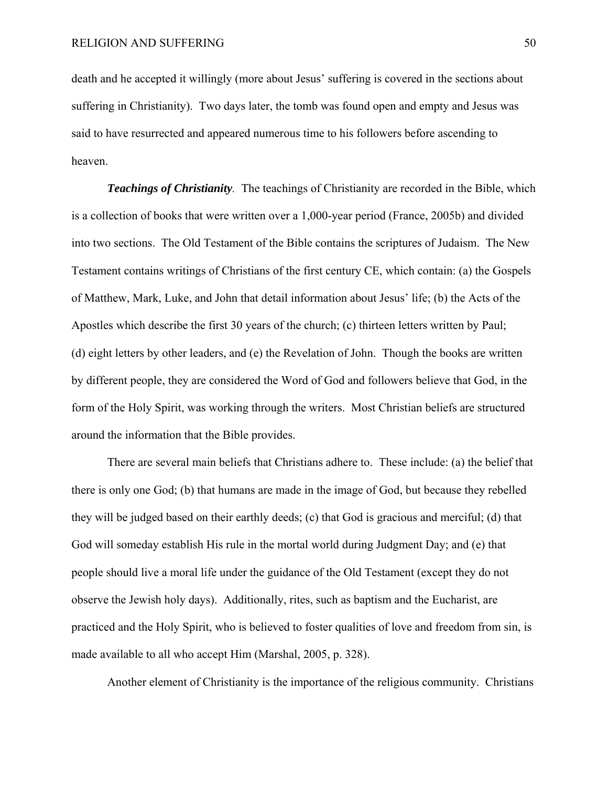death and he accepted it willingly (more about Jesus' suffering is covered in the sections about suffering in Christianity). Two days later, the tomb was found open and empty and Jesus was said to have resurrected and appeared numerous time to his followers before ascending to heaven.

*Teachings of Christianity.* The teachings of Christianity are recorded in the Bible, which is a collection of books that were written over a 1,000-year period (France, 2005b) and divided into two sections. The Old Testament of the Bible contains the scriptures of Judaism. The New Testament contains writings of Christians of the first century CE, which contain: (a) the Gospels of Matthew, Mark, Luke, and John that detail information about Jesus' life; (b) the Acts of the Apostles which describe the first 30 years of the church; (c) thirteen letters written by Paul; (d) eight letters by other leaders, and (e) the Revelation of John. Though the books are written by different people, they are considered the Word of God and followers believe that God, in the form of the Holy Spirit, was working through the writers. Most Christian beliefs are structured around the information that the Bible provides.

 There are several main beliefs that Christians adhere to. These include: (a) the belief that there is only one God; (b) that humans are made in the image of God, but because they rebelled they will be judged based on their earthly deeds; (c) that God is gracious and merciful; (d) that God will someday establish His rule in the mortal world during Judgment Day; and (e) that people should live a moral life under the guidance of the Old Testament (except they do not observe the Jewish holy days). Additionally, rites, such as baptism and the Eucharist, are practiced and the Holy Spirit, who is believed to foster qualities of love and freedom from sin, is made available to all who accept Him (Marshal, 2005, p. 328).

Another element of Christianity is the importance of the religious community. Christians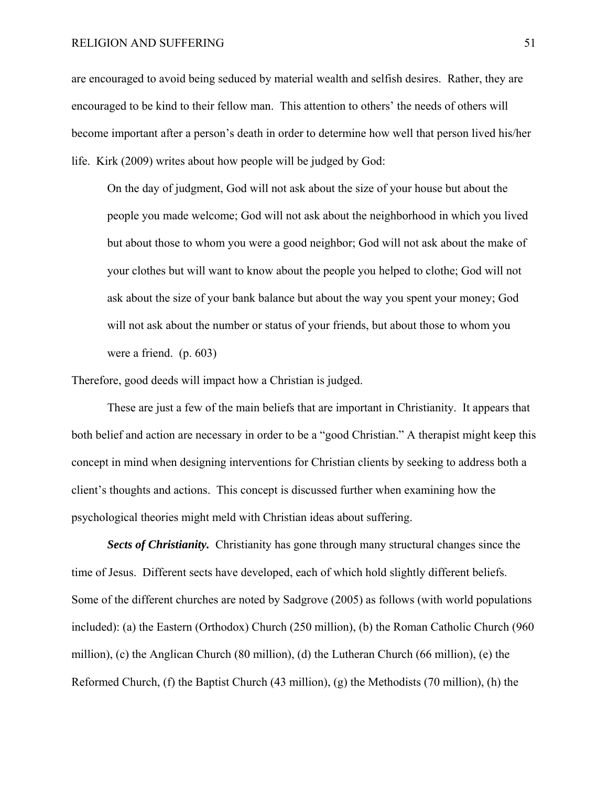are encouraged to avoid being seduced by material wealth and selfish desires. Rather, they are encouraged to be kind to their fellow man. This attention to others' the needs of others will become important after a person's death in order to determine how well that person lived his/her life. Kirk (2009) writes about how people will be judged by God:

On the day of judgment, God will not ask about the size of your house but about the people you made welcome; God will not ask about the neighborhood in which you lived but about those to whom you were a good neighbor; God will not ask about the make of your clothes but will want to know about the people you helped to clothe; God will not ask about the size of your bank balance but about the way you spent your money; God will not ask about the number or status of your friends, but about those to whom you were a friend. (p. 603)

Therefore, good deeds will impact how a Christian is judged.

 These are just a few of the main beliefs that are important in Christianity. It appears that both belief and action are necessary in order to be a "good Christian." A therapist might keep this concept in mind when designing interventions for Christian clients by seeking to address both a client's thoughts and actions. This concept is discussed further when examining how the psychological theories might meld with Christian ideas about suffering.

*Sects of Christianity.* Christianity has gone through many structural changes since the time of Jesus. Different sects have developed, each of which hold slightly different beliefs. Some of the different churches are noted by Sadgrove (2005) as follows (with world populations included): (a) the Eastern (Orthodox) Church (250 million), (b) the Roman Catholic Church (960 million), (c) the Anglican Church (80 million), (d) the Lutheran Church (66 million), (e) the Reformed Church, (f) the Baptist Church (43 million), (g) the Methodists (70 million), (h) the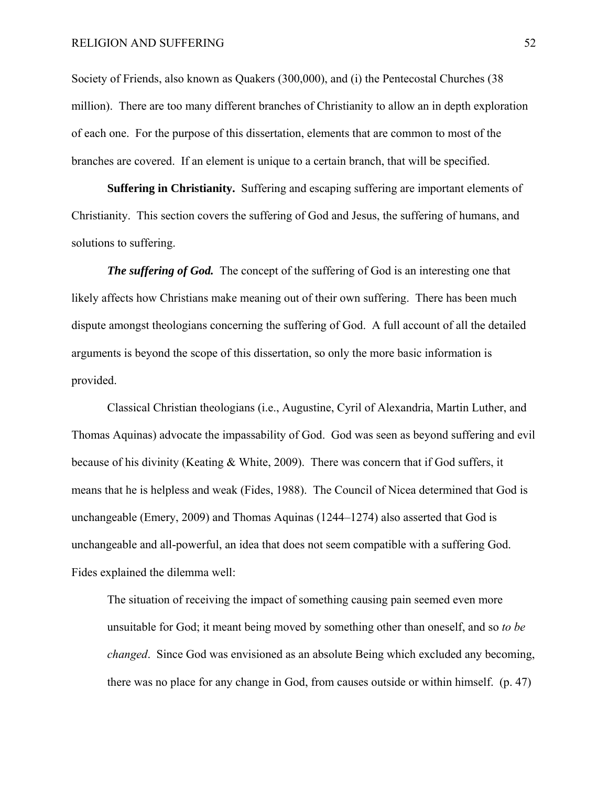Society of Friends, also known as Quakers (300,000), and (i) the Pentecostal Churches (38 million). There are too many different branches of Christianity to allow an in depth exploration of each one. For the purpose of this dissertation, elements that are common to most of the branches are covered. If an element is unique to a certain branch, that will be specified.

 **Suffering in Christianity.** Suffering and escaping suffering are important elements of Christianity. This section covers the suffering of God and Jesus, the suffering of humans, and solutions to suffering.

*The suffering of God.* The concept of the suffering of God is an interesting one that likely affects how Christians make meaning out of their own suffering. There has been much dispute amongst theologians concerning the suffering of God. A full account of all the detailed arguments is beyond the scope of this dissertation, so only the more basic information is provided.

Classical Christian theologians (i.e., Augustine, Cyril of Alexandria, Martin Luther, and Thomas Aquinas) advocate the impassability of God. God was seen as beyond suffering and evil because of his divinity (Keating & White, 2009). There was concern that if God suffers, it means that he is helpless and weak (Fides, 1988). The Council of Nicea determined that God is unchangeable (Emery, 2009) and Thomas Aquinas (1244–1274) also asserted that God is unchangeable and all-powerful, an idea that does not seem compatible with a suffering God. Fides explained the dilemma well:

The situation of receiving the impact of something causing pain seemed even more unsuitable for God; it meant being moved by something other than oneself, and so *to be changed*. Since God was envisioned as an absolute Being which excluded any becoming, there was no place for any change in God, from causes outside or within himself. (p. 47)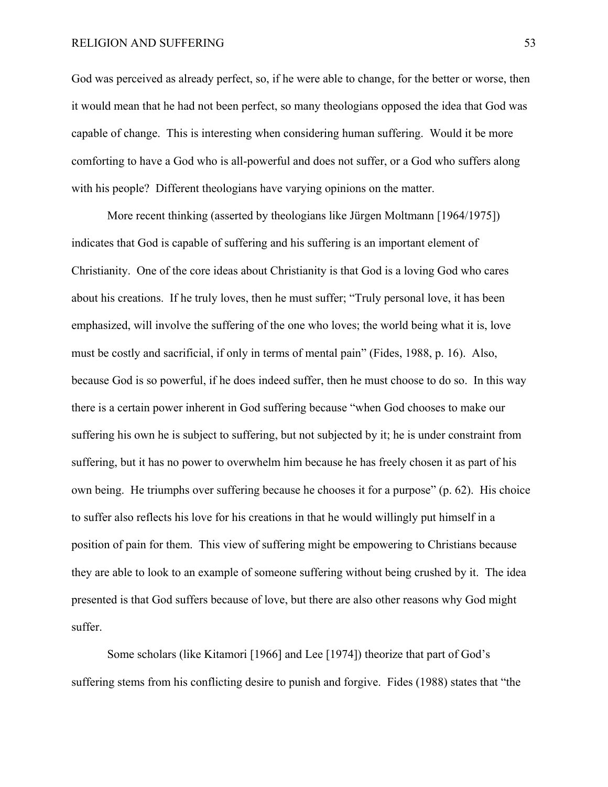God was perceived as already perfect, so, if he were able to change, for the better or worse, then it would mean that he had not been perfect, so many theologians opposed the idea that God was capable of change. This is interesting when considering human suffering. Would it be more comforting to have a God who is all-powerful and does not suffer, or a God who suffers along with his people? Different theologians have varying opinions on the matter.

More recent thinking (asserted by theologians like Jürgen Moltmann [1964/1975]) indicates that God is capable of suffering and his suffering is an important element of Christianity. One of the core ideas about Christianity is that God is a loving God who cares about his creations. If he truly loves, then he must suffer; "Truly personal love, it has been emphasized, will involve the suffering of the one who loves; the world being what it is, love must be costly and sacrificial, if only in terms of mental pain" (Fides, 1988, p. 16). Also, because God is so powerful, if he does indeed suffer, then he must choose to do so. In this way there is a certain power inherent in God suffering because "when God chooses to make our suffering his own he is subject to suffering, but not subjected by it; he is under constraint from suffering, but it has no power to overwhelm him because he has freely chosen it as part of his own being. He triumphs over suffering because he chooses it for a purpose" (p. 62). His choice to suffer also reflects his love for his creations in that he would willingly put himself in a position of pain for them. This view of suffering might be empowering to Christians because they are able to look to an example of someone suffering without being crushed by it. The idea presented is that God suffers because of love, but there are also other reasons why God might suffer.

Some scholars (like Kitamori [1966] and Lee [1974]) theorize that part of God's suffering stems from his conflicting desire to punish and forgive. Fides (1988) states that "the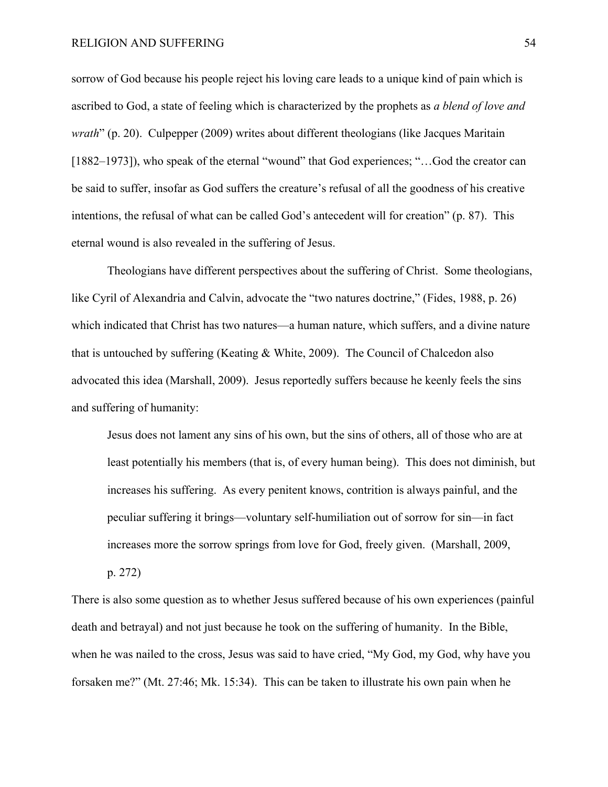sorrow of God because his people reject his loving care leads to a unique kind of pain which is ascribed to God, a state of feeling which is characterized by the prophets as *a blend of love and wrath*" (p. 20). Culpepper (2009) writes about different theologians (like Jacques Maritain [1882–1973]), who speak of the eternal "wound" that God experiences; "...God the creator can be said to suffer, insofar as God suffers the creature's refusal of all the goodness of his creative intentions, the refusal of what can be called God's antecedent will for creation" (p. 87). This eternal wound is also revealed in the suffering of Jesus.

Theologians have different perspectives about the suffering of Christ. Some theologians, like Cyril of Alexandria and Calvin, advocate the "two natures doctrine," (Fides, 1988, p. 26) which indicated that Christ has two natures—a human nature, which suffers, and a divine nature that is untouched by suffering (Keating & White, 2009). The Council of Chalcedon also advocated this idea (Marshall, 2009). Jesus reportedly suffers because he keenly feels the sins and suffering of humanity:

Jesus does not lament any sins of his own, but the sins of others, all of those who are at least potentially his members (that is, of every human being). This does not diminish, but increases his suffering. As every penitent knows, contrition is always painful, and the peculiar suffering it brings—voluntary self-humiliation out of sorrow for sin—in fact increases more the sorrow springs from love for God, freely given. (Marshall, 2009,

p. 272)

There is also some question as to whether Jesus suffered because of his own experiences (painful death and betrayal) and not just because he took on the suffering of humanity. In the Bible, when he was nailed to the cross, Jesus was said to have cried, "My God, my God, why have you forsaken me?" (Mt. 27:46; Mk. 15:34). This can be taken to illustrate his own pain when he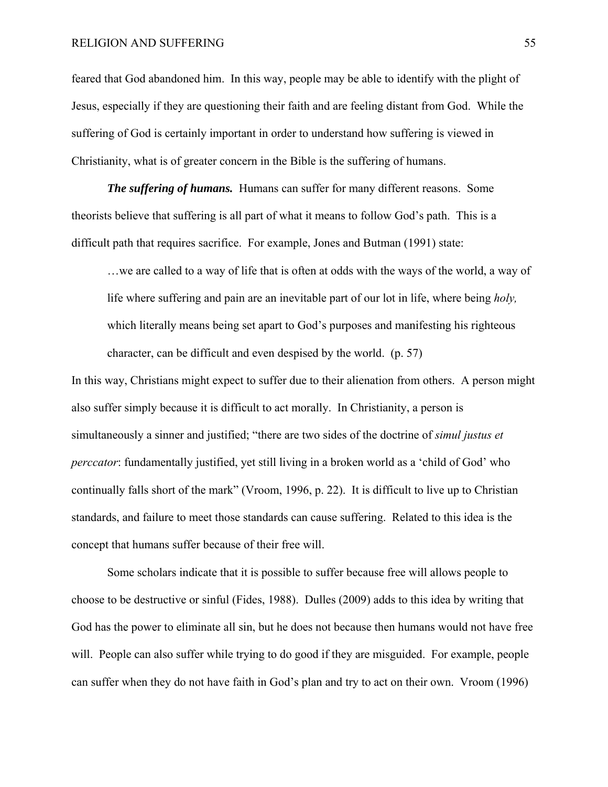feared that God abandoned him. In this way, people may be able to identify with the plight of Jesus, especially if they are questioning their faith and are feeling distant from God. While the suffering of God is certainly important in order to understand how suffering is viewed in Christianity, what is of greater concern in the Bible is the suffering of humans.

*The suffering of humans.* Humans can suffer for many different reasons. Some theorists believe that suffering is all part of what it means to follow God's path. This is a difficult path that requires sacrifice. For example, Jones and Butman (1991) state:

…we are called to a way of life that is often at odds with the ways of the world, a way of life where suffering and pain are an inevitable part of our lot in life, where being *holy,*  which literally means being set apart to God's purposes and manifesting his righteous character, can be difficult and even despised by the world. (p. 57)

In this way, Christians might expect to suffer due to their alienation from others. A person might also suffer simply because it is difficult to act morally. In Christianity, a person is simultaneously a sinner and justified; "there are two sides of the doctrine of *simul justus et perccator*: fundamentally justified, yet still living in a broken world as a 'child of God' who continually falls short of the mark" (Vroom, 1996, p. 22). It is difficult to live up to Christian standards, and failure to meet those standards can cause suffering. Related to this idea is the concept that humans suffer because of their free will.

Some scholars indicate that it is possible to suffer because free will allows people to choose to be destructive or sinful (Fides, 1988). Dulles (2009) adds to this idea by writing that God has the power to eliminate all sin, but he does not because then humans would not have free will. People can also suffer while trying to do good if they are misguided. For example, people can suffer when they do not have faith in God's plan and try to act on their own. Vroom (1996)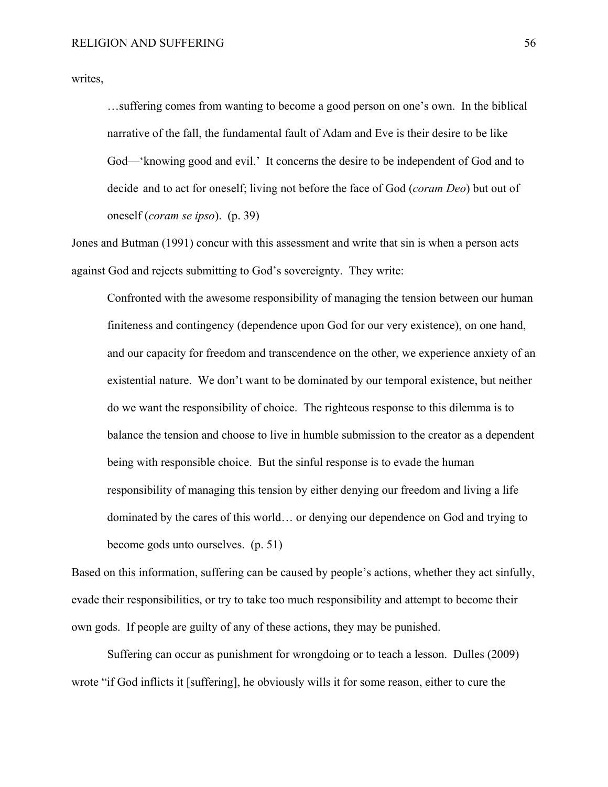writes,

…suffering comes from wanting to become a good person on one's own. In the biblical narrative of the fall, the fundamental fault of Adam and Eve is their desire to be like God—'knowing good and evil.' It concerns the desire to be independent of God and to decide and to act for oneself; living not before the face of God (*coram Deo*) but out of oneself (*coram se ipso*). (p. 39)

Jones and Butman (1991) concur with this assessment and write that sin is when a person acts against God and rejects submitting to God's sovereignty. They write:

Confronted with the awesome responsibility of managing the tension between our human finiteness and contingency (dependence upon God for our very existence), on one hand, and our capacity for freedom and transcendence on the other, we experience anxiety of an existential nature. We don't want to be dominated by our temporal existence, but neither do we want the responsibility of choice. The righteous response to this dilemma is to balance the tension and choose to live in humble submission to the creator as a dependent being with responsible choice. But the sinful response is to evade the human responsibility of managing this tension by either denying our freedom and living a life dominated by the cares of this world… or denying our dependence on God and trying to become gods unto ourselves. (p. 51)

Based on this information, suffering can be caused by people's actions, whether they act sinfully, evade their responsibilities, or try to take too much responsibility and attempt to become their own gods. If people are guilty of any of these actions, they may be punished.

Suffering can occur as punishment for wrongdoing or to teach a lesson. Dulles (2009) wrote "if God inflicts it [suffering], he obviously wills it for some reason, either to cure the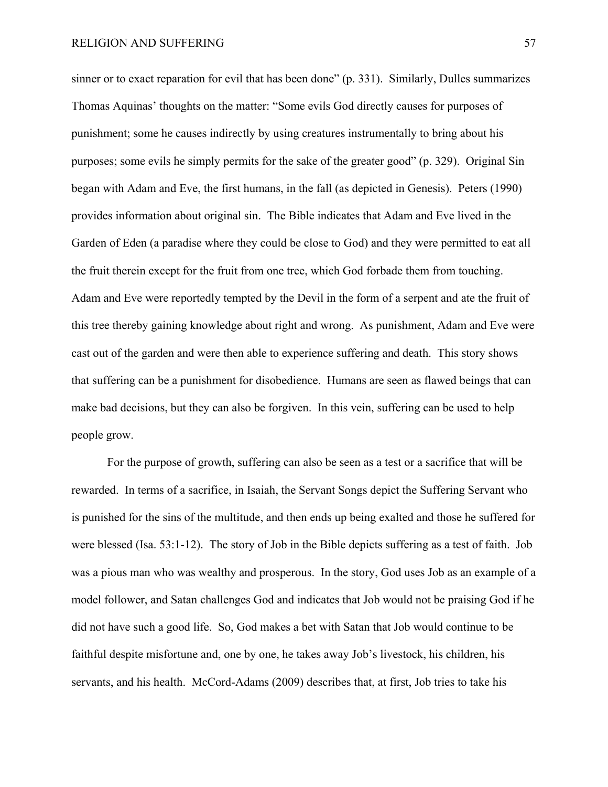sinner or to exact reparation for evil that has been done" (p. 331). Similarly, Dulles summarizes Thomas Aquinas' thoughts on the matter: "Some evils God directly causes for purposes of punishment; some he causes indirectly by using creatures instrumentally to bring about his purposes; some evils he simply permits for the sake of the greater good" (p. 329). Original Sin began with Adam and Eve, the first humans, in the fall (as depicted in Genesis). Peters (1990) provides information about original sin. The Bible indicates that Adam and Eve lived in the Garden of Eden (a paradise where they could be close to God) and they were permitted to eat all the fruit therein except for the fruit from one tree, which God forbade them from touching. Adam and Eve were reportedly tempted by the Devil in the form of a serpent and ate the fruit of this tree thereby gaining knowledge about right and wrong. As punishment, Adam and Eve were cast out of the garden and were then able to experience suffering and death. This story shows that suffering can be a punishment for disobedience. Humans are seen as flawed beings that can make bad decisions, but they can also be forgiven. In this vein, suffering can be used to help people grow.

For the purpose of growth, suffering can also be seen as a test or a sacrifice that will be rewarded. In terms of a sacrifice, in Isaiah, the Servant Songs depict the Suffering Servant who is punished for the sins of the multitude, and then ends up being exalted and those he suffered for were blessed (Isa. 53:1-12). The story of Job in the Bible depicts suffering as a test of faith. Job was a pious man who was wealthy and prosperous. In the story, God uses Job as an example of a model follower, and Satan challenges God and indicates that Job would not be praising God if he did not have such a good life. So, God makes a bet with Satan that Job would continue to be faithful despite misfortune and, one by one, he takes away Job's livestock, his children, his servants, and his health. McCord-Adams (2009) describes that, at first, Job tries to take his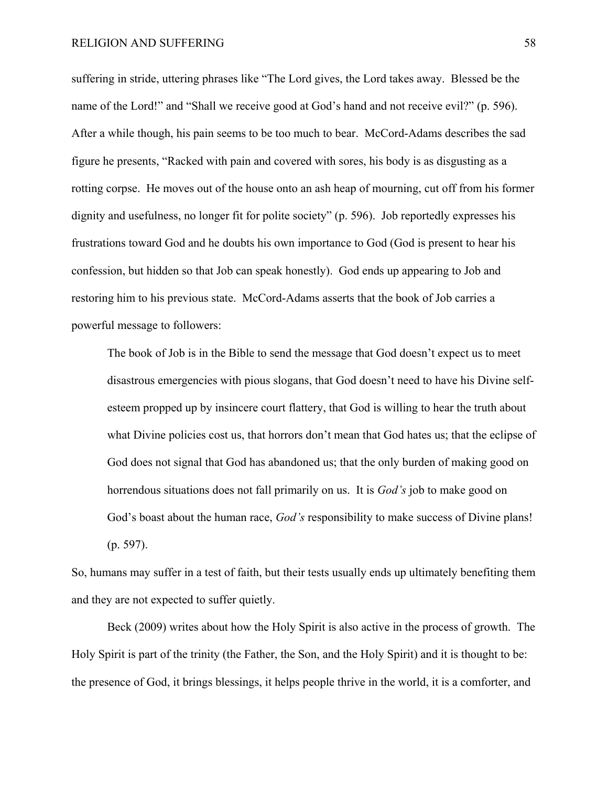suffering in stride, uttering phrases like "The Lord gives, the Lord takes away. Blessed be the name of the Lord!" and "Shall we receive good at God's hand and not receive evil?" (p. 596). After a while though, his pain seems to be too much to bear. McCord-Adams describes the sad figure he presents, "Racked with pain and covered with sores, his body is as disgusting as a rotting corpse. He moves out of the house onto an ash heap of mourning, cut off from his former dignity and usefulness, no longer fit for polite society" (p. 596). Job reportedly expresses his frustrations toward God and he doubts his own importance to God (God is present to hear his confession, but hidden so that Job can speak honestly). God ends up appearing to Job and restoring him to his previous state. McCord-Adams asserts that the book of Job carries a powerful message to followers:

The book of Job is in the Bible to send the message that God doesn't expect us to meet disastrous emergencies with pious slogans, that God doesn't need to have his Divine selfesteem propped up by insincere court flattery, that God is willing to hear the truth about what Divine policies cost us, that horrors don't mean that God hates us; that the eclipse of God does not signal that God has abandoned us; that the only burden of making good on horrendous situations does not fall primarily on us. It is *God's* job to make good on God's boast about the human race, *God's* responsibility to make success of Divine plans! (p. 597).

So, humans may suffer in a test of faith, but their tests usually ends up ultimately benefiting them and they are not expected to suffer quietly.

Beck (2009) writes about how the Holy Spirit is also active in the process of growth. The Holy Spirit is part of the trinity (the Father, the Son, and the Holy Spirit) and it is thought to be: the presence of God, it brings blessings, it helps people thrive in the world, it is a comforter, and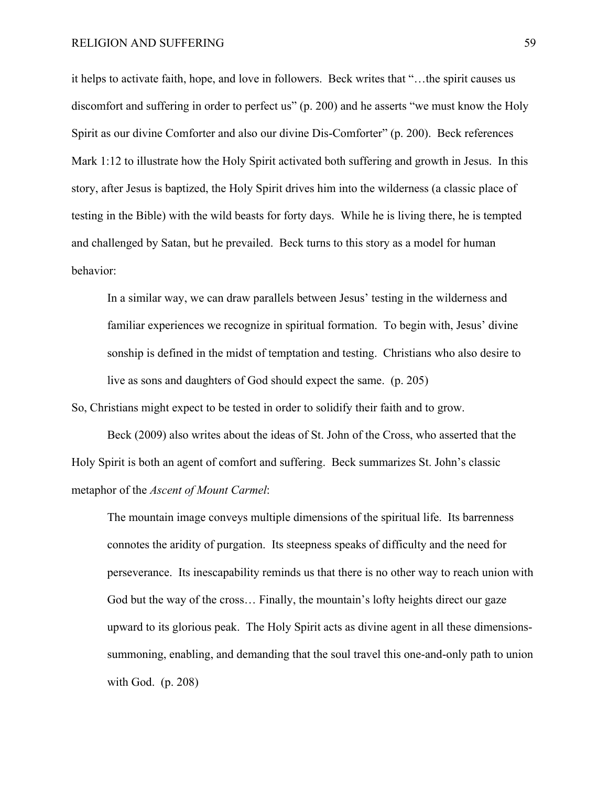it helps to activate faith, hope, and love in followers. Beck writes that "…the spirit causes us discomfort and suffering in order to perfect us" (p. 200) and he asserts "we must know the Holy Spirit as our divine Comforter and also our divine Dis-Comforter" (p. 200). Beck references Mark 1:12 to illustrate how the Holy Spirit activated both suffering and growth in Jesus. In this story, after Jesus is baptized, the Holy Spirit drives him into the wilderness (a classic place of testing in the Bible) with the wild beasts for forty days. While he is living there, he is tempted and challenged by Satan, but he prevailed. Beck turns to this story as a model for human behavior:

In a similar way, we can draw parallels between Jesus' testing in the wilderness and familiar experiences we recognize in spiritual formation. To begin with, Jesus' divine sonship is defined in the midst of temptation and testing. Christians who also desire to live as sons and daughters of God should expect the same. (p. 205)

So, Christians might expect to be tested in order to solidify their faith and to grow.

Beck (2009) also writes about the ideas of St. John of the Cross, who asserted that the Holy Spirit is both an agent of comfort and suffering. Beck summarizes St. John's classic metaphor of the *Ascent of Mount Carmel*:

The mountain image conveys multiple dimensions of the spiritual life. Its barrenness connotes the aridity of purgation. Its steepness speaks of difficulty and the need for perseverance. Its inescapability reminds us that there is no other way to reach union with God but the way of the cross… Finally, the mountain's lofty heights direct our gaze upward to its glorious peak. The Holy Spirit acts as divine agent in all these dimensionssummoning, enabling, and demanding that the soul travel this one-and-only path to union with God. (p. 208)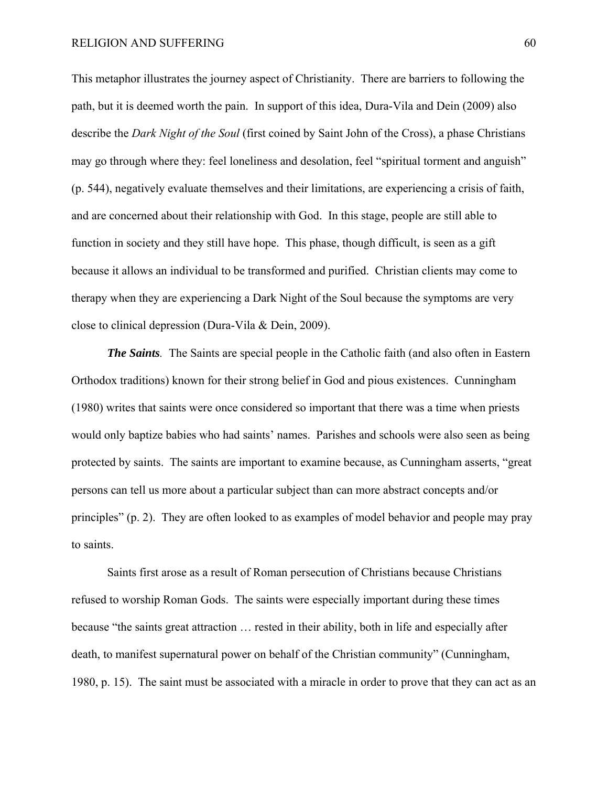This metaphor illustrates the journey aspect of Christianity. There are barriers to following the path, but it is deemed worth the pain. In support of this idea, Dura-Vila and Dein (2009) also describe the *Dark Night of the Soul* (first coined by Saint John of the Cross), a phase Christians may go through where they: feel loneliness and desolation, feel "spiritual torment and anguish" (p. 544), negatively evaluate themselves and their limitations, are experiencing a crisis of faith, and are concerned about their relationship with God. In this stage, people are still able to function in society and they still have hope. This phase, though difficult, is seen as a gift because it allows an individual to be transformed and purified. Christian clients may come to therapy when they are experiencing a Dark Night of the Soul because the symptoms are very close to clinical depression (Dura-Vila & Dein, 2009).

*The Saints.* The Saints are special people in the Catholic faith (and also often in Eastern Orthodox traditions) known for their strong belief in God and pious existences. Cunningham (1980) writes that saints were once considered so important that there was a time when priests would only baptize babies who had saints' names. Parishes and schools were also seen as being protected by saints. The saints are important to examine because, as Cunningham asserts, "great persons can tell us more about a particular subject than can more abstract concepts and/or principles" (p. 2). They are often looked to as examples of model behavior and people may pray to saints.

Saints first arose as a result of Roman persecution of Christians because Christians refused to worship Roman Gods. The saints were especially important during these times because "the saints great attraction … rested in their ability, both in life and especially after death, to manifest supernatural power on behalf of the Christian community" (Cunningham, 1980, p. 15). The saint must be associated with a miracle in order to prove that they can act as an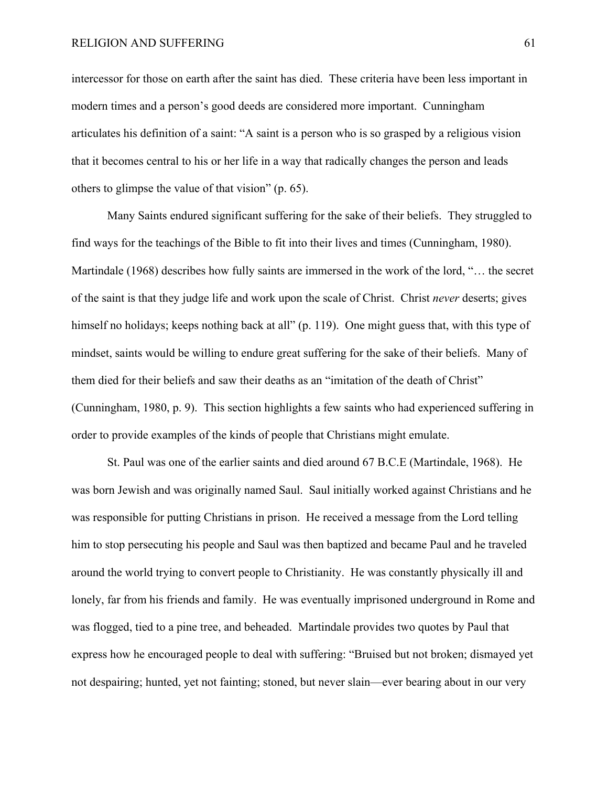intercessor for those on earth after the saint has died. These criteria have been less important in modern times and a person's good deeds are considered more important. Cunningham articulates his definition of a saint: "A saint is a person who is so grasped by a religious vision that it becomes central to his or her life in a way that radically changes the person and leads others to glimpse the value of that vision" (p. 65).

Many Saints endured significant suffering for the sake of their beliefs. They struggled to find ways for the teachings of the Bible to fit into their lives and times (Cunningham, 1980). Martindale (1968) describes how fully saints are immersed in the work of the lord, "… the secret of the saint is that they judge life and work upon the scale of Christ. Christ *never* deserts; gives himself no holidays; keeps nothing back at all" (p. 119). One might guess that, with this type of mindset, saints would be willing to endure great suffering for the sake of their beliefs. Many of them died for their beliefs and saw their deaths as an "imitation of the death of Christ" (Cunningham, 1980, p. 9). This section highlights a few saints who had experienced suffering in order to provide examples of the kinds of people that Christians might emulate.

St. Paul was one of the earlier saints and died around 67 B.C.E (Martindale, 1968). He was born Jewish and was originally named Saul. Saul initially worked against Christians and he was responsible for putting Christians in prison. He received a message from the Lord telling him to stop persecuting his people and Saul was then baptized and became Paul and he traveled around the world trying to convert people to Christianity. He was constantly physically ill and lonely, far from his friends and family. He was eventually imprisoned underground in Rome and was flogged, tied to a pine tree, and beheaded. Martindale provides two quotes by Paul that express how he encouraged people to deal with suffering: "Bruised but not broken; dismayed yet not despairing; hunted, yet not fainting; stoned, but never slain—ever bearing about in our very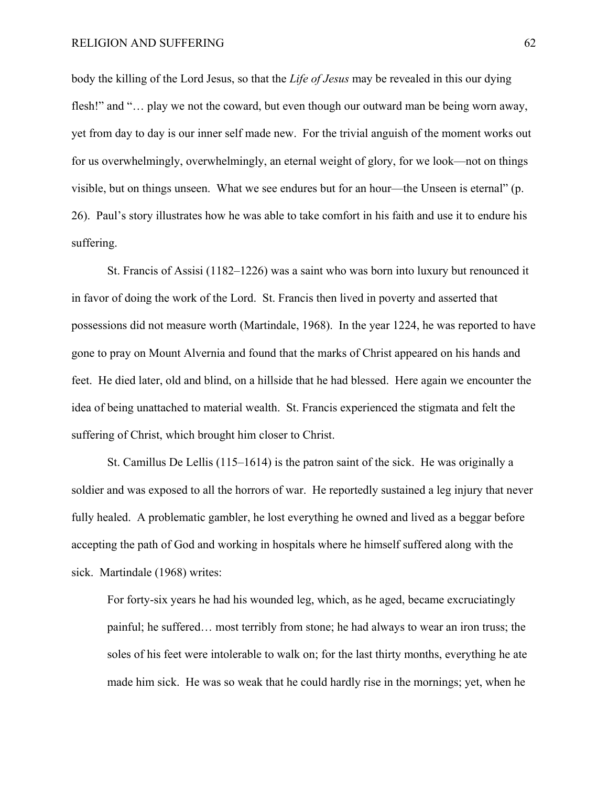body the killing of the Lord Jesus, so that the *Life of Jesus* may be revealed in this our dying flesh!" and "... play we not the coward, but even though our outward man be being worn away, yet from day to day is our inner self made new. For the trivial anguish of the moment works out for us overwhelmingly, overwhelmingly, an eternal weight of glory, for we look—not on things visible, but on things unseen. What we see endures but for an hour—the Unseen is eternal" (p. 26). Paul's story illustrates how he was able to take comfort in his faith and use it to endure his suffering.

St. Francis of Assisi (1182–1226) was a saint who was born into luxury but renounced it in favor of doing the work of the Lord. St. Francis then lived in poverty and asserted that possessions did not measure worth (Martindale, 1968). In the year 1224, he was reported to have gone to pray on Mount Alvernia and found that the marks of Christ appeared on his hands and feet. He died later, old and blind, on a hillside that he had blessed. Here again we encounter the idea of being unattached to material wealth. St. Francis experienced the stigmata and felt the suffering of Christ, which brought him closer to Christ.

St. Camillus De Lellis (115–1614) is the patron saint of the sick. He was originally a soldier and was exposed to all the horrors of war. He reportedly sustained a leg injury that never fully healed. A problematic gambler, he lost everything he owned and lived as a beggar before accepting the path of God and working in hospitals where he himself suffered along with the sick. Martindale (1968) writes:

For forty-six years he had his wounded leg, which, as he aged, became excruciatingly painful; he suffered… most terribly from stone; he had always to wear an iron truss; the soles of his feet were intolerable to walk on; for the last thirty months, everything he ate made him sick. He was so weak that he could hardly rise in the mornings; yet, when he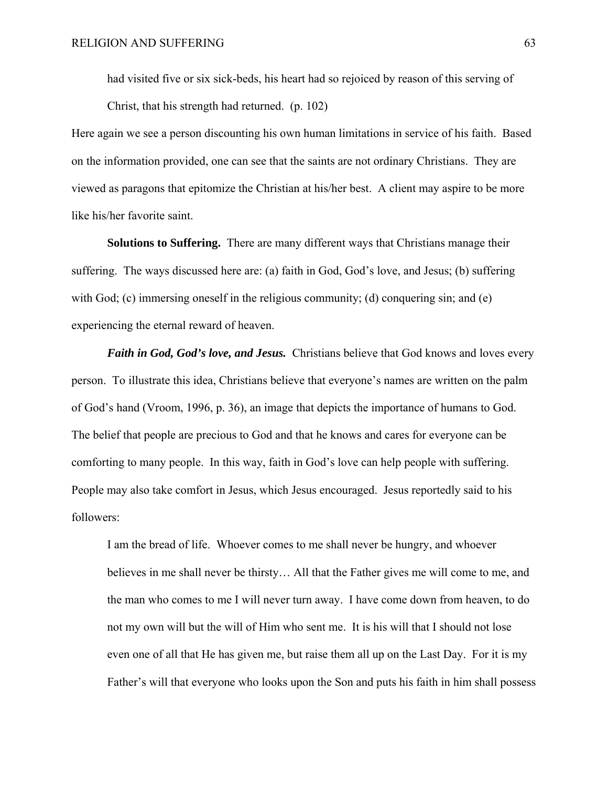had visited five or six sick-beds, his heart had so rejoiced by reason of this serving of Christ, that his strength had returned. (p. 102)

Here again we see a person discounting his own human limitations in service of his faith. Based on the information provided, one can see that the saints are not ordinary Christians. They are viewed as paragons that epitomize the Christian at his/her best. A client may aspire to be more like his/her favorite saint.

 **Solutions to Suffering.** There are many different ways that Christians manage their suffering. The ways discussed here are: (a) faith in God, God's love, and Jesus; (b) suffering with God; (c) immersing oneself in the religious community; (d) conquering sin; and (e) experiencing the eternal reward of heaven.

*Faith in God, God's love, and Jesus.* Christians believe that God knows and loves every person. To illustrate this idea, Christians believe that everyone's names are written on the palm of God's hand (Vroom, 1996, p. 36), an image that depicts the importance of humans to God. The belief that people are precious to God and that he knows and cares for everyone can be comforting to many people. In this way, faith in God's love can help people with suffering. People may also take comfort in Jesus, which Jesus encouraged. Jesus reportedly said to his followers:

I am the bread of life. Whoever comes to me shall never be hungry, and whoever believes in me shall never be thirsty… All that the Father gives me will come to me, and the man who comes to me I will never turn away. I have come down from heaven, to do not my own will but the will of Him who sent me. It is his will that I should not lose even one of all that He has given me, but raise them all up on the Last Day. For it is my Father's will that everyone who looks upon the Son and puts his faith in him shall possess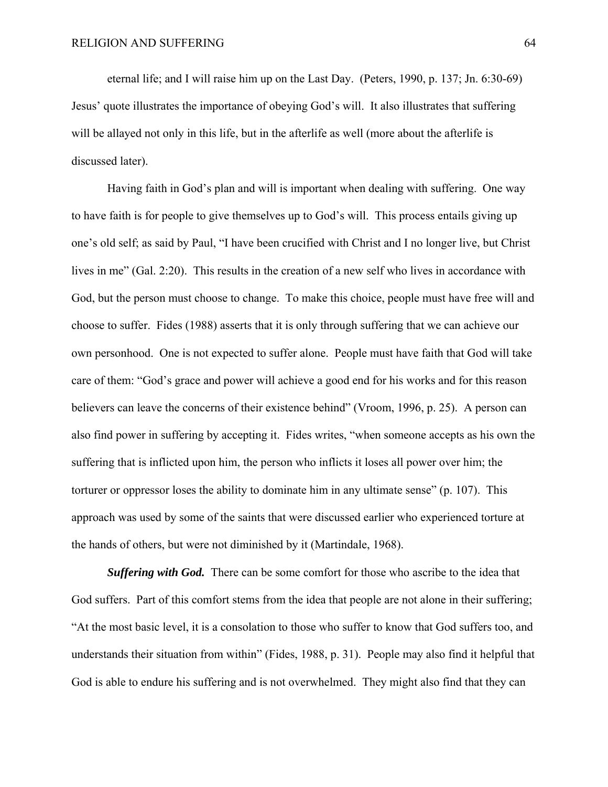eternal life; and I will raise him up on the Last Day. (Peters, 1990, p. 137; Jn. 6:30-69) Jesus' quote illustrates the importance of obeying God's will. It also illustrates that suffering will be allayed not only in this life, but in the afterlife as well (more about the afterlife is discussed later).

Having faith in God's plan and will is important when dealing with suffering. One way to have faith is for people to give themselves up to God's will. This process entails giving up one's old self; as said by Paul, "I have been crucified with Christ and I no longer live, but Christ lives in me" (Gal. 2:20). This results in the creation of a new self who lives in accordance with God, but the person must choose to change. To make this choice, people must have free will and choose to suffer. Fides (1988) asserts that it is only through suffering that we can achieve our own personhood. One is not expected to suffer alone. People must have faith that God will take care of them: "God's grace and power will achieve a good end for his works and for this reason believers can leave the concerns of their existence behind" (Vroom, 1996, p. 25). A person can also find power in suffering by accepting it. Fides writes, "when someone accepts as his own the suffering that is inflicted upon him, the person who inflicts it loses all power over him; the torturer or oppressor loses the ability to dominate him in any ultimate sense" (p. 107). This approach was used by some of the saints that were discussed earlier who experienced torture at the hands of others, but were not diminished by it (Martindale, 1968).

*Suffering with God.* There can be some comfort for those who ascribe to the idea that God suffers. Part of this comfort stems from the idea that people are not alone in their suffering; "At the most basic level, it is a consolation to those who suffer to know that God suffers too, and understands their situation from within" (Fides, 1988, p. 31). People may also find it helpful that God is able to endure his suffering and is not overwhelmed. They might also find that they can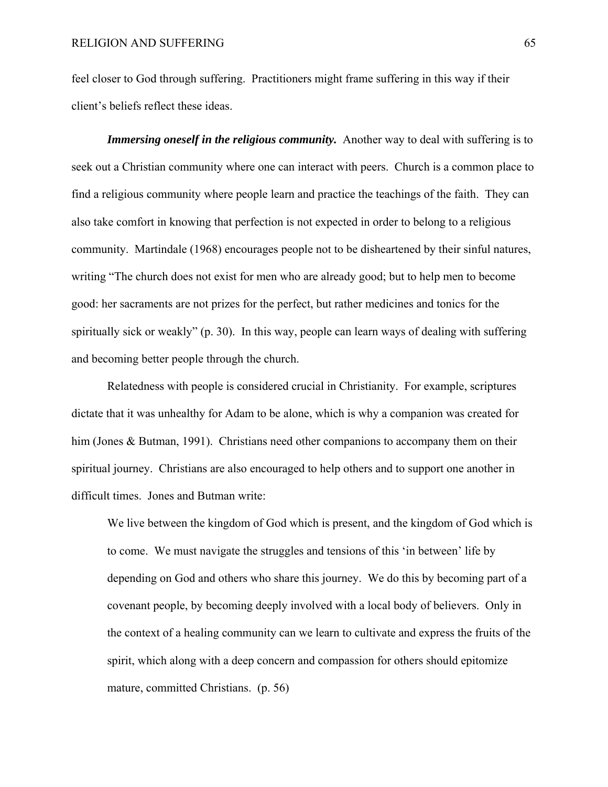feel closer to God through suffering. Practitioners might frame suffering in this way if their client's beliefs reflect these ideas.

*Immersing oneself in the religious community.* Another way to deal with suffering is to seek out a Christian community where one can interact with peers. Church is a common place to find a religious community where people learn and practice the teachings of the faith. They can also take comfort in knowing that perfection is not expected in order to belong to a religious community. Martindale (1968) encourages people not to be disheartened by their sinful natures, writing "The church does not exist for men who are already good; but to help men to become good: her sacraments are not prizes for the perfect, but rather medicines and tonics for the spiritually sick or weakly" (p. 30). In this way, people can learn ways of dealing with suffering and becoming better people through the church.

Relatedness with people is considered crucial in Christianity. For example, scriptures dictate that it was unhealthy for Adam to be alone, which is why a companion was created for him (Jones & Butman, 1991). Christians need other companions to accompany them on their spiritual journey. Christians are also encouraged to help others and to support one another in difficult times. Jones and Butman write:

We live between the kingdom of God which is present, and the kingdom of God which is to come. We must navigate the struggles and tensions of this 'in between' life by depending on God and others who share this journey. We do this by becoming part of a covenant people, by becoming deeply involved with a local body of believers. Only in the context of a healing community can we learn to cultivate and express the fruits of the spirit, which along with a deep concern and compassion for others should epitomize mature, committed Christians. (p. 56)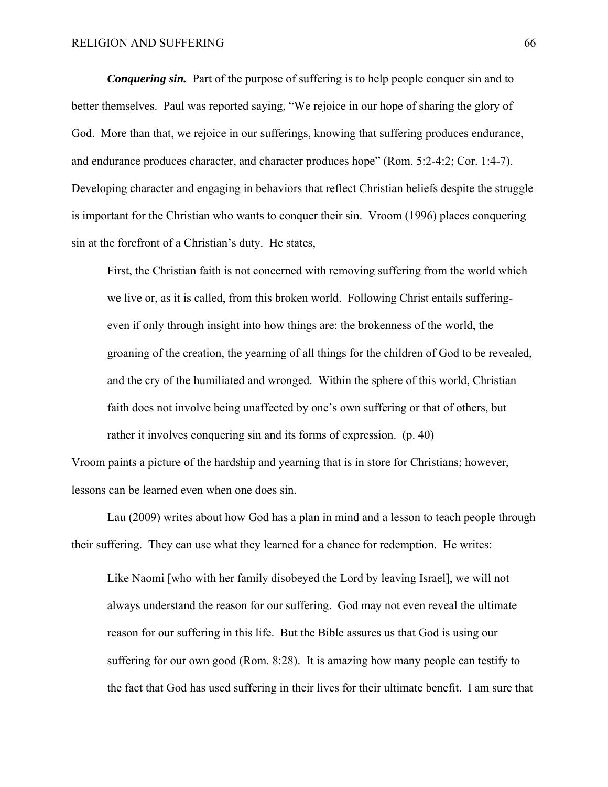*Conquering sin.* Part of the purpose of suffering is to help people conquer sin and to better themselves. Paul was reported saying, "We rejoice in our hope of sharing the glory of God. More than that, we rejoice in our sufferings, knowing that suffering produces endurance, and endurance produces character, and character produces hope" (Rom. 5:2-4:2; Cor. 1:4-7). Developing character and engaging in behaviors that reflect Christian beliefs despite the struggle is important for the Christian who wants to conquer their sin. Vroom (1996) places conquering sin at the forefront of a Christian's duty. He states,

First, the Christian faith is not concerned with removing suffering from the world which we live or, as it is called, from this broken world. Following Christ entails sufferingeven if only through insight into how things are: the brokenness of the world, the groaning of the creation, the yearning of all things for the children of God to be revealed, and the cry of the humiliated and wronged. Within the sphere of this world, Christian faith does not involve being unaffected by one's own suffering or that of others, but rather it involves conquering sin and its forms of expression. (p. 40)

Vroom paints a picture of the hardship and yearning that is in store for Christians; however, lessons can be learned even when one does sin.

Lau (2009) writes about how God has a plan in mind and a lesson to teach people through their suffering. They can use what they learned for a chance for redemption. He writes:

Like Naomi [who with her family disobeyed the Lord by leaving Israel], we will not always understand the reason for our suffering. God may not even reveal the ultimate reason for our suffering in this life. But the Bible assures us that God is using our suffering for our own good (Rom. 8:28). It is amazing how many people can testify to the fact that God has used suffering in their lives for their ultimate benefit. I am sure that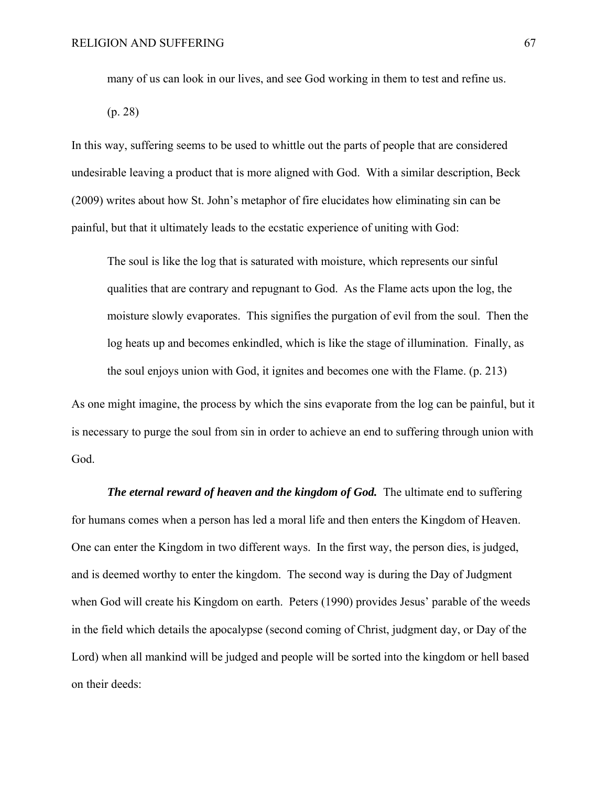many of us can look in our lives, and see God working in them to test and refine us.

(p. 28)

In this way, suffering seems to be used to whittle out the parts of people that are considered undesirable leaving a product that is more aligned with God. With a similar description, Beck (2009) writes about how St. John's metaphor of fire elucidates how eliminating sin can be painful, but that it ultimately leads to the ecstatic experience of uniting with God:

The soul is like the log that is saturated with moisture, which represents our sinful qualities that are contrary and repugnant to God. As the Flame acts upon the log, the moisture slowly evaporates. This signifies the purgation of evil from the soul. Then the log heats up and becomes enkindled, which is like the stage of illumination. Finally, as the soul enjoys union with God, it ignites and becomes one with the Flame. (p. 213)

As one might imagine, the process by which the sins evaporate from the log can be painful, but it is necessary to purge the soul from sin in order to achieve an end to suffering through union with God.

*The eternal reward of heaven and the kingdom of God.* The ultimate end to suffering for humans comes when a person has led a moral life and then enters the Kingdom of Heaven. One can enter the Kingdom in two different ways. In the first way, the person dies, is judged, and is deemed worthy to enter the kingdom. The second way is during the Day of Judgment when God will create his Kingdom on earth. Peters (1990) provides Jesus' parable of the weeds in the field which details the apocalypse (second coming of Christ, judgment day, or Day of the Lord) when all mankind will be judged and people will be sorted into the kingdom or hell based on their deeds: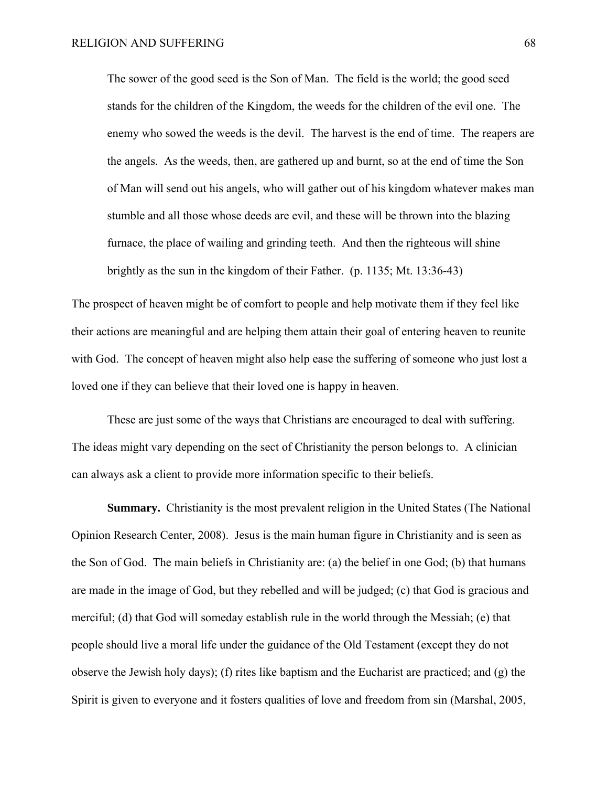The sower of the good seed is the Son of Man. The field is the world; the good seed stands for the children of the Kingdom, the weeds for the children of the evil one. The enemy who sowed the weeds is the devil. The harvest is the end of time. The reapers are the angels. As the weeds, then, are gathered up and burnt, so at the end of time the Son of Man will send out his angels, who will gather out of his kingdom whatever makes man stumble and all those whose deeds are evil, and these will be thrown into the blazing furnace, the place of wailing and grinding teeth. And then the righteous will shine brightly as the sun in the kingdom of their Father. (p. 1135; Mt. 13:36-43)

The prospect of heaven might be of comfort to people and help motivate them if they feel like their actions are meaningful and are helping them attain their goal of entering heaven to reunite with God. The concept of heaven might also help ease the suffering of someone who just lost a loved one if they can believe that their loved one is happy in heaven.

 These are just some of the ways that Christians are encouraged to deal with suffering. The ideas might vary depending on the sect of Christianity the person belongs to. A clinician can always ask a client to provide more information specific to their beliefs.

**Summary.**Christianity is the most prevalent religion in the United States (The National Opinion Research Center, 2008). Jesus is the main human figure in Christianity and is seen as the Son of God. The main beliefs in Christianity are: (a) the belief in one God; (b) that humans are made in the image of God, but they rebelled and will be judged; (c) that God is gracious and merciful; (d) that God will someday establish rule in the world through the Messiah; (e) that people should live a moral life under the guidance of the Old Testament (except they do not observe the Jewish holy days); (f) rites like baptism and the Eucharist are practiced; and (g) the Spirit is given to everyone and it fosters qualities of love and freedom from sin (Marshal, 2005,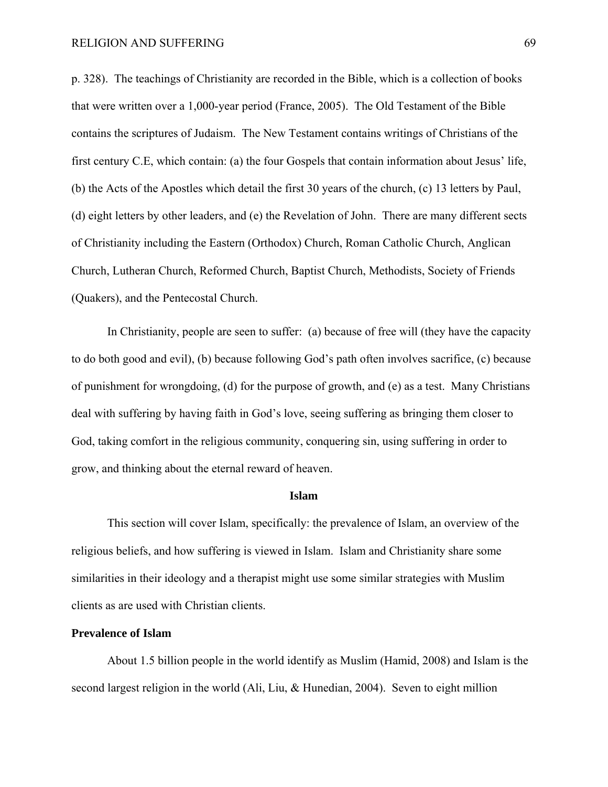p. 328). The teachings of Christianity are recorded in the Bible, which is a collection of books that were written over a 1,000-year period (France, 2005). The Old Testament of the Bible contains the scriptures of Judaism. The New Testament contains writings of Christians of the first century C.E, which contain: (a) the four Gospels that contain information about Jesus' life, (b) the Acts of the Apostles which detail the first 30 years of the church, (c) 13 letters by Paul, (d) eight letters by other leaders, and (e) the Revelation of John. There are many different sects of Christianity including the Eastern (Orthodox) Church, Roman Catholic Church, Anglican Church, Lutheran Church, Reformed Church, Baptist Church, Methodists, Society of Friends (Quakers), and the Pentecostal Church.

In Christianity, people are seen to suffer: (a) because of free will (they have the capacity to do both good and evil), (b) because following God's path often involves sacrifice, (c) because of punishment for wrongdoing, (d) for the purpose of growth, and (e) as a test. Many Christians deal with suffering by having faith in God's love, seeing suffering as bringing them closer to God, taking comfort in the religious community, conquering sin, using suffering in order to grow, and thinking about the eternal reward of heaven.

#### **Islam**

This section will cover Islam, specifically: the prevalence of Islam, an overview of the religious beliefs, and how suffering is viewed in Islam. Islam and Christianity share some similarities in their ideology and a therapist might use some similar strategies with Muslim clients as are used with Christian clients.

# **Prevalence of Islam**

About 1.5 billion people in the world identify as Muslim (Hamid, 2008) and Islam is the second largest religion in the world (Ali, Liu, & Hunedian, 2004). Seven to eight million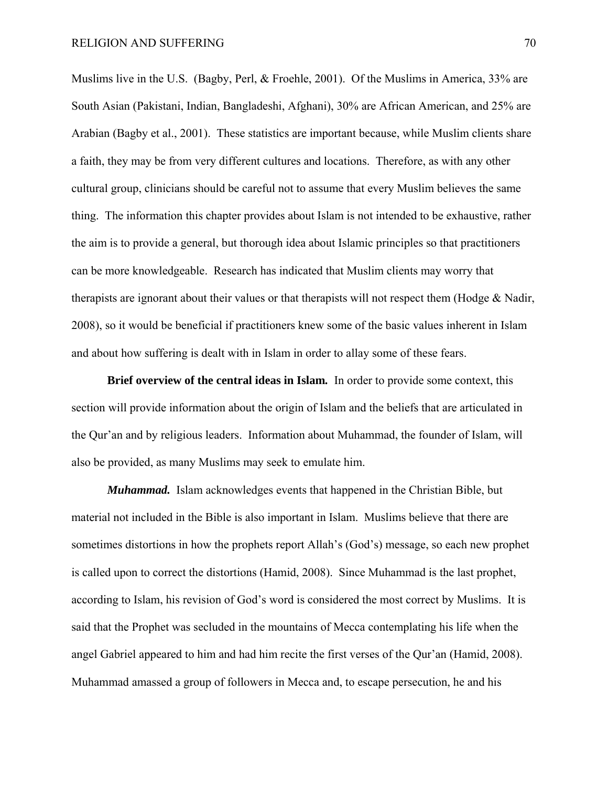Muslims live in the U.S. (Bagby, Perl, & Froehle, 2001). Of the Muslims in America, 33% are South Asian (Pakistani, Indian, Bangladeshi, Afghani), 30% are African American, and 25% are Arabian (Bagby et al., 2001). These statistics are important because, while Muslim clients share a faith, they may be from very different cultures and locations. Therefore, as with any other cultural group, clinicians should be careful not to assume that every Muslim believes the same thing. The information this chapter provides about Islam is not intended to be exhaustive, rather the aim is to provide a general, but thorough idea about Islamic principles so that practitioners can be more knowledgeable. Research has indicated that Muslim clients may worry that therapists are ignorant about their values or that therapists will not respect them (Hodge & Nadir, 2008), so it would be beneficial if practitioners knew some of the basic values inherent in Islam and about how suffering is dealt with in Islam in order to allay some of these fears.

**Brief overview of the central ideas in Islam***.* In order to provide some context, this section will provide information about the origin of Islam and the beliefs that are articulated in the Qur'an and by religious leaders. Information about Muhammad, the founder of Islam, will also be provided, as many Muslims may seek to emulate him.

*Muhammad.* Islam acknowledges events that happened in the Christian Bible, but material not included in the Bible is also important in Islam. Muslims believe that there are sometimes distortions in how the prophets report Allah's (God's) message, so each new prophet is called upon to correct the distortions (Hamid, 2008). Since Muhammad is the last prophet, according to Islam, his revision of God's word is considered the most correct by Muslims. It is said that the Prophet was secluded in the mountains of Mecca contemplating his life when the angel Gabriel appeared to him and had him recite the first verses of the Qur'an (Hamid, 2008). Muhammad amassed a group of followers in Mecca and, to escape persecution, he and his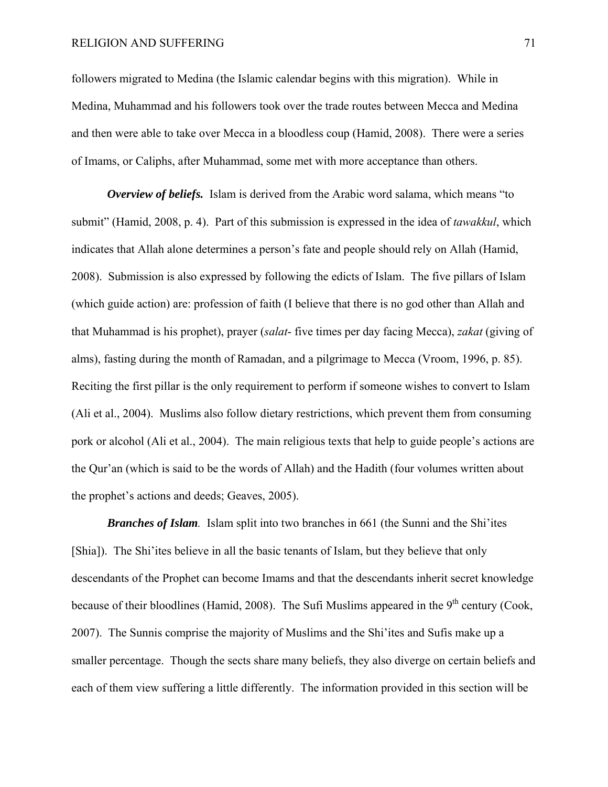### RELIGION AND SUFFERING 71

followers migrated to Medina (the Islamic calendar begins with this migration). While in Medina, Muhammad and his followers took over the trade routes between Mecca and Medina and then were able to take over Mecca in a bloodless coup (Hamid, 2008). There were a series of Imams, or Caliphs, after Muhammad, some met with more acceptance than others.

*Overview of beliefs.* Islam is derived from the Arabic word salama, which means "to submit" (Hamid, 2008, p. 4). Part of this submission is expressed in the idea of *tawakkul*, which indicates that Allah alone determines a person's fate and people should rely on Allah (Hamid, 2008). Submission is also expressed by following the edicts of Islam. The five pillars of Islam (which guide action) are: profession of faith (I believe that there is no god other than Allah and that Muhammad is his prophet), prayer (*salat*- five times per day facing Mecca), *zakat* (giving of alms), fasting during the month of Ramadan, and a pilgrimage to Mecca (Vroom, 1996, p. 85). Reciting the first pillar is the only requirement to perform if someone wishes to convert to Islam (Ali et al., 2004). Muslims also follow dietary restrictions, which prevent them from consuming pork or alcohol (Ali et al., 2004). The main religious texts that help to guide people's actions are the Qur'an (which is said to be the words of Allah) and the Hadith (four volumes written about the prophet's actions and deeds; Geaves, 2005).

*Branches of Islam.* Islam split into two branches in 661 (the Sunni and the Shi'ites [Shia]). The Shi'ites believe in all the basic tenants of Islam, but they believe that only descendants of the Prophet can become Imams and that the descendants inherit secret knowledge because of their bloodlines (Hamid, 2008). The Sufi Muslims appeared in the 9<sup>th</sup> century (Cook. 2007). The Sunnis comprise the majority of Muslims and the Shi'ites and Sufis make up a smaller percentage. Though the sects share many beliefs, they also diverge on certain beliefs and each of them view suffering a little differently. The information provided in this section will be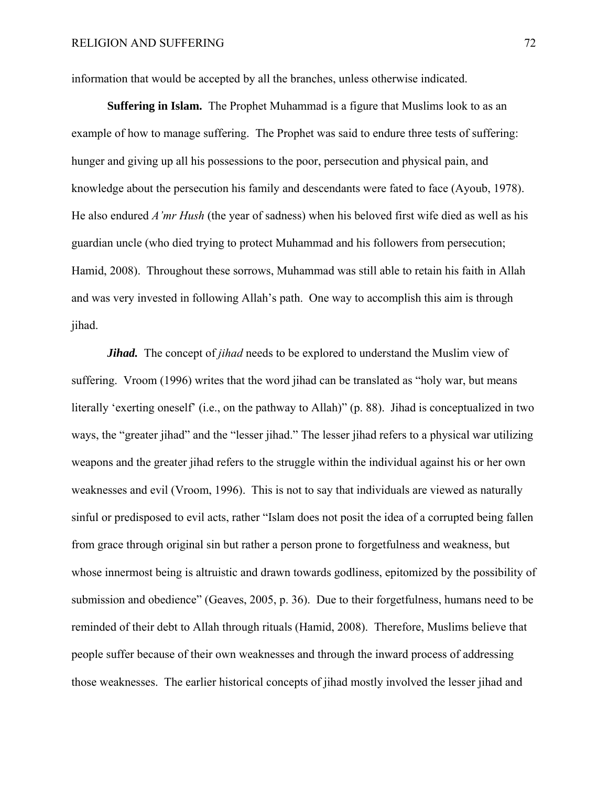information that would be accepted by all the branches, unless otherwise indicated.

**Suffering in Islam.** The Prophet Muhammad is a figure that Muslims look to as an example of how to manage suffering. The Prophet was said to endure three tests of suffering: hunger and giving up all his possessions to the poor, persecution and physical pain, and knowledge about the persecution his family and descendants were fated to face (Ayoub, 1978). He also endured *A'mr Hush* (the year of sadness) when his beloved first wife died as well as his guardian uncle (who died trying to protect Muhammad and his followers from persecution; Hamid, 2008). Throughout these sorrows, Muhammad was still able to retain his faith in Allah and was very invested in following Allah's path. One way to accomplish this aim is through jihad.

*Jihad.* The concept of *jihad* needs to be explored to understand the Muslim view of suffering. Vroom (1996) writes that the word jihad can be translated as "holy war, but means literally 'exerting oneself' (i.e., on the pathway to Allah)" (p. 88). Jihad is conceptualized in two ways, the "greater jihad" and the "lesser jihad." The lesser jihad refers to a physical war utilizing weapons and the greater jihad refers to the struggle within the individual against his or her own weaknesses and evil (Vroom, 1996). This is not to say that individuals are viewed as naturally sinful or predisposed to evil acts, rather "Islam does not posit the idea of a corrupted being fallen from grace through original sin but rather a person prone to forgetfulness and weakness, but whose innermost being is altruistic and drawn towards godliness, epitomized by the possibility of submission and obedience" (Geaves, 2005, p. 36). Due to their forgetfulness, humans need to be reminded of their debt to Allah through rituals (Hamid, 2008). Therefore, Muslims believe that people suffer because of their own weaknesses and through the inward process of addressing those weaknesses. The earlier historical concepts of jihad mostly involved the lesser jihad and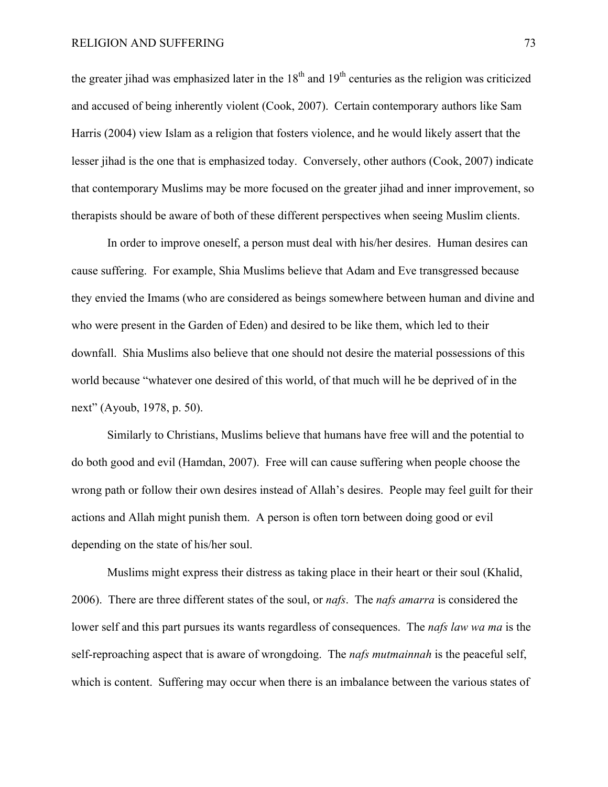the greater jihad was emphasized later in the  $18<sup>th</sup>$  and  $19<sup>th</sup>$  centuries as the religion was criticized and accused of being inherently violent (Cook, 2007). Certain contemporary authors like Sam Harris (2004) view Islam as a religion that fosters violence, and he would likely assert that the lesser jihad is the one that is emphasized today. Conversely, other authors (Cook, 2007) indicate that contemporary Muslims may be more focused on the greater jihad and inner improvement, so therapists should be aware of both of these different perspectives when seeing Muslim clients.

 In order to improve oneself, a person must deal with his/her desires. Human desires can cause suffering. For example, Shia Muslims believe that Adam and Eve transgressed because they envied the Imams (who are considered as beings somewhere between human and divine and who were present in the Garden of Eden) and desired to be like them, which led to their downfall. Shia Muslims also believe that one should not desire the material possessions of this world because "whatever one desired of this world, of that much will he be deprived of in the next" (Ayoub, 1978, p. 50).

Similarly to Christians, Muslims believe that humans have free will and the potential to do both good and evil (Hamdan, 2007). Free will can cause suffering when people choose the wrong path or follow their own desires instead of Allah's desires. People may feel guilt for their actions and Allah might punish them. A person is often torn between doing good or evil depending on the state of his/her soul.

 Muslims might express their distress as taking place in their heart or their soul (Khalid, 2006). There are three different states of the soul, or *nafs*. The *nafs amarra* is considered the lower self and this part pursues its wants regardless of consequences. The *nafs law wa ma* is the self-reproaching aspect that is aware of wrongdoing. The *nafs mutmainnah* is the peaceful self, which is content. Suffering may occur when there is an imbalance between the various states of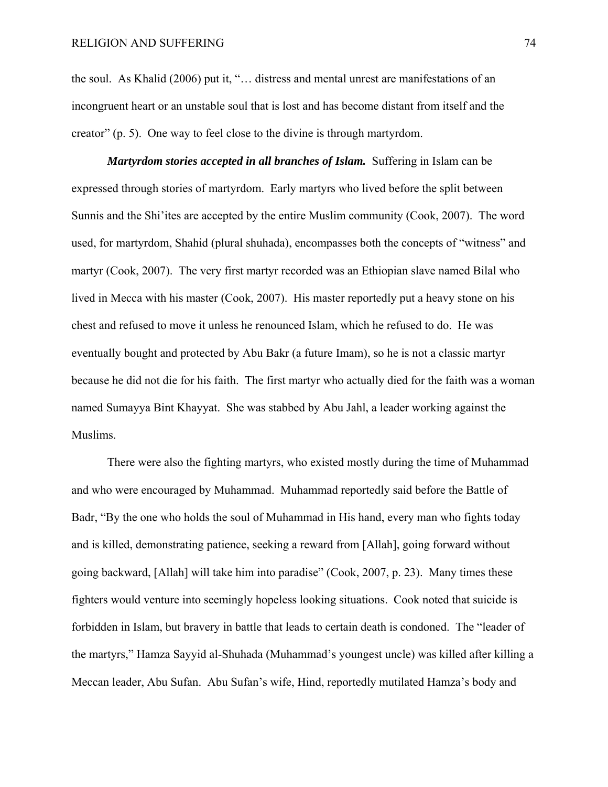the soul. As Khalid (2006) put it, "… distress and mental unrest are manifestations of an incongruent heart or an unstable soul that is lost and has become distant from itself and the creator" (p. 5). One way to feel close to the divine is through martyrdom.

*Martyrdom stories accepted in all branches of Islam.* Suffering in Islam can be expressed through stories of martyrdom. Early martyrs who lived before the split between Sunnis and the Shi'ites are accepted by the entire Muslim community (Cook, 2007). The word used, for martyrdom, Shahid (plural shuhada), encompasses both the concepts of "witness" and martyr (Cook, 2007). The very first martyr recorded was an Ethiopian slave named Bilal who lived in Mecca with his master (Cook, 2007). His master reportedly put a heavy stone on his chest and refused to move it unless he renounced Islam, which he refused to do. He was eventually bought and protected by Abu Bakr (a future Imam), so he is not a classic martyr because he did not die for his faith. The first martyr who actually died for the faith was a woman named Sumayya Bint Khayyat. She was stabbed by Abu Jahl, a leader working against the Muslims.

 There were also the fighting martyrs, who existed mostly during the time of Muhammad and who were encouraged by Muhammad. Muhammad reportedly said before the Battle of Badr, "By the one who holds the soul of Muhammad in His hand, every man who fights today and is killed, demonstrating patience, seeking a reward from [Allah], going forward without going backward, [Allah] will take him into paradise" (Cook, 2007, p. 23). Many times these fighters would venture into seemingly hopeless looking situations. Cook noted that suicide is forbidden in Islam, but bravery in battle that leads to certain death is condoned. The "leader of the martyrs," Hamza Sayyid al-Shuhada (Muhammad's youngest uncle) was killed after killing a Meccan leader, Abu Sufan. Abu Sufan's wife, Hind, reportedly mutilated Hamza's body and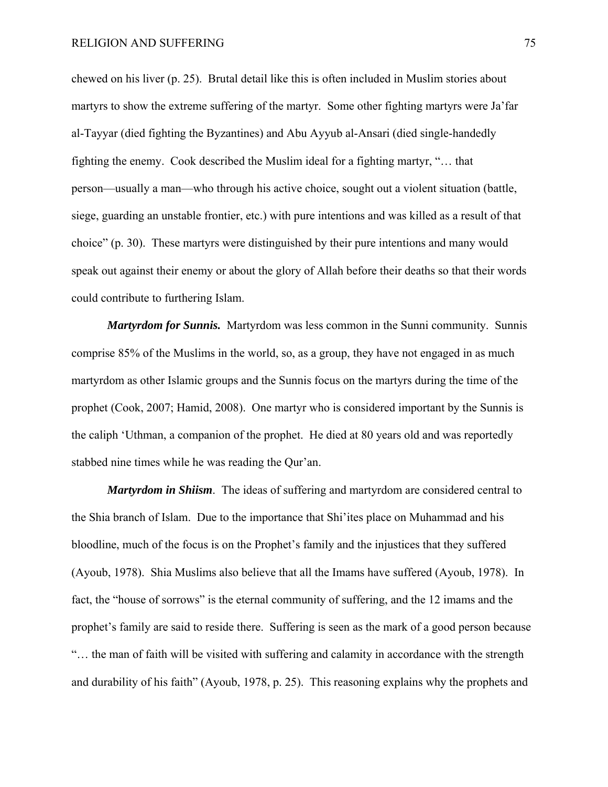chewed on his liver (p. 25). Brutal detail like this is often included in Muslim stories about martyrs to show the extreme suffering of the martyr. Some other fighting martyrs were Ja'far al-Tayyar (died fighting the Byzantines) and Abu Ayyub al-Ansari (died single-handedly fighting the enemy. Cook described the Muslim ideal for a fighting martyr, "… that person—usually a man—who through his active choice, sought out a violent situation (battle, siege, guarding an unstable frontier, etc.) with pure intentions and was killed as a result of that choice" (p. 30). These martyrs were distinguished by their pure intentions and many would speak out against their enemy or about the glory of Allah before their deaths so that their words could contribute to furthering Islam.

*Martyrdom for Sunnis.* Martyrdom was less common in the Sunni community. Sunnis comprise 85% of the Muslims in the world, so, as a group, they have not engaged in as much martyrdom as other Islamic groups and the Sunnis focus on the martyrs during the time of the prophet (Cook, 2007; Hamid, 2008). One martyr who is considered important by the Sunnis is the caliph 'Uthman, a companion of the prophet. He died at 80 years old and was reportedly stabbed nine times while he was reading the Qur'an.

*Martyrdom in Shiism*. The ideas of suffering and martyrdom are considered central to the Shia branch of Islam. Due to the importance that Shi'ites place on Muhammad and his bloodline, much of the focus is on the Prophet's family and the injustices that they suffered (Ayoub, 1978). Shia Muslims also believe that all the Imams have suffered (Ayoub, 1978). In fact, the "house of sorrows" is the eternal community of suffering, and the 12 imams and the prophet's family are said to reside there. Suffering is seen as the mark of a good person because "… the man of faith will be visited with suffering and calamity in accordance with the strength and durability of his faith" (Ayoub, 1978, p. 25). This reasoning explains why the prophets and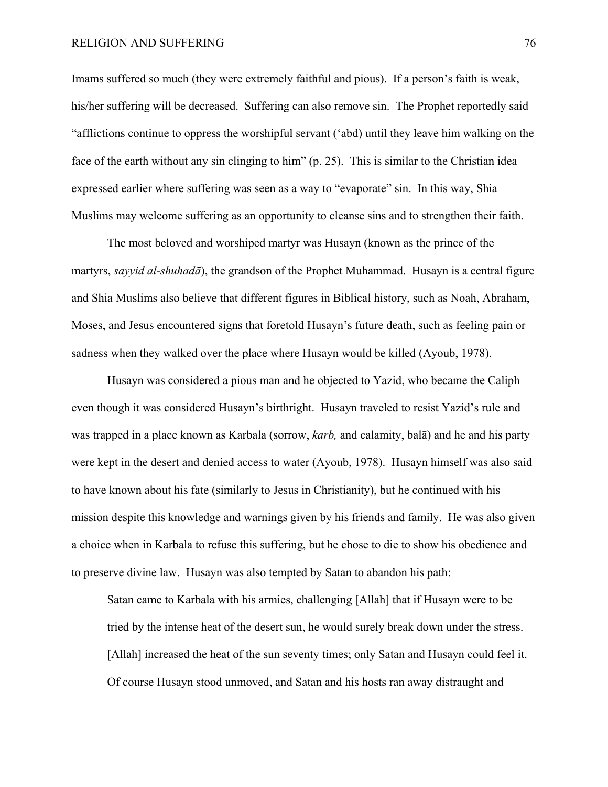### RELIGION AND SUFFERING 76

Imams suffered so much (they were extremely faithful and pious). If a person's faith is weak, his/her suffering will be decreased. Suffering can also remove sin. The Prophet reportedly said "afflictions continue to oppress the worshipful servant ('abd) until they leave him walking on the face of the earth without any sin clinging to him" (p. 25). This is similar to the Christian idea expressed earlier where suffering was seen as a way to "evaporate" sin. In this way, Shia Muslims may welcome suffering as an opportunity to cleanse sins and to strengthen their faith.

The most beloved and worshiped martyr was Husayn (known as the prince of the martyrs, *sayyid al-shuhadā*), the grandson of the Prophet Muhammad. Husayn is a central figure and Shia Muslims also believe that different figures in Biblical history, such as Noah, Abraham, Moses, and Jesus encountered signs that foretold Husayn's future death, such as feeling pain or sadness when they walked over the place where Husayn would be killed (Ayoub, 1978).

Husayn was considered a pious man and he objected to Yazid, who became the Caliph even though it was considered Husayn's birthright. Husayn traveled to resist Yazid's rule and was trapped in a place known as Karbala (sorrow, *karb,* and calamity, balā) and he and his party were kept in the desert and denied access to water (Ayoub, 1978). Husayn himself was also said to have known about his fate (similarly to Jesus in Christianity), but he continued with his mission despite this knowledge and warnings given by his friends and family. He was also given a choice when in Karbala to refuse this suffering, but he chose to die to show his obedience and to preserve divine law. Husayn was also tempted by Satan to abandon his path:

Satan came to Karbala with his armies, challenging [Allah] that if Husayn were to be tried by the intense heat of the desert sun, he would surely break down under the stress. [Allah] increased the heat of the sun seventy times; only Satan and Husayn could feel it. Of course Husayn stood unmoved, and Satan and his hosts ran away distraught and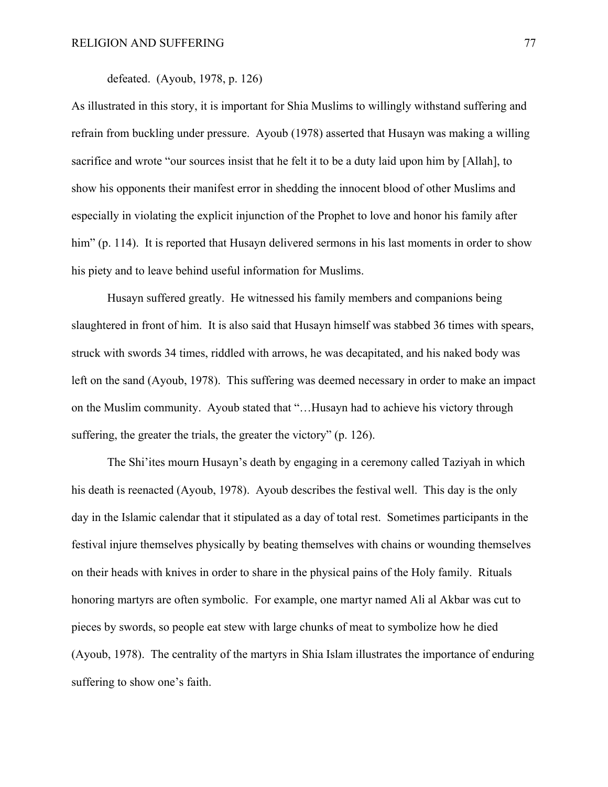# defeated. (Ayoub, 1978, p. 126)

As illustrated in this story, it is important for Shia Muslims to willingly withstand suffering and refrain from buckling under pressure. Ayoub (1978) asserted that Husayn was making a willing sacrifice and wrote "our sources insist that he felt it to be a duty laid upon him by [Allah], to show his opponents their manifest error in shedding the innocent blood of other Muslims and especially in violating the explicit injunction of the Prophet to love and honor his family after him" (p. 114). It is reported that Husayn delivered sermons in his last moments in order to show his piety and to leave behind useful information for Muslims.

Husayn suffered greatly. He witnessed his family members and companions being slaughtered in front of him. It is also said that Husayn himself was stabbed 36 times with spears, struck with swords 34 times, riddled with arrows, he was decapitated, and his naked body was left on the sand (Ayoub, 1978). This suffering was deemed necessary in order to make an impact on the Muslim community. Ayoub stated that "…Husayn had to achieve his victory through suffering, the greater the trials, the greater the victory" (p. 126).

The Shi'ites mourn Husayn's death by engaging in a ceremony called Taziyah in which his death is reenacted (Ayoub, 1978). Ayoub describes the festival well. This day is the only day in the Islamic calendar that it stipulated as a day of total rest. Sometimes participants in the festival injure themselves physically by beating themselves with chains or wounding themselves on their heads with knives in order to share in the physical pains of the Holy family. Rituals honoring martyrs are often symbolic. For example, one martyr named Ali al Akbar was cut to pieces by swords, so people eat stew with large chunks of meat to symbolize how he died (Ayoub, 1978). The centrality of the martyrs in Shia Islam illustrates the importance of enduring suffering to show one's faith.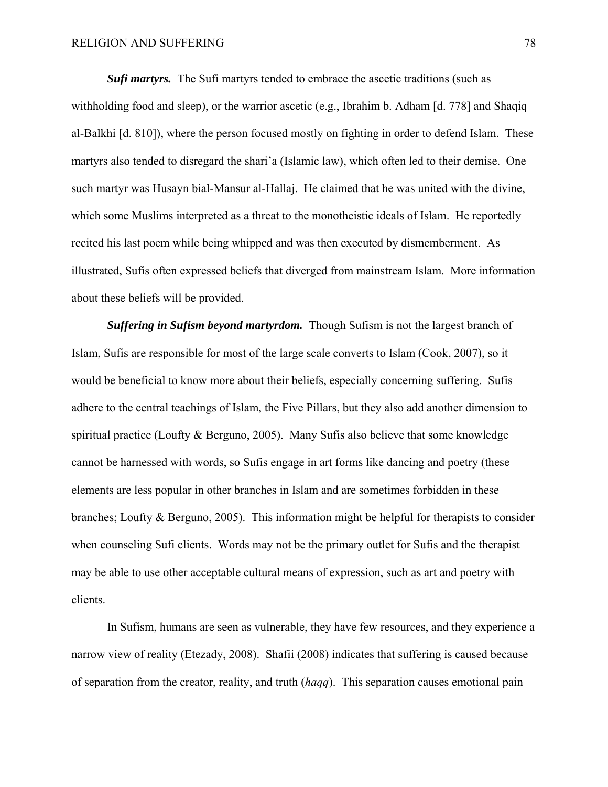**Sufi martyrs.** The Sufi martyrs tended to embrace the ascetic traditions (such as withholding food and sleep), or the warrior ascetic (e.g., Ibrahim b. Adham [d. 778] and Shaqiq al-Balkhi [d. 810]), where the person focused mostly on fighting in order to defend Islam. These martyrs also tended to disregard the shari'a (Islamic law), which often led to their demise. One such martyr was Husayn bial-Mansur al-Hallaj. He claimed that he was united with the divine, which some Muslims interpreted as a threat to the monotheistic ideals of Islam. He reportedly recited his last poem while being whipped and was then executed by dismemberment. As illustrated, Sufis often expressed beliefs that diverged from mainstream Islam. More information about these beliefs will be provided.

*Suffering in Sufism beyond martyrdom.* Though Sufism is not the largest branch of Islam, Sufis are responsible for most of the large scale converts to Islam (Cook, 2007), so it would be beneficial to know more about their beliefs, especially concerning suffering. Sufis adhere to the central teachings of Islam, the Five Pillars, but they also add another dimension to spiritual practice (Loufty & Berguno, 2005). Many Sufis also believe that some knowledge cannot be harnessed with words, so Sufis engage in art forms like dancing and poetry (these elements are less popular in other branches in Islam and are sometimes forbidden in these branches; Loufty & Berguno, 2005). This information might be helpful for therapists to consider when counseling Sufi clients. Words may not be the primary outlet for Sufis and the therapist may be able to use other acceptable cultural means of expression, such as art and poetry with clients.

In Sufism, humans are seen as vulnerable, they have few resources, and they experience a narrow view of reality (Etezady, 2008). Shafii (2008) indicates that suffering is caused because of separation from the creator, reality, and truth (*haqq*). This separation causes emotional pain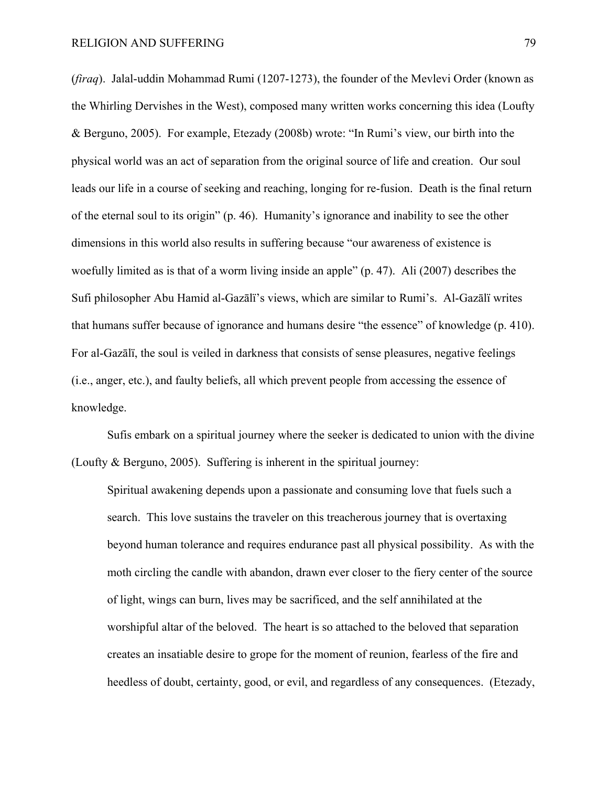(*firaq*). Jalal-uddin Mohammad Rumi (1207-1273), the founder of the Mevlevi Order (known as the Whirling Dervishes in the West), composed many written works concerning this idea (Loufty & Berguno, 2005). For example, Etezady (2008b) wrote: "In Rumi's view, our birth into the physical world was an act of separation from the original source of life and creation. Our soul leads our life in a course of seeking and reaching, longing for re-fusion. Death is the final return of the eternal soul to its origin" (p. 46). Humanity's ignorance and inability to see the other dimensions in this world also results in suffering because "our awareness of existence is woefully limited as is that of a worm living inside an apple" (p. 47). Ali (2007) describes the Sufi philosopher Abu Hamid al-Gazālï's views, which are similar to Rumi's. Al-Gazālï writes that humans suffer because of ignorance and humans desire "the essence" of knowledge (p. 410). For al-Gazālï, the soul is veiled in darkness that consists of sense pleasures, negative feelings (i.e., anger, etc.), and faulty beliefs, all which prevent people from accessing the essence of knowledge.

Sufis embark on a spiritual journey where the seeker is dedicated to union with the divine (Loufty & Berguno, 2005). Suffering is inherent in the spiritual journey:

Spiritual awakening depends upon a passionate and consuming love that fuels such a search. This love sustains the traveler on this treacherous journey that is overtaxing beyond human tolerance and requires endurance past all physical possibility. As with the moth circling the candle with abandon, drawn ever closer to the fiery center of the source of light, wings can burn, lives may be sacrificed, and the self annihilated at the worshipful altar of the beloved. The heart is so attached to the beloved that separation creates an insatiable desire to grope for the moment of reunion, fearless of the fire and heedless of doubt, certainty, good, or evil, and regardless of any consequences. (Etezady,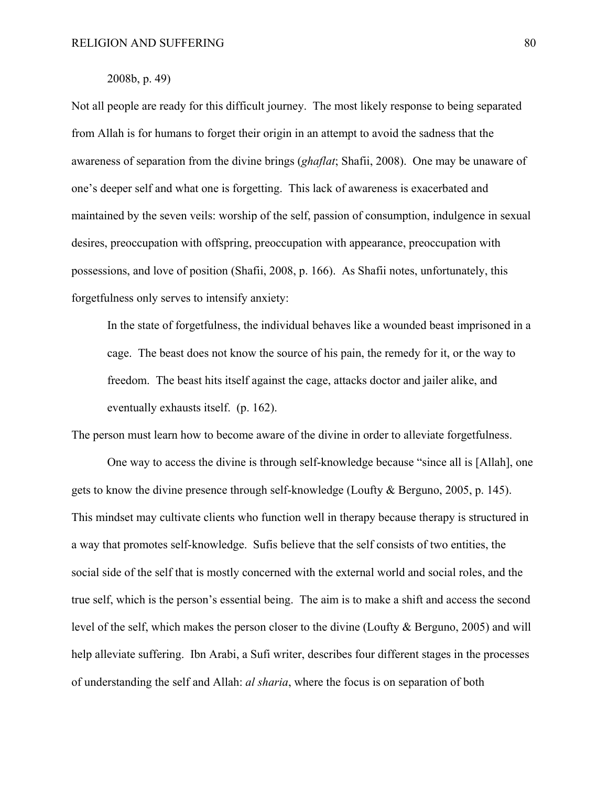## 2008b, p. 49)

Not all people are ready for this difficult journey. The most likely response to being separated from Allah is for humans to forget their origin in an attempt to avoid the sadness that the awareness of separation from the divine brings (*ghaflat*; Shafii, 2008). One may be unaware of one's deeper self and what one is forgetting. This lack of awareness is exacerbated and maintained by the seven veils: worship of the self, passion of consumption, indulgence in sexual desires, preoccupation with offspring, preoccupation with appearance, preoccupation with possessions, and love of position (Shafii, 2008, p. 166). As Shafii notes, unfortunately, this forgetfulness only serves to intensify anxiety:

 In the state of forgetfulness, the individual behaves like a wounded beast imprisoned in a cage. The beast does not know the source of his pain, the remedy for it, or the way to freedom. The beast hits itself against the cage, attacks doctor and jailer alike, and eventually exhausts itself. (p. 162).

The person must learn how to become aware of the divine in order to alleviate forgetfulness.

One way to access the divine is through self-knowledge because "since all is [Allah], one gets to know the divine presence through self-knowledge (Loufty & Berguno, 2005, p. 145). This mindset may cultivate clients who function well in therapy because therapy is structured in a way that promotes self-knowledge. Sufis believe that the self consists of two entities, the social side of the self that is mostly concerned with the external world and social roles, and the true self, which is the person's essential being. The aim is to make a shift and access the second level of the self, which makes the person closer to the divine (Loufty & Berguno, 2005) and will help alleviate suffering. Ibn Arabi, a Sufi writer, describes four different stages in the processes of understanding the self and Allah: *al sharia*, where the focus is on separation of both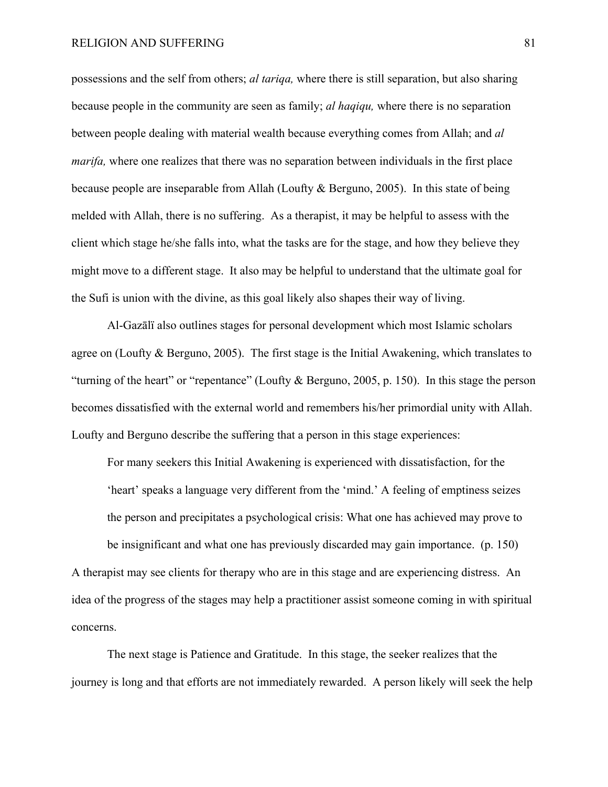possessions and the self from others; *al tariqa,* where there is still separation, but also sharing because people in the community are seen as family; *al haqiqu,* where there is no separation between people dealing with material wealth because everything comes from Allah; and *al marifa*, where one realizes that there was no separation between individuals in the first place because people are inseparable from Allah (Loufty & Berguno, 2005). In this state of being melded with Allah, there is no suffering. As a therapist, it may be helpful to assess with the client which stage he/she falls into, what the tasks are for the stage, and how they believe they might move to a different stage. It also may be helpful to understand that the ultimate goal for the Sufi is union with the divine, as this goal likely also shapes their way of living.

Al-Gazālï also outlines stages for personal development which most Islamic scholars agree on (Loufty & Berguno, 2005). The first stage is the Initial Awakening, which translates to "turning of the heart" or "repentance" (Loufty & Berguno, 2005, p. 150). In this stage the person becomes dissatisfied with the external world and remembers his/her primordial unity with Allah. Loufty and Berguno describe the suffering that a person in this stage experiences:

For many seekers this Initial Awakening is experienced with dissatisfaction, for the 'heart' speaks a language very different from the 'mind.' A feeling of emptiness seizes the person and precipitates a psychological crisis: What one has achieved may prove to be insignificant and what one has previously discarded may gain importance. (p. 150) A therapist may see clients for therapy who are in this stage and are experiencing distress. An idea of the progress of the stages may help a practitioner assist someone coming in with spiritual concerns.

The next stage is Patience and Gratitude. In this stage, the seeker realizes that the journey is long and that efforts are not immediately rewarded. A person likely will seek the help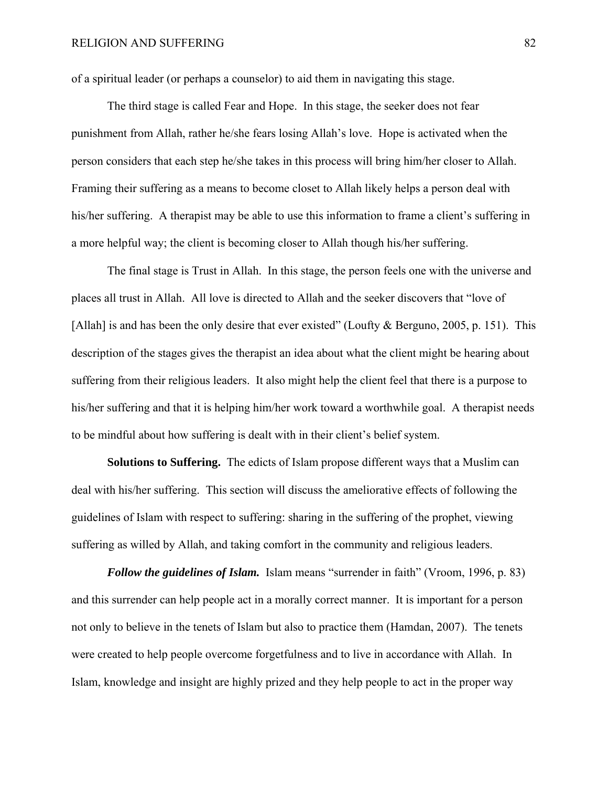of a spiritual leader (or perhaps a counselor) to aid them in navigating this stage.

The third stage is called Fear and Hope. In this stage, the seeker does not fear punishment from Allah, rather he/she fears losing Allah's love. Hope is activated when the person considers that each step he/she takes in this process will bring him/her closer to Allah. Framing their suffering as a means to become closet to Allah likely helps a person deal with his/her suffering. A therapist may be able to use this information to frame a client's suffering in a more helpful way; the client is becoming closer to Allah though his/her suffering.

The final stage is Trust in Allah. In this stage, the person feels one with the universe and places all trust in Allah. All love is directed to Allah and the seeker discovers that "love of [Allah] is and has been the only desire that ever existed" (Loufty & Berguno, 2005, p. 151). This description of the stages gives the therapist an idea about what the client might be hearing about suffering from their religious leaders. It also might help the client feel that there is a purpose to his/her suffering and that it is helping him/her work toward a worthwhile goal. A therapist needs to be mindful about how suffering is dealt with in their client's belief system.

**Solutions to Suffering.** The edicts of Islam propose different ways that a Muslim can deal with his/her suffering. This section will discuss the ameliorative effects of following the guidelines of Islam with respect to suffering: sharing in the suffering of the prophet, viewing suffering as willed by Allah, and taking comfort in the community and religious leaders.

*Follow the guidelines of Islam.* Islam means "surrender in faith" (Vroom, 1996, p. 83) and this surrender can help people act in a morally correct manner. It is important for a person not only to believe in the tenets of Islam but also to practice them (Hamdan, 2007). The tenets were created to help people overcome forgetfulness and to live in accordance with Allah. In Islam, knowledge and insight are highly prized and they help people to act in the proper way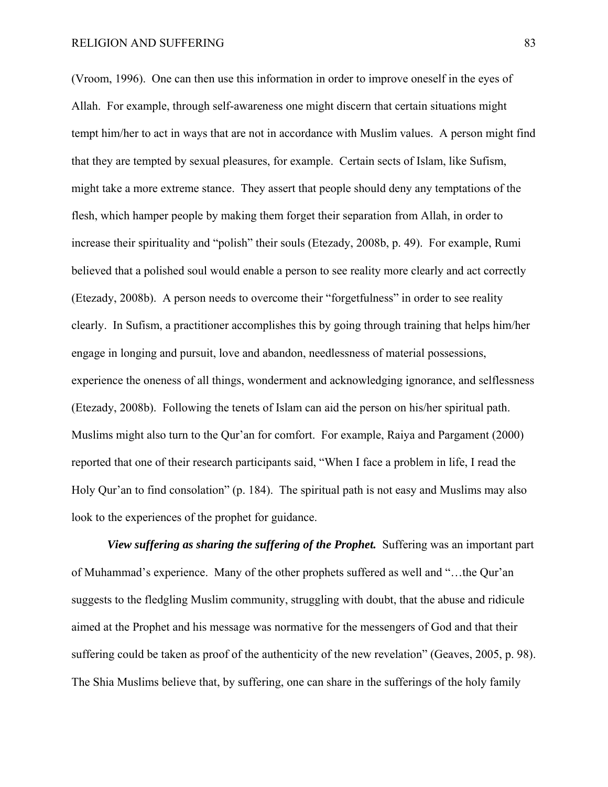(Vroom, 1996). One can then use this information in order to improve oneself in the eyes of Allah. For example, through self-awareness one might discern that certain situations might tempt him/her to act in ways that are not in accordance with Muslim values. A person might find that they are tempted by sexual pleasures, for example. Certain sects of Islam, like Sufism, might take a more extreme stance. They assert that people should deny any temptations of the flesh, which hamper people by making them forget their separation from Allah, in order to increase their spirituality and "polish" their souls (Etezady, 2008b, p. 49). For example, Rumi believed that a polished soul would enable a person to see reality more clearly and act correctly (Etezady, 2008b). A person needs to overcome their "forgetfulness" in order to see reality clearly. In Sufism, a practitioner accomplishes this by going through training that helps him/her engage in longing and pursuit, love and abandon, needlessness of material possessions, experience the oneness of all things, wonderment and acknowledging ignorance, and selflessness (Etezady, 2008b). Following the tenets of Islam can aid the person on his/her spiritual path. Muslims might also turn to the Qur'an for comfort. For example, Raiya and Pargament (2000) reported that one of their research participants said, "When I face a problem in life, I read the Holy Qur'an to find consolation" (p. 184). The spiritual path is not easy and Muslims may also look to the experiences of the prophet for guidance.

*View suffering as sharing the suffering of the Prophet.* Suffering was an important part of Muhammad's experience. Many of the other prophets suffered as well and "…the Qur'an suggests to the fledgling Muslim community, struggling with doubt, that the abuse and ridicule aimed at the Prophet and his message was normative for the messengers of God and that their suffering could be taken as proof of the authenticity of the new revelation" (Geaves, 2005, p. 98). The Shia Muslims believe that, by suffering, one can share in the sufferings of the holy family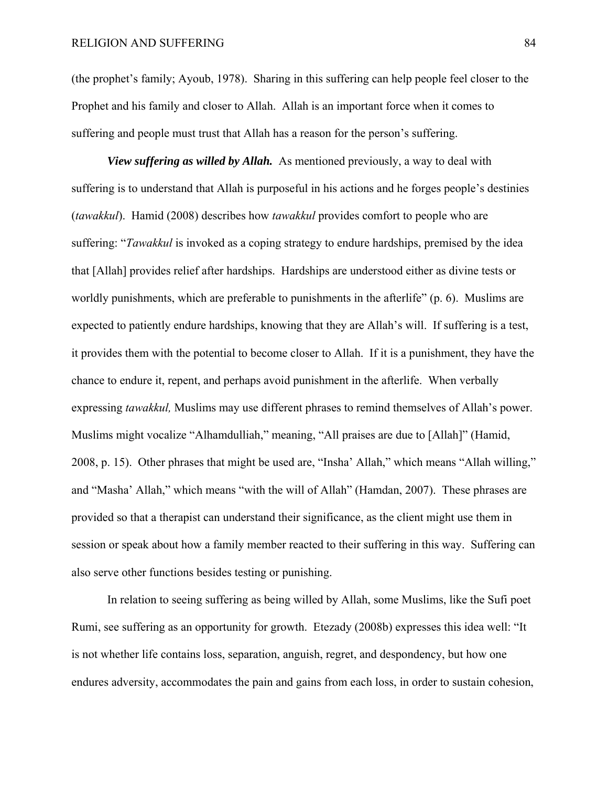(the prophet's family; Ayoub, 1978). Sharing in this suffering can help people feel closer to the Prophet and his family and closer to Allah. Allah is an important force when it comes to suffering and people must trust that Allah has a reason for the person's suffering.

*View suffering as willed by Allah.* As mentioned previously, a way to deal with suffering is to understand that Allah is purposeful in his actions and he forges people's destinies (*tawakkul*). Hamid (2008) describes how *tawakkul* provides comfort to people who are suffering: "*Tawakkul* is invoked as a coping strategy to endure hardships, premised by the idea that [Allah] provides relief after hardships. Hardships are understood either as divine tests or worldly punishments, which are preferable to punishments in the afterlife" (p. 6). Muslims are expected to patiently endure hardships, knowing that they are Allah's will. If suffering is a test, it provides them with the potential to become closer to Allah. If it is a punishment, they have the chance to endure it, repent, and perhaps avoid punishment in the afterlife. When verbally expressing *tawakkul,* Muslims may use different phrases to remind themselves of Allah's power. Muslims might vocalize "Alhamdulliah," meaning, "All praises are due to [Allah]" (Hamid, 2008, p. 15). Other phrases that might be used are, "Insha' Allah," which means "Allah willing," and "Masha' Allah," which means "with the will of Allah" (Hamdan, 2007). These phrases are provided so that a therapist can understand their significance, as the client might use them in session or speak about how a family member reacted to their suffering in this way. Suffering can also serve other functions besides testing or punishing.

In relation to seeing suffering as being willed by Allah, some Muslims, like the Sufi poet Rumi, see suffering as an opportunity for growth. Etezady (2008b) expresses this idea well: "It is not whether life contains loss, separation, anguish, regret, and despondency, but how one endures adversity, accommodates the pain and gains from each loss, in order to sustain cohesion,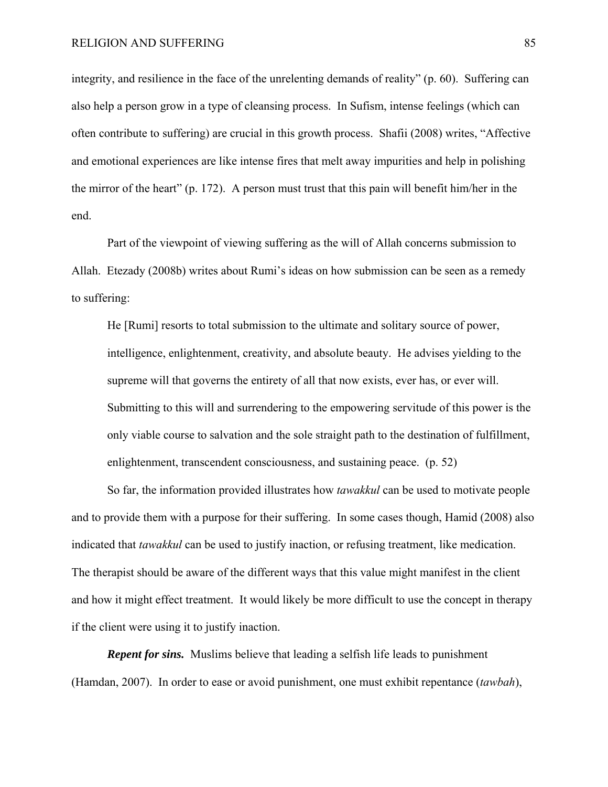integrity, and resilience in the face of the unrelenting demands of reality" (p. 60). Suffering can also help a person grow in a type of cleansing process. In Sufism, intense feelings (which can often contribute to suffering) are crucial in this growth process. Shafii (2008) writes, "Affective and emotional experiences are like intense fires that melt away impurities and help in polishing the mirror of the heart" (p. 172). A person must trust that this pain will benefit him/her in the end.

Part of the viewpoint of viewing suffering as the will of Allah concerns submission to Allah. Etezady (2008b) writes about Rumi's ideas on how submission can be seen as a remedy to suffering:

He [Rumi] resorts to total submission to the ultimate and solitary source of power, intelligence, enlightenment, creativity, and absolute beauty. He advises yielding to the supreme will that governs the entirety of all that now exists, ever has, or ever will. Submitting to this will and surrendering to the empowering servitude of this power is the only viable course to salvation and the sole straight path to the destination of fulfillment, enlightenment, transcendent consciousness, and sustaining peace. (p. 52)

So far, the information provided illustrates how *tawakkul* can be used to motivate people and to provide them with a purpose for their suffering. In some cases though, Hamid (2008) also indicated that *tawakkul* can be used to justify inaction, or refusing treatment, like medication. The therapist should be aware of the different ways that this value might manifest in the client and how it might effect treatment. It would likely be more difficult to use the concept in therapy if the client were using it to justify inaction.

*Repent for sins.* Muslims believe that leading a selfish life leads to punishment (Hamdan, 2007). In order to ease or avoid punishment, one must exhibit repentance (*tawbah*),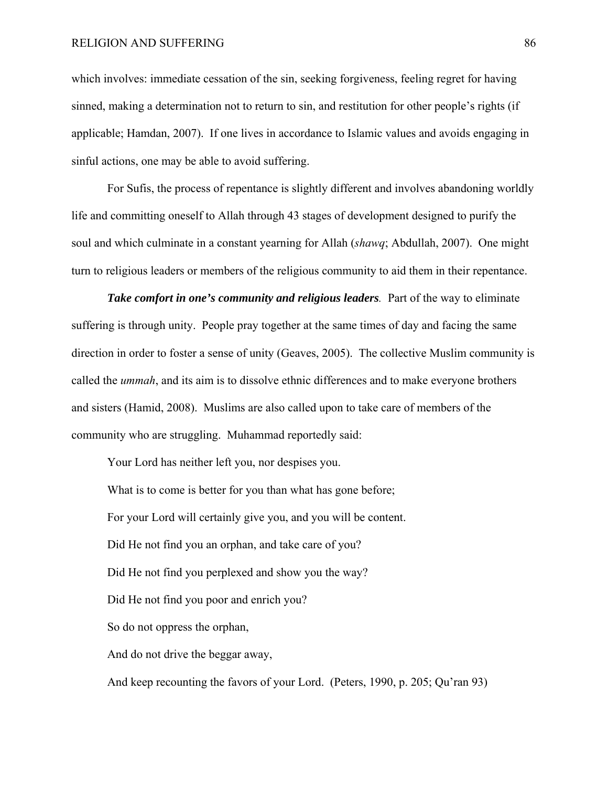which involves: immediate cessation of the sin, seeking forgiveness, feeling regret for having sinned, making a determination not to return to sin, and restitution for other people's rights (if applicable; Hamdan, 2007). If one lives in accordance to Islamic values and avoids engaging in sinful actions, one may be able to avoid suffering.

For Sufis, the process of repentance is slightly different and involves abandoning worldly life and committing oneself to Allah through 43 stages of development designed to purify the soul and which culminate in a constant yearning for Allah (*shawq*; Abdullah, 2007). One might turn to religious leaders or members of the religious community to aid them in their repentance.

*Take comfort in one's community and religious leaders.* Part of the way to eliminate suffering is through unity. People pray together at the same times of day and facing the same direction in order to foster a sense of unity (Geaves, 2005). The collective Muslim community is called the *ummah*, and its aim is to dissolve ethnic differences and to make everyone brothers and sisters (Hamid, 2008). Muslims are also called upon to take care of members of the community who are struggling. Muhammad reportedly said:

Your Lord has neither left you, nor despises you.

What is to come is better for you than what has gone before; For your Lord will certainly give you, and you will be content. Did He not find you an orphan, and take care of you? Did He not find you perplexed and show you the way? Did He not find you poor and enrich you? So do not oppress the orphan, And do not drive the beggar away,

And keep recounting the favors of your Lord. (Peters, 1990, p. 205; Qu'ran 93)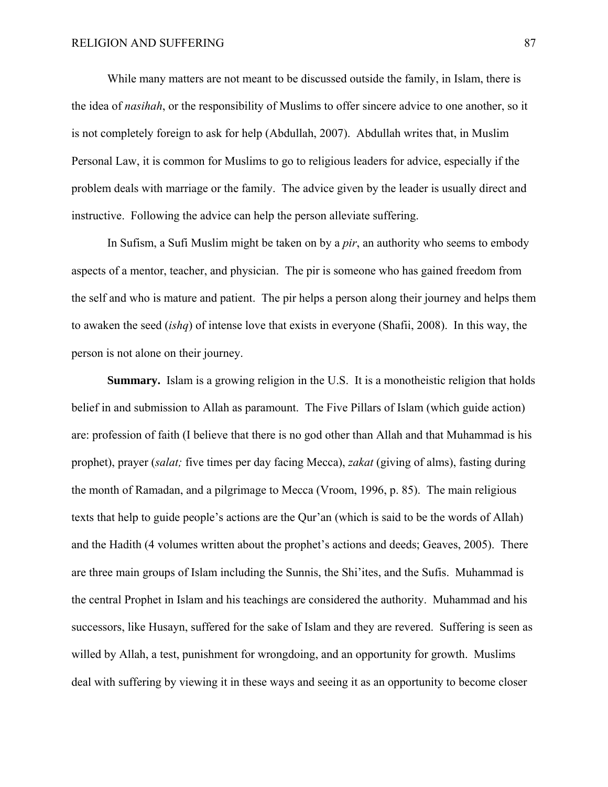While many matters are not meant to be discussed outside the family, in Islam, there is the idea of *nasihah*, or the responsibility of Muslims to offer sincere advice to one another, so it is not completely foreign to ask for help (Abdullah, 2007). Abdullah writes that, in Muslim Personal Law, it is common for Muslims to go to religious leaders for advice, especially if the problem deals with marriage or the family. The advice given by the leader is usually direct and instructive. Following the advice can help the person alleviate suffering.

In Sufism, a Sufi Muslim might be taken on by a *pir*, an authority who seems to embody aspects of a mentor, teacher, and physician. The pir is someone who has gained freedom from the self and who is mature and patient. The pir helps a person along their journey and helps them to awaken the seed (*ishq*) of intense love that exists in everyone (Shafii, 2008). In this way, the person is not alone on their journey.

**Summary.**Islam is a growing religion in the U.S. It is a monotheistic religion that holds belief in and submission to Allah as paramount. The Five Pillars of Islam (which guide action) are: profession of faith (I believe that there is no god other than Allah and that Muhammad is his prophet), prayer (*salat;* five times per day facing Mecca), *zakat* (giving of alms), fasting during the month of Ramadan, and a pilgrimage to Mecca (Vroom, 1996, p. 85). The main religious texts that help to guide people's actions are the Qur'an (which is said to be the words of Allah) and the Hadith (4 volumes written about the prophet's actions and deeds; Geaves, 2005). There are three main groups of Islam including the Sunnis, the Shi'ites, and the Sufis. Muhammad is the central Prophet in Islam and his teachings are considered the authority. Muhammad and his successors, like Husayn, suffered for the sake of Islam and they are revered. Suffering is seen as willed by Allah, a test, punishment for wrongdoing, and an opportunity for growth. Muslims deal with suffering by viewing it in these ways and seeing it as an opportunity to become closer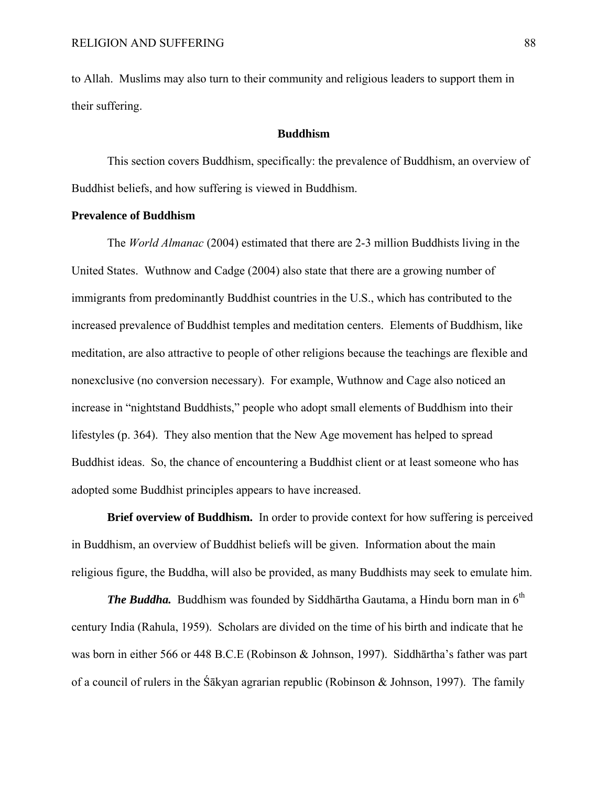to Allah. Muslims may also turn to their community and religious leaders to support them in their suffering.

## **Buddhism**

This section covers Buddhism, specifically: the prevalence of Buddhism, an overview of Buddhist beliefs, and how suffering is viewed in Buddhism.

### **Prevalence of Buddhism**

 The *World Almanac* (2004) estimated that there are 2-3 million Buddhists living in the United States. Wuthnow and Cadge (2004) also state that there are a growing number of immigrants from predominantly Buddhist countries in the U.S., which has contributed to the increased prevalence of Buddhist temples and meditation centers. Elements of Buddhism, like meditation, are also attractive to people of other religions because the teachings are flexible and nonexclusive (no conversion necessary). For example, Wuthnow and Cage also noticed an increase in "nightstand Buddhists," people who adopt small elements of Buddhism into their lifestyles (p. 364). They also mention that the New Age movement has helped to spread Buddhist ideas. So, the chance of encountering a Buddhist client or at least someone who has adopted some Buddhist principles appears to have increased.

**Brief overview of Buddhism.** In order to provide context for how suffering is perceived in Buddhism, an overview of Buddhist beliefs will be given. Information about the main religious figure, the Buddha, will also be provided, as many Buddhists may seek to emulate him.

*The Buddha.* Buddhism was founded by Siddhārtha Gautama, a Hindu born man in  $6<sup>th</sup>$ century India (Rahula, 1959). Scholars are divided on the time of his birth and indicate that he was born in either 566 or 448 B.C.E (Robinson & Johnson, 1997). Siddhārtha's father was part of a council of rulers in the Śākyan agrarian republic (Robinson & Johnson, 1997). The family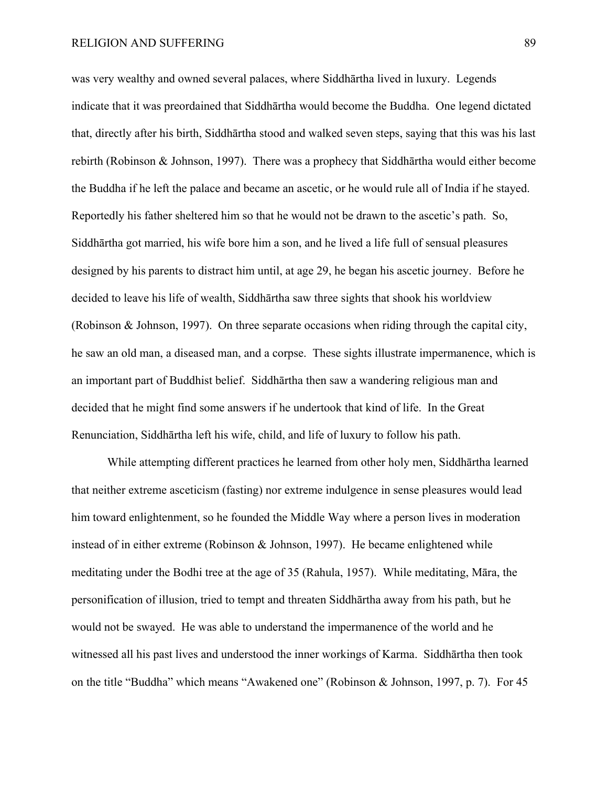was very wealthy and owned several palaces, where Siddhārtha lived in luxury. Legends indicate that it was preordained that Siddhārtha would become the Buddha. One legend dictated that, directly after his birth, Siddhārtha stood and walked seven steps, saying that this was his last rebirth (Robinson & Johnson, 1997). There was a prophecy that Siddhārtha would either become the Buddha if he left the palace and became an ascetic, or he would rule all of India if he stayed. Reportedly his father sheltered him so that he would not be drawn to the ascetic's path. So, Siddhārtha got married, his wife bore him a son, and he lived a life full of sensual pleasures designed by his parents to distract him until, at age 29, he began his ascetic journey. Before he decided to leave his life of wealth, Siddhārtha saw three sights that shook his worldview (Robinson & Johnson, 1997). On three separate occasions when riding through the capital city, he saw an old man, a diseased man, and a corpse. These sights illustrate impermanence, which is an important part of Buddhist belief. Siddhārtha then saw a wandering religious man and decided that he might find some answers if he undertook that kind of life. In the Great Renunciation, Siddhārtha left his wife, child, and life of luxury to follow his path.

While attempting different practices he learned from other holy men, Siddhārtha learned that neither extreme asceticism (fasting) nor extreme indulgence in sense pleasures would lead him toward enlightenment, so he founded the Middle Way where a person lives in moderation instead of in either extreme (Robinson & Johnson, 1997). He became enlightened while meditating under the Bodhi tree at the age of 35 (Rahula, 1957). While meditating, Māra, the personification of illusion, tried to tempt and threaten Siddhārtha away from his path, but he would not be swayed. He was able to understand the impermanence of the world and he witnessed all his past lives and understood the inner workings of Karma. Siddhārtha then took on the title "Buddha" which means "Awakened one" (Robinson & Johnson, 1997, p. 7). For 45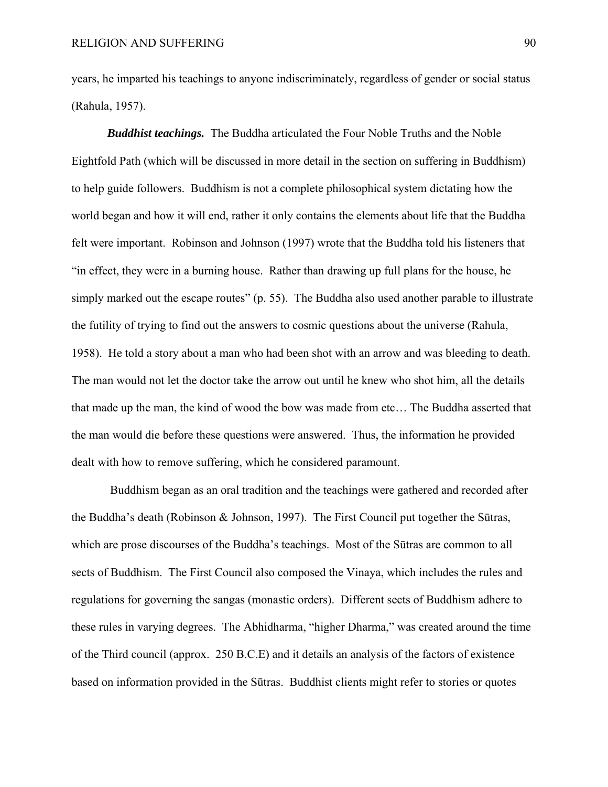years, he imparted his teachings to anyone indiscriminately, regardless of gender or social status (Rahula, 1957).

*Buddhist teachings.* The Buddha articulated the Four Noble Truths and the Noble Eightfold Path (which will be discussed in more detail in the section on suffering in Buddhism) to help guide followers. Buddhism is not a complete philosophical system dictating how the world began and how it will end, rather it only contains the elements about life that the Buddha felt were important. Robinson and Johnson (1997) wrote that the Buddha told his listeners that "in effect, they were in a burning house. Rather than drawing up full plans for the house, he simply marked out the escape routes" (p. 55). The Buddha also used another parable to illustrate the futility of trying to find out the answers to cosmic questions about the universe (Rahula, 1958). He told a story about a man who had been shot with an arrow and was bleeding to death. The man would not let the doctor take the arrow out until he knew who shot him, all the details that made up the man, the kind of wood the bow was made from etc… The Buddha asserted that the man would die before these questions were answered. Thus, the information he provided dealt with how to remove suffering, which he considered paramount.

 Buddhism began as an oral tradition and the teachings were gathered and recorded after the Buddha's death (Robinson & Johnson, 1997). The First Council put together the Sūtras, which are prose discourses of the Buddha's teachings. Most of the Sūtras are common to all sects of Buddhism. The First Council also composed the Vinaya, which includes the rules and regulations for governing the sangas (monastic orders). Different sects of Buddhism adhere to these rules in varying degrees. The Abhidharma, "higher Dharma," was created around the time of the Third council (approx. 250 B.C.E) and it details an analysis of the factors of existence based on information provided in the Sūtras. Buddhist clients might refer to stories or quotes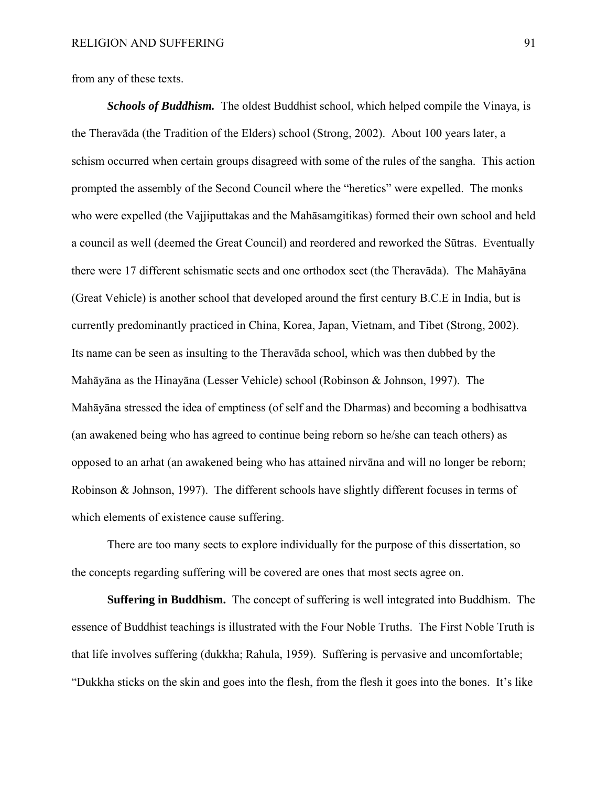from any of these texts.

*Schools of Buddhism.* The oldest Buddhist school, which helped compile the Vinaya, is the Theravāda (the Tradition of the Elders) school (Strong, 2002). About 100 years later, a schism occurred when certain groups disagreed with some of the rules of the sangha. This action prompted the assembly of the Second Council where the "heretics" were expelled. The monks who were expelled (the Vajjiputtakas and the Mahāsamgitikas) formed their own school and held a council as well (deemed the Great Council) and reordered and reworked the Sūtras. Eventually there were 17 different schismatic sects and one orthodox sect (the Theravāda). The Mahāyāna (Great Vehicle) is another school that developed around the first century B.C.E in India, but is currently predominantly practiced in China, Korea, Japan, Vietnam, and Tibet (Strong, 2002). Its name can be seen as insulting to the Theravāda school, which was then dubbed by the Mahāyāna as the Hinayāna (Lesser Vehicle) school (Robinson & Johnson, 1997). The Mahāyāna stressed the idea of emptiness (of self and the Dharmas) and becoming a bodhisattva (an awakened being who has agreed to continue being reborn so he/she can teach others) as opposed to an arhat (an awakened being who has attained nirvāna and will no longer be reborn; Robinson & Johnson, 1997). The different schools have slightly different focuses in terms of which elements of existence cause suffering.

There are too many sects to explore individually for the purpose of this dissertation, so the concepts regarding suffering will be covered are ones that most sects agree on.

**Suffering in Buddhism.** The concept of suffering is well integrated into Buddhism. The essence of Buddhist teachings is illustrated with the Four Noble Truths. The First Noble Truth is that life involves suffering (dukkha; Rahula, 1959). Suffering is pervasive and uncomfortable; "Dukkha sticks on the skin and goes into the flesh, from the flesh it goes into the bones. It's like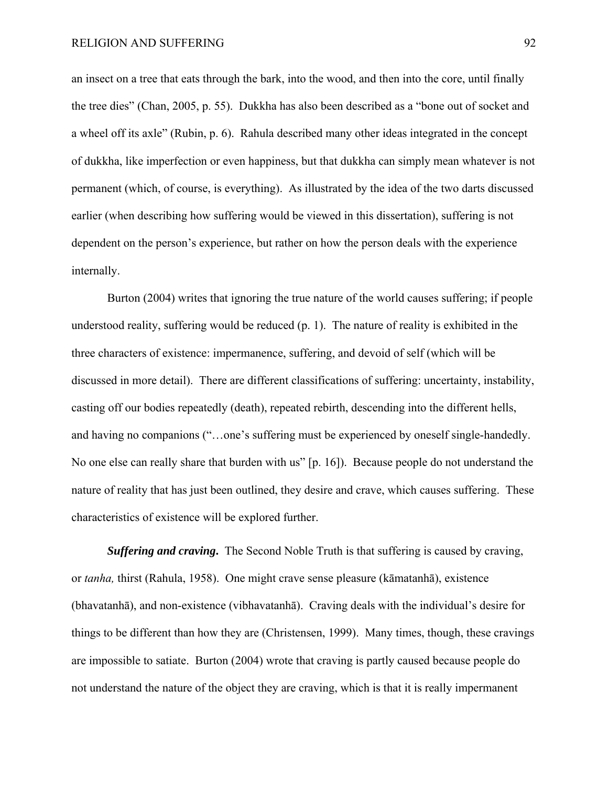an insect on a tree that eats through the bark, into the wood, and then into the core, until finally the tree dies" (Chan, 2005, p. 55). Dukkha has also been described as a "bone out of socket and a wheel off its axle" (Rubin, p. 6). Rahula described many other ideas integrated in the concept of dukkha, like imperfection or even happiness, but that dukkha can simply mean whatever is not permanent (which, of course, is everything). As illustrated by the idea of the two darts discussed earlier (when describing how suffering would be viewed in this dissertation), suffering is not dependent on the person's experience, but rather on how the person deals with the experience internally.

Burton (2004) writes that ignoring the true nature of the world causes suffering; if people understood reality, suffering would be reduced (p. 1). The nature of reality is exhibited in the three characters of existence: impermanence, suffering, and devoid of self (which will be discussed in more detail). There are different classifications of suffering: uncertainty, instability, casting off our bodies repeatedly (death), repeated rebirth, descending into the different hells, and having no companions ("…one's suffering must be experienced by oneself single-handedly. No one else can really share that burden with us" [p. 16]). Because people do not understand the nature of reality that has just been outlined, they desire and crave, which causes suffering. These characteristics of existence will be explored further.

*Suffering and craving***.** The Second Noble Truth is that suffering is caused by craving, or *tanha,* thirst (Rahula, 1958). One might crave sense pleasure (kāmatanhā), existence (bhavatanhā), and non-existence (vibhavatanhā). Craving deals with the individual's desire for things to be different than how they are (Christensen, 1999). Many times, though, these cravings are impossible to satiate. Burton (2004) wrote that craving is partly caused because people do not understand the nature of the object they are craving, which is that it is really impermanent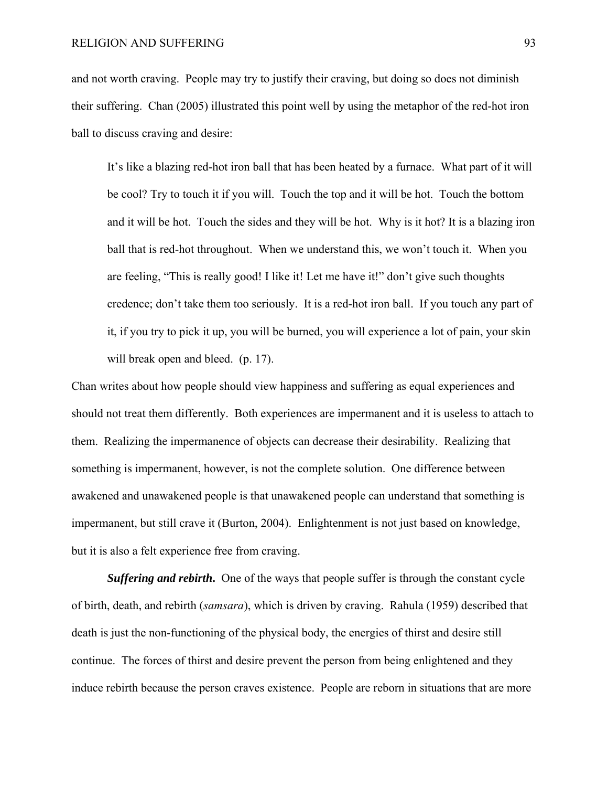and not worth craving. People may try to justify their craving, but doing so does not diminish their suffering. Chan (2005) illustrated this point well by using the metaphor of the red-hot iron ball to discuss craving and desire:

It's like a blazing red-hot iron ball that has been heated by a furnace. What part of it will be cool? Try to touch it if you will. Touch the top and it will be hot. Touch the bottom and it will be hot. Touch the sides and they will be hot. Why is it hot? It is a blazing iron ball that is red-hot throughout. When we understand this, we won't touch it. When you are feeling, "This is really good! I like it! Let me have it!" don't give such thoughts credence; don't take them too seriously. It is a red-hot iron ball. If you touch any part of it, if you try to pick it up, you will be burned, you will experience a lot of pain, your skin will break open and bleed. (p. 17).

Chan writes about how people should view happiness and suffering as equal experiences and should not treat them differently. Both experiences are impermanent and it is useless to attach to them. Realizing the impermanence of objects can decrease their desirability. Realizing that something is impermanent, however, is not the complete solution. One difference between awakened and unawakened people is that unawakened people can understand that something is impermanent, but still crave it (Burton, 2004). Enlightenment is not just based on knowledge, but it is also a felt experience free from craving.

**Suffering and rebirth.** One of the ways that people suffer is through the constant cycle of birth, death, and rebirth (*samsara*), which is driven by craving. Rahula (1959) described that death is just the non-functioning of the physical body, the energies of thirst and desire still continue. The forces of thirst and desire prevent the person from being enlightened and they induce rebirth because the person craves existence. People are reborn in situations that are more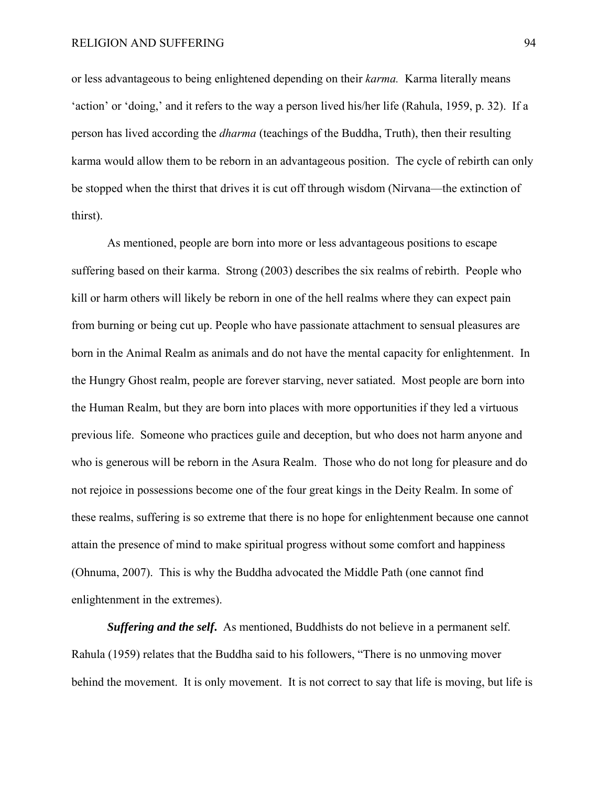or less advantageous to being enlightened depending on their *karma.* Karma literally means 'action' or 'doing,' and it refers to the way a person lived his/her life (Rahula, 1959, p. 32). If a person has lived according the *dharma* (teachings of the Buddha, Truth), then their resulting karma would allow them to be reborn in an advantageous position. The cycle of rebirth can only be stopped when the thirst that drives it is cut off through wisdom (Nirvana—the extinction of thirst).

As mentioned, people are born into more or less advantageous positions to escape suffering based on their karma. Strong (2003) describes the six realms of rebirth. People who kill or harm others will likely be reborn in one of the hell realms where they can expect pain from burning or being cut up. People who have passionate attachment to sensual pleasures are born in the Animal Realm as animals and do not have the mental capacity for enlightenment. In the Hungry Ghost realm, people are forever starving, never satiated. Most people are born into the Human Realm, but they are born into places with more opportunities if they led a virtuous previous life. Someone who practices guile and deception, but who does not harm anyone and who is generous will be reborn in the Asura Realm. Those who do not long for pleasure and do not rejoice in possessions become one of the four great kings in the Deity Realm. In some of these realms, suffering is so extreme that there is no hope for enlightenment because one cannot attain the presence of mind to make spiritual progress without some comfort and happiness (Ohnuma, 2007). This is why the Buddha advocated the Middle Path (one cannot find enlightenment in the extremes).

*Suffering and the self***.** As mentioned, Buddhists do not believe in a permanent self. Rahula (1959) relates that the Buddha said to his followers, "There is no unmoving mover behind the movement. It is only movement. It is not correct to say that life is moving, but life is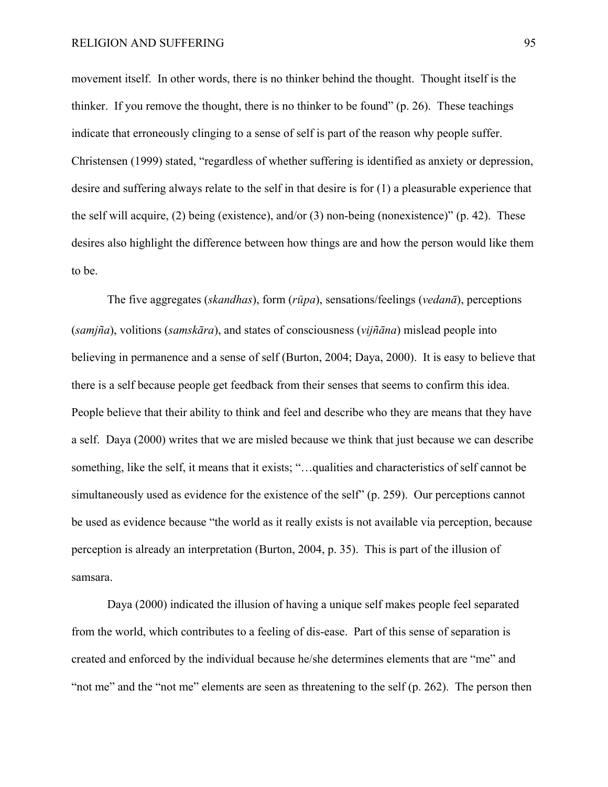movement itself. In other words, there is no thinker behind the thought. Thought itself is the thinker. If you remove the thought, there is no thinker to be found" (p. 26). These teachings indicate that erroneously clinging to a sense of self is part of the reason why people suffer. Christensen (1999) stated, "regardless of whether suffering is identified as anxiety or depression, desire and suffering always relate to the self in that desire is for (1) a pleasurable experience that the self will acquire, (2) being (existence), and/or (3) non-being (nonexistence)" (p. 42). These desires also highlight the difference between how things are and how the person would like them to be.

The five aggregates (*skandhas*), form (*rūpa*), sensations/feelings (*vedanā*), perceptions (*samjña*), volitions (*samskāra*), and states of consciousness (*vijñāna*) mislead people into believing in permanence and a sense of self (Burton, 2004; Daya, 2000). It is easy to believe that there is a self because people get feedback from their senses that seems to confirm this idea. People believe that their ability to think and feel and describe who they are means that they have a self. Daya (2000) writes that we are misled because we think that just because we can describe something, like the self, it means that it exists; "…qualities and characteristics of self cannot be simultaneously used as evidence for the existence of the self" (p. 259). Our perceptions cannot be used as evidence because "the world as it really exists is not available via perception, because perception is already an interpretation (Burton, 2004, p. 35). This is part of the illusion of samsara.

Daya (2000) indicated the illusion of having a unique self makes people feel separated from the world, which contributes to a feeling of dis-ease. Part of this sense of separation is created and enforced by the individual because he/she determines elements that are "me" and "not me" and the "not me" elements are seen as threatening to the self (p. 262). The person then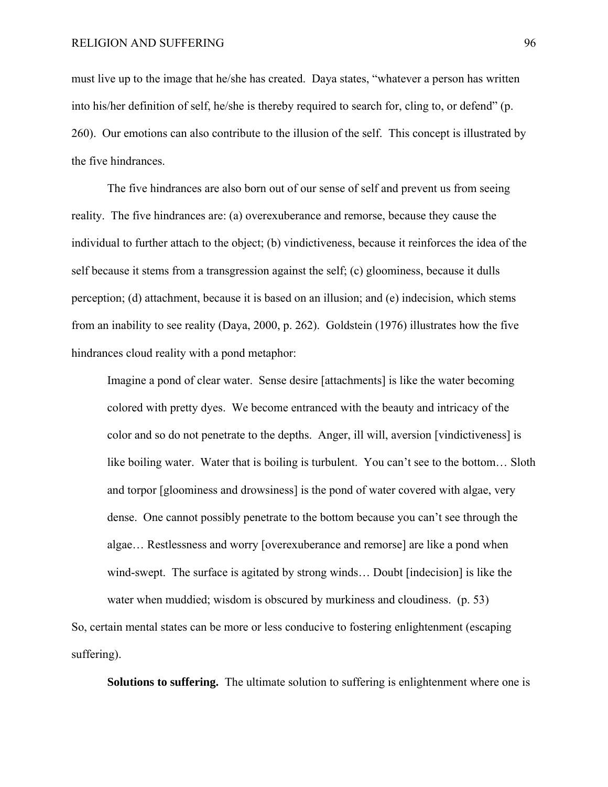must live up to the image that he/she has created. Daya states, "whatever a person has written into his/her definition of self, he/she is thereby required to search for, cling to, or defend" (p. 260). Our emotions can also contribute to the illusion of the self. This concept is illustrated by the five hindrances.

The five hindrances are also born out of our sense of self and prevent us from seeing reality. The five hindrances are: (a) overexuberance and remorse, because they cause the individual to further attach to the object; (b) vindictiveness, because it reinforces the idea of the self because it stems from a transgression against the self; (c) gloominess, because it dulls perception; (d) attachment, because it is based on an illusion; and (e) indecision, which stems from an inability to see reality (Daya, 2000, p. 262). Goldstein (1976) illustrates how the five hindrances cloud reality with a pond metaphor:

Imagine a pond of clear water. Sense desire [attachments] is like the water becoming colored with pretty dyes. We become entranced with the beauty and intricacy of the color and so do not penetrate to the depths. Anger, ill will, aversion [vindictiveness] is like boiling water. Water that is boiling is turbulent. You can't see to the bottom… Sloth and torpor [gloominess and drowsiness] is the pond of water covered with algae, very dense. One cannot possibly penetrate to the bottom because you can't see through the algae… Restlessness and worry [overexuberance and remorse] are like a pond when wind-swept. The surface is agitated by strong winds… Doubt [indecision] is like the water when muddied; wisdom is obscured by murkiness and cloudiness. (p. 53)

So, certain mental states can be more or less conducive to fostering enlightenment (escaping suffering).

**Solutions to suffering.** The ultimate solution to suffering is enlightenment where one is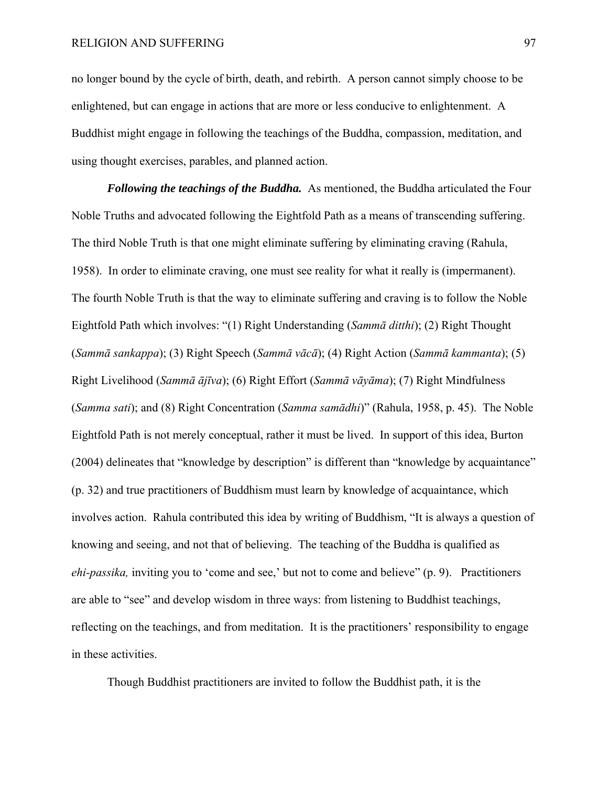no longer bound by the cycle of birth, death, and rebirth. A person cannot simply choose to be enlightened, but can engage in actions that are more or less conducive to enlightenment. A Buddhist might engage in following the teachings of the Buddha, compassion, meditation, and using thought exercises, parables, and planned action.

*Following the teachings of the Buddha.* As mentioned, the Buddha articulated the Four Noble Truths and advocated following the Eightfold Path as a means of transcending suffering. The third Noble Truth is that one might eliminate suffering by eliminating craving (Rahula, 1958). In order to eliminate craving, one must see reality for what it really is (impermanent). The fourth Noble Truth is that the way to eliminate suffering and craving is to follow the Noble Eightfold Path which involves: "(1) Right Understanding (*Sammā ditthi*); (2) Right Thought (*Sammā sankappa*); (3) Right Speech (*Sammā vācā*); (4) Right Action (*Sammā kammanta*); (5) Right Livelihood (*Sammā ājīva*); (6) Right Effort (*Sammā vāyāma*); (7) Right Mindfulness (*Samma sati*); and (8) Right Concentration (*Samma samādhi*)" (Rahula, 1958, p. 45). The Noble Eightfold Path is not merely conceptual, rather it must be lived. In support of this idea, Burton (2004) delineates that "knowledge by description" is different than "knowledge by acquaintance" (p. 32) and true practitioners of Buddhism must learn by knowledge of acquaintance, which involves action. Rahula contributed this idea by writing of Buddhism, "It is always a question of knowing and seeing, and not that of believing. The teaching of the Buddha is qualified as *ehi-passika,* inviting you to 'come and see,' but not to come and believe" (p. 9). Practitioners are able to "see" and develop wisdom in three ways: from listening to Buddhist teachings, reflecting on the teachings, and from meditation. It is the practitioners' responsibility to engage in these activities.

Though Buddhist practitioners are invited to follow the Buddhist path, it is the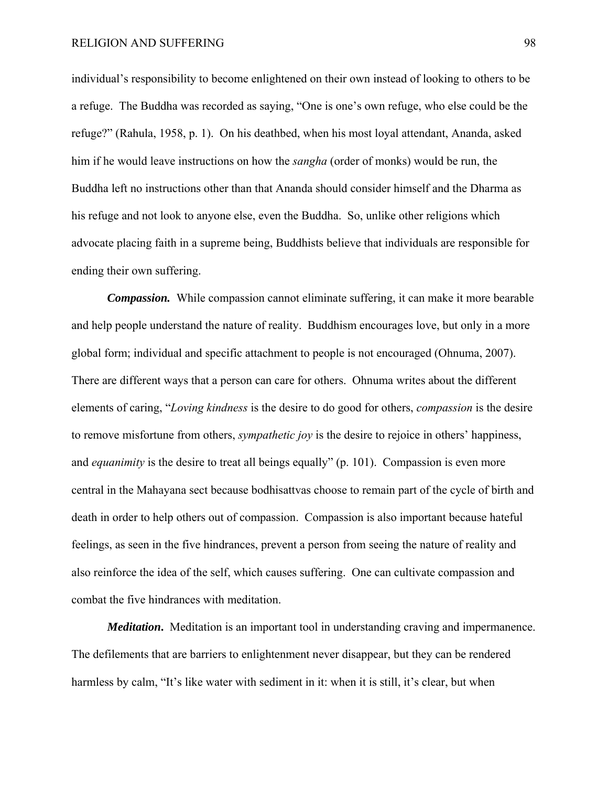individual's responsibility to become enlightened on their own instead of looking to others to be a refuge. The Buddha was recorded as saying, "One is one's own refuge, who else could be the refuge?" (Rahula, 1958, p. 1). On his deathbed, when his most loyal attendant, Ananda, asked him if he would leave instructions on how the *sangha* (order of monks) would be run, the Buddha left no instructions other than that Ananda should consider himself and the Dharma as his refuge and not look to anyone else, even the Buddha. So, unlike other religions which advocate placing faith in a supreme being, Buddhists believe that individuals are responsible for ending their own suffering.

*Compassion.* While compassion cannot eliminate suffering, it can make it more bearable and help people understand the nature of reality. Buddhism encourages love, but only in a more global form; individual and specific attachment to people is not encouraged (Ohnuma, 2007). There are different ways that a person can care for others. Ohnuma writes about the different elements of caring, "*Loving kindness* is the desire to do good for others, *compassion* is the desire to remove misfortune from others, *sympathetic joy* is the desire to rejoice in others' happiness, and *equanimity* is the desire to treat all beings equally" (p. 101). Compassion is even more central in the Mahayana sect because bodhisattvas choose to remain part of the cycle of birth and death in order to help others out of compassion. Compassion is also important because hateful feelings, as seen in the five hindrances, prevent a person from seeing the nature of reality and also reinforce the idea of the self, which causes suffering. One can cultivate compassion and combat the five hindrances with meditation.

*Meditation***.** Meditation is an important tool in understanding craving and impermanence. The defilements that are barriers to enlightenment never disappear, but they can be rendered harmless by calm, "It's like water with sediment in it: when it is still, it's clear, but when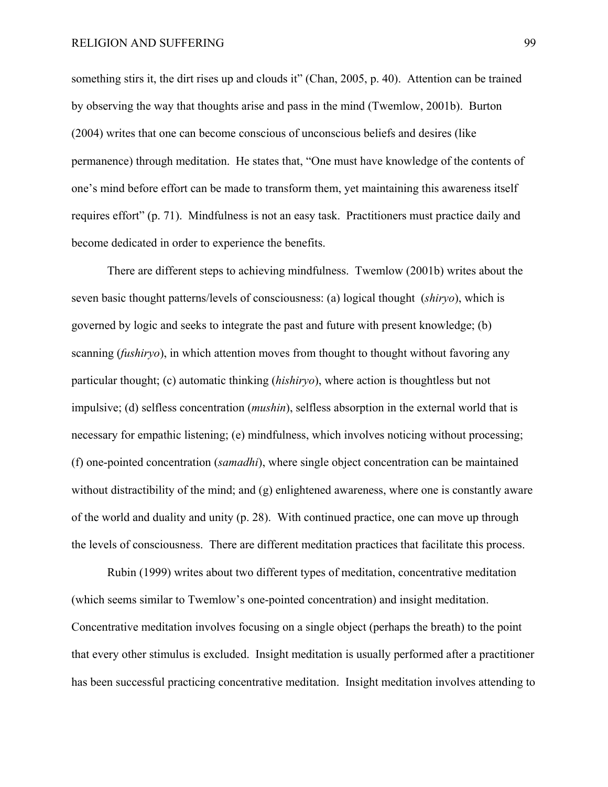something stirs it, the dirt rises up and clouds it" (Chan, 2005, p. 40). Attention can be trained by observing the way that thoughts arise and pass in the mind (Twemlow, 2001b). Burton (2004) writes that one can become conscious of unconscious beliefs and desires (like permanence) through meditation. He states that, "One must have knowledge of the contents of one's mind before effort can be made to transform them, yet maintaining this awareness itself requires effort" (p. 71). Mindfulness is not an easy task. Practitioners must practice daily and become dedicated in order to experience the benefits.

There are different steps to achieving mindfulness. Twemlow (2001b) writes about the seven basic thought patterns/levels of consciousness: (a) logical thought (*shiryo*), which is governed by logic and seeks to integrate the past and future with present knowledge; (b) scanning (*fushiryo*), in which attention moves from thought to thought without favoring any particular thought; (c) automatic thinking (*hishiryo*), where action is thoughtless but not impulsive; (d) selfless concentration (*mushin*), selfless absorption in the external world that is necessary for empathic listening; (e) mindfulness, which involves noticing without processing; (f) one-pointed concentration (*samadhi*), where single object concentration can be maintained without distractibility of the mind; and (g) enlightened awareness, where one is constantly aware of the world and duality and unity (p. 28). With continued practice, one can move up through the levels of consciousness. There are different meditation practices that facilitate this process.

Rubin (1999) writes about two different types of meditation, concentrative meditation (which seems similar to Twemlow's one-pointed concentration) and insight meditation. Concentrative meditation involves focusing on a single object (perhaps the breath) to the point that every other stimulus is excluded. Insight meditation is usually performed after a practitioner has been successful practicing concentrative meditation. Insight meditation involves attending to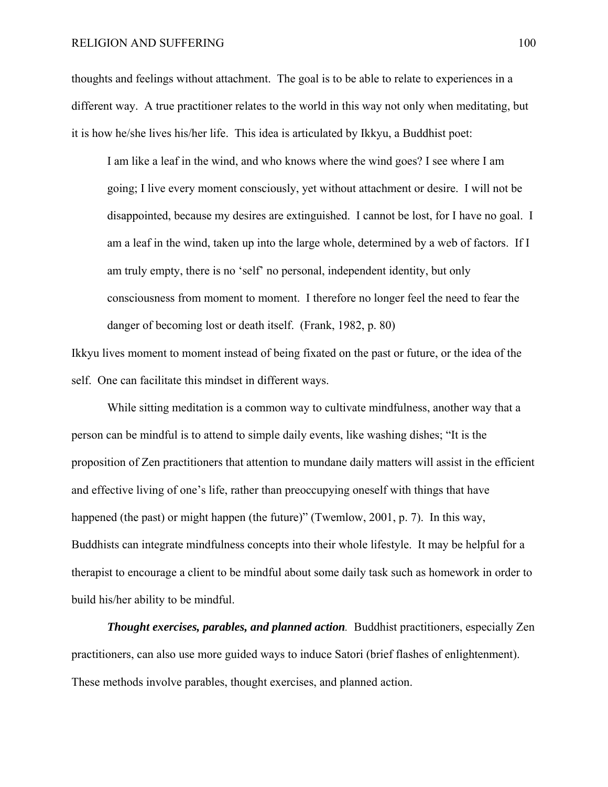### RELIGION AND SUFFERING 100

thoughts and feelings without attachment. The goal is to be able to relate to experiences in a different way. A true practitioner relates to the world in this way not only when meditating, but it is how he/she lives his/her life. This idea is articulated by Ikkyu, a Buddhist poet:

I am like a leaf in the wind, and who knows where the wind goes? I see where I am going; I live every moment consciously, yet without attachment or desire. I will not be disappointed, because my desires are extinguished. I cannot be lost, for I have no goal. I am a leaf in the wind, taken up into the large whole, determined by a web of factors. If I am truly empty, there is no 'self' no personal, independent identity, but only consciousness from moment to moment. I therefore no longer feel the need to fear the danger of becoming lost or death itself. (Frank, 1982, p. 80)

Ikkyu lives moment to moment instead of being fixated on the past or future, or the idea of the self. One can facilitate this mindset in different ways.

While sitting meditation is a common way to cultivate mindfulness, another way that a person can be mindful is to attend to simple daily events, like washing dishes; "It is the proposition of Zen practitioners that attention to mundane daily matters will assist in the efficient and effective living of one's life, rather than preoccupying oneself with things that have happened (the past) or might happen (the future)" (Twemlow, 2001, p. 7). In this way, Buddhists can integrate mindfulness concepts into their whole lifestyle. It may be helpful for a therapist to encourage a client to be mindful about some daily task such as homework in order to build his/her ability to be mindful.

*Thought exercises, parables, and planned action.* Buddhist practitioners, especially Zen practitioners, can also use more guided ways to induce Satori (brief flashes of enlightenment). These methods involve parables, thought exercises, and planned action.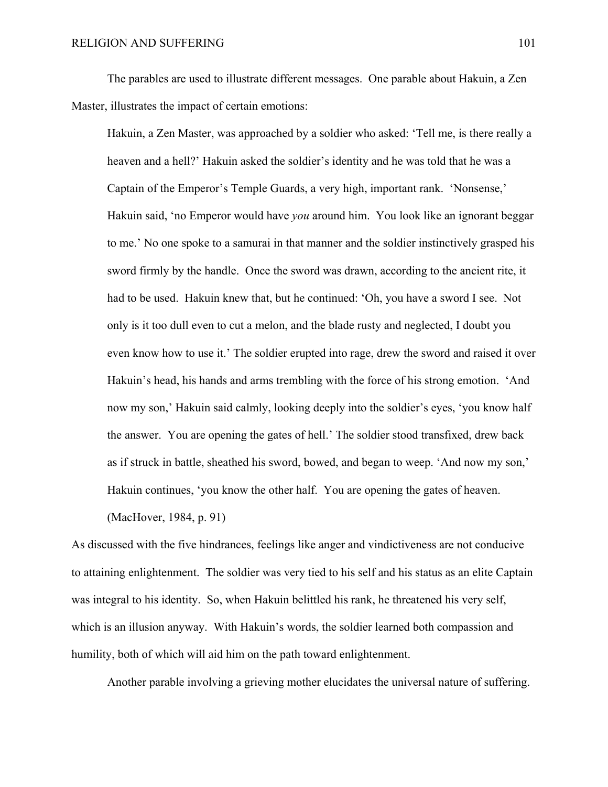The parables are used to illustrate different messages. One parable about Hakuin, a Zen Master, illustrates the impact of certain emotions:

Hakuin, a Zen Master, was approached by a soldier who asked: 'Tell me, is there really a heaven and a hell?' Hakuin asked the soldier's identity and he was told that he was a Captain of the Emperor's Temple Guards, a very high, important rank. 'Nonsense,' Hakuin said, 'no Emperor would have *you* around him. You look like an ignorant beggar to me.' No one spoke to a samurai in that manner and the soldier instinctively grasped his sword firmly by the handle. Once the sword was drawn, according to the ancient rite, it had to be used. Hakuin knew that, but he continued: 'Oh, you have a sword I see. Not only is it too dull even to cut a melon, and the blade rusty and neglected, I doubt you even know how to use it.' The soldier erupted into rage, drew the sword and raised it over Hakuin's head, his hands and arms trembling with the force of his strong emotion. 'And now my son,' Hakuin said calmly, looking deeply into the soldier's eyes, 'you know half the answer. You are opening the gates of hell.' The soldier stood transfixed, drew back as if struck in battle, sheathed his sword, bowed, and began to weep. 'And now my son,' Hakuin continues, 'you know the other half. You are opening the gates of heaven. (MacHover, 1984, p. 91)

As discussed with the five hindrances, feelings like anger and vindictiveness are not conducive to attaining enlightenment. The soldier was very tied to his self and his status as an elite Captain was integral to his identity. So, when Hakuin belittled his rank, he threatened his very self, which is an illusion anyway. With Hakuin's words, the soldier learned both compassion and humility, both of which will aid him on the path toward enlightenment.

Another parable involving a grieving mother elucidates the universal nature of suffering.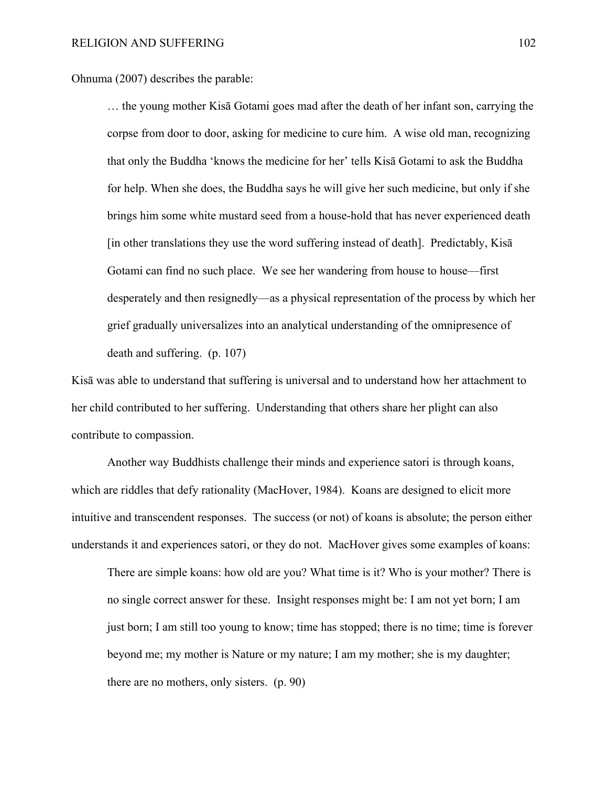Ohnuma (2007) describes the parable:

… the young mother Kisā Gotami goes mad after the death of her infant son, carrying the corpse from door to door, asking for medicine to cure him. A wise old man, recognizing that only the Buddha 'knows the medicine for her' tells Kisā Gotami to ask the Buddha for help. When she does, the Buddha says he will give her such medicine, but only if she brings him some white mustard seed from a house-hold that has never experienced death [in other translations they use the word suffering instead of death]. Predictably, Kisā Gotami can find no such place. We see her wandering from house to house—first desperately and then resignedly—as a physical representation of the process by which her grief gradually universalizes into an analytical understanding of the omnipresence of death and suffering. (p. 107)

Kisā was able to understand that suffering is universal and to understand how her attachment to her child contributed to her suffering. Understanding that others share her plight can also contribute to compassion.

Another way Buddhists challenge their minds and experience satori is through koans, which are riddles that defy rationality (MacHover, 1984). Koans are designed to elicit more intuitive and transcendent responses. The success (or not) of koans is absolute; the person either understands it and experiences satori, or they do not. MacHover gives some examples of koans:

 There are simple koans: how old are you? What time is it? Who is your mother? There is no single correct answer for these. Insight responses might be: I am not yet born; I am just born; I am still too young to know; time has stopped; there is no time; time is forever beyond me; my mother is Nature or my nature; I am my mother; she is my daughter; there are no mothers, only sisters. (p. 90)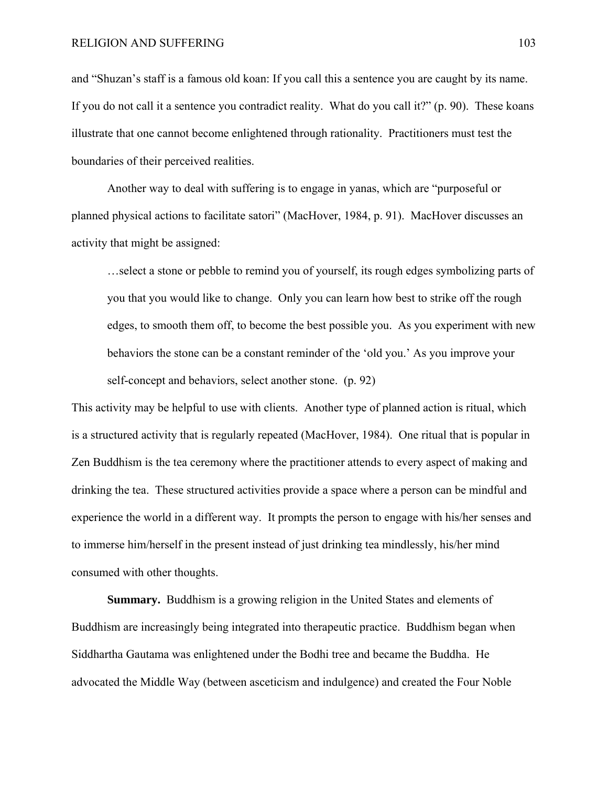and "Shuzan's staff is a famous old koan: If you call this a sentence you are caught by its name. If you do not call it a sentence you contradict reality. What do you call it?" (p. 90). These koans illustrate that one cannot become enlightened through rationality. Practitioners must test the boundaries of their perceived realities.

Another way to deal with suffering is to engage in yanas, which are "purposeful or planned physical actions to facilitate satori" (MacHover, 1984, p. 91). MacHover discusses an activity that might be assigned:

…select a stone or pebble to remind you of yourself, its rough edges symbolizing parts of you that you would like to change. Only you can learn how best to strike off the rough edges, to smooth them off, to become the best possible you. As you experiment with new behaviors the stone can be a constant reminder of the 'old you.' As you improve your self-concept and behaviors, select another stone. (p. 92)

This activity may be helpful to use with clients. Another type of planned action is ritual, which is a structured activity that is regularly repeated (MacHover, 1984). One ritual that is popular in Zen Buddhism is the tea ceremony where the practitioner attends to every aspect of making and drinking the tea. These structured activities provide a space where a person can be mindful and experience the world in a different way. It prompts the person to engage with his/her senses and to immerse him/herself in the present instead of just drinking tea mindlessly, his/her mind consumed with other thoughts.

**Summary.** Buddhism is a growing religion in the United States and elements of Buddhism are increasingly being integrated into therapeutic practice. Buddhism began when Siddhartha Gautama was enlightened under the Bodhi tree and became the Buddha. He advocated the Middle Way (between asceticism and indulgence) and created the Four Noble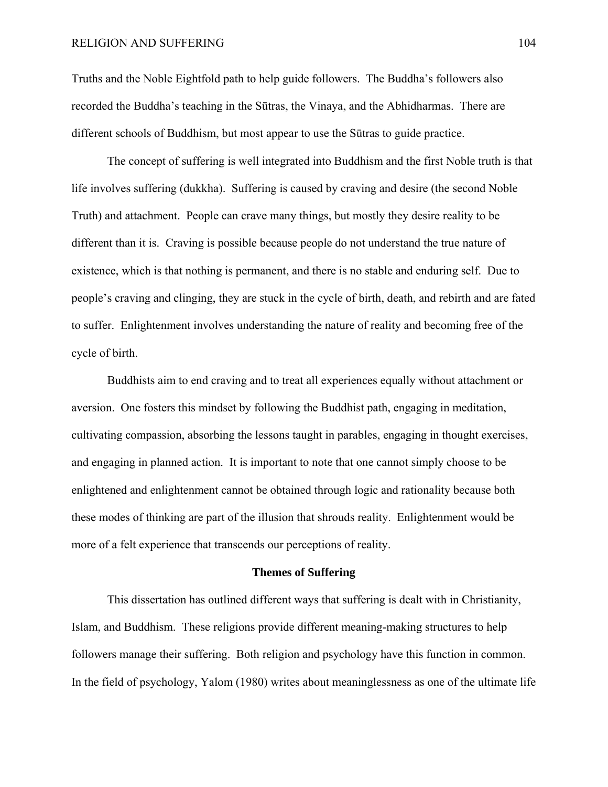Truths and the Noble Eightfold path to help guide followers. The Buddha's followers also recorded the Buddha's teaching in the Sūtras, the Vinaya, and the Abhidharmas. There are different schools of Buddhism, but most appear to use the Sūtras to guide practice.

 The concept of suffering is well integrated into Buddhism and the first Noble truth is that life involves suffering (dukkha). Suffering is caused by craving and desire (the second Noble Truth) and attachment. People can crave many things, but mostly they desire reality to be different than it is. Craving is possible because people do not understand the true nature of existence, which is that nothing is permanent, and there is no stable and enduring self. Due to people's craving and clinging, they are stuck in the cycle of birth, death, and rebirth and are fated to suffer. Enlightenment involves understanding the nature of reality and becoming free of the cycle of birth.

 Buddhists aim to end craving and to treat all experiences equally without attachment or aversion. One fosters this mindset by following the Buddhist path, engaging in meditation, cultivating compassion, absorbing the lessons taught in parables, engaging in thought exercises, and engaging in planned action. It is important to note that one cannot simply choose to be enlightened and enlightenment cannot be obtained through logic and rationality because both these modes of thinking are part of the illusion that shrouds reality. Enlightenment would be more of a felt experience that transcends our perceptions of reality.

### **Themes of Suffering**

This dissertation has outlined different ways that suffering is dealt with in Christianity, Islam, and Buddhism. These religions provide different meaning-making structures to help followers manage their suffering. Both religion and psychology have this function in common. In the field of psychology, Yalom (1980) writes about meaninglessness as one of the ultimate life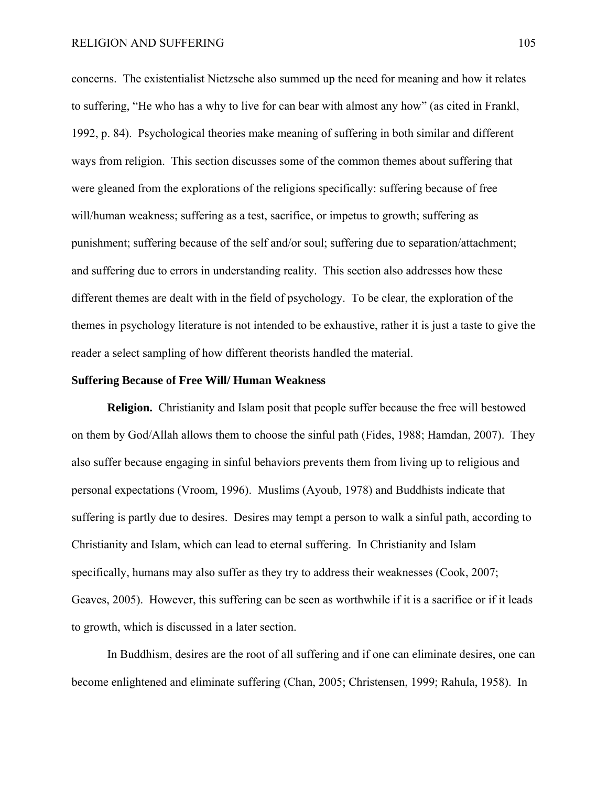concerns. The existentialist Nietzsche also summed up the need for meaning and how it relates to suffering, "He who has a why to live for can bear with almost any how" (as cited in Frankl, 1992, p. 84). Psychological theories make meaning of suffering in both similar and different ways from religion. This section discusses some of the common themes about suffering that were gleaned from the explorations of the religions specifically: suffering because of free will/human weakness; suffering as a test, sacrifice, or impetus to growth; suffering as punishment; suffering because of the self and/or soul; suffering due to separation/attachment; and suffering due to errors in understanding reality. This section also addresses how these different themes are dealt with in the field of psychology. To be clear, the exploration of the themes in psychology literature is not intended to be exhaustive, rather it is just a taste to give the reader a select sampling of how different theorists handled the material.

#### **Suffering Because of Free Will/ Human Weakness**

**Religion.** Christianity and Islam posit that people suffer because the free will bestowed on them by God/Allah allows them to choose the sinful path (Fides, 1988; Hamdan, 2007). They also suffer because engaging in sinful behaviors prevents them from living up to religious and personal expectations (Vroom, 1996). Muslims (Ayoub, 1978) and Buddhists indicate that suffering is partly due to desires. Desires may tempt a person to walk a sinful path, according to Christianity and Islam, which can lead to eternal suffering. In Christianity and Islam specifically, humans may also suffer as they try to address their weaknesses (Cook, 2007; Geaves, 2005). However, this suffering can be seen as worthwhile if it is a sacrifice or if it leads to growth, which is discussed in a later section.

In Buddhism, desires are the root of all suffering and if one can eliminate desires, one can become enlightened and eliminate suffering (Chan, 2005; Christensen, 1999; Rahula, 1958). In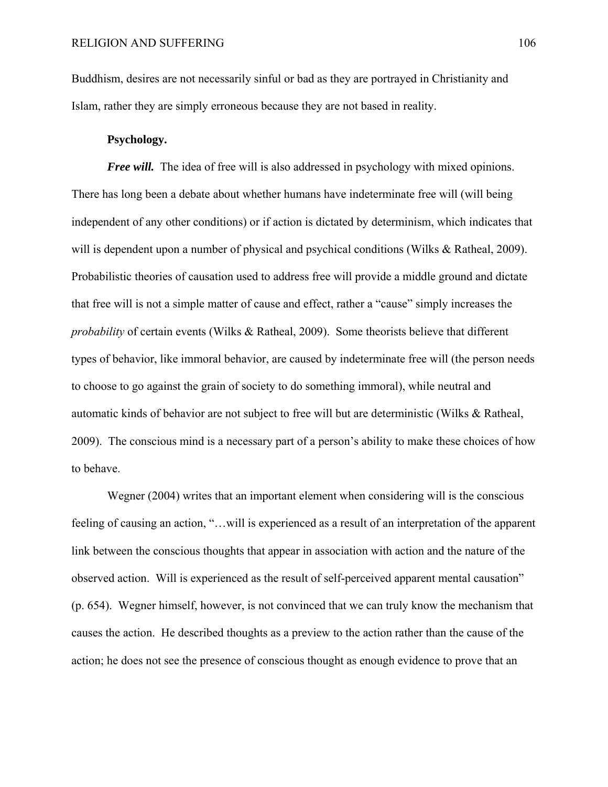Buddhism, desires are not necessarily sinful or bad as they are portrayed in Christianity and Islam, rather they are simply erroneous because they are not based in reality.

# **Psychology.**

*Free will.* The idea of free will is also addressed in psychology with mixed opinions. There has long been a debate about whether humans have indeterminate free will (will being independent of any other conditions) or if action is dictated by determinism, which indicates that will is dependent upon a number of physical and psychical conditions (Wilks & Ratheal, 2009). Probabilistic theories of causation used to address free will provide a middle ground and dictate that free will is not a simple matter of cause and effect, rather a "cause" simply increases the *probability* of certain events (Wilks & Ratheal, 2009). Some theorists believe that different types of behavior, like immoral behavior, are caused by indeterminate free will (the person needs to choose to go against the grain of society to do something immoral), while neutral and automatic kinds of behavior are not subject to free will but are deterministic (Wilks & Ratheal, 2009). The conscious mind is a necessary part of a person's ability to make these choices of how to behave.

Wegner (2004) writes that an important element when considering will is the conscious feeling of causing an action, "…will is experienced as a result of an interpretation of the apparent link between the conscious thoughts that appear in association with action and the nature of the observed action. Will is experienced as the result of self-perceived apparent mental causation" (p. 654). Wegner himself, however, is not convinced that we can truly know the mechanism that causes the action. He described thoughts as a preview to the action rather than the cause of the action; he does not see the presence of conscious thought as enough evidence to prove that an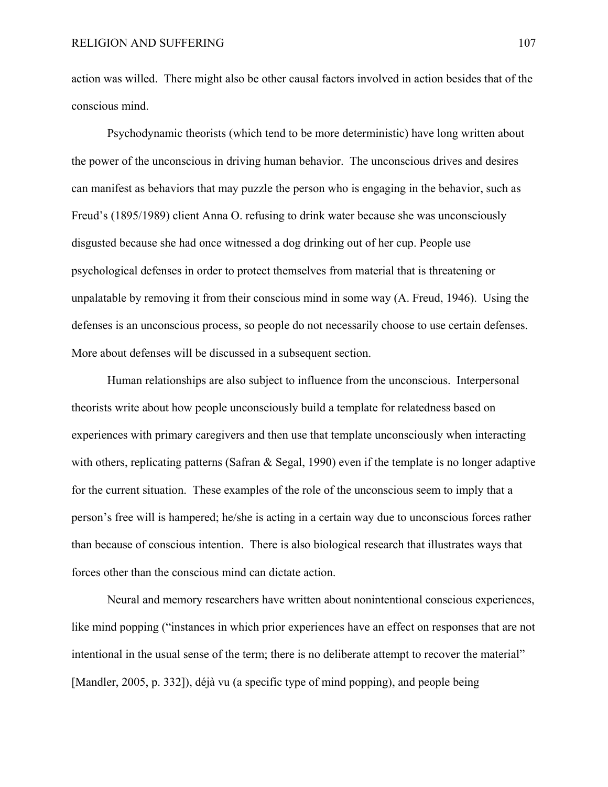action was willed. There might also be other causal factors involved in action besides that of the conscious mind.

Psychodynamic theorists (which tend to be more deterministic) have long written about the power of the unconscious in driving human behavior. The unconscious drives and desires can manifest as behaviors that may puzzle the person who is engaging in the behavior, such as Freud's (1895/1989) client Anna O. refusing to drink water because she was unconsciously disgusted because she had once witnessed a dog drinking out of her cup. People use psychological defenses in order to protect themselves from material that is threatening or unpalatable by removing it from their conscious mind in some way (A. Freud, 1946). Using the defenses is an unconscious process, so people do not necessarily choose to use certain defenses. More about defenses will be discussed in a subsequent section.

Human relationships are also subject to influence from the unconscious. Interpersonal theorists write about how people unconsciously build a template for relatedness based on experiences with primary caregivers and then use that template unconsciously when interacting with others, replicating patterns (Safran & Segal, 1990) even if the template is no longer adaptive for the current situation. These examples of the role of the unconscious seem to imply that a person's free will is hampered; he/she is acting in a certain way due to unconscious forces rather than because of conscious intention. There is also biological research that illustrates ways that forces other than the conscious mind can dictate action.

Neural and memory researchers have written about nonintentional conscious experiences, like mind popping ("instances in which prior experiences have an effect on responses that are not intentional in the usual sense of the term; there is no deliberate attempt to recover the material" [Mandler, 2005, p. 332]), déjà vu (a specific type of mind popping), and people being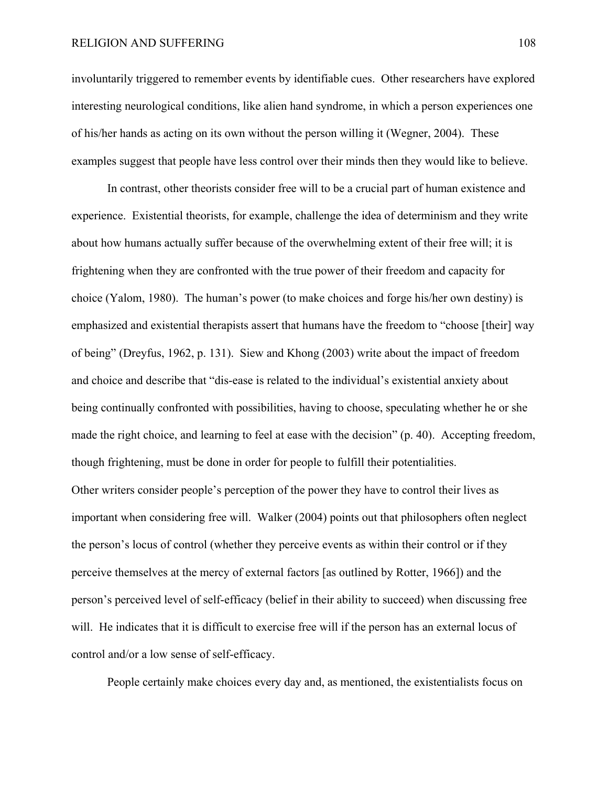involuntarily triggered to remember events by identifiable cues. Other researchers have explored interesting neurological conditions, like alien hand syndrome, in which a person experiences one of his/her hands as acting on its own without the person willing it (Wegner, 2004). These examples suggest that people have less control over their minds then they would like to believe.

In contrast, other theorists consider free will to be a crucial part of human existence and experience. Existential theorists, for example, challenge the idea of determinism and they write about how humans actually suffer because of the overwhelming extent of their free will; it is frightening when they are confronted with the true power of their freedom and capacity for choice (Yalom, 1980). The human's power (to make choices and forge his/her own destiny) is emphasized and existential therapists assert that humans have the freedom to "choose [their] way of being" (Dreyfus, 1962, p. 131). Siew and Khong (2003) write about the impact of freedom and choice and describe that "dis-ease is related to the individual's existential anxiety about being continually confronted with possibilities, having to choose, speculating whether he or she made the right choice, and learning to feel at ease with the decision" (p. 40). Accepting freedom, though frightening, must be done in order for people to fulfill their potentialities. Other writers consider people's perception of the power they have to control their lives as important when considering free will. Walker (2004) points out that philosophers often neglect the person's locus of control (whether they perceive events as within their control or if they perceive themselves at the mercy of external factors [as outlined by Rotter, 1966]) and the person's perceived level of self-efficacy (belief in their ability to succeed) when discussing free will. He indicates that it is difficult to exercise free will if the person has an external locus of control and/or a low sense of self-efficacy.

People certainly make choices every day and, as mentioned, the existentialists focus on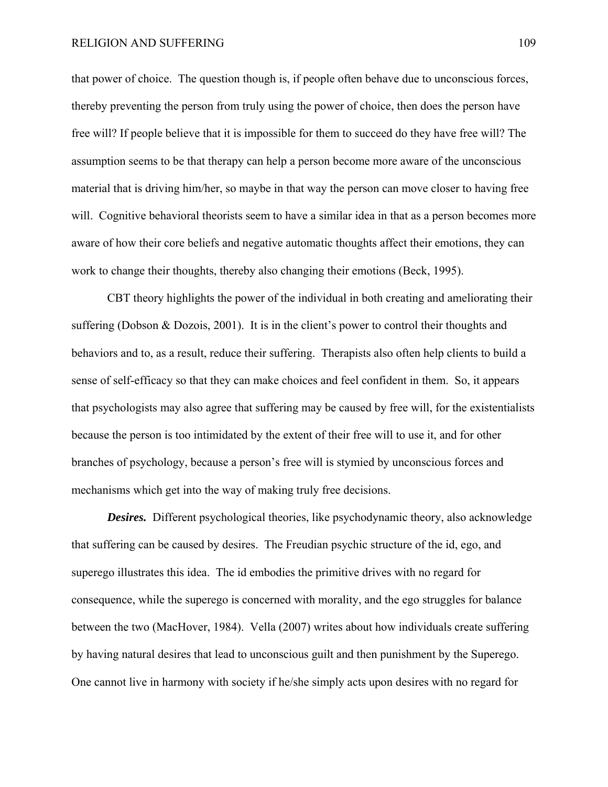that power of choice. The question though is, if people often behave due to unconscious forces, thereby preventing the person from truly using the power of choice, then does the person have free will? If people believe that it is impossible for them to succeed do they have free will? The assumption seems to be that therapy can help a person become more aware of the unconscious material that is driving him/her, so maybe in that way the person can move closer to having free will. Cognitive behavioral theorists seem to have a similar idea in that as a person becomes more aware of how their core beliefs and negative automatic thoughts affect their emotions, they can work to change their thoughts, thereby also changing their emotions (Beck, 1995).

CBT theory highlights the power of the individual in both creating and ameliorating their suffering (Dobson & Dozois, 2001). It is in the client's power to control their thoughts and behaviors and to, as a result, reduce their suffering. Therapists also often help clients to build a sense of self-efficacy so that they can make choices and feel confident in them. So, it appears that psychologists may also agree that suffering may be caused by free will, for the existentialists because the person is too intimidated by the extent of their free will to use it, and for other branches of psychology, because a person's free will is stymied by unconscious forces and mechanisms which get into the way of making truly free decisions.

*Desires.* Different psychological theories, like psychodynamic theory, also acknowledge that suffering can be caused by desires. The Freudian psychic structure of the id, ego, and superego illustrates this idea. The id embodies the primitive drives with no regard for consequence, while the superego is concerned with morality, and the ego struggles for balance between the two (MacHover, 1984). Vella (2007) writes about how individuals create suffering by having natural desires that lead to unconscious guilt and then punishment by the Superego. One cannot live in harmony with society if he/she simply acts upon desires with no regard for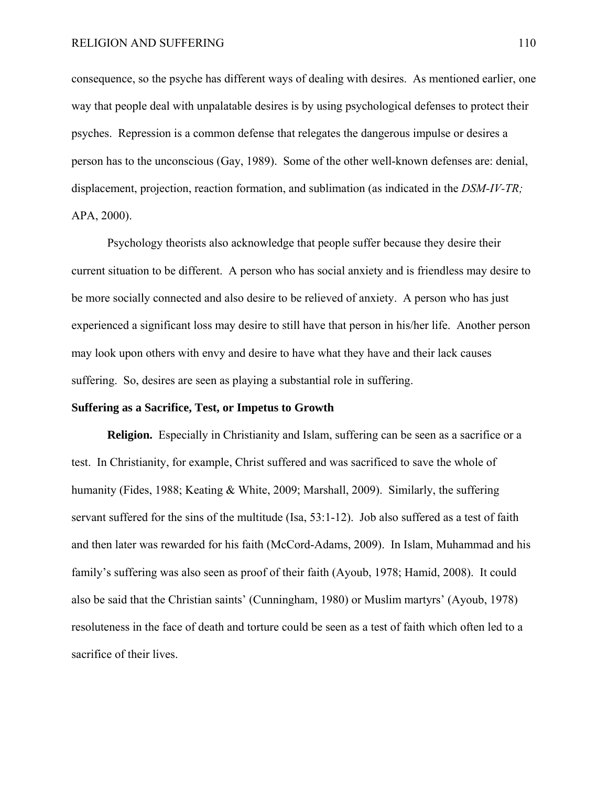consequence, so the psyche has different ways of dealing with desires. As mentioned earlier, one way that people deal with unpalatable desires is by using psychological defenses to protect their psyches. Repression is a common defense that relegates the dangerous impulse or desires a person has to the unconscious (Gay, 1989). Some of the other well-known defenses are: denial, displacement, projection, reaction formation, and sublimation (as indicated in the *DSM-IV-TR;*  APA, 2000).

Psychology theorists also acknowledge that people suffer because they desire their current situation to be different. A person who has social anxiety and is friendless may desire to be more socially connected and also desire to be relieved of anxiety. A person who has just experienced a significant loss may desire to still have that person in his/her life. Another person may look upon others with envy and desire to have what they have and their lack causes suffering. So, desires are seen as playing a substantial role in suffering.

#### **Suffering as a Sacrifice, Test, or Impetus to Growth**

**Religion.** Especially in Christianity and Islam, suffering can be seen as a sacrifice or a test. In Christianity, for example, Christ suffered and was sacrificed to save the whole of humanity (Fides, 1988; Keating & White, 2009; Marshall, 2009). Similarly, the suffering servant suffered for the sins of the multitude (Isa, 53:1-12). Job also suffered as a test of faith and then later was rewarded for his faith (McCord-Adams, 2009). In Islam, Muhammad and his family's suffering was also seen as proof of their faith (Ayoub, 1978; Hamid, 2008). It could also be said that the Christian saints' (Cunningham, 1980) or Muslim martyrs' (Ayoub, 1978) resoluteness in the face of death and torture could be seen as a test of faith which often led to a sacrifice of their lives.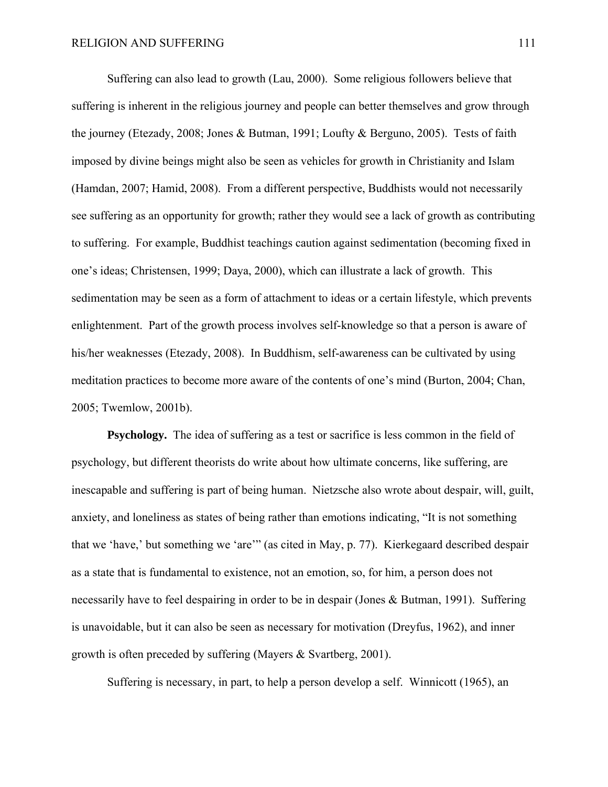Suffering can also lead to growth (Lau, 2000). Some religious followers believe that suffering is inherent in the religious journey and people can better themselves and grow through the journey (Etezady, 2008; Jones & Butman, 1991; Loufty & Berguno, 2005). Tests of faith imposed by divine beings might also be seen as vehicles for growth in Christianity and Islam (Hamdan, 2007; Hamid, 2008). From a different perspective, Buddhists would not necessarily see suffering as an opportunity for growth; rather they would see a lack of growth as contributing to suffering. For example, Buddhist teachings caution against sedimentation (becoming fixed in one's ideas; Christensen, 1999; Daya, 2000), which can illustrate a lack of growth. This sedimentation may be seen as a form of attachment to ideas or a certain lifestyle, which prevents enlightenment. Part of the growth process involves self-knowledge so that a person is aware of his/her weaknesses (Etezady, 2008). In Buddhism, self-awareness can be cultivated by using meditation practices to become more aware of the contents of one's mind (Burton, 2004; Chan, 2005; Twemlow, 2001b).

**Psychology.** The idea of suffering as a test or sacrifice is less common in the field of psychology, but different theorists do write about how ultimate concerns, like suffering, are inescapable and suffering is part of being human. Nietzsche also wrote about despair, will, guilt, anxiety, and loneliness as states of being rather than emotions indicating, "It is not something that we 'have,' but something we 'are'" (as cited in May, p. 77). Kierkegaard described despair as a state that is fundamental to existence, not an emotion, so, for him, a person does not necessarily have to feel despairing in order to be in despair (Jones & Butman, 1991). Suffering is unavoidable, but it can also be seen as necessary for motivation (Dreyfus, 1962), and inner growth is often preceded by suffering (Mayers & Svartberg, 2001).

Suffering is necessary, in part, to help a person develop a self. Winnicott (1965), an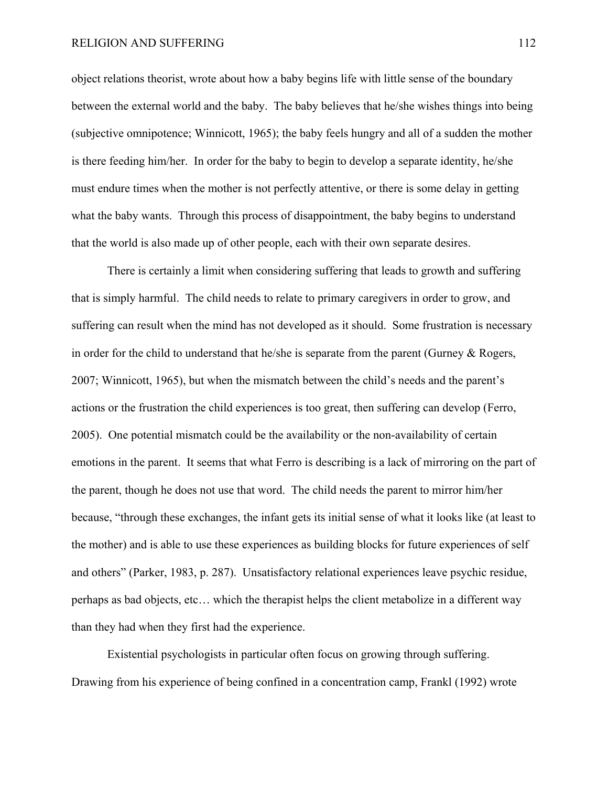object relations theorist, wrote about how a baby begins life with little sense of the boundary between the external world and the baby. The baby believes that he/she wishes things into being (subjective omnipotence; Winnicott, 1965); the baby feels hungry and all of a sudden the mother is there feeding him/her. In order for the baby to begin to develop a separate identity, he/she must endure times when the mother is not perfectly attentive, or there is some delay in getting what the baby wants. Through this process of disappointment, the baby begins to understand that the world is also made up of other people, each with their own separate desires.

There is certainly a limit when considering suffering that leads to growth and suffering that is simply harmful. The child needs to relate to primary caregivers in order to grow, and suffering can result when the mind has not developed as it should. Some frustration is necessary in order for the child to understand that he/she is separate from the parent (Gurney & Rogers, 2007; Winnicott, 1965), but when the mismatch between the child's needs and the parent's actions or the frustration the child experiences is too great, then suffering can develop (Ferro, 2005). One potential mismatch could be the availability or the non-availability of certain emotions in the parent. It seems that what Ferro is describing is a lack of mirroring on the part of the parent, though he does not use that word. The child needs the parent to mirror him/her because, "through these exchanges, the infant gets its initial sense of what it looks like (at least to the mother) and is able to use these experiences as building blocks for future experiences of self and others" (Parker, 1983, p. 287). Unsatisfactory relational experiences leave psychic residue, perhaps as bad objects, etc… which the therapist helps the client metabolize in a different way than they had when they first had the experience.

Existential psychologists in particular often focus on growing through suffering. Drawing from his experience of being confined in a concentration camp, Frankl (1992) wrote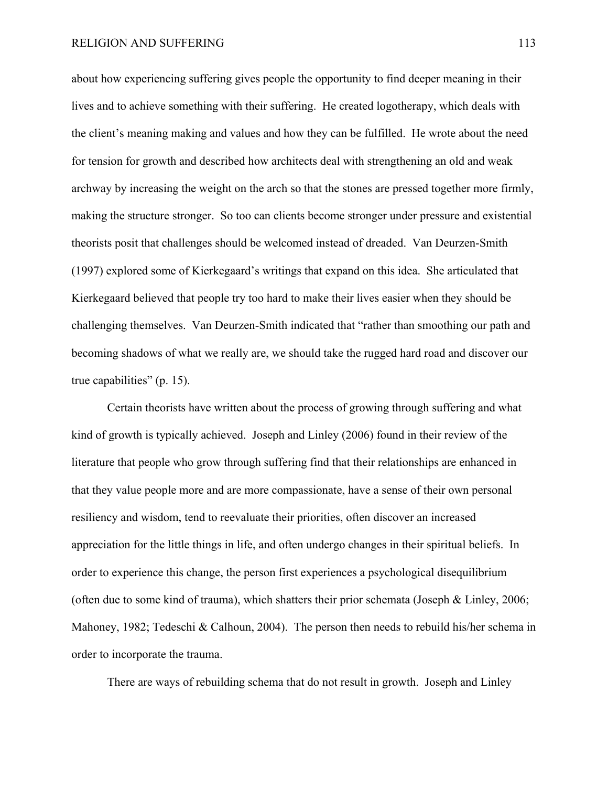about how experiencing suffering gives people the opportunity to find deeper meaning in their lives and to achieve something with their suffering. He created logotherapy, which deals with the client's meaning making and values and how they can be fulfilled. He wrote about the need for tension for growth and described how architects deal with strengthening an old and weak archway by increasing the weight on the arch so that the stones are pressed together more firmly, making the structure stronger. So too can clients become stronger under pressure and existential theorists posit that challenges should be welcomed instead of dreaded. Van Deurzen-Smith (1997) explored some of Kierkegaard's writings that expand on this idea. She articulated that Kierkegaard believed that people try too hard to make their lives easier when they should be challenging themselves. Van Deurzen-Smith indicated that "rather than smoothing our path and becoming shadows of what we really are, we should take the rugged hard road and discover our true capabilities" (p. 15).

Certain theorists have written about the process of growing through suffering and what kind of growth is typically achieved. Joseph and Linley (2006) found in their review of the literature that people who grow through suffering find that their relationships are enhanced in that they value people more and are more compassionate, have a sense of their own personal resiliency and wisdom, tend to reevaluate their priorities, often discover an increased appreciation for the little things in life, and often undergo changes in their spiritual beliefs. In order to experience this change, the person first experiences a psychological disequilibrium (often due to some kind of trauma), which shatters their prior schemata (Joseph & Linley, 2006; Mahoney, 1982; Tedeschi & Calhoun, 2004). The person then needs to rebuild his/her schema in order to incorporate the trauma.

There are ways of rebuilding schema that do not result in growth. Joseph and Linley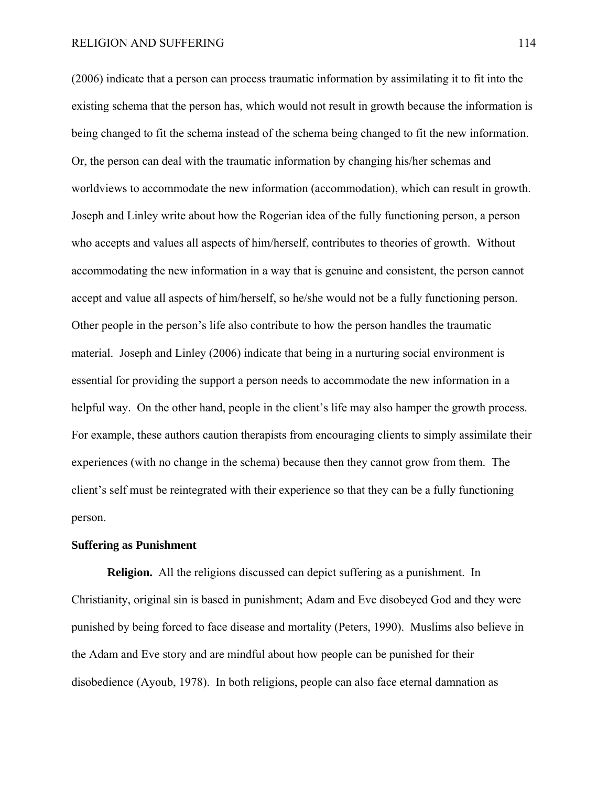(2006) indicate that a person can process traumatic information by assimilating it to fit into the existing schema that the person has, which would not result in growth because the information is being changed to fit the schema instead of the schema being changed to fit the new information. Or, the person can deal with the traumatic information by changing his/her schemas and worldviews to accommodate the new information (accommodation), which can result in growth. Joseph and Linley write about how the Rogerian idea of the fully functioning person, a person who accepts and values all aspects of him/herself, contributes to theories of growth. Without accommodating the new information in a way that is genuine and consistent, the person cannot accept and value all aspects of him/herself, so he/she would not be a fully functioning person. Other people in the person's life also contribute to how the person handles the traumatic material. Joseph and Linley (2006) indicate that being in a nurturing social environment is essential for providing the support a person needs to accommodate the new information in a helpful way. On the other hand, people in the client's life may also hamper the growth process. For example, these authors caution therapists from encouraging clients to simply assimilate their experiences (with no change in the schema) because then they cannot grow from them. The client's self must be reintegrated with their experience so that they can be a fully functioning person.

### **Suffering as Punishment**

**Religion.** All the religions discussed can depict suffering as a punishment. In Christianity, original sin is based in punishment; Adam and Eve disobeyed God and they were punished by being forced to face disease and mortality (Peters, 1990). Muslims also believe in the Adam and Eve story and are mindful about how people can be punished for their disobedience (Ayoub, 1978). In both religions, people can also face eternal damnation as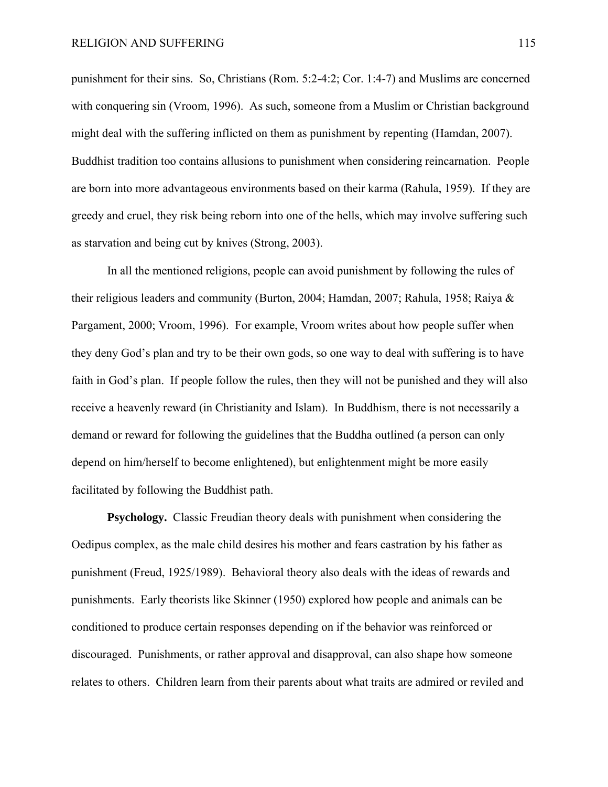punishment for their sins. So, Christians (Rom. 5:2-4:2; Cor. 1:4-7) and Muslims are concerned with conquering sin (Vroom, 1996). As such, someone from a Muslim or Christian background might deal with the suffering inflicted on them as punishment by repenting (Hamdan, 2007). Buddhist tradition too contains allusions to punishment when considering reincarnation. People are born into more advantageous environments based on their karma (Rahula, 1959). If they are greedy and cruel, they risk being reborn into one of the hells, which may involve suffering such as starvation and being cut by knives (Strong, 2003).

In all the mentioned religions, people can avoid punishment by following the rules of their religious leaders and community (Burton, 2004; Hamdan, 2007; Rahula, 1958; Raiya & Pargament, 2000; Vroom, 1996). For example, Vroom writes about how people suffer when they deny God's plan and try to be their own gods, so one way to deal with suffering is to have faith in God's plan. If people follow the rules, then they will not be punished and they will also receive a heavenly reward (in Christianity and Islam). In Buddhism, there is not necessarily a demand or reward for following the guidelines that the Buddha outlined (a person can only depend on him/herself to become enlightened), but enlightenment might be more easily facilitated by following the Buddhist path.

**Psychology.** Classic Freudian theory deals with punishment when considering the Oedipus complex, as the male child desires his mother and fears castration by his father as punishment (Freud, 1925/1989). Behavioral theory also deals with the ideas of rewards and punishments. Early theorists like Skinner (1950) explored how people and animals can be conditioned to produce certain responses depending on if the behavior was reinforced or discouraged. Punishments, or rather approval and disapproval, can also shape how someone relates to others. Children learn from their parents about what traits are admired or reviled and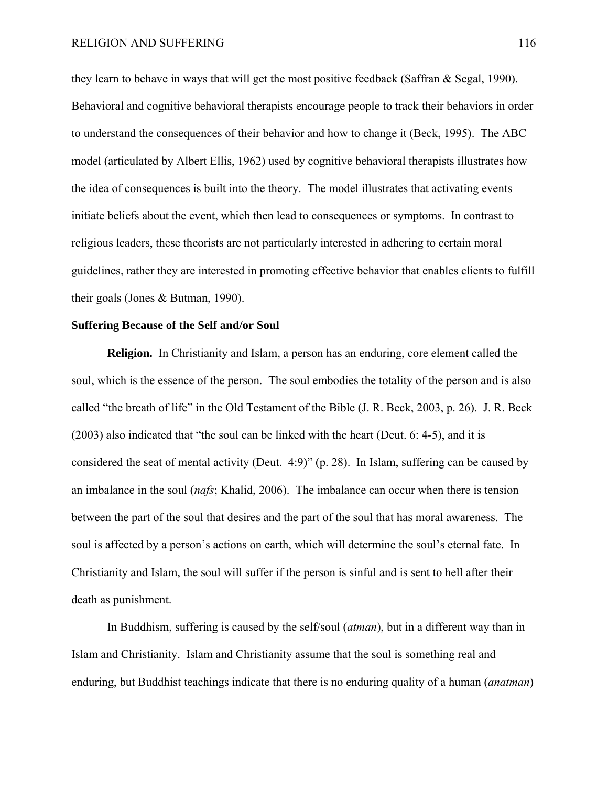they learn to behave in ways that will get the most positive feedback (Saffran & Segal, 1990). Behavioral and cognitive behavioral therapists encourage people to track their behaviors in order to understand the consequences of their behavior and how to change it (Beck, 1995). The ABC model (articulated by Albert Ellis, 1962) used by cognitive behavioral therapists illustrates how the idea of consequences is built into the theory. The model illustrates that activating events initiate beliefs about the event, which then lead to consequences or symptoms. In contrast to religious leaders, these theorists are not particularly interested in adhering to certain moral guidelines, rather they are interested in promoting effective behavior that enables clients to fulfill their goals (Jones & Butman, 1990).

### **Suffering Because of the Self and/or Soul**

**Religion.** In Christianity and Islam, a person has an enduring, core element called the soul, which is the essence of the person. The soul embodies the totality of the person and is also called "the breath of life" in the Old Testament of the Bible (J. R. Beck, 2003, p. 26). J. R. Beck (2003) also indicated that "the soul can be linked with the heart (Deut. 6: 4-5), and it is considered the seat of mental activity (Deut. 4:9)" (p. 28). In Islam, suffering can be caused by an imbalance in the soul (*nafs*; Khalid, 2006). The imbalance can occur when there is tension between the part of the soul that desires and the part of the soul that has moral awareness. The soul is affected by a person's actions on earth, which will determine the soul's eternal fate. In Christianity and Islam, the soul will suffer if the person is sinful and is sent to hell after their death as punishment.

In Buddhism, suffering is caused by the self/soul (*atman*), but in a different way than in Islam and Christianity. Islam and Christianity assume that the soul is something real and enduring, but Buddhist teachings indicate that there is no enduring quality of a human (*anatman*)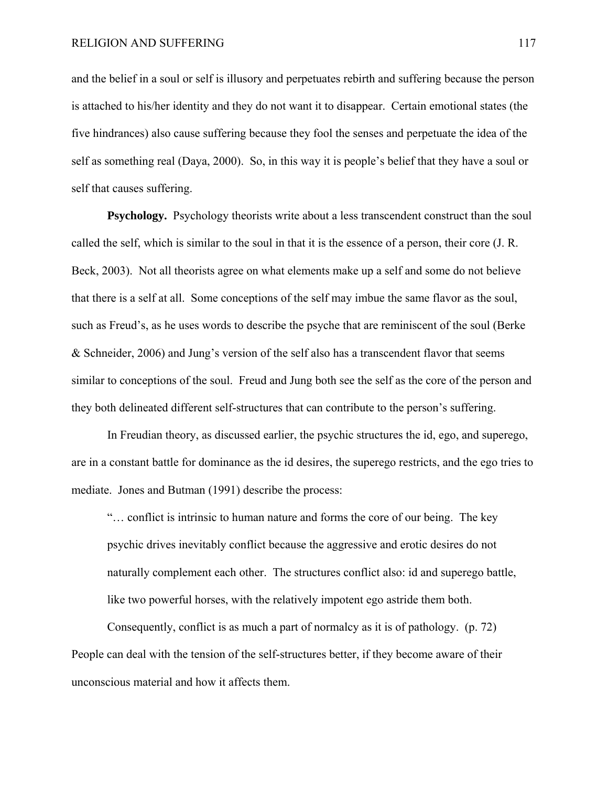and the belief in a soul or self is illusory and perpetuates rebirth and suffering because the person is attached to his/her identity and they do not want it to disappear. Certain emotional states (the five hindrances) also cause suffering because they fool the senses and perpetuate the idea of the self as something real (Daya, 2000). So, in this way it is people's belief that they have a soul or self that causes suffering.

**Psychology.** Psychology theorists write about a less transcendent construct than the soul called the self, which is similar to the soul in that it is the essence of a person, their core (J. R. Beck, 2003). Not all theorists agree on what elements make up a self and some do not believe that there is a self at all. Some conceptions of the self may imbue the same flavor as the soul, such as Freud's, as he uses words to describe the psyche that are reminiscent of the soul (Berke & Schneider, 2006) and Jung's version of the self also has a transcendent flavor that seems similar to conceptions of the soul. Freud and Jung both see the self as the core of the person and they both delineated different self-structures that can contribute to the person's suffering.

In Freudian theory, as discussed earlier, the psychic structures the id, ego, and superego, are in a constant battle for dominance as the id desires, the superego restricts, and the ego tries to mediate. Jones and Butman (1991) describe the process:

"… conflict is intrinsic to human nature and forms the core of our being. The key psychic drives inevitably conflict because the aggressive and erotic desires do not naturally complement each other. The structures conflict also: id and superego battle, like two powerful horses, with the relatively impotent ego astride them both.

Consequently, conflict is as much a part of normalcy as it is of pathology. (p. 72) People can deal with the tension of the self-structures better, if they become aware of their unconscious material and how it affects them.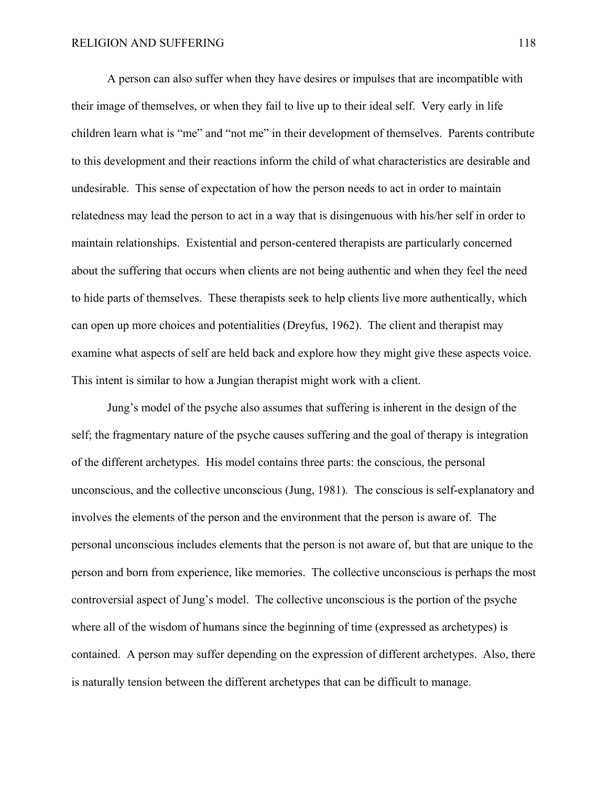A person can also suffer when they have desires or impulses that are incompatible with their image of themselves, or when they fail to live up to their ideal self. Very early in life children learn what is "me" and "not me" in their development of themselves. Parents contribute to this development and their reactions inform the child of what characteristics are desirable and undesirable. This sense of expectation of how the person needs to act in order to maintain relatedness may lead the person to act in a way that is disingenuous with his/her self in order to maintain relationships. Existential and person-centered therapists are particularly concerned about the suffering that occurs when clients are not being authentic and when they feel the need to hide parts of themselves. These therapists seek to help clients live more authentically, which can open up more choices and potentialities (Dreyfus, 1962). The client and therapist may examine what aspects of self are held back and explore how they might give these aspects voice. This intent is similar to how a Jungian therapist might work with a client.

Jung's model of the psyche also assumes that suffering is inherent in the design of the self; the fragmentary nature of the psyche causes suffering and the goal of therapy is integration of the different archetypes. His model contains three parts: the conscious, the personal unconscious, and the collective unconscious (Jung, 1981). The conscious is self-explanatory and involves the elements of the person and the environment that the person is aware of. The personal unconscious includes elements that the person is not aware of, but that are unique to the person and born from experience, like memories. The collective unconscious is perhaps the most controversial aspect of Jung's model. The collective unconscious is the portion of the psyche where all of the wisdom of humans since the beginning of time (expressed as archetypes) is contained. A person may suffer depending on the expression of different archetypes. Also, there is naturally tension between the different archetypes that can be difficult to manage.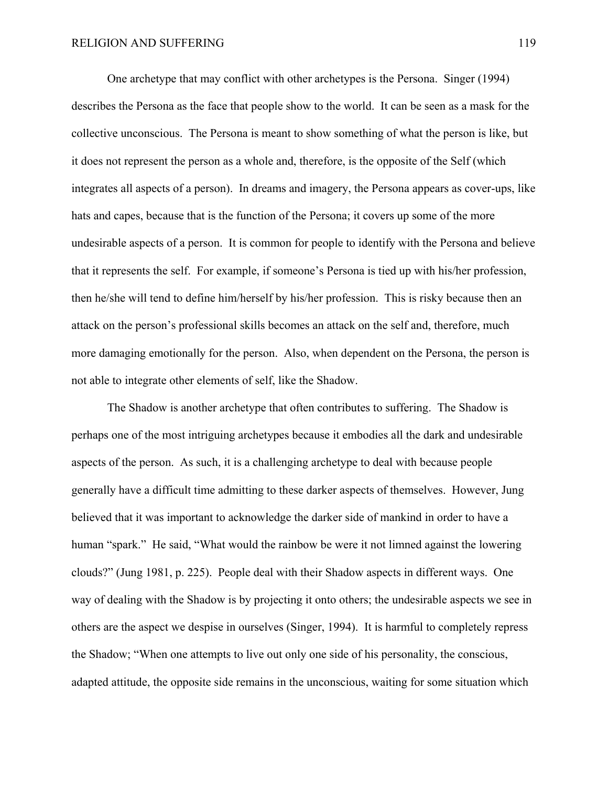One archetype that may conflict with other archetypes is the Persona. Singer (1994) describes the Persona as the face that people show to the world. It can be seen as a mask for the collective unconscious. The Persona is meant to show something of what the person is like, but it does not represent the person as a whole and, therefore, is the opposite of the Self (which integrates all aspects of a person). In dreams and imagery, the Persona appears as cover-ups, like hats and capes, because that is the function of the Persona; it covers up some of the more undesirable aspects of a person. It is common for people to identify with the Persona and believe that it represents the self. For example, if someone's Persona is tied up with his/her profession, then he/she will tend to define him/herself by his/her profession. This is risky because then an attack on the person's professional skills becomes an attack on the self and, therefore, much more damaging emotionally for the person. Also, when dependent on the Persona, the person is not able to integrate other elements of self, like the Shadow.

The Shadow is another archetype that often contributes to suffering. The Shadow is perhaps one of the most intriguing archetypes because it embodies all the dark and undesirable aspects of the person. As such, it is a challenging archetype to deal with because people generally have a difficult time admitting to these darker aspects of themselves. However, Jung believed that it was important to acknowledge the darker side of mankind in order to have a human "spark." He said, "What would the rainbow be were it not limned against the lowering clouds?" (Jung 1981, p. 225). People deal with their Shadow aspects in different ways. One way of dealing with the Shadow is by projecting it onto others; the undesirable aspects we see in others are the aspect we despise in ourselves (Singer, 1994). It is harmful to completely repress the Shadow; "When one attempts to live out only one side of his personality, the conscious, adapted attitude, the opposite side remains in the unconscious, waiting for some situation which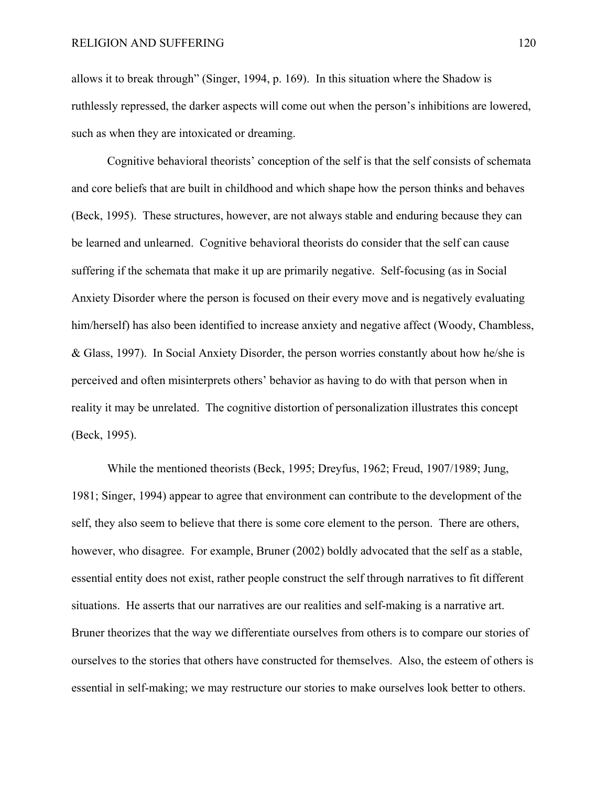allows it to break through" (Singer, 1994, p. 169). In this situation where the Shadow is ruthlessly repressed, the darker aspects will come out when the person's inhibitions are lowered, such as when they are intoxicated or dreaming.

Cognitive behavioral theorists' conception of the self is that the self consists of schemata and core beliefs that are built in childhood and which shape how the person thinks and behaves (Beck, 1995). These structures, however, are not always stable and enduring because they can be learned and unlearned. Cognitive behavioral theorists do consider that the self can cause suffering if the schemata that make it up are primarily negative. Self-focusing (as in Social Anxiety Disorder where the person is focused on their every move and is negatively evaluating him/herself) has also been identified to increase anxiety and negative affect (Woody, Chambless, & Glass, 1997). In Social Anxiety Disorder, the person worries constantly about how he/she is perceived and often misinterprets others' behavior as having to do with that person when in reality it may be unrelated. The cognitive distortion of personalization illustrates this concept (Beck, 1995).

While the mentioned theorists (Beck, 1995; Dreyfus, 1962; Freud, 1907/1989; Jung, 1981; Singer, 1994) appear to agree that environment can contribute to the development of the self, they also seem to believe that there is some core element to the person. There are others, however, who disagree. For example, Bruner (2002) boldly advocated that the self as a stable, essential entity does not exist, rather people construct the self through narratives to fit different situations. He asserts that our narratives are our realities and self-making is a narrative art. Bruner theorizes that the way we differentiate ourselves from others is to compare our stories of ourselves to the stories that others have constructed for themselves. Also, the esteem of others is essential in self-making; we may restructure our stories to make ourselves look better to others.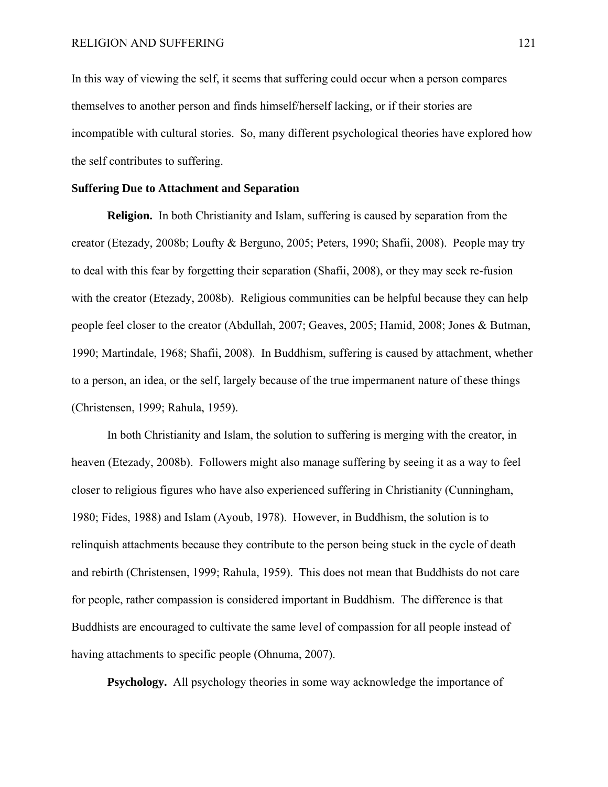In this way of viewing the self, it seems that suffering could occur when a person compares themselves to another person and finds himself/herself lacking, or if their stories are incompatible with cultural stories. So, many different psychological theories have explored how the self contributes to suffering.

### **Suffering Due to Attachment and Separation**

**Religion.** In both Christianity and Islam, suffering is caused by separation from the creator (Etezady, 2008b; Loufty & Berguno, 2005; Peters, 1990; Shafii, 2008). People may try to deal with this fear by forgetting their separation (Shafii, 2008), or they may seek re-fusion with the creator (Etezady, 2008b). Religious communities can be helpful because they can help people feel closer to the creator (Abdullah, 2007; Geaves, 2005; Hamid, 2008; Jones & Butman, 1990; Martindale, 1968; Shafii, 2008). In Buddhism, suffering is caused by attachment, whether to a person, an idea, or the self, largely because of the true impermanent nature of these things (Christensen, 1999; Rahula, 1959).

 In both Christianity and Islam, the solution to suffering is merging with the creator, in heaven (Etezady, 2008b). Followers might also manage suffering by seeing it as a way to feel closer to religious figures who have also experienced suffering in Christianity (Cunningham, 1980; Fides, 1988) and Islam (Ayoub, 1978). However, in Buddhism, the solution is to relinquish attachments because they contribute to the person being stuck in the cycle of death and rebirth (Christensen, 1999; Rahula, 1959). This does not mean that Buddhists do not care for people, rather compassion is considered important in Buddhism. The difference is that Buddhists are encouraged to cultivate the same level of compassion for all people instead of having attachments to specific people (Ohnuma, 2007).

**Psychology.** All psychology theories in some way acknowledge the importance of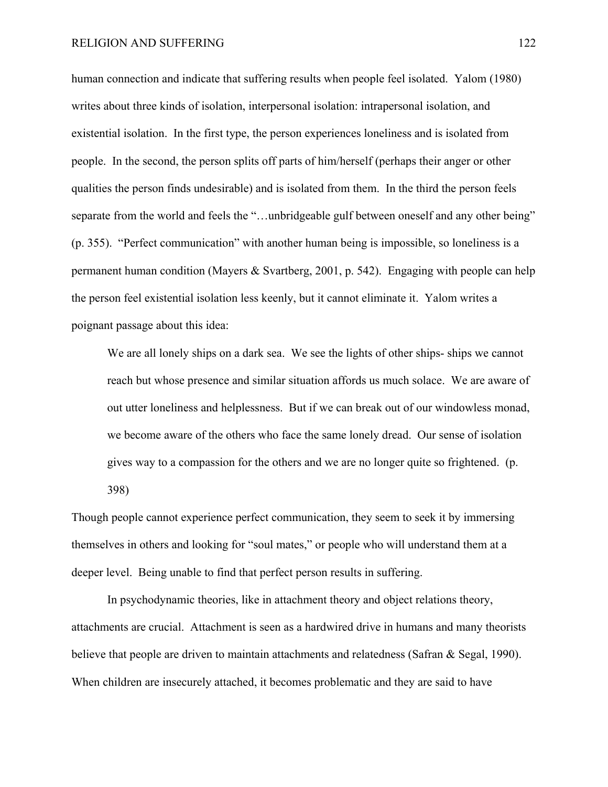human connection and indicate that suffering results when people feel isolated. Yalom (1980) writes about three kinds of isolation, interpersonal isolation: intrapersonal isolation, and existential isolation. In the first type, the person experiences loneliness and is isolated from people. In the second, the person splits off parts of him/herself (perhaps their anger or other qualities the person finds undesirable) and is isolated from them. In the third the person feels separate from the world and feels the "...unbridgeable gulf between oneself and any other being" (p. 355). "Perfect communication" with another human being is impossible, so loneliness is a permanent human condition (Mayers & Svartberg, 2001, p. 542). Engaging with people can help the person feel existential isolation less keenly, but it cannot eliminate it. Yalom writes a poignant passage about this idea:

We are all lonely ships on a dark sea. We see the lights of other ships-ships we cannot reach but whose presence and similar situation affords us much solace. We are aware of out utter loneliness and helplessness. But if we can break out of our windowless monad, we become aware of the others who face the same lonely dread. Our sense of isolation gives way to a compassion for the others and we are no longer quite so frightened. (p. 398)

Though people cannot experience perfect communication, they seem to seek it by immersing themselves in others and looking for "soul mates," or people who will understand them at a deeper level. Being unable to find that perfect person results in suffering.

In psychodynamic theories, like in attachment theory and object relations theory, attachments are crucial. Attachment is seen as a hardwired drive in humans and many theorists believe that people are driven to maintain attachments and relatedness (Safran & Segal, 1990). When children are insecurely attached, it becomes problematic and they are said to have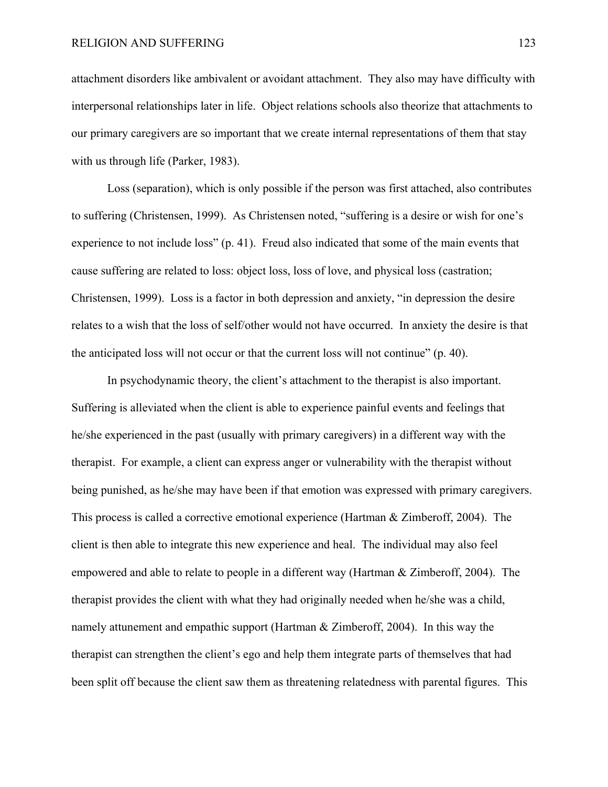attachment disorders like ambivalent or avoidant attachment. They also may have difficulty with interpersonal relationships later in life. Object relations schools also theorize that attachments to our primary caregivers are so important that we create internal representations of them that stay with us through life (Parker, 1983).

Loss (separation), which is only possible if the person was first attached, also contributes to suffering (Christensen, 1999). As Christensen noted, "suffering is a desire or wish for one's experience to not include loss" (p. 41). Freud also indicated that some of the main events that cause suffering are related to loss: object loss, loss of love, and physical loss (castration; Christensen, 1999). Loss is a factor in both depression and anxiety, "in depression the desire relates to a wish that the loss of self/other would not have occurred. In anxiety the desire is that the anticipated loss will not occur or that the current loss will not continue" (p. 40).

In psychodynamic theory, the client's attachment to the therapist is also important. Suffering is alleviated when the client is able to experience painful events and feelings that he/she experienced in the past (usually with primary caregivers) in a different way with the therapist. For example, a client can express anger or vulnerability with the therapist without being punished, as he/she may have been if that emotion was expressed with primary caregivers. This process is called a corrective emotional experience (Hartman & Zimberoff, 2004). The client is then able to integrate this new experience and heal. The individual may also feel empowered and able to relate to people in a different way (Hartman & Zimberoff, 2004). The therapist provides the client with what they had originally needed when he/she was a child, namely attunement and empathic support (Hartman & Zimberoff, 2004). In this way the therapist can strengthen the client's ego and help them integrate parts of themselves that had been split off because the client saw them as threatening relatedness with parental figures. This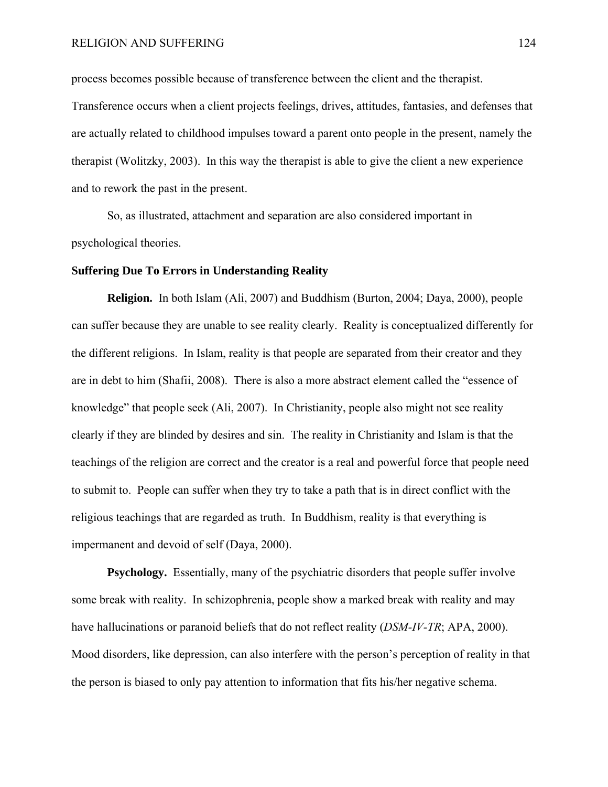process becomes possible because of transference between the client and the therapist. Transference occurs when a client projects feelings, drives, attitudes, fantasies, and defenses that are actually related to childhood impulses toward a parent onto people in the present, namely the therapist (Wolitzky, 2003). In this way the therapist is able to give the client a new experience and to rework the past in the present.

So, as illustrated, attachment and separation are also considered important in psychological theories.

### **Suffering Due To Errors in Understanding Reality**

**Religion.** In both Islam (Ali, 2007) and Buddhism (Burton, 2004; Daya, 2000), people can suffer because they are unable to see reality clearly. Reality is conceptualized differently for the different religions. In Islam, reality is that people are separated from their creator and they are in debt to him (Shafii, 2008). There is also a more abstract element called the "essence of knowledge" that people seek (Ali, 2007). In Christianity, people also might not see reality clearly if they are blinded by desires and sin. The reality in Christianity and Islam is that the teachings of the religion are correct and the creator is a real and powerful force that people need to submit to. People can suffer when they try to take a path that is in direct conflict with the religious teachings that are regarded as truth. In Buddhism, reality is that everything is impermanent and devoid of self (Daya, 2000).

**Psychology.** Essentially, many of the psychiatric disorders that people suffer involve some break with reality. In schizophrenia, people show a marked break with reality and may have hallucinations or paranoid beliefs that do not reflect reality (*DSM-IV-TR*; APA, 2000). Mood disorders, like depression, can also interfere with the person's perception of reality in that the person is biased to only pay attention to information that fits his/her negative schema.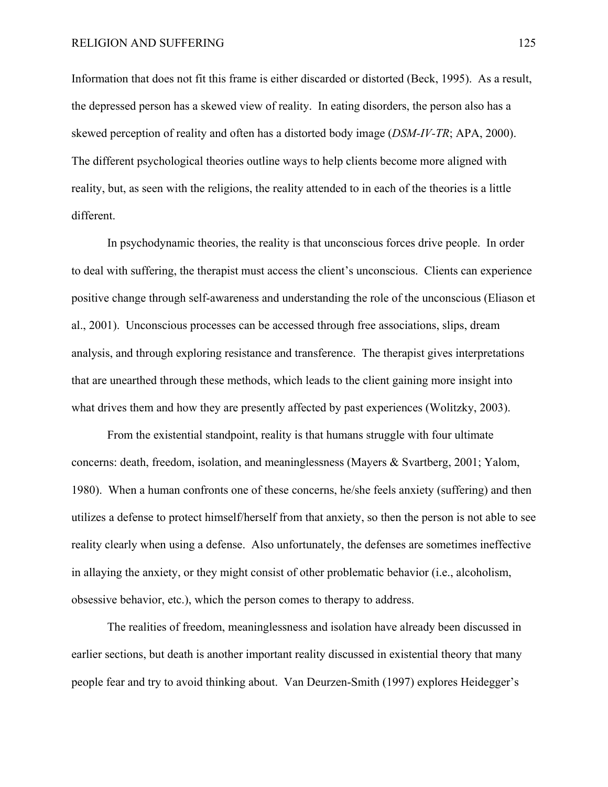Information that does not fit this frame is either discarded or distorted (Beck, 1995). As a result, the depressed person has a skewed view of reality. In eating disorders, the person also has a skewed perception of reality and often has a distorted body image (*DSM-IV-TR*; APA, 2000). The different psychological theories outline ways to help clients become more aligned with reality, but, as seen with the religions, the reality attended to in each of the theories is a little different.

In psychodynamic theories, the reality is that unconscious forces drive people. In order to deal with suffering, the therapist must access the client's unconscious. Clients can experience positive change through self-awareness and understanding the role of the unconscious (Eliason et al., 2001). Unconscious processes can be accessed through free associations, slips, dream analysis, and through exploring resistance and transference. The therapist gives interpretations that are unearthed through these methods, which leads to the client gaining more insight into what drives them and how they are presently affected by past experiences (Wolitzky, 2003).

From the existential standpoint, reality is that humans struggle with four ultimate concerns: death, freedom, isolation, and meaninglessness (Mayers & Svartberg, 2001; Yalom, 1980). When a human confronts one of these concerns, he/she feels anxiety (suffering) and then utilizes a defense to protect himself/herself from that anxiety, so then the person is not able to see reality clearly when using a defense. Also unfortunately, the defenses are sometimes ineffective in allaying the anxiety, or they might consist of other problematic behavior (i.e., alcoholism, obsessive behavior, etc.), which the person comes to therapy to address.

The realities of freedom, meaninglessness and isolation have already been discussed in earlier sections, but death is another important reality discussed in existential theory that many people fear and try to avoid thinking about. Van Deurzen-Smith (1997) explores Heidegger's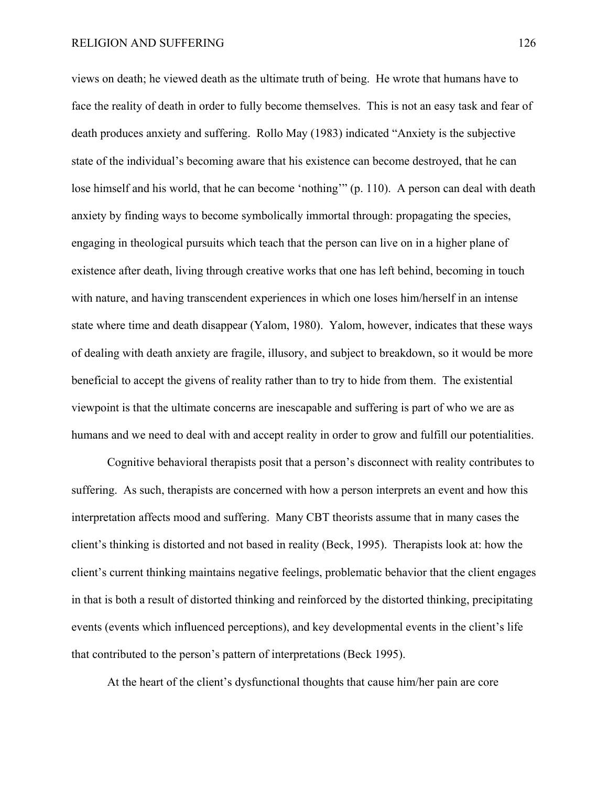views on death; he viewed death as the ultimate truth of being. He wrote that humans have to face the reality of death in order to fully become themselves. This is not an easy task and fear of death produces anxiety and suffering. Rollo May (1983) indicated "Anxiety is the subjective state of the individual's becoming aware that his existence can become destroyed, that he can lose himself and his world, that he can become 'nothing'" (p. 110). A person can deal with death anxiety by finding ways to become symbolically immortal through: propagating the species, engaging in theological pursuits which teach that the person can live on in a higher plane of existence after death, living through creative works that one has left behind, becoming in touch with nature, and having transcendent experiences in which one loses him/herself in an intense state where time and death disappear (Yalom, 1980). Yalom, however, indicates that these ways of dealing with death anxiety are fragile, illusory, and subject to breakdown, so it would be more beneficial to accept the givens of reality rather than to try to hide from them. The existential viewpoint is that the ultimate concerns are inescapable and suffering is part of who we are as humans and we need to deal with and accept reality in order to grow and fulfill our potentialities.

Cognitive behavioral therapists posit that a person's disconnect with reality contributes to suffering. As such, therapists are concerned with how a person interprets an event and how this interpretation affects mood and suffering. Many CBT theorists assume that in many cases the client's thinking is distorted and not based in reality (Beck, 1995). Therapists look at: how the client's current thinking maintains negative feelings, problematic behavior that the client engages in that is both a result of distorted thinking and reinforced by the distorted thinking, precipitating events (events which influenced perceptions), and key developmental events in the client's life that contributed to the person's pattern of interpretations (Beck 1995).

At the heart of the client's dysfunctional thoughts that cause him/her pain are core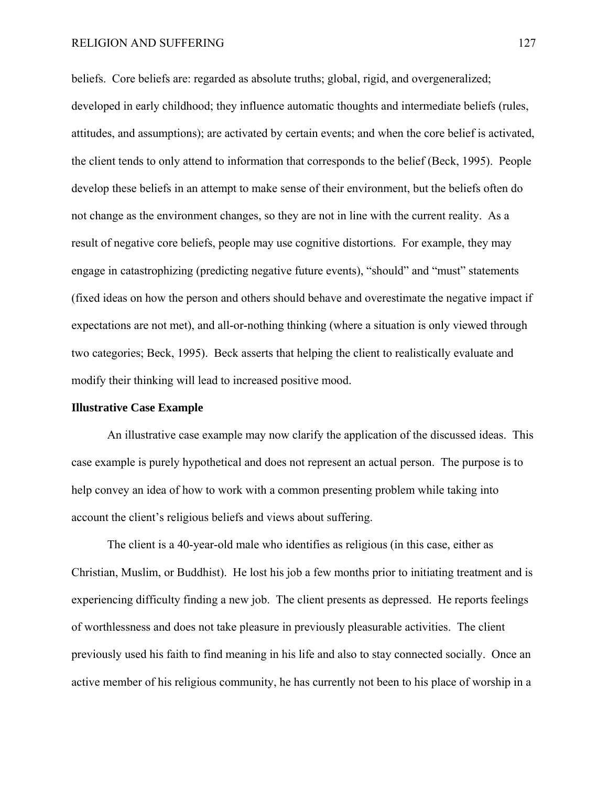beliefs. Core beliefs are: regarded as absolute truths; global, rigid, and overgeneralized; developed in early childhood; they influence automatic thoughts and intermediate beliefs (rules, attitudes, and assumptions); are activated by certain events; and when the core belief is activated, the client tends to only attend to information that corresponds to the belief (Beck, 1995). People develop these beliefs in an attempt to make sense of their environment, but the beliefs often do not change as the environment changes, so they are not in line with the current reality. As a result of negative core beliefs, people may use cognitive distortions. For example, they may engage in catastrophizing (predicting negative future events), "should" and "must" statements (fixed ideas on how the person and others should behave and overestimate the negative impact if expectations are not met), and all-or-nothing thinking (where a situation is only viewed through two categories; Beck, 1995). Beck asserts that helping the client to realistically evaluate and modify their thinking will lead to increased positive mood.

### **Illustrative Case Example**

An illustrative case example may now clarify the application of the discussed ideas. This case example is purely hypothetical and does not represent an actual person. The purpose is to help convey an idea of how to work with a common presenting problem while taking into account the client's religious beliefs and views about suffering.

 The client is a 40-year-old male who identifies as religious (in this case, either as Christian, Muslim, or Buddhist). He lost his job a few months prior to initiating treatment and is experiencing difficulty finding a new job. The client presents as depressed. He reports feelings of worthlessness and does not take pleasure in previously pleasurable activities. The client previously used his faith to find meaning in his life and also to stay connected socially. Once an active member of his religious community, he has currently not been to his place of worship in a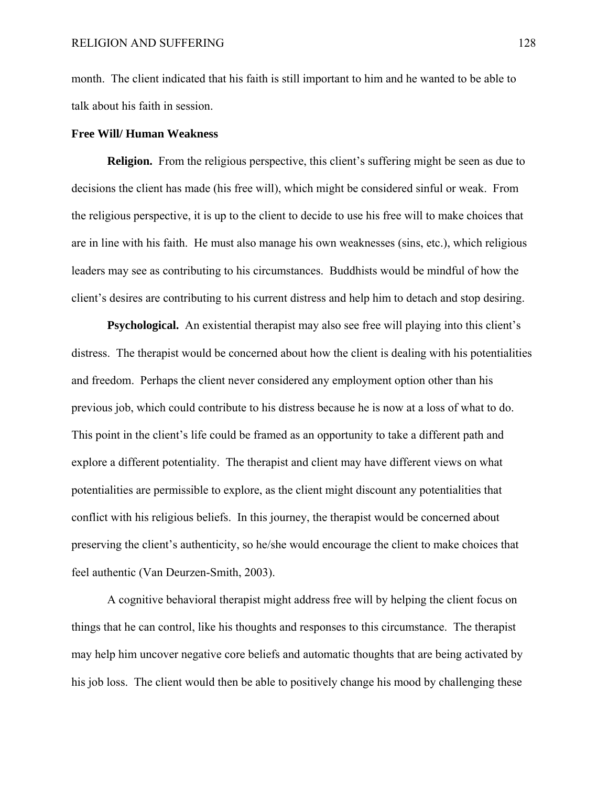month. The client indicated that his faith is still important to him and he wanted to be able to talk about his faith in session.

### **Free Will/ Human Weakness**

**Religion.** From the religious perspective, this client's suffering might be seen as due to decisions the client has made (his free will), which might be considered sinful or weak. From the religious perspective, it is up to the client to decide to use his free will to make choices that are in line with his faith. He must also manage his own weaknesses (sins, etc.), which religious leaders may see as contributing to his circumstances. Buddhists would be mindful of how the client's desires are contributing to his current distress and help him to detach and stop desiring.

**Psychological.** An existential therapist may also see free will playing into this client's distress. The therapist would be concerned about how the client is dealing with his potentialities and freedom. Perhaps the client never considered any employment option other than his previous job, which could contribute to his distress because he is now at a loss of what to do. This point in the client's life could be framed as an opportunity to take a different path and explore a different potentiality. The therapist and client may have different views on what potentialities are permissible to explore, as the client might discount any potentialities that conflict with his religious beliefs. In this journey, the therapist would be concerned about preserving the client's authenticity, so he/she would encourage the client to make choices that feel authentic (Van Deurzen-Smith, 2003).

A cognitive behavioral therapist might address free will by helping the client focus on things that he can control, like his thoughts and responses to this circumstance. The therapist may help him uncover negative core beliefs and automatic thoughts that are being activated by his job loss. The client would then be able to positively change his mood by challenging these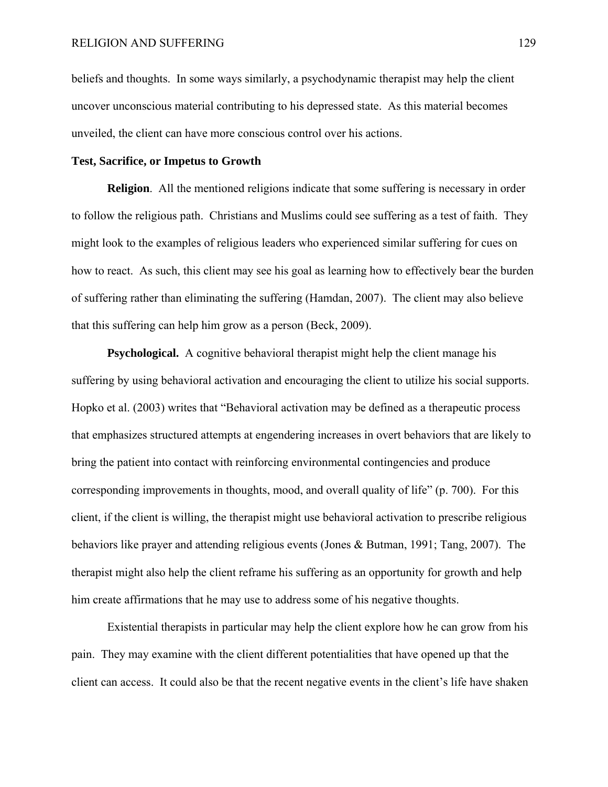beliefs and thoughts. In some ways similarly, a psychodynamic therapist may help the client uncover unconscious material contributing to his depressed state. As this material becomes unveiled, the client can have more conscious control over his actions.

## **Test, Sacrifice, or Impetus to Growth**

**Religion**.All the mentioned religions indicate that some suffering is necessary in order to follow the religious path. Christians and Muslims could see suffering as a test of faith. They might look to the examples of religious leaders who experienced similar suffering for cues on how to react. As such, this client may see his goal as learning how to effectively bear the burden of suffering rather than eliminating the suffering (Hamdan, 2007). The client may also believe that this suffering can help him grow as a person (Beck, 2009).

**Psychological.** A cognitive behavioral therapist might help the client manage his suffering by using behavioral activation and encouraging the client to utilize his social supports. Hopko et al. (2003) writes that "Behavioral activation may be defined as a therapeutic process that emphasizes structured attempts at engendering increases in overt behaviors that are likely to bring the patient into contact with reinforcing environmental contingencies and produce corresponding improvements in thoughts, mood, and overall quality of life" (p. 700). For this client, if the client is willing, the therapist might use behavioral activation to prescribe religious behaviors like prayer and attending religious events (Jones & Butman, 1991; Tang, 2007). The therapist might also help the client reframe his suffering as an opportunity for growth and help him create affirmations that he may use to address some of his negative thoughts.

Existential therapists in particular may help the client explore how he can grow from his pain. They may examine with the client different potentialities that have opened up that the client can access. It could also be that the recent negative events in the client's life have shaken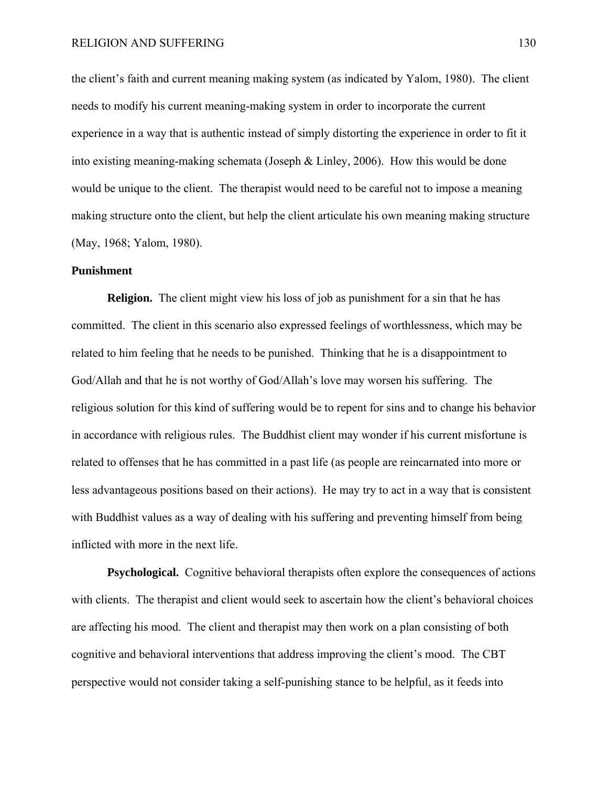the client's faith and current meaning making system (as indicated by Yalom, 1980). The client needs to modify his current meaning-making system in order to incorporate the current experience in a way that is authentic instead of simply distorting the experience in order to fit it into existing meaning-making schemata (Joseph & Linley, 2006). How this would be done would be unique to the client. The therapist would need to be careful not to impose a meaning making structure onto the client, but help the client articulate his own meaning making structure (May, 1968; Yalom, 1980).

### **Punishment**

**Religion.** The client might view his loss of job as punishment for a sin that he has committed. The client in this scenario also expressed feelings of worthlessness, which may be related to him feeling that he needs to be punished. Thinking that he is a disappointment to God/Allah and that he is not worthy of God/Allah's love may worsen his suffering. The religious solution for this kind of suffering would be to repent for sins and to change his behavior in accordance with religious rules. The Buddhist client may wonder if his current misfortune is related to offenses that he has committed in a past life (as people are reincarnated into more or less advantageous positions based on their actions). He may try to act in a way that is consistent with Buddhist values as a way of dealing with his suffering and preventing himself from being inflicted with more in the next life.

**Psychological.**Cognitive behavioral therapists often explore the consequences of actions with clients. The therapist and client would seek to ascertain how the client's behavioral choices are affecting his mood. The client and therapist may then work on a plan consisting of both cognitive and behavioral interventions that address improving the client's mood. The CBT perspective would not consider taking a self-punishing stance to be helpful, as it feeds into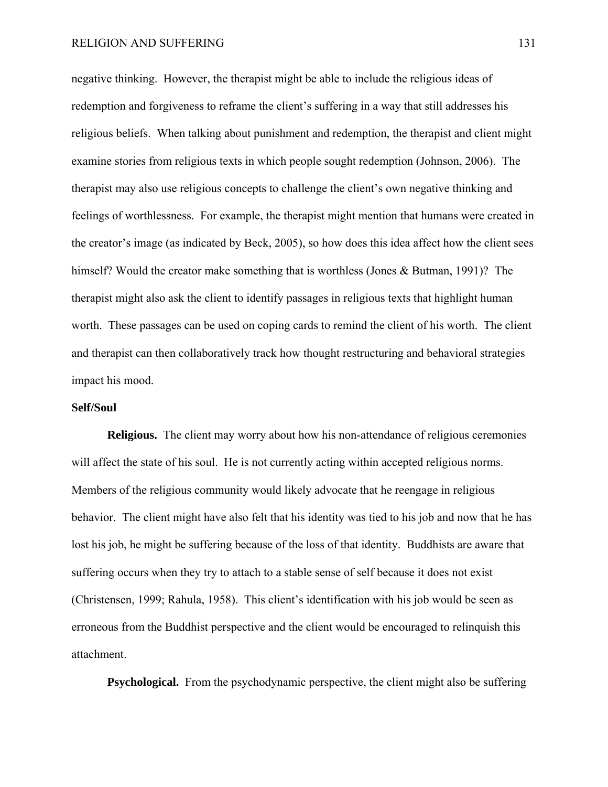negative thinking. However, the therapist might be able to include the religious ideas of redemption and forgiveness to reframe the client's suffering in a way that still addresses his religious beliefs. When talking about punishment and redemption, the therapist and client might examine stories from religious texts in which people sought redemption (Johnson, 2006). The therapist may also use religious concepts to challenge the client's own negative thinking and feelings of worthlessness. For example, the therapist might mention that humans were created in the creator's image (as indicated by Beck, 2005), so how does this idea affect how the client sees himself? Would the creator make something that is worthless (Jones & Butman, 1991)? The therapist might also ask the client to identify passages in religious texts that highlight human worth. These passages can be used on coping cards to remind the client of his worth. The client and therapist can then collaboratively track how thought restructuring and behavioral strategies impact his mood.

### **Self/Soul**

**Religious.**The client may worry about how his non-attendance of religious ceremonies will affect the state of his soul. He is not currently acting within accepted religious norms. Members of the religious community would likely advocate that he reengage in religious behavior. The client might have also felt that his identity was tied to his job and now that he has lost his job, he might be suffering because of the loss of that identity. Buddhists are aware that suffering occurs when they try to attach to a stable sense of self because it does not exist (Christensen, 1999; Rahula, 1958). This client's identification with his job would be seen as erroneous from the Buddhist perspective and the client would be encouraged to relinquish this attachment.

**Psychological.**From the psychodynamic perspective, the client might also be suffering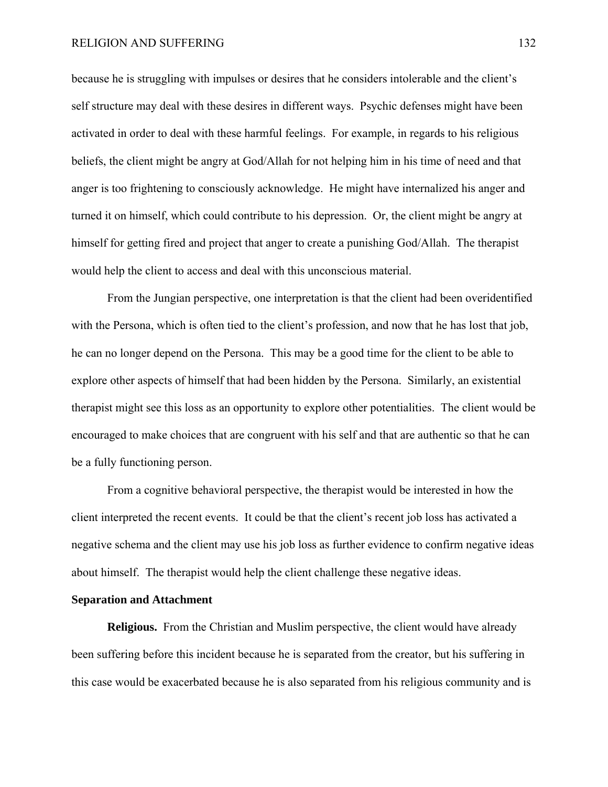because he is struggling with impulses or desires that he considers intolerable and the client's self structure may deal with these desires in different ways. Psychic defenses might have been activated in order to deal with these harmful feelings. For example, in regards to his religious beliefs, the client might be angry at God/Allah for not helping him in his time of need and that anger is too frightening to consciously acknowledge. He might have internalized his anger and turned it on himself, which could contribute to his depression. Or, the client might be angry at himself for getting fired and project that anger to create a punishing God/Allah. The therapist would help the client to access and deal with this unconscious material.

 From the Jungian perspective, one interpretation is that the client had been overidentified with the Persona, which is often tied to the client's profession, and now that he has lost that job, he can no longer depend on the Persona. This may be a good time for the client to be able to explore other aspects of himself that had been hidden by the Persona. Similarly, an existential therapist might see this loss as an opportunity to explore other potentialities. The client would be encouraged to make choices that are congruent with his self and that are authentic so that he can be a fully functioning person.

 From a cognitive behavioral perspective, the therapist would be interested in how the client interpreted the recent events. It could be that the client's recent job loss has activated a negative schema and the client may use his job loss as further evidence to confirm negative ideas about himself. The therapist would help the client challenge these negative ideas.

## **Separation and Attachment**

**Religious.**From the Christian and Muslim perspective, the client would have already been suffering before this incident because he is separated from the creator, but his suffering in this case would be exacerbated because he is also separated from his religious community and is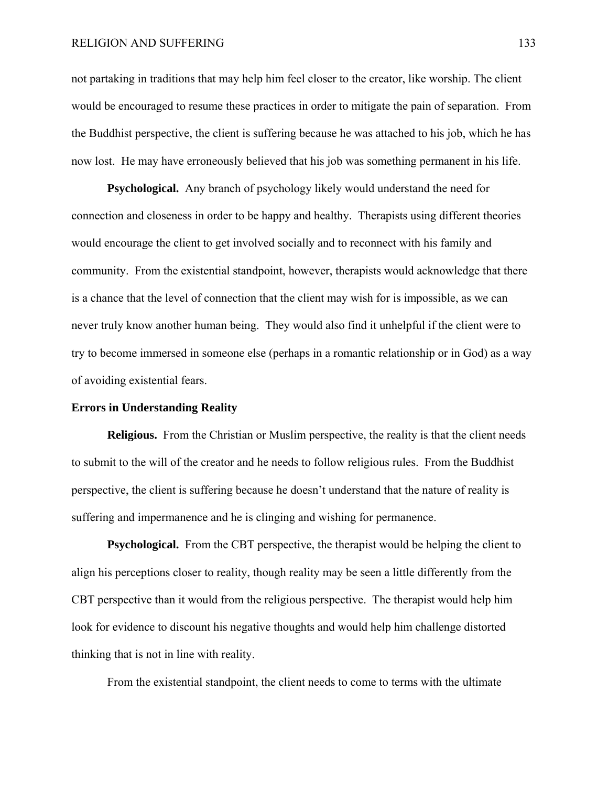not partaking in traditions that may help him feel closer to the creator, like worship. The client would be encouraged to resume these practices in order to mitigate the pain of separation. From the Buddhist perspective, the client is suffering because he was attached to his job, which he has now lost. He may have erroneously believed that his job was something permanent in his life.

**Psychological.** Any branch of psychology likely would understand the need for connection and closeness in order to be happy and healthy. Therapists using different theories would encourage the client to get involved socially and to reconnect with his family and community. From the existential standpoint, however, therapists would acknowledge that there is a chance that the level of connection that the client may wish for is impossible, as we can never truly know another human being. They would also find it unhelpful if the client were to try to become immersed in someone else (perhaps in a romantic relationship or in God) as a way of avoiding existential fears.

### **Errors in Understanding Reality**

**Religious.**From the Christian or Muslim perspective, the reality is that the client needs to submit to the will of the creator and he needs to follow religious rules. From the Buddhist perspective, the client is suffering because he doesn't understand that the nature of reality is suffering and impermanence and he is clinging and wishing for permanence.

**Psychological.** From the CBT perspective, the therapist would be helping the client to align his perceptions closer to reality, though reality may be seen a little differently from the CBT perspective than it would from the religious perspective. The therapist would help him look for evidence to discount his negative thoughts and would help him challenge distorted thinking that is not in line with reality.

From the existential standpoint, the client needs to come to terms with the ultimate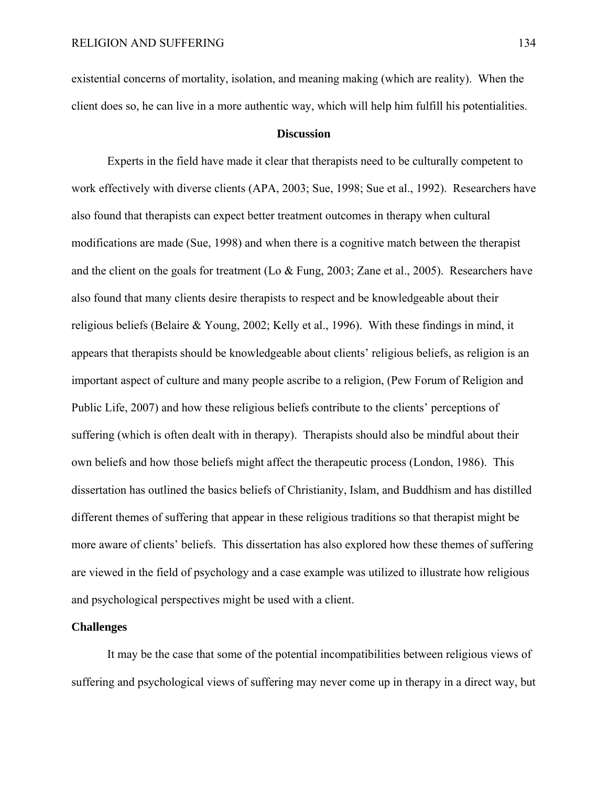existential concerns of mortality, isolation, and meaning making (which are reality). When the client does so, he can live in a more authentic way, which will help him fulfill his potentialities.

## **Discussion**

 Experts in the field have made it clear that therapists need to be culturally competent to work effectively with diverse clients (APA, 2003; Sue, 1998; Sue et al., 1992). Researchers have also found that therapists can expect better treatment outcomes in therapy when cultural modifications are made (Sue, 1998) and when there is a cognitive match between the therapist and the client on the goals for treatment (Lo & Fung, 2003; Zane et al., 2005). Researchers have also found that many clients desire therapists to respect and be knowledgeable about their religious beliefs (Belaire & Young, 2002; Kelly et al., 1996). With these findings in mind, it appears that therapists should be knowledgeable about clients' religious beliefs, as religion is an important aspect of culture and many people ascribe to a religion, (Pew Forum of Religion and Public Life, 2007) and how these religious beliefs contribute to the clients' perceptions of suffering (which is often dealt with in therapy). Therapists should also be mindful about their own beliefs and how those beliefs might affect the therapeutic process (London, 1986). This dissertation has outlined the basics beliefs of Christianity, Islam, and Buddhism and has distilled different themes of suffering that appear in these religious traditions so that therapist might be more aware of clients' beliefs. This dissertation has also explored how these themes of suffering are viewed in the field of psychology and a case example was utilized to illustrate how religious and psychological perspectives might be used with a client.

## **Challenges**

It may be the case that some of the potential incompatibilities between religious views of suffering and psychological views of suffering may never come up in therapy in a direct way, but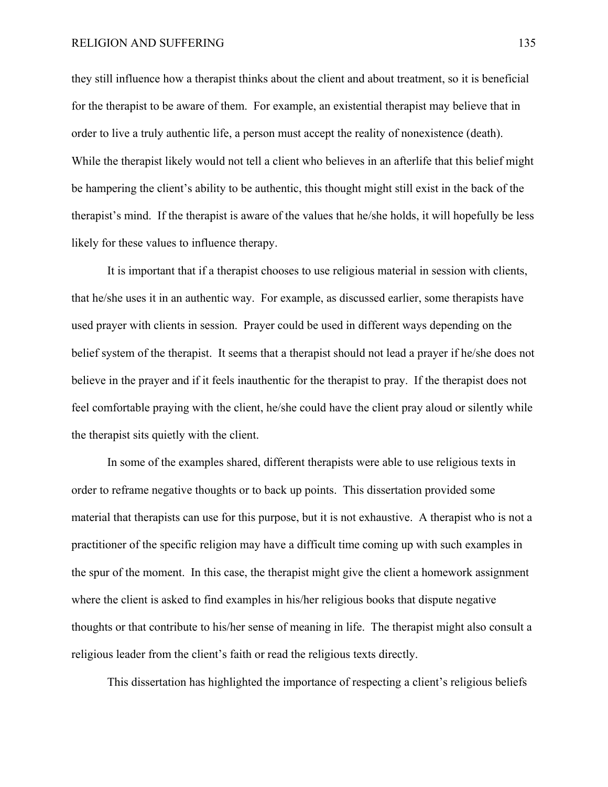they still influence how a therapist thinks about the client and about treatment, so it is beneficial for the therapist to be aware of them. For example, an existential therapist may believe that in order to live a truly authentic life, a person must accept the reality of nonexistence (death). While the therapist likely would not tell a client who believes in an afterlife that this belief might be hampering the client's ability to be authentic, this thought might still exist in the back of the therapist's mind. If the therapist is aware of the values that he/she holds, it will hopefully be less likely for these values to influence therapy.

It is important that if a therapist chooses to use religious material in session with clients, that he/she uses it in an authentic way. For example, as discussed earlier, some therapists have used prayer with clients in session. Prayer could be used in different ways depending on the belief system of the therapist. It seems that a therapist should not lead a prayer if he/she does not believe in the prayer and if it feels inauthentic for the therapist to pray. If the therapist does not feel comfortable praying with the client, he/she could have the client pray aloud or silently while the therapist sits quietly with the client.

 In some of the examples shared, different therapists were able to use religious texts in order to reframe negative thoughts or to back up points. This dissertation provided some material that therapists can use for this purpose, but it is not exhaustive. A therapist who is not a practitioner of the specific religion may have a difficult time coming up with such examples in the spur of the moment. In this case, the therapist might give the client a homework assignment where the client is asked to find examples in his/her religious books that dispute negative thoughts or that contribute to his/her sense of meaning in life. The therapist might also consult a religious leader from the client's faith or read the religious texts directly.

This dissertation has highlighted the importance of respecting a client's religious beliefs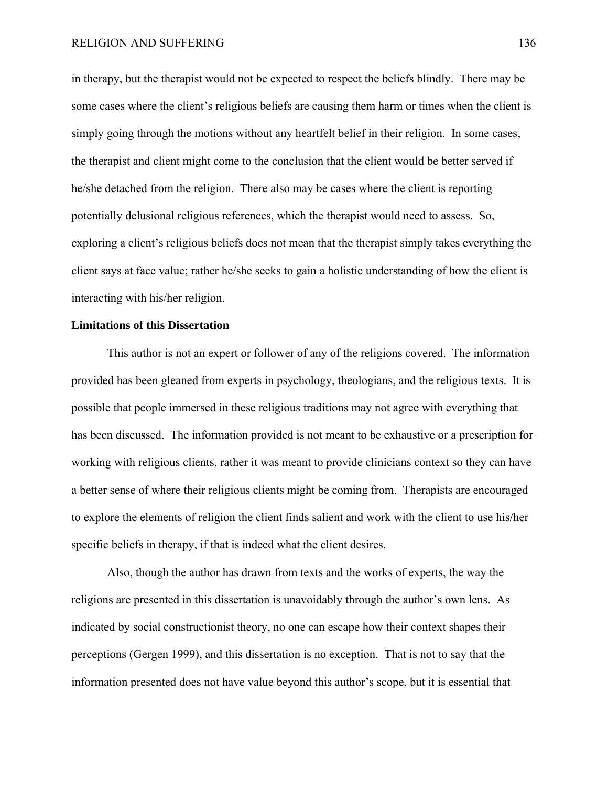in therapy, but the therapist would not be expected to respect the beliefs blindly. There may be some cases where the client's religious beliefs are causing them harm or times when the client is simply going through the motions without any heartfelt belief in their religion. In some cases, the therapist and client might come to the conclusion that the client would be better served if he/she detached from the religion. There also may be cases where the client is reporting potentially delusional religious references, which the therapist would need to assess. So, exploring a client's religious beliefs does not mean that the therapist simply takes everything the client says at face value; rather he/she seeks to gain a holistic understanding of how the client is interacting with his/her religion.

### **Limitations of this Dissertation**

This author is not an expert or follower of any of the religions covered. The information provided has been gleaned from experts in psychology, theologians, and the religious texts. It is possible that people immersed in these religious traditions may not agree with everything that has been discussed. The information provided is not meant to be exhaustive or a prescription for working with religious clients, rather it was meant to provide clinicians context so they can have a better sense of where their religious clients might be coming from. Therapists are encouraged to explore the elements of religion the client finds salient and work with the client to use his/her specific beliefs in therapy, if that is indeed what the client desires.

Also, though the author has drawn from texts and the works of experts, the way the religions are presented in this dissertation is unavoidably through the author's own lens. As indicated by social constructionist theory, no one can escape how their context shapes their perceptions (Gergen 1999), and this dissertation is no exception. That is not to say that the information presented does not have value beyond this author's scope, but it is essential that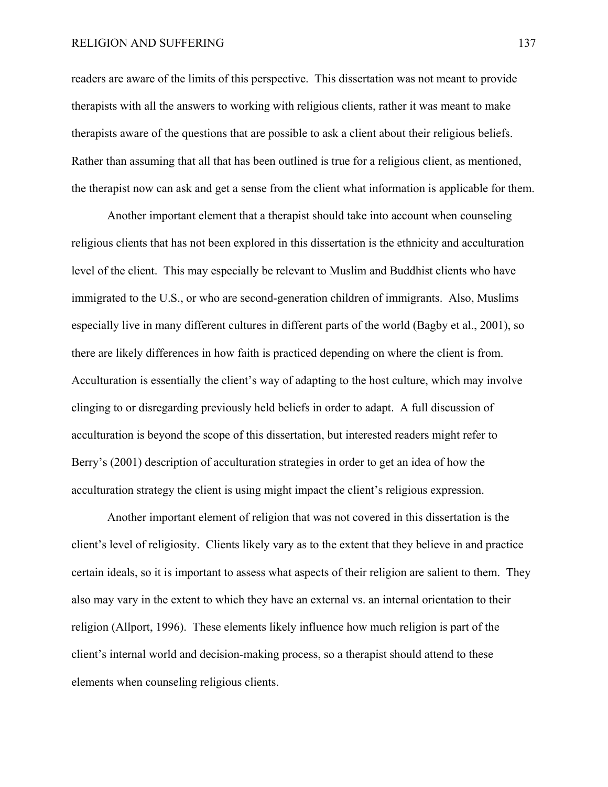readers are aware of the limits of this perspective. This dissertation was not meant to provide therapists with all the answers to working with religious clients, rather it was meant to make therapists aware of the questions that are possible to ask a client about their religious beliefs. Rather than assuming that all that has been outlined is true for a religious client, as mentioned, the therapist now can ask and get a sense from the client what information is applicable for them.

Another important element that a therapist should take into account when counseling religious clients that has not been explored in this dissertation is the ethnicity and acculturation level of the client. This may especially be relevant to Muslim and Buddhist clients who have immigrated to the U.S., or who are second-generation children of immigrants. Also, Muslims especially live in many different cultures in different parts of the world (Bagby et al., 2001), so there are likely differences in how faith is practiced depending on where the client is from. Acculturation is essentially the client's way of adapting to the host culture, which may involve clinging to or disregarding previously held beliefs in order to adapt. A full discussion of acculturation is beyond the scope of this dissertation, but interested readers might refer to Berry's (2001) description of acculturation strategies in order to get an idea of how the acculturation strategy the client is using might impact the client's religious expression.

Another important element of religion that was not covered in this dissertation is the client's level of religiosity. Clients likely vary as to the extent that they believe in and practice certain ideals, so it is important to assess what aspects of their religion are salient to them. They also may vary in the extent to which they have an external vs. an internal orientation to their religion (Allport, 1996). These elements likely influence how much religion is part of the client's internal world and decision-making process, so a therapist should attend to these elements when counseling religious clients.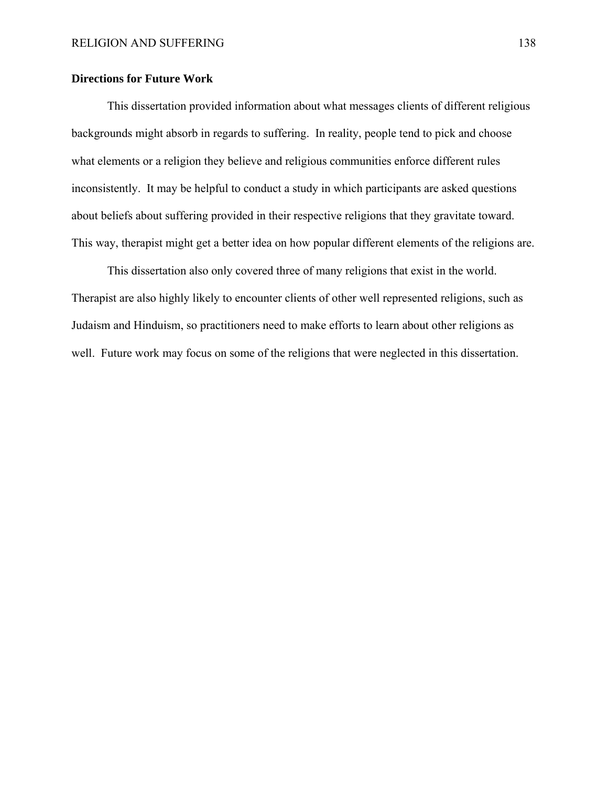# **Directions for Future Work**

 This dissertation provided information about what messages clients of different religious backgrounds might absorb in regards to suffering. In reality, people tend to pick and choose what elements or a religion they believe and religious communities enforce different rules inconsistently. It may be helpful to conduct a study in which participants are asked questions about beliefs about suffering provided in their respective religions that they gravitate toward. This way, therapist might get a better idea on how popular different elements of the religions are.

 This dissertation also only covered three of many religions that exist in the world. Therapist are also highly likely to encounter clients of other well represented religions, such as Judaism and Hinduism, so practitioners need to make efforts to learn about other religions as well. Future work may focus on some of the religions that were neglected in this dissertation.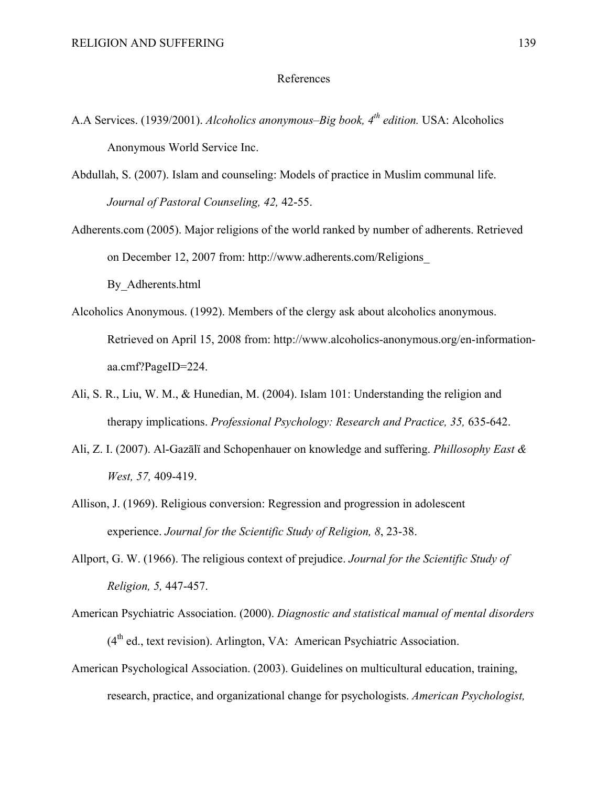## References

- A.A Services. (1939/2001). *Alcoholics anonymous–Big book, 4<sup>th</sup> edition*. USA: Alcoholics Anonymous World Service Inc.
- Abdullah, S. (2007). Islam and counseling: Models of practice in Muslim communal life. *Journal of Pastoral Counseling, 42,* 42-55.
- Adherents.com (2005). Major religions of the world ranked by number of adherents. Retrieved on December 12, 2007 from: http://www.adherents.com/Religions\_ By\_Adherents.html
- Alcoholics Anonymous. (1992). Members of the clergy ask about alcoholics anonymous. Retrieved on April 15, 2008 from: http://www.alcoholics-anonymous.org/en-informationaa.cmf?PageID=224.
- Ali, S. R., Liu, W. M., & Hunedian, M. (2004). Islam 101: Understanding the religion and therapy implications. *Professional Psychology: Research and Practice, 35,* 635-642.
- Ali, Z. I. (2007). Al-Gazālï and Schopenhauer on knowledge and suffering. *Phillosophy East & West, 57,* 409-419.
- Allison, J. (1969). Religious conversion: Regression and progression in adolescent experience. *Journal for the Scientific Study of Religion, 8*, 23-38.
- Allport, G. W. (1966). The religious context of prejudice. *Journal for the Scientific Study of Religion, 5,* 447-457.
- American Psychiatric Association. (2000). *Diagnostic and statistical manual of mental disorders*   $(4<sup>th</sup>$  ed., text revision). Arlington, VA: American Psychiatric Association.
- American Psychological Association. (2003). Guidelines on multicultural education, training, research, practice, and organizational change for psychologists. *American Psychologist,*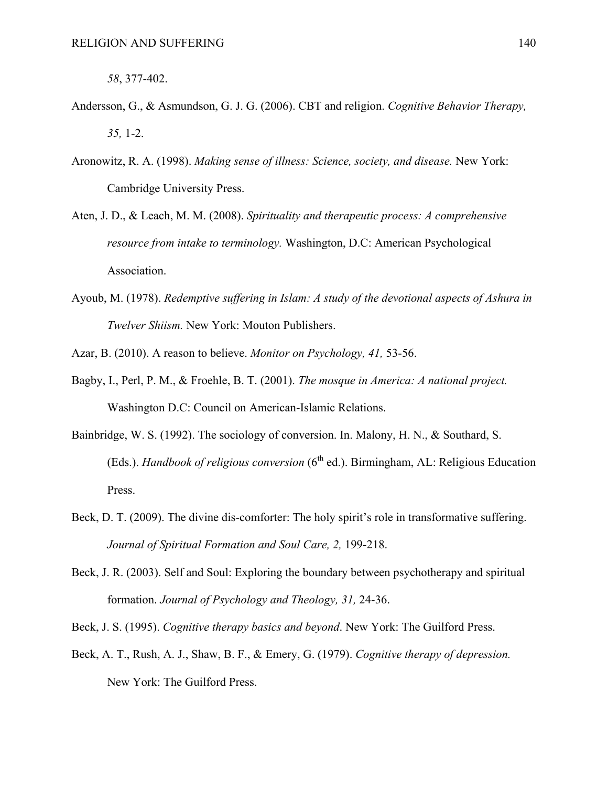*58*, 377-402.

- Andersson, G., & Asmundson, G. J. G. (2006). CBT and religion. *Cognitive Behavior Therapy, 35,* 1-2.
- Aronowitz, R. A. (1998). *Making sense of illness: Science, society, and disease.* New York: Cambridge University Press.
- Aten, J. D., & Leach, M. M. (2008). *Spirituality and therapeutic process: A comprehensive resource from intake to terminology.* Washington, D.C: American Psychological Association.
- Ayoub, M. (1978). *Redemptive suffering in Islam: A study of the devotional aspects of Ashura in Twelver Shiism.* New York: Mouton Publishers.
- Azar, B. (2010). A reason to believe. *Monitor on Psychology, 41,* 53-56.
- Bagby, I., Perl, P. M., & Froehle, B. T. (2001). *The mosque in America: A national project.*  Washington D.C: Council on American-Islamic Relations.
- Bainbridge, W. S. (1992). The sociology of conversion. In. Malony, H. N., & Southard, S. (Eds.). *Handbook of religious conversion* (6<sup>th</sup> ed.). Birmingham, AL: Religious Education Press.
- Beck, D. T. (2009). The divine dis-comforter: The holy spirit's role in transformative suffering. *Journal of Spiritual Formation and Soul Care, 2,* 199-218.
- Beck, J. R. (2003). Self and Soul: Exploring the boundary between psychotherapy and spiritual formation. *Journal of Psychology and Theology, 31,* 24-36.

Beck, J. S. (1995). *Cognitive therapy basics and beyond*. New York: The Guilford Press.

Beck, A. T., Rush, A. J., Shaw, B. F., & Emery, G. (1979). *Cognitive therapy of depression.*  New York: The Guilford Press.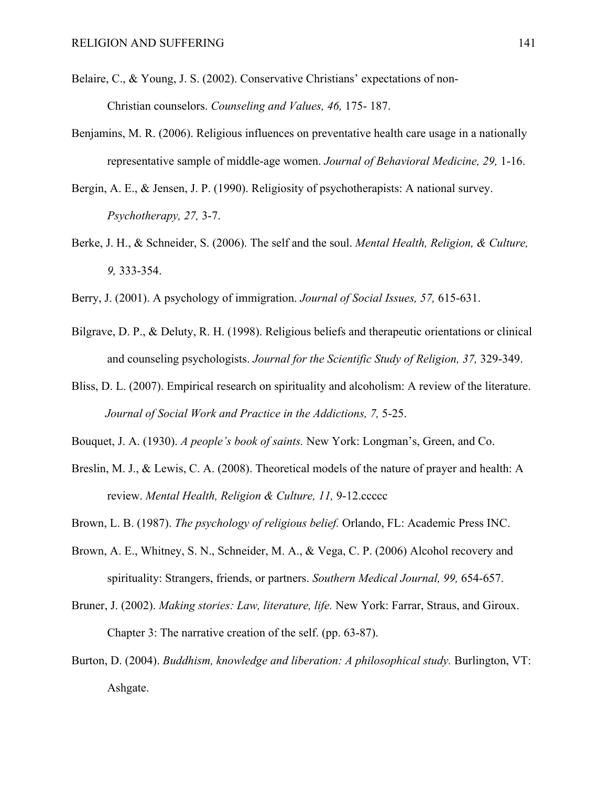- Belaire, C., & Young, J. S. (2002). Conservative Christians' expectations of non- Christian counselors. *Counseling and Values, 46,* 175- 187.
- Benjamins, M. R. (2006). Religious influences on preventative health care usage in a nationally representative sample of middle-age women. *Journal of Behavioral Medicine, 29,* 1-16.
- Bergin, A. E., & Jensen, J. P. (1990). Religiosity of psychotherapists: A national survey. *Psychotherapy, 27,* 3-7.
- Berke, J. H., & Schneider, S. (2006). The self and the soul. *Mental Health, Religion, & Culture, 9,* 333-354.
- Berry, J. (2001). A psychology of immigration. *Journal of Social Issues, 57,* 615-631.
- Bilgrave, D. P., & Deluty, R. H. (1998). Religious beliefs and therapeutic orientations or clinical and counseling psychologists. *Journal for the Scientific Study of Religion, 37,* 329-349.
- Bliss, D. L. (2007). Empirical research on spirituality and alcoholism: A review of the literature. *Journal of Social Work and Practice in the Addictions, 7,* 5-25.
- Bouquet, J. A. (1930). *A people's book of saints.* New York: Longman's, Green, and Co.
- Breslin, M. J., & Lewis, C. A. (2008). Theoretical models of the nature of prayer and health: A review. *Mental Health, Religion & Culture, 11,* 9-12.ccccc
- Brown, L. B. (1987). *The psychology of religious belief.* Orlando, FL: Academic Press INC.
- Brown, A. E., Whitney, S. N., Schneider, M. A., & Vega, C. P. (2006) Alcohol recovery and spirituality: Strangers, friends, or partners. *Southern Medical Journal, 99,* 654-657.
- Bruner, J. (2002). *Making stories: Law, literature, life.* New York: Farrar, Straus, and Giroux. Chapter 3: The narrative creation of the self. (pp. 63-87).
- Burton, D. (2004). *Buddhism, knowledge and liberation: A philosophical study.* Burlington, VT: Ashgate.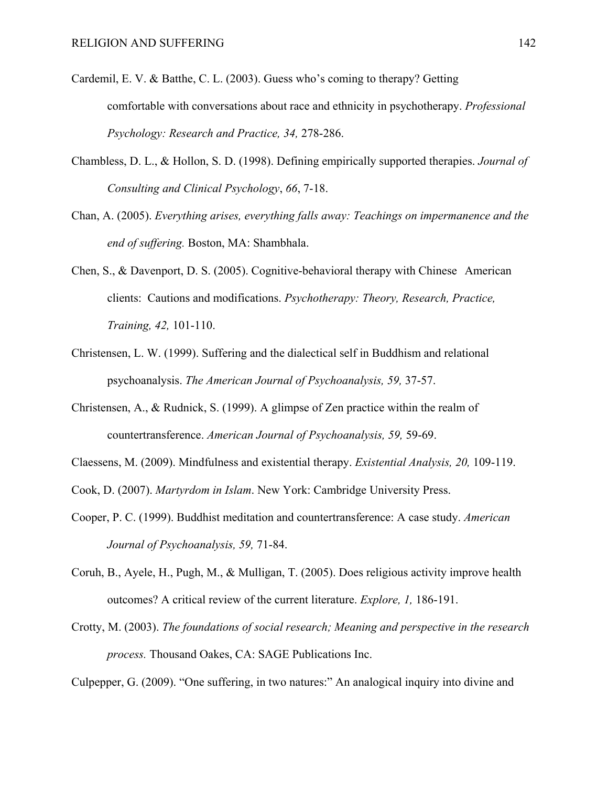- Cardemil, E. V. & Batthe, C. L. (2003). Guess who's coming to therapy? Getting comfortable with conversations about race and ethnicity in psychotherapy. *Professional Psychology: Research and Practice, 34,* 278-286.
- Chambless, D. L., & Hollon, S. D. (1998). Defining empirically supported therapies. *Journal of Consulting and Clinical Psychology*, *66*, 7-18.
- Chan, A. (2005). *Everything arises, everything falls away: Teachings on impermanence and the end of suffering.* Boston, MA: Shambhala.
- Chen, S., & Davenport, D. S. (2005). Cognitive-behavioral therapy with Chinese American clients: Cautions and modifications. *Psychotherapy: Theory, Research, Practice, Training, 42,* 101-110.
- Christensen, L. W. (1999). Suffering and the dialectical self in Buddhism and relational psychoanalysis. *The American Journal of Psychoanalysis, 59,* 37-57.
- Christensen, A., & Rudnick, S. (1999). A glimpse of Zen practice within the realm of countertransference. *American Journal of Psychoanalysis, 59,* 59-69.
- Claessens, M. (2009). Mindfulness and existential therapy. *Existential Analysis, 20,* 109-119.
- Cook, D. (2007). *Martyrdom in Islam*. New York: Cambridge University Press.
- Cooper, P. C. (1999). Buddhist meditation and countertransference: A case study. *American Journal of Psychoanalysis, 59,* 71-84.
- Coruh, B., Ayele, H., Pugh, M., & Mulligan, T. (2005). Does religious activity improve health outcomes? A critical review of the current literature. *Explore, 1,* 186-191.
- Crotty, M. (2003). *The foundations of social research; Meaning and perspective in the research process.* Thousand Oakes, CA: SAGE Publications Inc.

Culpepper, G. (2009). "One suffering, in two natures:" An analogical inquiry into divine and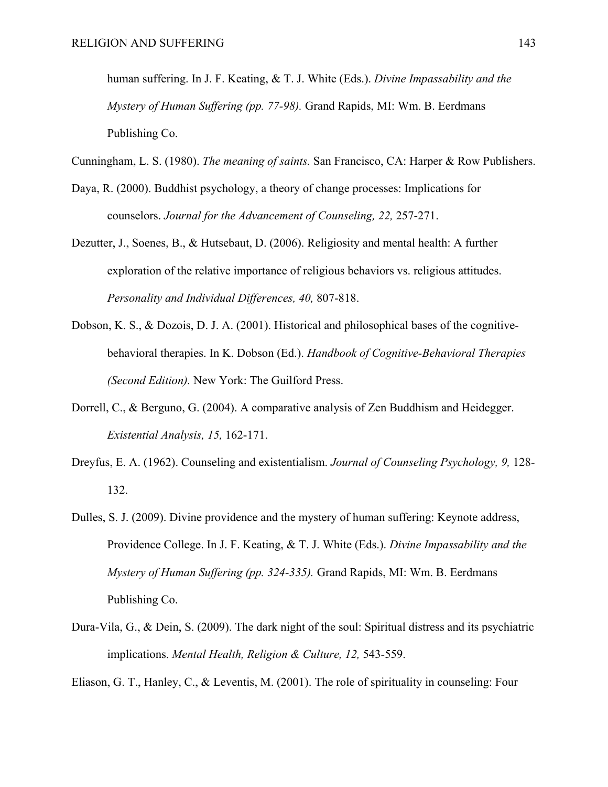human suffering. In J. F. Keating, & T. J. White (Eds.). *Divine Impassability and the Mystery of Human Suffering (pp. 77-98).* Grand Rapids, MI: Wm. B. Eerdmans Publishing Co.

Cunningham, L. S. (1980). *The meaning of saints.* San Francisco, CA: Harper & Row Publishers.

- Daya, R. (2000). Buddhist psychology, a theory of change processes: Implications for counselors. *Journal for the Advancement of Counseling, 22,* 257-271.
- Dezutter, J., Soenes, B., & Hutsebaut, D. (2006). Religiosity and mental health: A further exploration of the relative importance of religious behaviors vs. religious attitudes. *Personality and Individual Differences, 40,* 807-818.
- Dobson, K. S., & Dozois, D. J. A. (2001). Historical and philosophical bases of the cognitivebehavioral therapies. In K. Dobson (Ed.). *Handbook of Cognitive-Behavioral Therapies (Second Edition).* New York: The Guilford Press.
- Dorrell, C., & Berguno, G. (2004). A comparative analysis of Zen Buddhism and Heidegger. *Existential Analysis, 15,* 162-171.
- Dreyfus, E. A. (1962). Counseling and existentialism. *Journal of Counseling Psychology, 9,* 128- 132.
- Dulles, S. J. (2009). Divine providence and the mystery of human suffering: Keynote address, Providence College. In J. F. Keating, & T. J. White (Eds.). *Divine Impassability and the Mystery of Human Suffering (pp. 324-335).* Grand Rapids, MI: Wm. B. Eerdmans Publishing Co.
- Dura-Vila, G., & Dein, S. (2009). The dark night of the soul: Spiritual distress and its psychiatric implications. *Mental Health, Religion & Culture, 12,* 543-559.

Eliason, G. T., Hanley, C., & Leventis, M. (2001). The role of spirituality in counseling: Four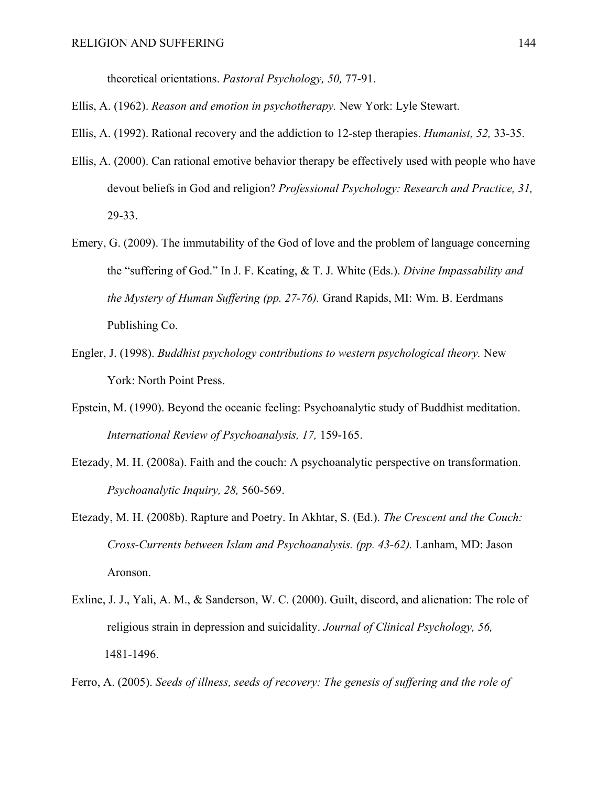theoretical orientations. *Pastoral Psychology, 50,* 77-91.

Ellis, A. (1962). *Reason and emotion in psychotherapy.* New York: Lyle Stewart.

Ellis, A. (1992). Rational recovery and the addiction to 12-step therapies. *Humanist, 52,* 33-35.

- Ellis, A. (2000). Can rational emotive behavior therapy be effectively used with people who have devout beliefs in God and religion? *Professional Psychology: Research and Practice, 31,*  29-33.
- Emery, G. (2009). The immutability of the God of love and the problem of language concerning the "suffering of God." In J. F. Keating, & T. J. White (Eds.). *Divine Impassability and the Mystery of Human Suffering (pp. 27-76).* Grand Rapids, MI: Wm. B. Eerdmans Publishing Co.
- Engler, J. (1998). *Buddhist psychology contributions to western psychological theory.* New York: North Point Press.
- Epstein, M. (1990). Beyond the oceanic feeling: Psychoanalytic study of Buddhist meditation. *International Review of Psychoanalysis, 17,* 159-165.
- Etezady, M. H. (2008a). Faith and the couch: A psychoanalytic perspective on transformation. *Psychoanalytic Inquiry, 28,* 560-569.
- Etezady, M. H. (2008b). Rapture and Poetry. In Akhtar, S. (Ed.). *The Crescent and the Couch: Cross-Currents between Islam and Psychoanalysis. (pp. 43-62).* Lanham, MD: Jason Aronson.
- Exline, J. J., Yali, A. M., & Sanderson, W. C. (2000). Guilt, discord, and alienation: The role of religious strain in depression and suicidality. *Journal of Clinical Psychology, 56,* 1481-1496.
- Ferro, A. (2005). *Seeds of illness, seeds of recovery: The genesis of suffering and the role of*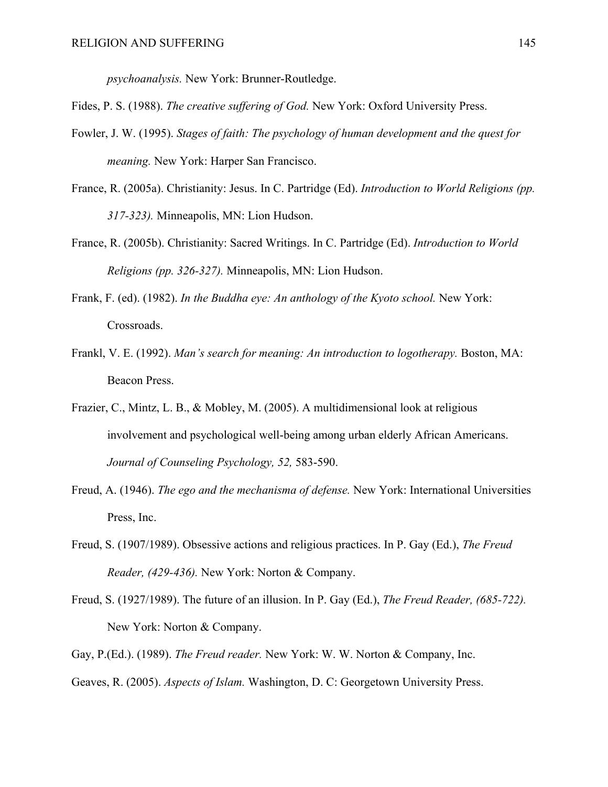*psychoanalysis.* New York: Brunner-Routledge.

Fides, P. S. (1988). *The creative suffering of God.* New York: Oxford University Press.

- Fowler, J. W. (1995). *Stages of faith: The psychology of human development and the quest for meaning.* New York: Harper San Francisco.
- France, R. (2005a). Christianity: Jesus. In C. Partridge (Ed). *Introduction to World Religions (pp. 317-323).* Minneapolis, MN: Lion Hudson.
- France, R. (2005b). Christianity: Sacred Writings. In C. Partridge (Ed). *Introduction to World Religions (pp. 326-327).* Minneapolis, MN: Lion Hudson.
- Frank, F. (ed). (1982). *In the Buddha eye: An anthology of the Kyoto school.* New York: Crossroads.
- Frankl, V. E. (1992). *Man's search for meaning: An introduction to logotherapy*. Boston, MA: Beacon Press.
- Frazier, C., Mintz, L. B., & Mobley, M. (2005). A multidimensional look at religious involvement and psychological well-being among urban elderly African Americans. *Journal of Counseling Psychology, 52,* 583-590.
- Freud, A. (1946). *The ego and the mechanisma of defense.* New York: International Universities Press, Inc.
- Freud, S. (1907/1989). Obsessive actions and religious practices. In P. Gay (Ed.), *The Freud Reader, (429-436).* New York: Norton & Company.
- Freud, S. (1927/1989). The future of an illusion. In P. Gay (Ed.), *The Freud Reader, (685-722).*  New York: Norton & Company.
- Gay, P.(Ed.). (1989). *The Freud reader.* New York: W. W. Norton & Company, Inc.
- Geaves, R. (2005). *Aspects of Islam.* Washington, D. C: Georgetown University Press.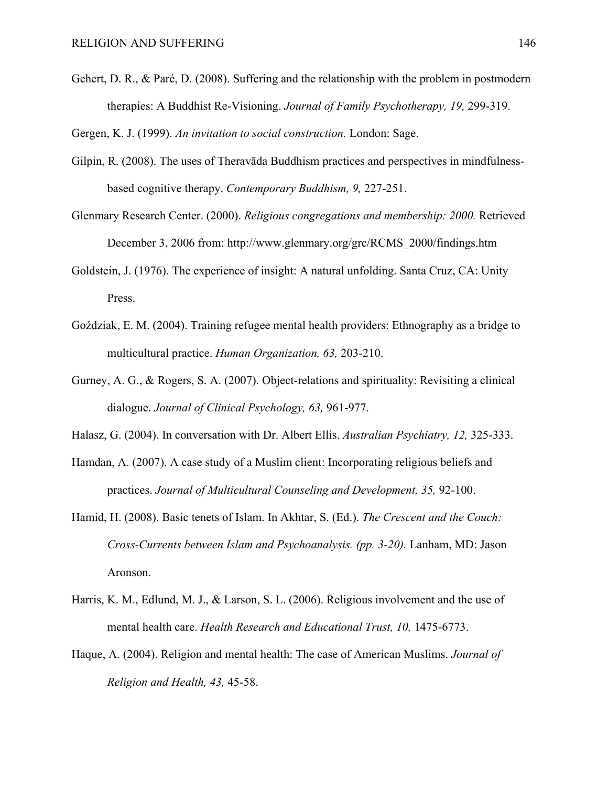Gehert, D. R., & Paré, D. (2008). Suffering and the relationship with the problem in postmodern therapies: A Buddhist Re-Visioning. *Journal of Family Psychotherapy, 19,* 299-319.

Gergen, K. J. (1999). *An invitation to social construction.* London: Sage.

- Gilpin, R. (2008). The uses of Theravāda Buddhism practices and perspectives in mindfulnessbased cognitive therapy. *Contemporary Buddhism, 9,* 227-251.
- Glenmary Research Center. (2000). *Religious congregations and membership: 2000.* Retrieved December 3, 2006 from: http://www.glenmary.org/grc/RCMS\_2000/findings.htm
- Goldstein, J. (1976). The experience of insight: A natural unfolding. Santa Cruz, CA: Unity Press.
- Goździak, E. M. (2004). Training refugee mental health providers: Ethnography as a bridge to multicultural practice. *Human Organization, 63,* 203-210.
- Gurney, A. G., & Rogers, S. A. (2007). Object-relations and spirituality: Revisiting a clinical dialogue. *Journal of Clinical Psychology, 63,* 961-977.
- Halasz, G. (2004). In conversation with Dr. Albert Ellis. *Australian Psychiatry, 12,* 325-333.
- Hamdan, A. (2007). A case study of a Muslim client: Incorporating religious beliefs and practices. *Journal of Multicultural Counseling and Development, 35,* 92-100.
- Hamid, H. (2008). Basic tenets of Islam. In Akhtar, S. (Ed.). *The Crescent and the Couch: Cross-Currents between Islam and Psychoanalysis. (pp. 3-20).* Lanham, MD: Jason Aronson.
- Harris, K. M., Edlund, M. J., & Larson, S. L. (2006). Religious involvement and the use of mental health care. *Health Research and Educational Trust, 10,* 1475-6773.
- Haque, A. (2004). Religion and mental health: The case of American Muslims. *Journal of Religion and Health, 43,* 45-58.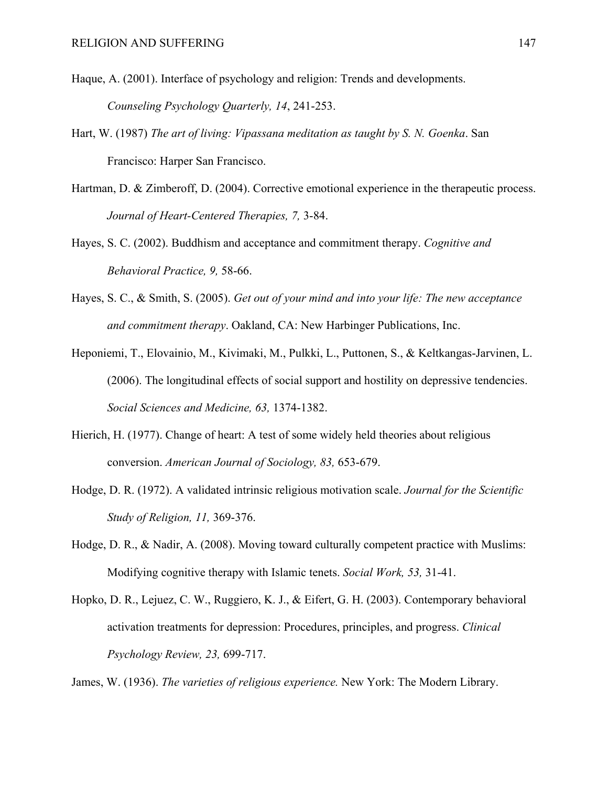- Haque, A. (2001). Interface of psychology and religion: Trends and developments. *Counseling Psychology Quarterly, 14*, 241-253.
- Hart, W. (1987) *The art of living: Vipassana meditation as taught by S. N. Goenka*. San Francisco: Harper San Francisco.
- Hartman, D. & Zimberoff, D. (2004). Corrective emotional experience in the therapeutic process. *Journal of Heart-Centered Therapies, 7,* 3-84.
- Hayes, S. C. (2002). Buddhism and acceptance and commitment therapy. *Cognitive and Behavioral Practice, 9,* 58-66.
- Hayes, S. C., & Smith, S. (2005). *Get out of your mind and into your life: The new acceptance and commitment therapy*. Oakland, CA: New Harbinger Publications, Inc.
- Heponiemi, T., Elovainio, M., Kivimaki, M., Pulkki, L., Puttonen, S., & Keltkangas-Jarvinen, L. (2006). The longitudinal effects of social support and hostility on depressive tendencies. *Social Sciences and Medicine, 63,* 1374-1382.
- Hierich, H. (1977). Change of heart: A test of some widely held theories about religious conversion. *American Journal of Sociology, 83,* 653-679.
- Hodge, D. R. (1972). A validated intrinsic religious motivation scale. *Journal for the Scientific Study of Religion, 11,* 369-376.
- Hodge, D. R., & Nadir, A. (2008). Moving toward culturally competent practice with Muslims: Modifying cognitive therapy with Islamic tenets. *Social Work, 53,* 31-41.
- Hopko, D. R., Lejuez, C. W., Ruggiero, K. J., & Eifert, G. H. (2003). Contemporary behavioral activation treatments for depression: Procedures, principles, and progress. *Clinical Psychology Review, 23,* 699-717.

James, W. (1936). *The varieties of religious experience.* New York: The Modern Library.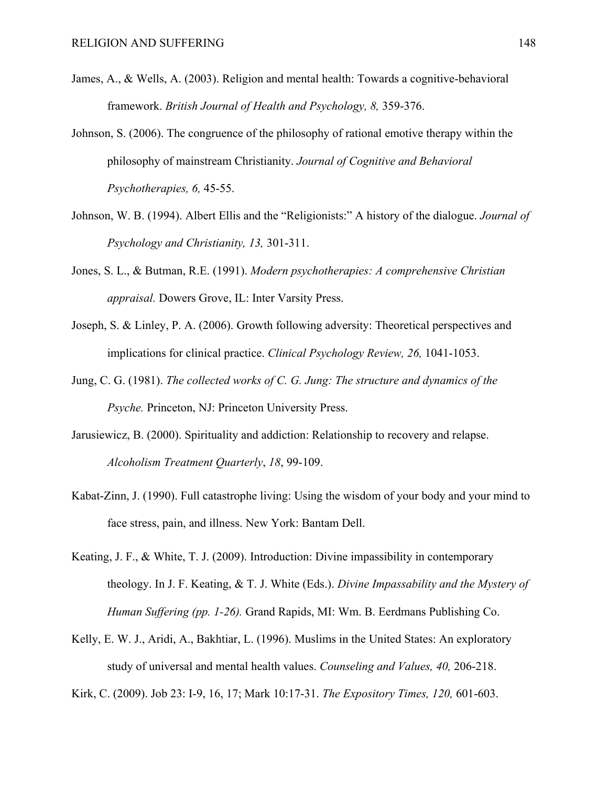- James, A., & Wells, A. (2003). Religion and mental health: Towards a cognitive-behavioral framework. *British Journal of Health and Psychology, 8,* 359-376.
- Johnson, S. (2006). The congruence of the philosophy of rational emotive therapy within the philosophy of mainstream Christianity. *Journal of Cognitive and Behavioral Psychotherapies, 6,* 45-55.
- Johnson, W. B. (1994). Albert Ellis and the "Religionists:" A history of the dialogue. *Journal of Psychology and Christianity, 13,* 301-311.
- Jones, S. L., & Butman, R.E. (1991). *Modern psychotherapies: A comprehensive Christian appraisal.* Dowers Grove, IL: Inter Varsity Press.
- Joseph, S. & Linley, P. A. (2006). Growth following adversity: Theoretical perspectives and implications for clinical practice. *Clinical Psychology Review, 26,* 1041-1053.
- Jung, C. G. (1981). *The collected works of C. G. Jung: The structure and dynamics of the Psyche.* Princeton, NJ: Princeton University Press.
- Jarusiewicz, B. (2000). Spirituality and addiction: Relationship to recovery and relapse. *Alcoholism Treatment Quarterly*, *18*, 99-109.
- Kabat-Zinn, J. (1990). Full catastrophe living: Using the wisdom of your body and your mind to face stress, pain, and illness. New York: Bantam Dell.
- Keating, J. F., & White, T. J. (2009). Introduction: Divine impassibility in contemporary theology. In J. F. Keating, & T. J. White (Eds.). *Divine Impassability and the Mystery of Human Suffering (pp. 1-26).* Grand Rapids, MI: Wm. B. Eerdmans Publishing Co.
- Kelly, E. W. J., Aridi, A., Bakhtiar, L. (1996). Muslims in the United States: An exploratory study of universal and mental health values. *Counseling and Values, 40,* 206-218.

Kirk, C. (2009). Job 23: I-9, 16, 17; Mark 10:17-31. *The Expository Times, 120,* 601-603.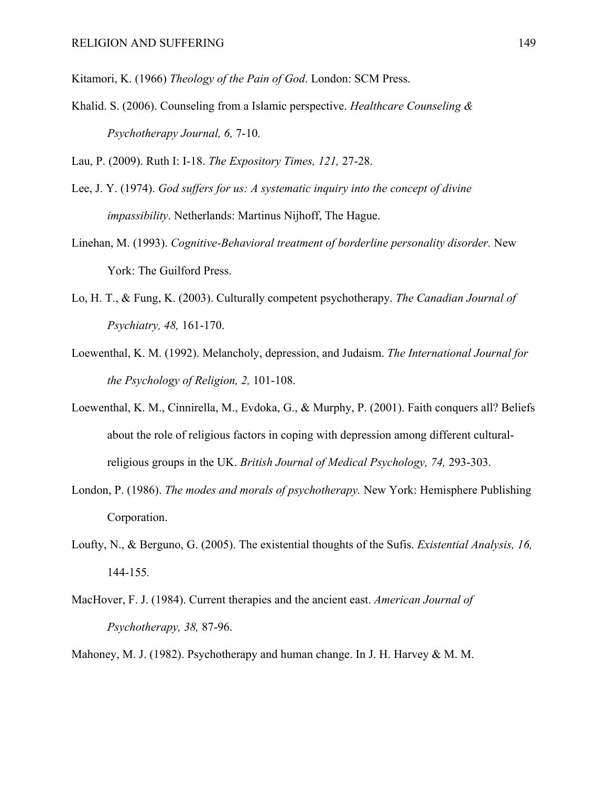Kitamori, K. (1966) *Theology of the Pain of God*. London: SCM Press.

Khalid. S. (2006). Counseling from a Islamic perspective. *Healthcare Counseling & Psychotherapy Journal, 6,* 7-10*.* 

Lau, P. (2009). Ruth I: I-18. *The Expository Times, 121,* 27-28.

- Lee, J. Y. (1974). *God suffers for us: A systematic inquiry into the concept of divine impassibility*. Netherlands: Martinus Nijhoff, The Hague.
- Linehan, M. (1993). *Cognitive-Behavioral treatment of borderline personality disorder.* New York: The Guilford Press.
- Lo, H. T., & Fung, K. (2003). Culturally competent psychotherapy. *The Canadian Journal of Psychiatry, 48,* 161-170.
- Loewenthal, K. M. (1992). Melancholy, depression, and Judaism. *The International Journal for the Psychology of Religion, 2,* 101-108.
- Loewenthal, K. M., Cinnirella, M., Evdoka, G., & Murphy, P. (2001). Faith conquers all? Beliefs about the role of religious factors in coping with depression among different culturalreligious groups in the UK. *British Journal of Medical Psychology, 74,* 293-303.
- London, P. (1986). *The modes and morals of psychotherapy.* New York: Hemisphere Publishing Corporation.
- Loufty, N., & Berguno, G. (2005). The existential thoughts of the Sufis. *Existential Analysis, 16,*  144-155*.*
- MacHover, F. J. (1984). Current therapies and the ancient east. *American Journal of Psychotherapy, 38,* 87-96.
- Mahoney, M. J. (1982). Psychotherapy and human change. In J. H. Harvey & M. M.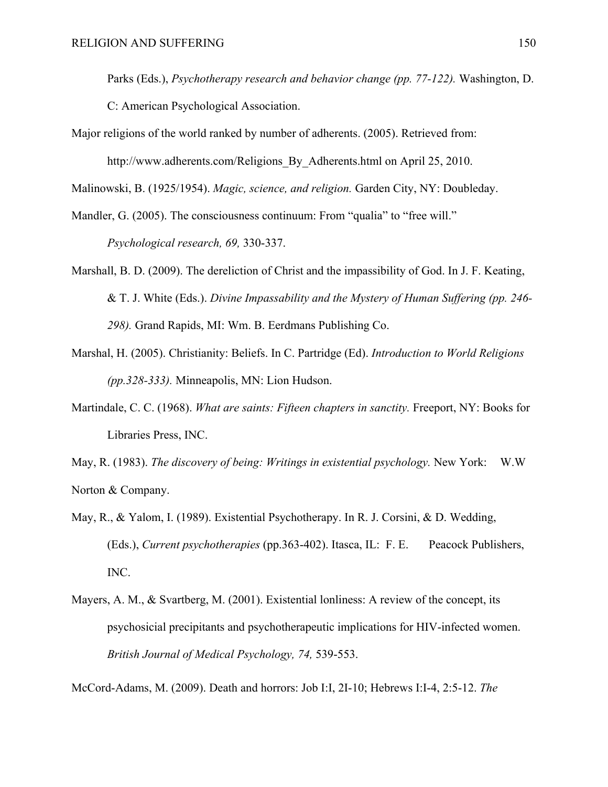Parks (Eds.), *Psychotherapy research and behavior change (pp. 77-122).* Washington, D.

C: American Psychological Association.

Major religions of the world ranked by number of adherents. (2005). Retrieved from: http://www.adherents.com/Religions By Adherents.html on April 25, 2010.

Malinowski, B. (1925/1954). *Magic, science, and religion.* Garden City, NY: Doubleday.

- Mandler, G. (2005). The consciousness continuum: From "qualia" to "free will." *Psychological research, 69,* 330-337.
- Marshall, B. D. (2009). The dereliction of Christ and the impassibility of God. In J. F. Keating, & T. J. White (Eds.). *Divine Impassability and the Mystery of Human Suffering (pp. 246- 298).* Grand Rapids, MI: Wm. B. Eerdmans Publishing Co.
- Marshal, H. (2005). Christianity: Beliefs. In C. Partridge (Ed). *Introduction to World Religions (pp.328-333).* Minneapolis, MN: Lion Hudson.
- Martindale, C. C. (1968). *What are saints: Fifteen chapters in sanctity.* Freeport, NY: Books for Libraries Press, INC.

May, R. (1983). *The discovery of being: Writings in existential psychology.* New York: W.W Norton & Company.

- May, R., & Yalom, I. (1989). Existential Psychotherapy. In R. J. Corsini, & D. Wedding, (Eds.), *Current psychotherapies* (pp.363-402). Itasca, IL: F. E. Peacock Publishers, INC.
- Mayers, A. M., & Svartberg, M. (2001). Existential lonliness: A review of the concept, its psychosicial precipitants and psychotherapeutic implications for HIV-infected women. *British Journal of Medical Psychology, 74,* 539-553.

McCord-Adams, M. (2009). Death and horrors: Job I:I, 2I-10; Hebrews I:I-4, 2:5-12. *The*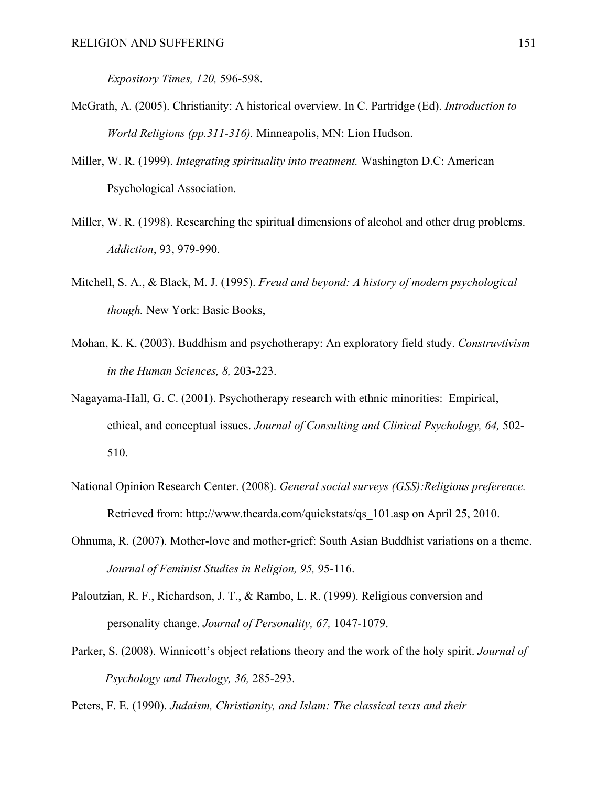*Expository Times, 120,* 596-598.

- McGrath, A. (2005). Christianity: A historical overview. In C. Partridge (Ed). *Introduction to World Religions (pp.311-316).* Minneapolis, MN: Lion Hudson.
- Miller, W. R. (1999). *Integrating spirituality into treatment.* Washington D.C: American Psychological Association.
- Miller, W. R. (1998). Researching the spiritual dimensions of alcohol and other drug problems. *Addiction*, 93, 979-990.
- Mitchell, S. A., & Black, M. J. (1995). *Freud and beyond: A history of modern psychological though.* New York: Basic Books,
- Mohan, K. K. (2003). Buddhism and psychotherapy: An exploratory field study. *Construvtivism in the Human Sciences, 8,* 203-223.
- Nagayama-Hall, G. C. (2001). Psychotherapy research with ethnic minorities: Empirical, ethical, and conceptual issues. *Journal of Consulting and Clinical Psychology, 64,* 502- 510.
- National Opinion Research Center. (2008). *General social surveys (GSS):Religious preference.*  Retrieved from: http://www.thearda.com/quickstats/qs\_101.asp on April 25, 2010.
- Ohnuma, R. (2007). Mother-love and mother-grief: South Asian Buddhist variations on a theme. *Journal of Feminist Studies in Religion, 95,* 95-116.
- Paloutzian, R. F., Richardson, J. T., & Rambo, L. R. (1999). Religious conversion and personality change. *Journal of Personality, 67,* 1047-1079.
- Parker, S. (2008). Winnicott's object relations theory and the work of the holy spirit. *Journal of Psychology and Theology, 36,* 285-293.

Peters, F. E. (1990). *Judaism, Christianity, and Islam: The classical texts and their*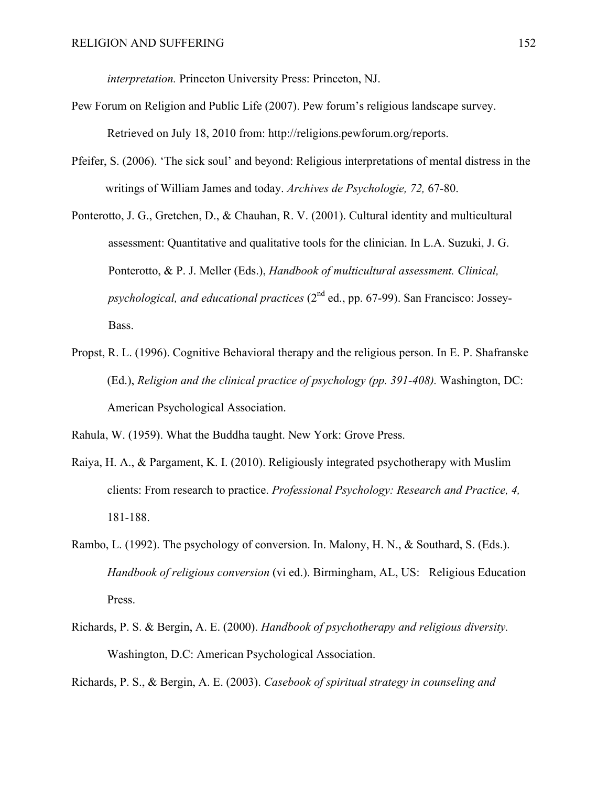*interpretation.* Princeton University Press: Princeton, NJ.

- Pew Forum on Religion and Public Life (2007). Pew forum's religious landscape survey. Retrieved on July 18, 2010 from: http://religions.pewforum.org/reports.
- Pfeifer, S. (2006). 'The sick soul' and beyond: Religious interpretations of mental distress in the writings of William James and today. *Archives de Psychologie, 72,* 67-80.
- Ponterotto, J. G., Gretchen, D., & Chauhan, R. V. (2001). Cultural identity and multicultural assessment: Quantitative and qualitative tools for the clinician. In L.A. Suzuki, J. G. Ponterotto, & P. J. Meller (Eds.), *Handbook of multicultural assessment. Clinical, psychological, and educational practices* (2nd ed., pp. 67-99). San Francisco: Jossey-Bass.
- Propst, R. L. (1996). Cognitive Behavioral therapy and the religious person. In E. P. Shafranske (Ed.), *Religion and the clinical practice of psychology (pp. 391-408).* Washington, DC: American Psychological Association.

Rahula, W. (1959). What the Buddha taught. New York: Grove Press.

- Raiya, H. A., & Pargament, K. I. (2010). Religiously integrated psychotherapy with Muslim clients: From research to practice. *Professional Psychology: Research and Practice, 4,*  181-188.
- Rambo, L. (1992). The psychology of conversion. In. Malony, H. N., & Southard, S. (Eds.). *Handbook of religious conversion* (vi ed.). Birmingham, AL, US: Religious Education Press.
- Richards, P. S. & Bergin, A. E. (2000). *Handbook of psychotherapy and religious diversity.*  Washington, D.C: American Psychological Association.

Richards, P. S., & Bergin, A. E. (2003). *Casebook of spiritual strategy in counseling and*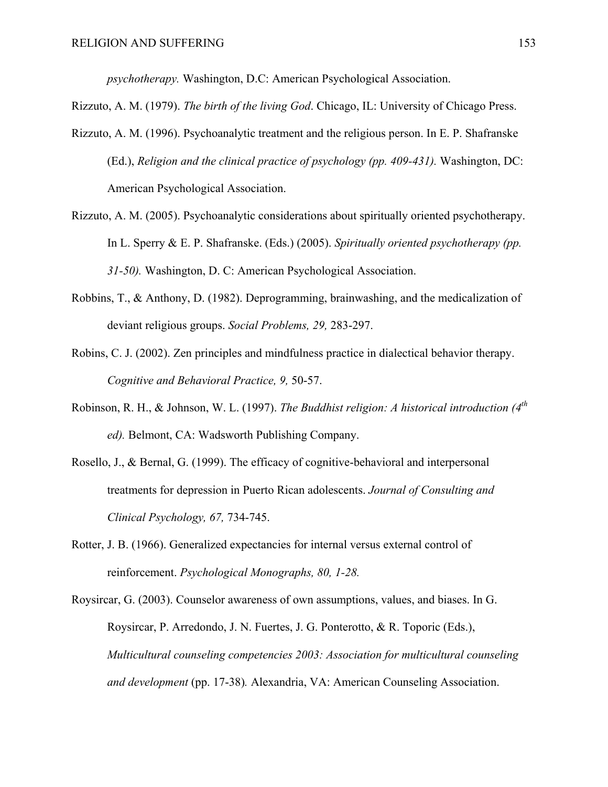*psychotherapy.* Washington, D.C: American Psychological Association.

- Rizzuto, A. M. (1979). *The birth of the living God*. Chicago, IL: University of Chicago Press.
- Rizzuto, A. M. (1996). Psychoanalytic treatment and the religious person. In E. P. Shafranske (Ed.), *Religion and the clinical practice of psychology (pp. 409-431).* Washington, DC: American Psychological Association.
- Rizzuto, A. M. (2005). Psychoanalytic considerations about spiritually oriented psychotherapy. In L. Sperry & E. P. Shafranske. (Eds.) (2005). *Spiritually oriented psychotherapy (pp. 31-50).* Washington, D. C: American Psychological Association.
- Robbins, T., & Anthony, D. (1982). Deprogramming, brainwashing, and the medicalization of deviant religious groups. *Social Problems, 29,* 283-297.
- Robins, C. J. (2002). Zen principles and mindfulness practice in dialectical behavior therapy. *Cognitive and Behavioral Practice, 9,* 50-57.
- Robinson, R. H., & Johnson, W. L. (1997). *The Buddhist religion: A historical introduction (4th ed).* Belmont, CA: Wadsworth Publishing Company.
- Rosello, J., & Bernal, G. (1999). The efficacy of cognitive-behavioral and interpersonal treatments for depression in Puerto Rican adolescents. *Journal of Consulting and Clinical Psychology, 67,* 734-745.
- Rotter, J. B. (1966). Generalized expectancies for internal versus external control of reinforcement. *Psychological Monographs, 80, 1-28.*

Roysircar, G. (2003). Counselor awareness of own assumptions, values, and biases. In G. Roysircar, P. Arredondo, J. N. Fuertes, J. G. Ponterotto, & R. Toporic (Eds.), *Multicultural counseling competencies 2003: Association for multicultural counseling and development* (pp. 17-38)*.* Alexandria, VA: American Counseling Association.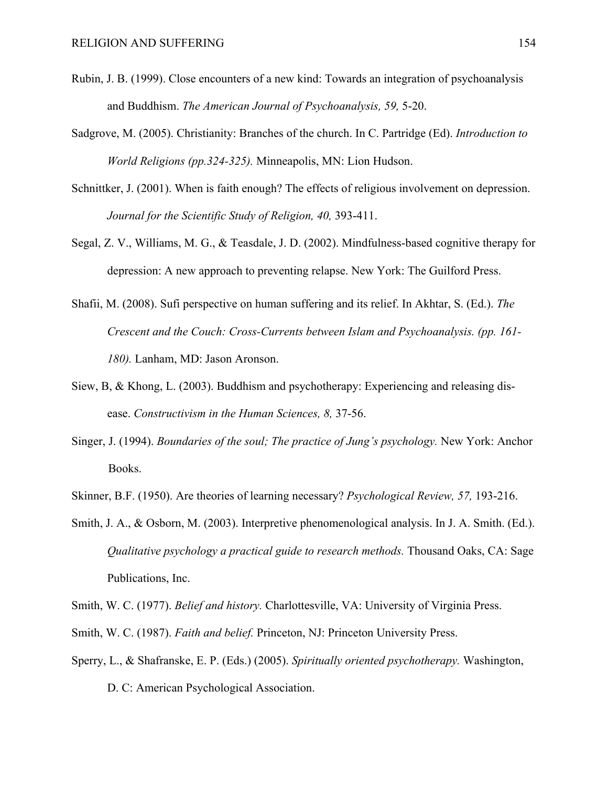- Rubin, J. B. (1999). Close encounters of a new kind: Towards an integration of psychoanalysis and Buddhism. *The American Journal of Psychoanalysis, 59,* 5-20.
- Sadgrove, M. (2005). Christianity: Branches of the church. In C. Partridge (Ed). *Introduction to World Religions (pp.324-325).* Minneapolis, MN: Lion Hudson.
- Schnittker, J. (2001). When is faith enough? The effects of religious involvement on depression. *Journal for the Scientific Study of Religion, 40,* 393-411.
- Segal, Z. V., Williams, M. G., & Teasdale, J. D. (2002). Mindfulness-based cognitive therapy for depression: A new approach to preventing relapse. New York: The Guilford Press.
- Shafii, M. (2008). Sufi perspective on human suffering and its relief. In Akhtar, S. (Ed.). *The Crescent and the Couch: Cross-Currents between Islam and Psychoanalysis. (pp. 161- 180).* Lanham, MD: Jason Aronson.
- Siew, B, & Khong, L. (2003). Buddhism and psychotherapy: Experiencing and releasing disease. *Constructivism in the Human Sciences, 8,* 37-56.
- Singer, J. (1994). *Boundaries of the soul; The practice of Jung's psychology.* New York: Anchor Books.
- Skinner, B.F. (1950). Are theories of learning necessary? *Psychological Review, 57,* 193-216.
- Smith, J. A., & Osborn, M. (2003). Interpretive phenomenological analysis. In J. A. Smith. (Ed.). *Qualitative psychology a practical guide to research methods.* Thousand Oaks, CA: Sage Publications, Inc.

Smith, W. C. (1977). *Belief and history.* Charlottesville, VA: University of Virginia Press.

- Smith, W. C. (1987). *Faith and belief.* Princeton, NJ: Princeton University Press.
- Sperry, L., & Shafranske, E. P. (Eds.) (2005). *Spiritually oriented psychotherapy.* Washington, D. C: American Psychological Association.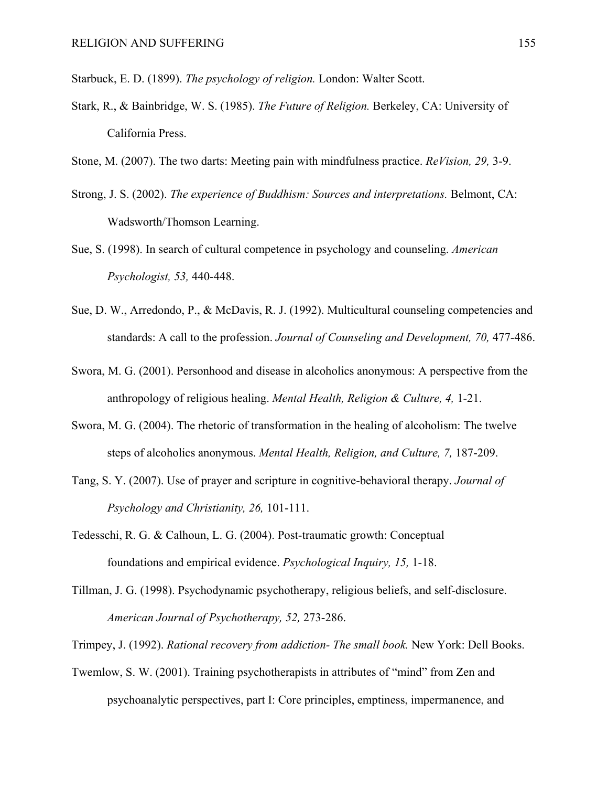Starbuck, E. D. (1899). *The psychology of religion.* London: Walter Scott.

- Stark, R., & Bainbridge, W. S. (1985). *The Future of Religion.* Berkeley, CA: University of California Press.
- Stone, M. (2007). The two darts: Meeting pain with mindfulness practice. *ReVision, 29,* 3-9.
- Strong, J. S. (2002). *The experience of Buddhism: Sources and interpretations.* Belmont, CA: Wadsworth/Thomson Learning.
- Sue, S. (1998). In search of cultural competence in psychology and counseling. *American Psychologist, 53,* 440-448.
- Sue, D. W., Arredondo, P., & McDavis, R. J. (1992). Multicultural counseling competencies and standards: A call to the profession. *Journal of Counseling and Development, 70,* 477-486.
- Swora, M. G. (2001). Personhood and disease in alcoholics anonymous: A perspective from the anthropology of religious healing. *Mental Health, Religion & Culture, 4,* 1-21.
- Swora, M. G. (2004). The rhetoric of transformation in the healing of alcoholism: The twelve steps of alcoholics anonymous. *Mental Health, Religion, and Culture, 7,* 187-209.
- Tang, S. Y. (2007). Use of prayer and scripture in cognitive-behavioral therapy. *Journal of Psychology and Christianity, 26,* 101-111.
- Tedesschi, R. G. & Calhoun, L. G. (2004). Post-traumatic growth: Conceptual foundations and empirical evidence. *Psychological Inquiry, 15,* 1-18.
- Tillman, J. G. (1998). Psychodynamic psychotherapy, religious beliefs, and self-disclosure. *American Journal of Psychotherapy, 52,* 273-286.
- Trimpey, J. (1992). *Rational recovery from addiction- The small book.* New York: Dell Books.
- Twemlow, S. W. (2001). Training psychotherapists in attributes of "mind" from Zen and psychoanalytic perspectives, part I: Core principles, emptiness, impermanence, and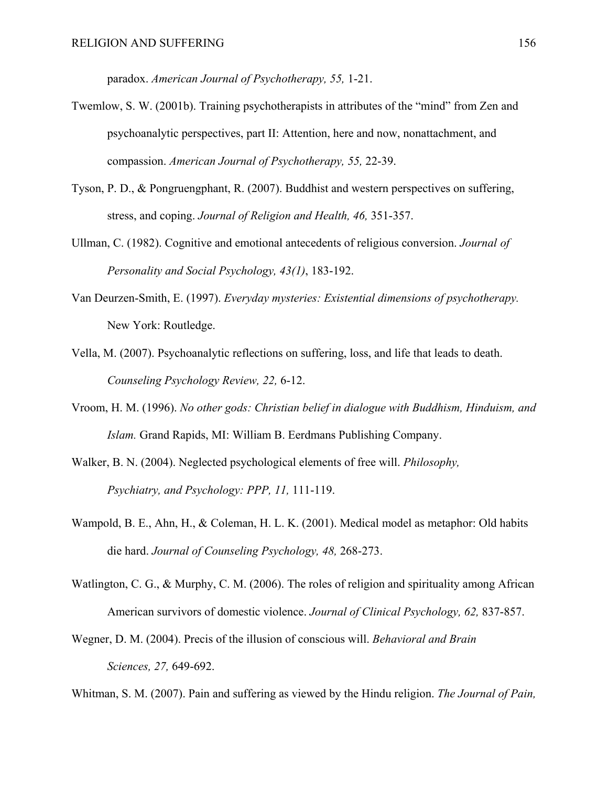paradox. *American Journal of Psychotherapy, 55,* 1-21.

- Twemlow, S. W. (2001b). Training psychotherapists in attributes of the "mind" from Zen and psychoanalytic perspectives, part II: Attention, here and now, nonattachment, and compassion. *American Journal of Psychotherapy, 55,* 22-39.
- Tyson, P. D., & Pongruengphant, R. (2007). Buddhist and western perspectives on suffering, stress, and coping. *Journal of Religion and Health, 46,* 351-357.
- Ullman, C. (1982). Cognitive and emotional antecedents of religious conversion. *Journal of Personality and Social Psychology, 43(1)*, 183-192.
- Van Deurzen-Smith, E. (1997). *Everyday mysteries: Existential dimensions of psychotherapy.*  New York: Routledge.
- Vella, M. (2007). Psychoanalytic reflections on suffering, loss, and life that leads to death. *Counseling Psychology Review, 22,* 6-12.
- Vroom, H. M. (1996). *No other gods: Christian belief in dialogue with Buddhism, Hinduism, and Islam.* Grand Rapids, MI: William B. Eerdmans Publishing Company.
- Walker, B. N. (2004). Neglected psychological elements of free will. *Philosophy, Psychiatry, and Psychology: PPP, 11,* 111-119.
- Wampold, B. E., Ahn, H., & Coleman, H. L. K. (2001). Medical model as metaphor: Old habits die hard. *Journal of Counseling Psychology, 48,* 268-273.
- Watlington, C. G., & Murphy, C. M. (2006). The roles of religion and spirituality among African American survivors of domestic violence. *Journal of Clinical Psychology, 62,* 837-857.
- Wegner, D. M. (2004). Precis of the illusion of conscious will. *Behavioral and Brain Sciences, 27,* 649-692.

Whitman, S. M. (2007). Pain and suffering as viewed by the Hindu religion. *The Journal of Pain,*